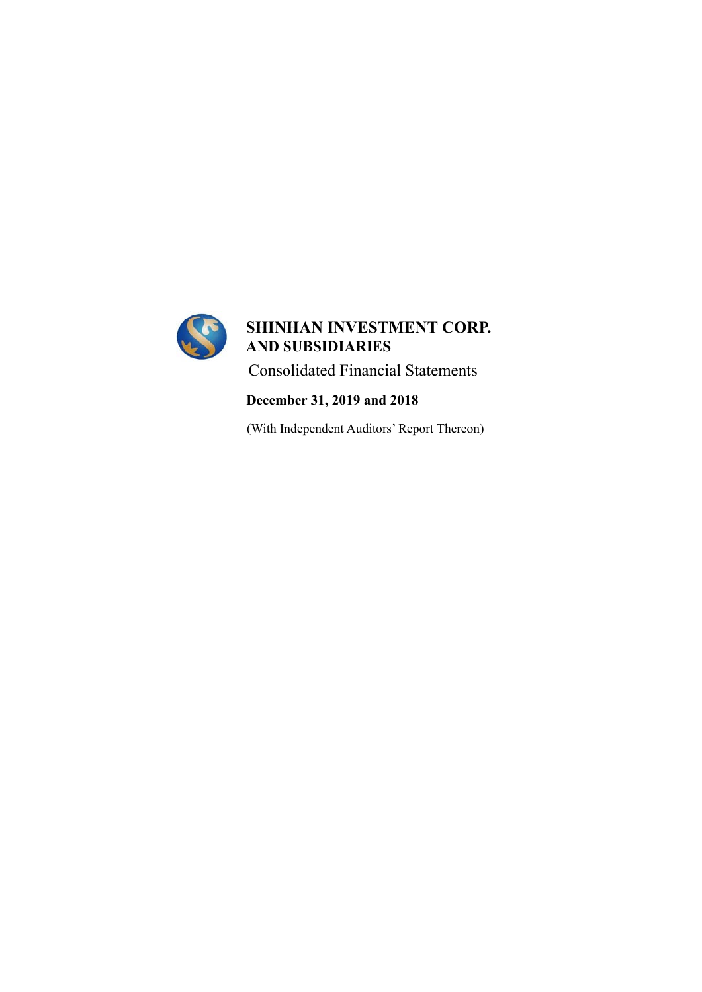

# **December 31, 2019 and 2018**

(With Independent Auditors' Report Thereon)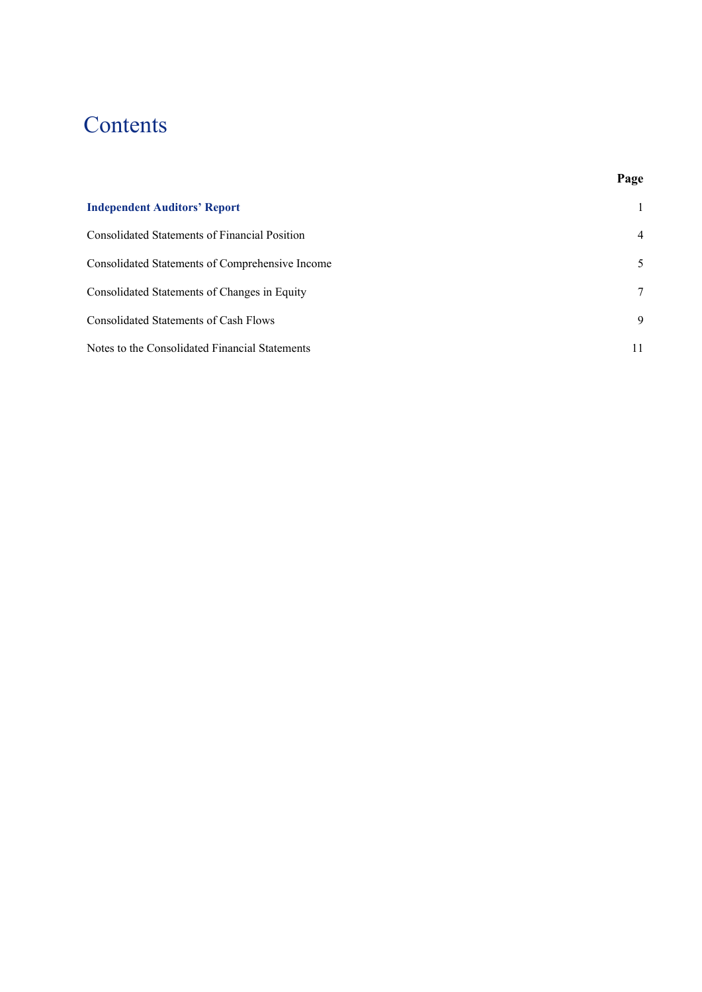# Contents

# **Page**

| <b>Independent Auditors' Report</b>             |                |
|-------------------------------------------------|----------------|
| Consolidated Statements of Financial Position   | $\overline{4}$ |
| Consolidated Statements of Comprehensive Income | 5              |
| Consolidated Statements of Changes in Equity    | 7              |
| Consolidated Statements of Cash Flows           | 9              |
| Notes to the Consolidated Financial Statements  | 11             |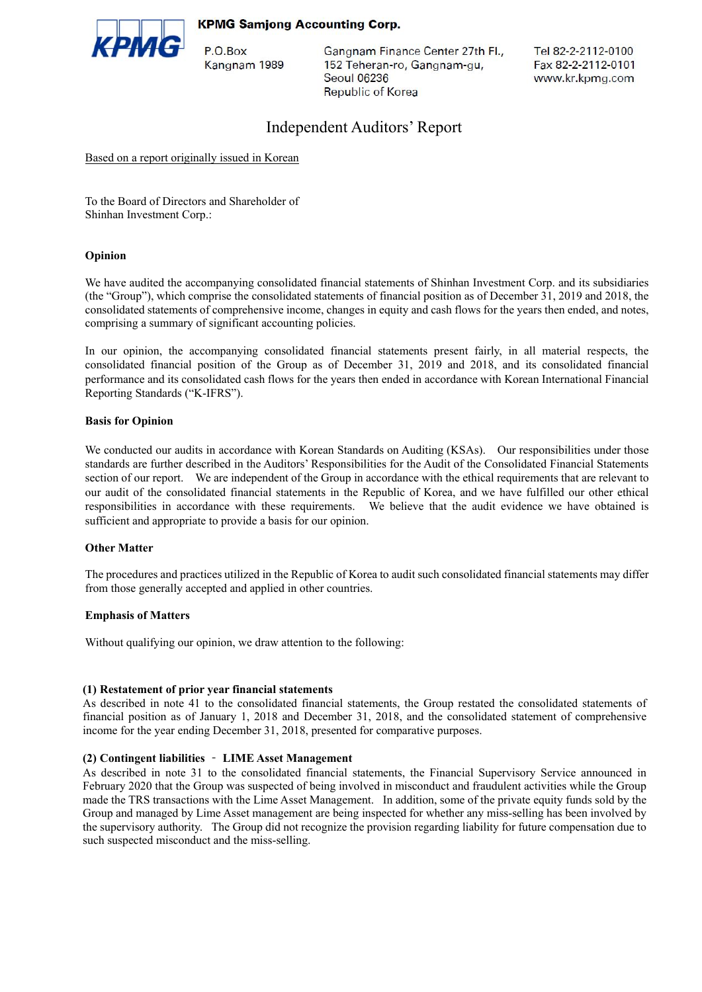#### **KPMG Samjong Accounting Corp.**



P.O.Box Kangnam 1989 Gangnam Finance Center 27th Fl., 152 Teheran-ro, Gangnam-gu, Seoul 06236 **Republic of Korea** 

Tel 82-2-2112-0100 Fax 82-2-2112-0101 www.kr.kpmg.com

# Independent Auditors' Report

Based on a report originally issued in Korean

To the Board of Directors and Shareholder of Shinhan Investment Corp.:

#### **Opinion**

We have audited the accompanying consolidated financial statements of Shinhan Investment Corp. and its subsidiaries (the "Group"), which comprise the consolidated statements of financial position as of December 31, 2019 and 2018, the consolidated statements of comprehensive income, changes in equity and cash flows for the years then ended, and notes, comprising a summary of significant accounting policies.

In our opinion, the accompanying consolidated financial statements present fairly, in all material respects, the consolidated financial position of the Group as of December 31, 2019 and 2018, and its consolidated financial performance and its consolidated cash flows for the years then ended in accordance with Korean International Financial Reporting Standards ("K-IFRS").

#### **Basis for Opinion**

We conducted our audits in accordance with Korean Standards on Auditing (KSAs). Our responsibilities under those standards are further described in the Auditors' Responsibilities for the Audit of the Consolidated Financial Statements section of our report. We are independent of the Group in accordance with the ethical requirements that are relevant to our audit of the consolidated financial statements in the Republic of Korea, and we have fulfilled our other ethical responsibilities in accordance with these requirements. We believe that the audit evidence we have obtained is sufficient and appropriate to provide a basis for our opinion.

#### **Other Matter**

The procedures and practices utilized in the Republic of Korea to audit such consolidated financial statements may differ from those generally accepted and applied in other countries.

#### **Emphasis of Matters**

Without qualifying our opinion, we draw attention to the following:

#### **(1) Restatement of prior year financial statements**

As described in note 41 to the consolidated financial statements, the Group restated the consolidated statements of financial position as of January 1, 2018 and December 31, 2018, and the consolidated statement of comprehensive income for the year ending December 31, 2018, presented for comparative purposes.

#### **(2) Contingent liabilities** – **LIME Asset Management**

As described in note 31 to the consolidated financial statements, the Financial Supervisory Service announced in February 2020 that the Group was suspected of being involved in misconduct and fraudulent activities while the Group made the TRS transactions with the Lime Asset Management. In addition, some of the private equity funds sold by the Group and managed by Lime Asset management are being inspected for whether any miss-selling has been involved by the supervisory authority. The Group did not recognize the provision regarding liability for future compensation due to such suspected misconduct and the miss-selling.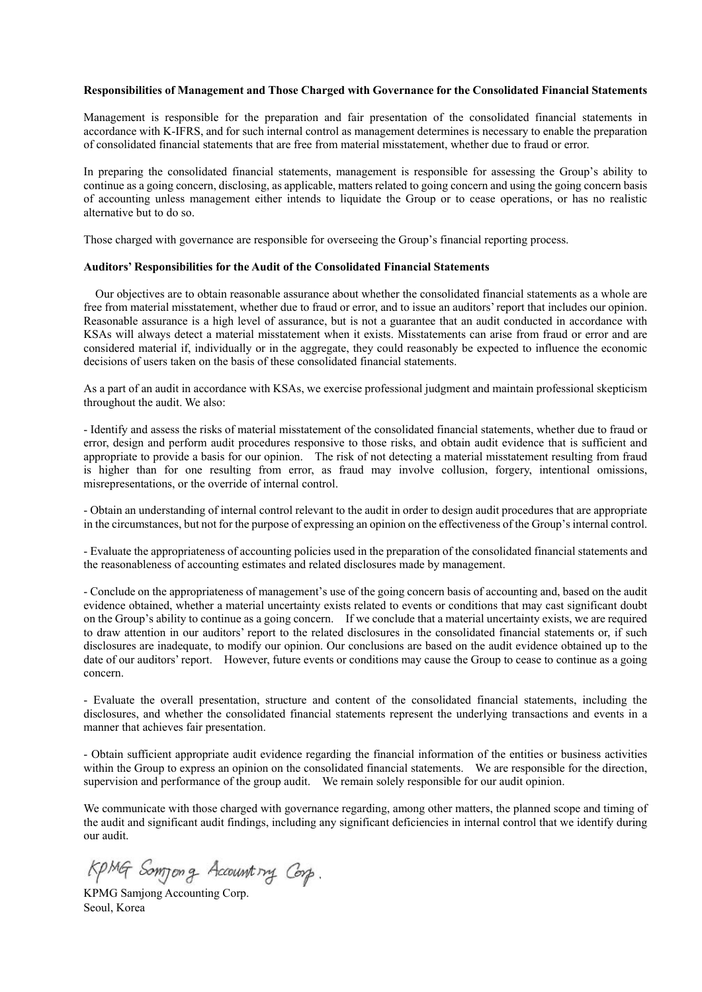#### **Responsibilities of Management and Those Charged with Governance for the Consolidated Financial Statements**

Management is responsible for the preparation and fair presentation of the consolidated financial statements in accordance with K-IFRS, and for such internal control as management determines is necessary to enable the preparation of consolidated financial statements that are free from material misstatement, whether due to fraud or error.

In preparing the consolidated financial statements, management is responsible for assessing the Group's ability to continue as a going concern, disclosing, as applicable, matters related to going concern and using the going concern basis of accounting unless management either intends to liquidate the Group or to cease operations, or has no realistic alternative but to do so.

Those charged with governance are responsible for overseeing the Group's financial reporting process.

#### **Auditors' Responsibilities for the Audit of the Consolidated Financial Statements**

Our objectives are to obtain reasonable assurance about whether the consolidated financial statements as a whole are free from material misstatement, whether due to fraud or error, and to issue an auditors' report that includes our opinion. Reasonable assurance is a high level of assurance, but is not a guarantee that an audit conducted in accordance with KSAs will always detect a material misstatement when it exists. Misstatements can arise from fraud or error and are considered material if, individually or in the aggregate, they could reasonably be expected to influence the economic decisions of users taken on the basis of these consolidated financial statements.

As a part of an audit in accordance with KSAs, we exercise professional judgment and maintain professional skepticism throughout the audit. We also:

- Identify and assess the risks of material misstatement of the consolidated financial statements, whether due to fraud or error, design and perform audit procedures responsive to those risks, and obtain audit evidence that is sufficient and appropriate to provide a basis for our opinion. The risk of not detecting a material misstatement resulting from fraud is higher than for one resulting from error, as fraud may involve collusion, forgery, intentional omissions, misrepresentations, or the override of internal control.

- Obtain an understanding of internal control relevant to the audit in order to design audit procedures that are appropriate in the circumstances, but not for the purpose of expressing an opinion on the effectiveness of the Group's internal control.

- Evaluate the appropriateness of accounting policies used in the preparation of the consolidated financial statements and the reasonableness of accounting estimates and related disclosures made by management.

- Conclude on the appropriateness of management's use of the going concern basis of accounting and, based on the audit evidence obtained, whether a material uncertainty exists related to events or conditions that may cast significant doubt on the Group's ability to continue as a going concern. If we conclude that a material uncertainty exists, we are required to draw attention in our auditors' report to the related disclosures in the consolidated financial statements or, if such disclosures are inadequate, to modify our opinion. Our conclusions are based on the audit evidence obtained up to the date of our auditors' report. However, future events or conditions may cause the Group to cease to continue as a going concern.

- Evaluate the overall presentation, structure and content of the consolidated financial statements, including the disclosures, and whether the consolidated financial statements represent the underlying transactions and events in a manner that achieves fair presentation.

- Obtain sufficient appropriate audit evidence regarding the financial information of the entities or business activities within the Group to express an opinion on the consolidated financial statements. We are responsible for the direction, supervision and performance of the group audit. We remain solely responsible for our audit opinion.

We communicate with those charged with governance regarding, among other matters, the planned scope and timing of the audit and significant audit findings, including any significant deficiencies in internal control that we identify during our audit.

KpMG Somjong Accounting Corp.

KPMG Samjong Accounting Corp. Seoul, Korea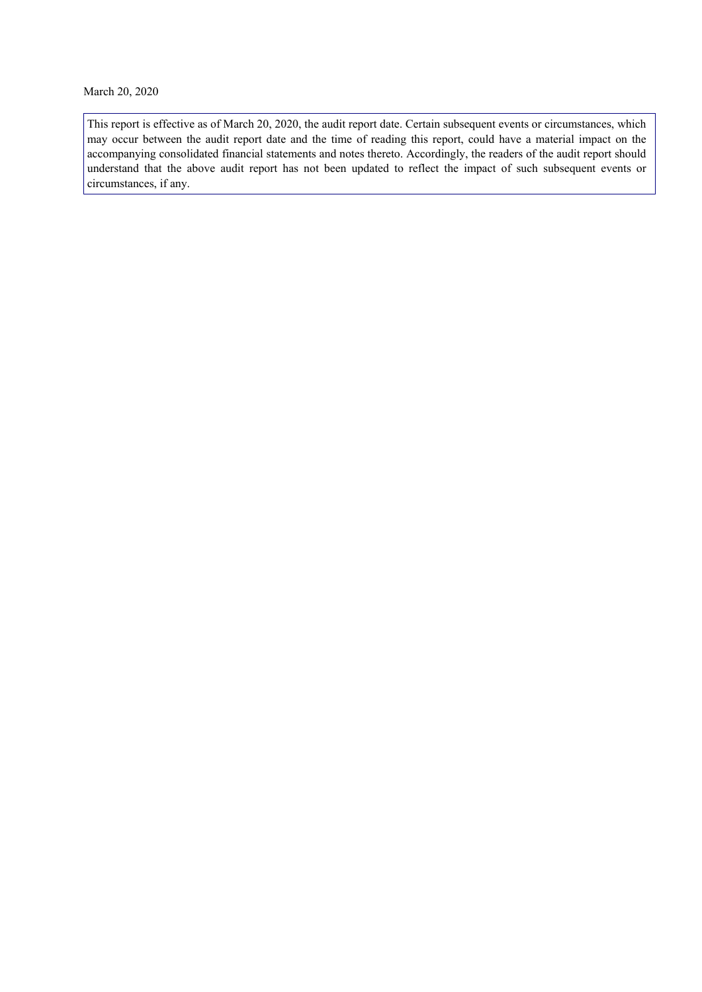March 20, 2020

This report is effective as of March 20, 2020, the audit report date. Certain subsequent events or circumstances, which may occur between the audit report date and the time of reading this report, could have a material impact on the accompanying consolidated financial statements and notes thereto. Accordingly, the readers of the audit report should understand that the above audit report has not been updated to reflect the impact of such subsequent events or circumstances, if any.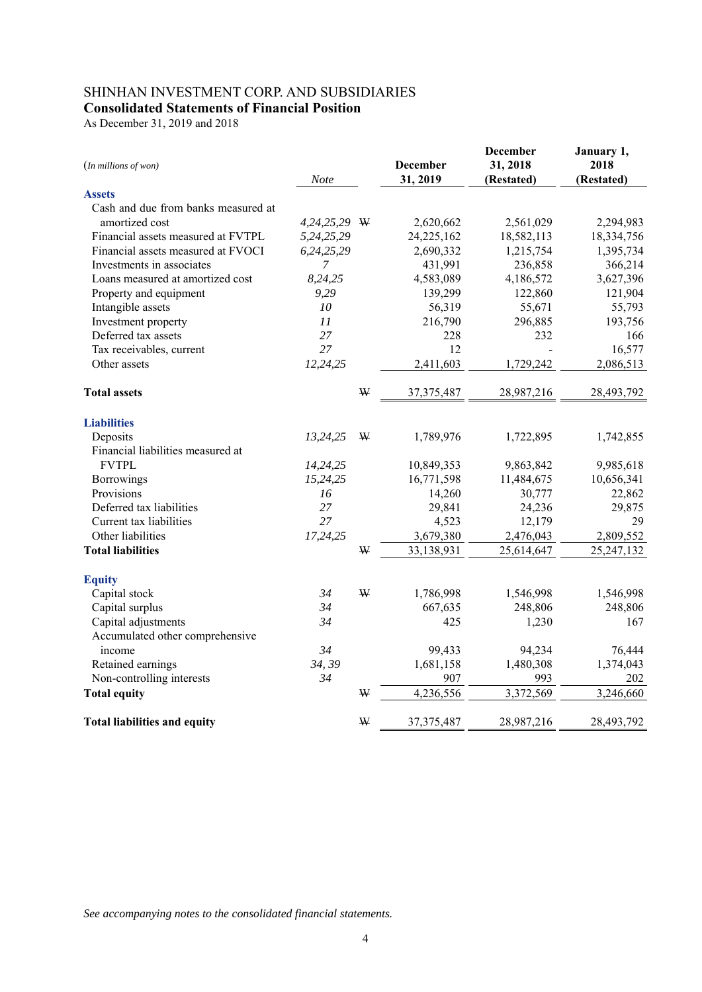# SHINHAN INVESTMENT CORP. AND SUBSIDIARIES **Consolidated Statements of Financial Position**

As December 31, 2019 and 2018

| (In millions of won)                | Note           |   | <b>December</b><br>31, 2019 | <b>December</b><br>31, 2018<br>(Restated) | January 1,<br>2018<br>(Restated) |
|-------------------------------------|----------------|---|-----------------------------|-------------------------------------------|----------------------------------|
| <b>Assets</b>                       |                |   |                             |                                           |                                  |
| Cash and due from banks measured at |                |   |                             |                                           |                                  |
| amortized cost                      | 4,24,25,29 W   |   | 2,620,662                   | 2,561,029                                 | 2,294,983                        |
| Financial assets measured at FVTPL  | 5,24,25,29     |   | 24,225,162                  | 18,582,113                                | 18,334,756                       |
| Financial assets measured at FVOCI  | 6,24,25,29     |   | 2,690,332                   | 1,215,754                                 | 1,395,734                        |
| Investments in associates           | $\overline{7}$ |   | 431,991                     | 236,858                                   | 366,214                          |
| Loans measured at amortized cost    | 8,24,25        |   | 4,583,089                   | 4,186,572                                 | 3,627,396                        |
| Property and equipment              | 9,29           |   | 139,299                     | 122,860                                   | 121,904                          |
| Intangible assets                   | ${\it 10}$     |   | 56,319                      | 55,671                                    | 55,793                           |
| Investment property                 | 11             |   | 216,790                     | 296,885                                   | 193,756                          |
| Deferred tax assets                 | 27             |   | 228                         | 232                                       | 166                              |
| Tax receivables, current            | 27             |   | 12                          |                                           | 16,577                           |
| Other assets                        | 12,24,25       |   | 2,411,603                   | 1,729,242                                 | 2,086,513                        |
| <b>Total assets</b>                 |                | W | 37, 375, 487                | 28,987,216                                | 28,493,792                       |
| <b>Liabilities</b>                  |                |   |                             |                                           |                                  |
| Deposits                            | 13,24,25       | W | 1,789,976                   | 1,722,895                                 | 1,742,855                        |
| Financial liabilities measured at   |                |   |                             |                                           |                                  |
| <b>FVTPL</b>                        | 14,24,25       |   | 10,849,353                  | 9,863,842                                 | 9,985,618                        |
| Borrowings                          | 15,24,25       |   | 16,771,598                  | 11,484,675                                | 10,656,341                       |
| Provisions                          | 16             |   | 14,260                      | 30,777                                    | 22,862                           |
| Deferred tax liabilities            | 27             |   | 29,841                      | 24,236                                    | 29,875                           |
| Current tax liabilities             | 27             |   | 4,523                       | 12,179                                    | 29                               |
| Other liabilities                   | 17,24,25       |   | 3,679,380                   | 2,476,043                                 | 2,809,552                        |
| <b>Total liabilities</b>            |                | W | 33,138,931                  | 25,614,647                                | 25, 247, 132                     |
| <b>Equity</b>                       |                |   |                             |                                           |                                  |
| Capital stock                       | 34             | W | 1,786,998                   | 1,546,998                                 | 1,546,998                        |
| Capital surplus                     | 34             |   | 667,635                     | 248,806                                   | 248,806                          |
| Capital adjustments                 | 34             |   | 425                         | 1,230                                     | 167                              |
| Accumulated other comprehensive     |                |   |                             |                                           |                                  |
| income                              | 34             |   | 99,433                      | 94,234                                    | 76,444                           |
| Retained earnings                   | 34, 39         |   | 1,681,158                   | 1,480,308                                 | 1,374,043                        |
| Non-controlling interests           | 34             |   | 907                         | 993                                       | 202                              |
| <b>Total equity</b>                 |                | W | 4,236,556                   | 3,372,569                                 | 3,246,660                        |
| <b>Total liabilities and equity</b> |                | ₩ | 37, 375, 487                | 28,987,216                                | 28,493,792                       |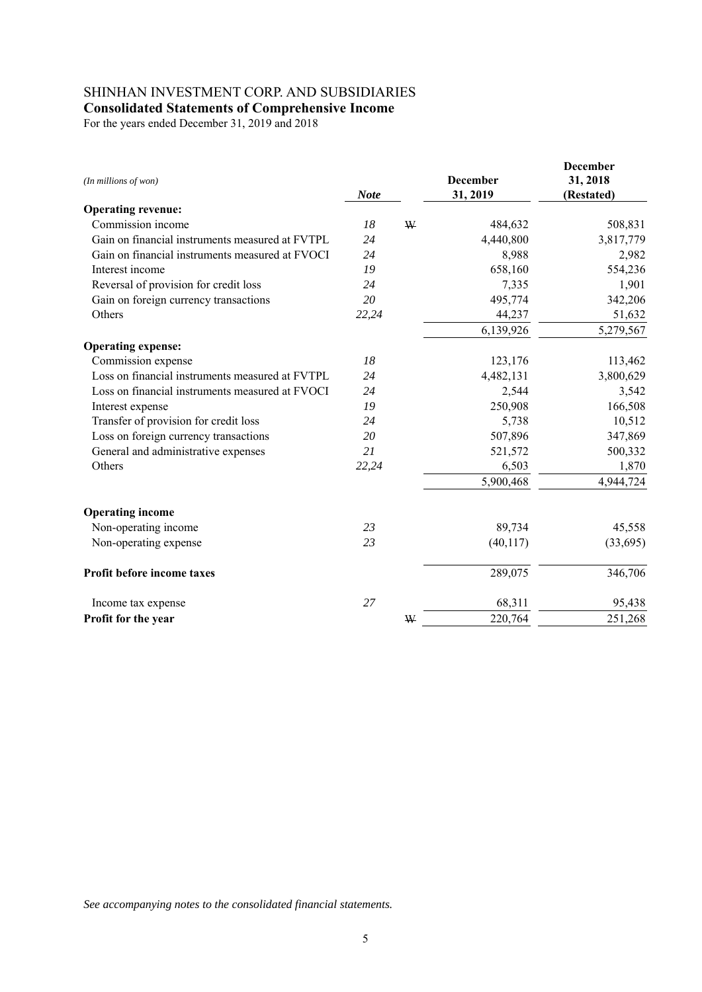# SHINHAN INVESTMENT CORP. AND SUBSIDIARIES

**Consolidated Statements of Comprehensive Income** 

For the years ended December 31, 2019 and 2018

| (In millions of won)                            | <b>Note</b> |   | <b>December</b><br>31, 2019 | <b>December</b><br>31, 2018<br>(Restated) |
|-------------------------------------------------|-------------|---|-----------------------------|-------------------------------------------|
| <b>Operating revenue:</b>                       |             |   |                             |                                           |
| Commission income                               | 18          | W | 484,632                     | 508,831                                   |
| Gain on financial instruments measured at FVTPL | 24          |   | 4,440,800                   | 3,817,779                                 |
| Gain on financial instruments measured at FVOCI | 24          |   | 8,988                       | 2,982                                     |
| Interest income                                 | 19          |   | 658,160                     | 554,236                                   |
| Reversal of provision for credit loss           | 24          |   | 7,335                       | 1,901                                     |
| Gain on foreign currency transactions           | 20          |   | 495,774                     | 342,206                                   |
| Others                                          | 22,24       |   | 44,237                      | 51,632                                    |
|                                                 |             |   | 6,139,926                   | 5,279,567                                 |
| <b>Operating expense:</b>                       |             |   |                             |                                           |
| Commission expense                              | 18          |   | 123,176                     | 113,462                                   |
| Loss on financial instruments measured at FVTPL | 24          |   | 4,482,131                   | 3,800,629                                 |
| Loss on financial instruments measured at FVOCI | 24          |   | 2,544                       | 3,542                                     |
| Interest expense                                | 19          |   | 250,908                     | 166,508                                   |
| Transfer of provision for credit loss           | 24          |   | 5,738                       | 10,512                                    |
| Loss on foreign currency transactions           | 20          |   | 507,896                     | 347,869                                   |
| General and administrative expenses             | 21          |   | 521,572                     | 500,332                                   |
| Others                                          | 22,24       |   | 6,503                       | 1,870                                     |
|                                                 |             |   | 5,900,468                   | 4,944,724                                 |
| <b>Operating income</b>                         |             |   |                             |                                           |
| Non-operating income                            | 23          |   | 89,734                      | 45,558                                    |
| Non-operating expense                           | 23          |   | (40, 117)                   | (33, 695)                                 |
| Profit before income taxes                      |             |   | 289,075                     | 346,706                                   |
| Income tax expense                              | 27          |   | 68,311                      | 95,438                                    |
| Profit for the year                             |             | W | 220,764                     | 251,268                                   |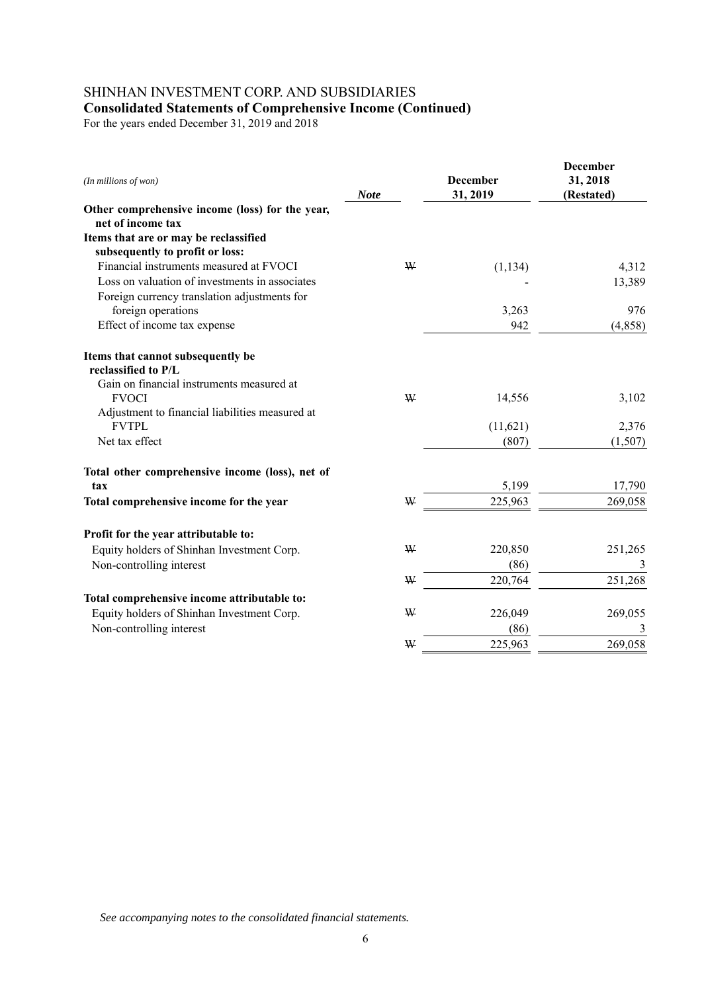# SHINHAN INVESTMENT CORP. AND SUBSIDIARIES **Consolidated Statements of Comprehensive Income (Continued)**

For the years ended December 31, 2019 and 2018

| (In millions of won)                                     | <b>Note</b> |   | <b>December</b><br>31, 2019 | <b>December</b><br>31, 2018<br>(Restated) |
|----------------------------------------------------------|-------------|---|-----------------------------|-------------------------------------------|
| Other comprehensive income (loss) for the year,          |             |   |                             |                                           |
| net of income tax                                        |             |   |                             |                                           |
| Items that are or may be reclassified                    |             |   |                             |                                           |
| subsequently to profit or loss:                          |             |   |                             |                                           |
| Financial instruments measured at FVOCI                  |             | W | (1, 134)                    | 4,312                                     |
| Loss on valuation of investments in associates           |             |   |                             | 13,389                                    |
| Foreign currency translation adjustments for             |             |   |                             |                                           |
| foreign operations                                       |             |   | 3,263                       | 976                                       |
| Effect of income tax expense                             |             |   | 942                         | (4,858)                                   |
| Items that cannot subsequently be<br>reclassified to P/L |             |   |                             |                                           |
| Gain on financial instruments measured at                |             |   |                             |                                           |
| <b>FVOCI</b>                                             |             | W | 14,556                      | 3,102                                     |
| Adjustment to financial liabilities measured at          |             |   |                             |                                           |
| <b>FVTPL</b>                                             |             |   | (11,621)                    | 2,376                                     |
| Net tax effect                                           |             |   | (807)                       | (1,507)                                   |
| Total other comprehensive income (loss), net of          |             |   |                             |                                           |
| tax                                                      |             |   | 5,199                       | 17,790                                    |
| Total comprehensive income for the year                  |             | W | 225,963                     | 269,058                                   |
| Profit for the year attributable to:                     |             |   |                             |                                           |
| Equity holders of Shinhan Investment Corp.               |             | W | 220,850                     | 251,265                                   |
| Non-controlling interest                                 |             |   | (86)                        | 3                                         |
|                                                          |             | W | 220,764                     | 251,268                                   |
|                                                          |             |   |                             |                                           |
| Total comprehensive income attributable to:              |             | ₩ |                             |                                           |
| Equity holders of Shinhan Investment Corp.               |             |   | 226,049                     | 269,055                                   |
| Non-controlling interest                                 |             |   | (86)                        | 3                                         |
|                                                          |             | W | 225,963                     | 269,058                                   |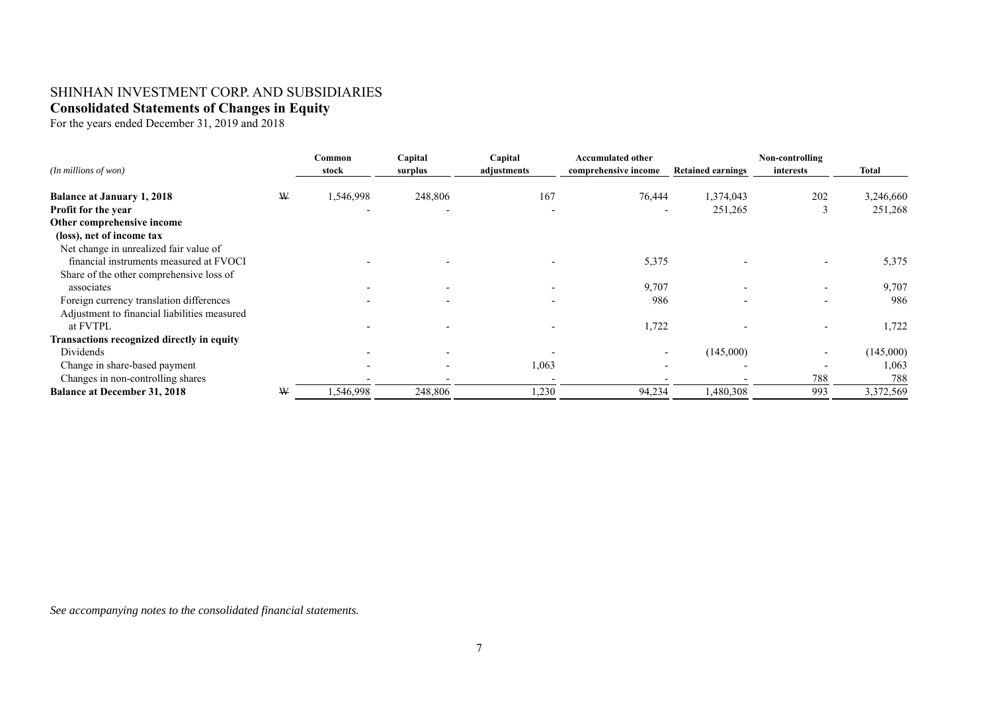# SHINHAN INVESTMENT CORP. AND SUBSIDIARIES **Consolidated Statements of Changes in Equity**

For the years ended December 31, 2019 and 2018

|                                              |   | Common    | Capital                  | Capital     | <b>Accumulated other</b> |                          | Non-controlling          |           |
|----------------------------------------------|---|-----------|--------------------------|-------------|--------------------------|--------------------------|--------------------------|-----------|
| $(In$ millions of won $)$                    |   | stock     | surplus                  | adjustments | comprehensive income     | <b>Retained earnings</b> | interests                | Total     |
| <b>Balance at January 1, 2018</b>            | ₩ | 1,546,998 | 248,806                  | 167         | 76,444                   | 1,374,043                | 202                      | 3,246,660 |
| Profit for the year                          |   |           |                          |             |                          | 251,265                  |                          | 251,268   |
| Other comprehensive income                   |   |           |                          |             |                          |                          |                          |           |
| (loss), net of income tax                    |   |           |                          |             |                          |                          |                          |           |
| Net change in unrealized fair value of       |   |           |                          |             |                          |                          |                          |           |
| financial instruments measured at FVOCI      |   |           |                          |             | 5,375                    |                          |                          | 5,375     |
| Share of the other comprehensive loss of     |   |           |                          |             |                          |                          |                          |           |
| associates                                   |   |           |                          |             | 9,707                    | $\overline{\phantom{0}}$ | $\overline{\phantom{a}}$ | 9,707     |
| Foreign currency translation differences     |   |           |                          |             | 986                      |                          | $\overline{\phantom{a}}$ | 986       |
| Adjustment to financial liabilities measured |   |           |                          |             |                          |                          |                          |           |
| at FVTPL                                     |   |           |                          |             | 1,722                    |                          |                          | 1,722     |
| Transactions recognized directly in equity   |   |           |                          |             |                          |                          |                          |           |
| Dividends                                    |   |           |                          |             |                          | (145,000)                | $\overline{\phantom{0}}$ | (145,000) |
| Change in share-based payment                |   |           | $\overline{\phantom{a}}$ | 1,063       |                          |                          |                          | 1,063     |
| Changes in non-controlling shares            |   |           |                          |             |                          |                          | 788                      | 788       |
| <b>Balance at December 31, 2018</b>          | ₩ | ,546,998  | 248,806                  | 1,230       | 94,234                   | 1,480,308                | 993                      | 3,372,569 |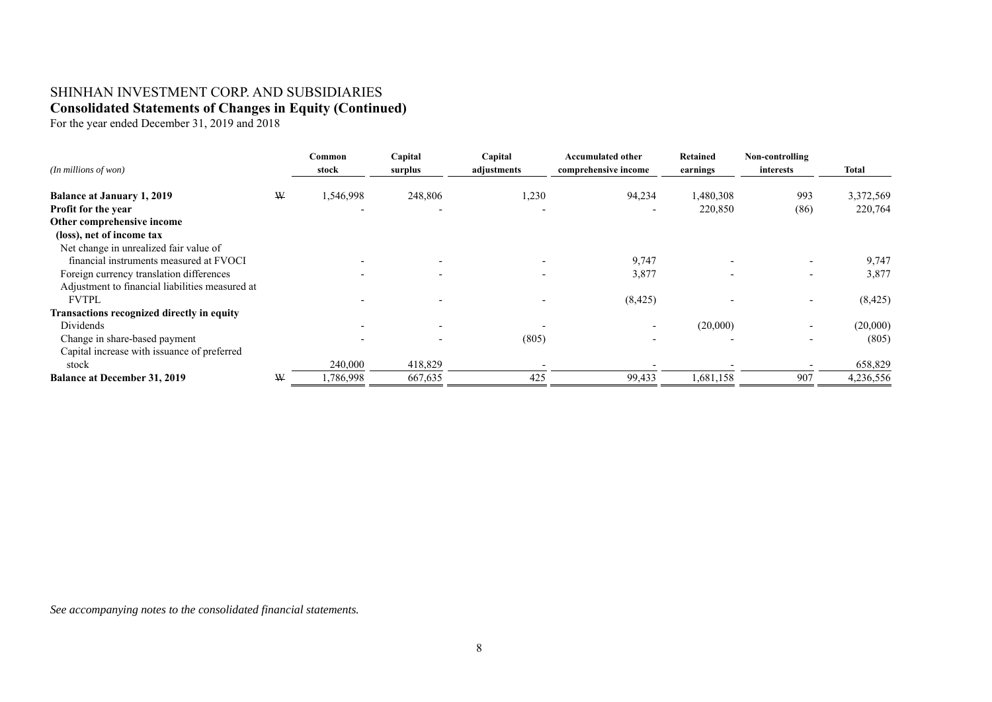# SHINHAN INVESTMENT CORP. AND SUBSIDIARIES **Consolidated Statements of Changes in Equity (Continued)**

For the year ended December 31, 2019 and 2018

| $(In$ millions of won $)$                                |   | Common<br>stock | Capital<br>surplus | Capital<br>adjustments | <b>Accumulated other</b><br>comprehensive income | <b>Retained</b><br>earnings | Non-controlling<br>interests | Total     |
|----------------------------------------------------------|---|-----------------|--------------------|------------------------|--------------------------------------------------|-----------------------------|------------------------------|-----------|
| <b>Balance at January 1, 2019</b>                        | W | .546,998        | 248,806            | 1,230                  | 94,234                                           | 1,480,308                   | 993                          | 3,372,569 |
| <b>Profit for the year</b><br>Other comprehensive income |   |                 |                    |                        |                                                  | 220,850                     | (86)                         | 220,764   |
| (loss), net of income tax                                |   |                 |                    |                        |                                                  |                             |                              |           |
| Net change in unrealized fair value of                   |   |                 |                    |                        |                                                  |                             |                              |           |
| financial instruments measured at FVOCI                  |   |                 |                    |                        | 9,747                                            |                             | $\overline{\phantom{0}}$     | 9,747     |
| Foreign currency translation differences                 |   |                 |                    |                        | 3,877                                            |                             | $\overline{\phantom{0}}$     | 3,877     |
| Adjustment to financial liabilities measured at          |   |                 |                    |                        |                                                  |                             |                              |           |
| <b>FVTPL</b>                                             |   |                 |                    |                        | (8, 425)                                         |                             | $\overline{\phantom{a}}$     | (8, 425)  |
| Transactions recognized directly in equity               |   |                 |                    |                        |                                                  |                             |                              |           |
| Dividends                                                |   |                 |                    |                        |                                                  | (20,000)                    | $\overline{\phantom{0}}$     | (20,000)  |
| Change in share-based payment                            |   |                 |                    | (805)                  |                                                  |                             | $\overline{\phantom{0}}$     | (805)     |
| Capital increase with issuance of preferred              |   |                 |                    |                        |                                                  |                             |                              |           |
| stock                                                    |   | 240,000         | 418,829            |                        |                                                  |                             |                              | 658,829   |
| <b>Balance at December 31, 2019</b>                      | W | .786,998        | 667,635            | 425                    | 99,433                                           | 1,681,158                   | 907                          | 4,236,556 |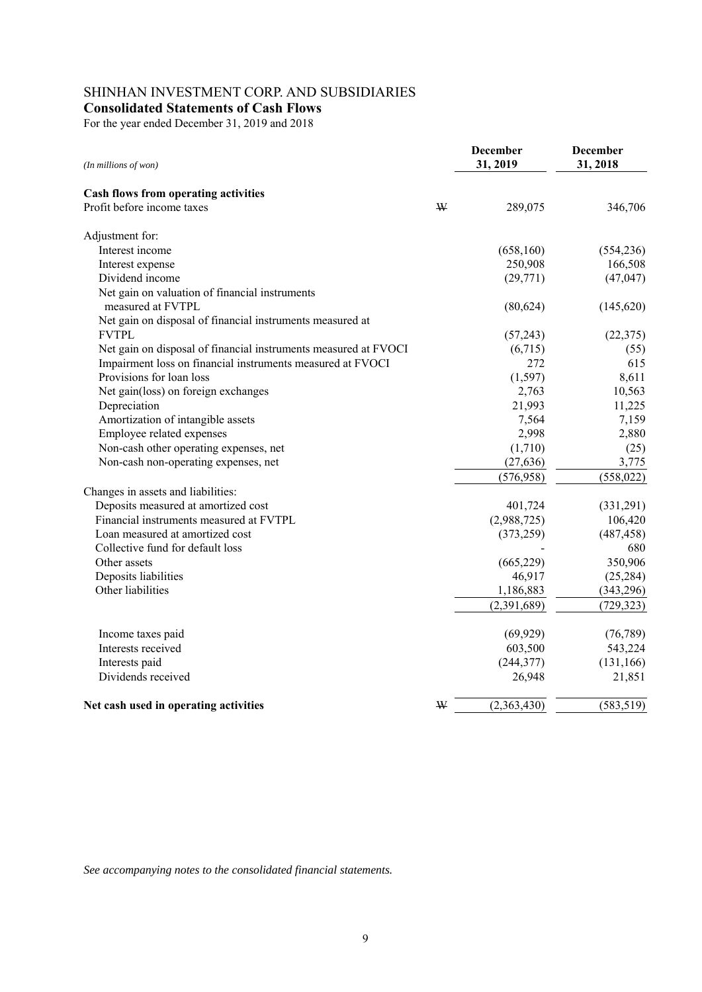# SHINHAN INVESTMENT CORP. AND SUBSIDIARIES

**Consolidated Statements of Cash Flows** 

For the year ended December 31, 2019 and 2018

| (In millions of won)                                            | <b>December</b><br>31, 2019 | <b>December</b><br>31, 2018 |
|-----------------------------------------------------------------|-----------------------------|-----------------------------|
| Cash flows from operating activities                            |                             |                             |
| Profit before income taxes<br>₩                                 | 289,075                     | 346,706                     |
| Adjustment for:                                                 |                             |                             |
| Interest income                                                 | (658,160)                   | (554, 236)                  |
| Interest expense                                                | 250,908                     | 166,508                     |
| Dividend income                                                 | (29, 771)                   | (47, 047)                   |
| Net gain on valuation of financial instruments                  |                             |                             |
| measured at FVTPL                                               | (80, 624)                   | (145, 620)                  |
| Net gain on disposal of financial instruments measured at       |                             |                             |
| <b>FVTPL</b>                                                    | (57,243)                    | (22, 375)                   |
| Net gain on disposal of financial instruments measured at FVOCI | (6,715)                     | (55)                        |
| Impairment loss on financial instruments measured at FVOCI      | 272                         | 615                         |
| Provisions for loan loss                                        | (1, 597)                    | 8,611                       |
| Net gain(loss) on foreign exchanges                             | 2,763                       | 10,563                      |
| Depreciation                                                    | 21,993                      | 11,225                      |
| Amortization of intangible assets                               | 7,564                       | 7,159                       |
| Employee related expenses                                       | 2,998                       | 2,880                       |
| Non-cash other operating expenses, net                          | (1,710)                     | (25)                        |
| Non-cash non-operating expenses, net                            | (27, 636)                   | 3,775                       |
|                                                                 | (576, 958)                  | (558, 022)                  |
| Changes in assets and liabilities:                              |                             |                             |
| Deposits measured at amortized cost                             | 401,724                     | (331,291)                   |
| Financial instruments measured at FVTPL                         | (2,988,725)                 | 106,420                     |
| Loan measured at amortized cost                                 | (373, 259)                  | (487, 458)                  |
| Collective fund for default loss                                |                             | 680                         |
| Other assets                                                    | (665, 229)                  | 350,906                     |
| Deposits liabilities                                            | 46,917                      | (25, 284)                   |
| Other liabilities                                               | 1,186,883                   | (343, 296)                  |
|                                                                 | (2,391,689)                 | (729, 323)                  |
| Income taxes paid                                               | (69, 929)                   | (76, 789)                   |
| Interests received                                              | 603,500                     | 543,224                     |
| Interests paid                                                  | (244, 377)                  | (131, 166)                  |
| Dividends received                                              | 26,948                      | 21,851                      |
| W<br>Net cash used in operating activities                      | (2,363,430)                 | (583, 519)                  |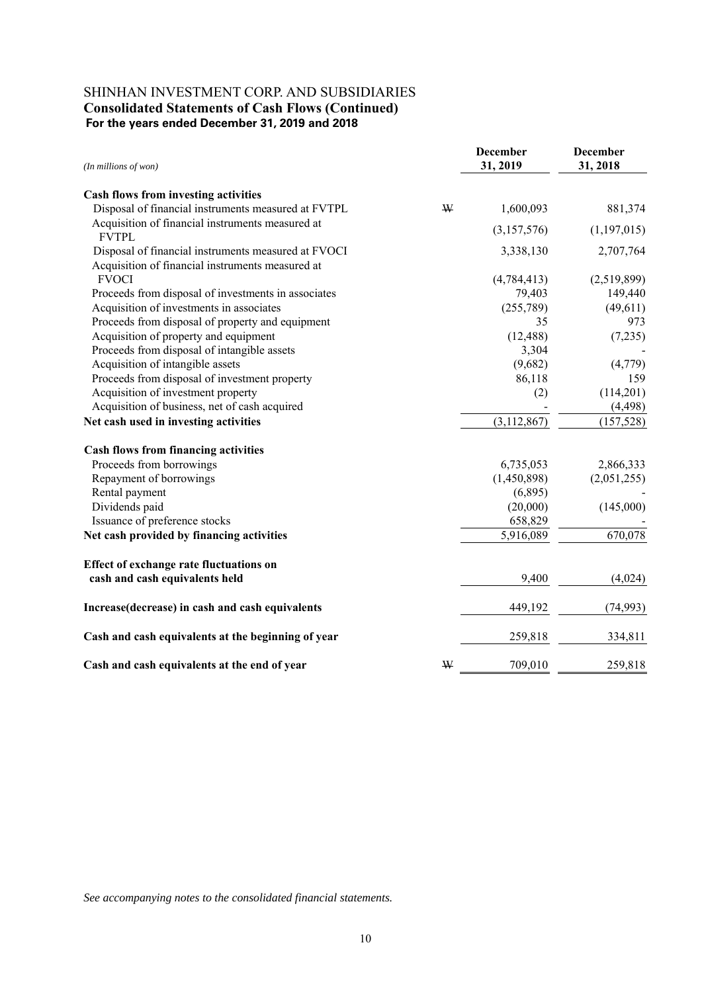# SHINHAN INVESTMENT CORP. AND SUBSIDIARIES  **Consolidated Statements of Cash Flows (Continued) For the years ended December 31, 2019 and 2018**

| (In millions of won)                                             |   | <b>December</b><br>31, 2019 | <b>December</b><br>31, 2018 |
|------------------------------------------------------------------|---|-----------------------------|-----------------------------|
| Cash flows from investing activities                             |   |                             |                             |
| Disposal of financial instruments measured at FVTPL              | ₩ | 1,600,093                   | 881,374                     |
| Acquisition of financial instruments measured at<br><b>FVTPL</b> |   | (3,157,576)                 | (1,197,015)                 |
| Disposal of financial instruments measured at FVOCI              |   | 3,338,130                   | 2,707,764                   |
| Acquisition of financial instruments measured at<br><b>FVOCI</b> |   | (4,784,413)                 | (2,519,899)                 |
| Proceeds from disposal of investments in associates              |   | 79,403                      | 149,440                     |
| Acquisition of investments in associates                         |   | (255,789)                   | (49,611)                    |
| Proceeds from disposal of property and equipment                 |   | 35                          | 973                         |
| Acquisition of property and equipment                            |   | (12, 488)                   | (7,235)                     |
| Proceeds from disposal of intangible assets                      |   | 3,304                       |                             |
| Acquisition of intangible assets                                 |   | (9,682)                     | (4,779)                     |
| Proceeds from disposal of investment property                    |   | 86,118                      | 159                         |
| Acquisition of investment property                               |   | (2)                         | (114,201)                   |
| Acquisition of business, net of cash acquired                    |   |                             | (4, 498)                    |
| Net cash used in investing activities                            |   | (3, 112, 867)               | (157, 528)                  |
| <b>Cash flows from financing activities</b>                      |   |                             |                             |
| Proceeds from borrowings                                         |   | 6,735,053                   | 2,866,333                   |
| Repayment of borrowings                                          |   | (1,450,898)                 | (2,051,255)                 |
| Rental payment                                                   |   | (6,895)                     |                             |
| Dividends paid                                                   |   | (20,000)                    | (145,000)                   |
| Issuance of preference stocks                                    |   | 658,829                     |                             |
| Net cash provided by financing activities                        |   | 5,916,089                   | 670,078                     |
| <b>Effect of exchange rate fluctuations on</b>                   |   |                             |                             |
| cash and cash equivalents held                                   |   | 9,400                       | (4,024)                     |
| Increase(decrease) in cash and cash equivalents                  |   | 449,192                     | (74, 993)                   |
| Cash and cash equivalents at the beginning of year               |   | 259,818                     | 334,811                     |
| Cash and cash equivalents at the end of year                     | W | 709,010                     | 259,818                     |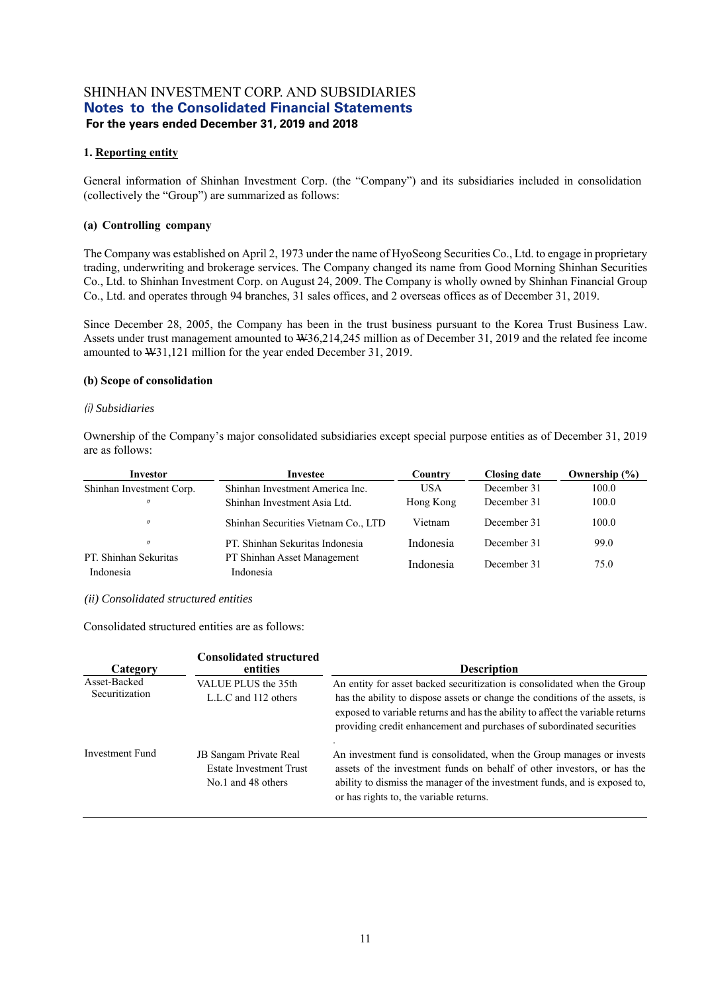#### **1. Reporting entity**

General information of Shinhan Investment Corp. (the "Company") and its subsidiaries included in consolidation (collectively the "Group") are summarized as follows:

#### **(a) Controlling company**

The Company was established on April 2, 1973 under the name of HyoSeong Securities Co., Ltd. to engage in proprietary trading, underwriting and brokerage services. The Company changed its name from Good Morning Shinhan Securities Co., Ltd. to Shinhan Investment Corp. on August 24, 2009. The Company is wholly owned by Shinhan Financial Group Co., Ltd. and operates through 94 branches, 31 sales offices, and 2 overseas offices as of December 31, 2019.

Since December 28, 2005, the Company has been in the trust business pursuant to the Korea Trust Business Law. Assets under trust management amounted to W36,214,245 million as of December 31, 2019 and the related fee income amounted to W31,121 million for the year ended December 31, 2019.

#### **(b) Scope of consolidation**

#### *(i) Subsidiaries*

Ownership of the Company's major consolidated subsidiaries except special purpose entities as of December 31, 2019 are as follows:

| Investor                           | Investee                                 | Country    | <b>Closing date</b> | Ownership $(\% )$ |
|------------------------------------|------------------------------------------|------------|---------------------|-------------------|
| Shinhan Investment Corp.           | Shinhan Investment America Inc.          | <b>USA</b> | December 31         | 100.0             |
| $^{\prime\prime}$                  | Shinhan Investment Asia Ltd.             | Hong Kong  | December 31         | 100.0             |
| $^{\prime\prime}$                  | Shinhan Securities Vietnam Co., LTD      | Vietnam    | December 31         | 100.0             |
| $^{\prime\prime}$                  | PT. Shinhan Sekuritas Indonesia          | Indonesia  | December 31         | 99.0              |
| PT. Shinhan Sekuritas<br>Indonesia | PT Shinhan Asset Management<br>Indonesia | Indonesia  | December 31         | 75.0              |

#### *(ii) Consolidated structured entities*

Consolidated structured entities are as follows:

| Category                       | <b>Consolidated structured</b><br>entities                                            | <b>Description</b>                                                                                                                                                                                                                                                                                                  |
|--------------------------------|---------------------------------------------------------------------------------------|---------------------------------------------------------------------------------------------------------------------------------------------------------------------------------------------------------------------------------------------------------------------------------------------------------------------|
| Asset-Backed<br>Securitization | VALUE PLUS the 35th<br>L.L.C and 112 others                                           | An entity for asset backed securitization is consolidated when the Group<br>has the ability to dispose assets or change the conditions of the assets, is<br>exposed to variable returns and has the ability to affect the variable returns<br>providing credit enhancement and purchases of subordinated securities |
| <b>Investment Fund</b>         | <b>JB</b> Sangam Private Real<br><b>Estate Investment Trust</b><br>No.1 and 48 others | An investment fund is consolidated, when the Group manages or invests<br>assets of the investment funds on behalf of other investors, or has the<br>ability to dismiss the manager of the investment funds, and is exposed to,<br>or has rights to, the variable returns.                                           |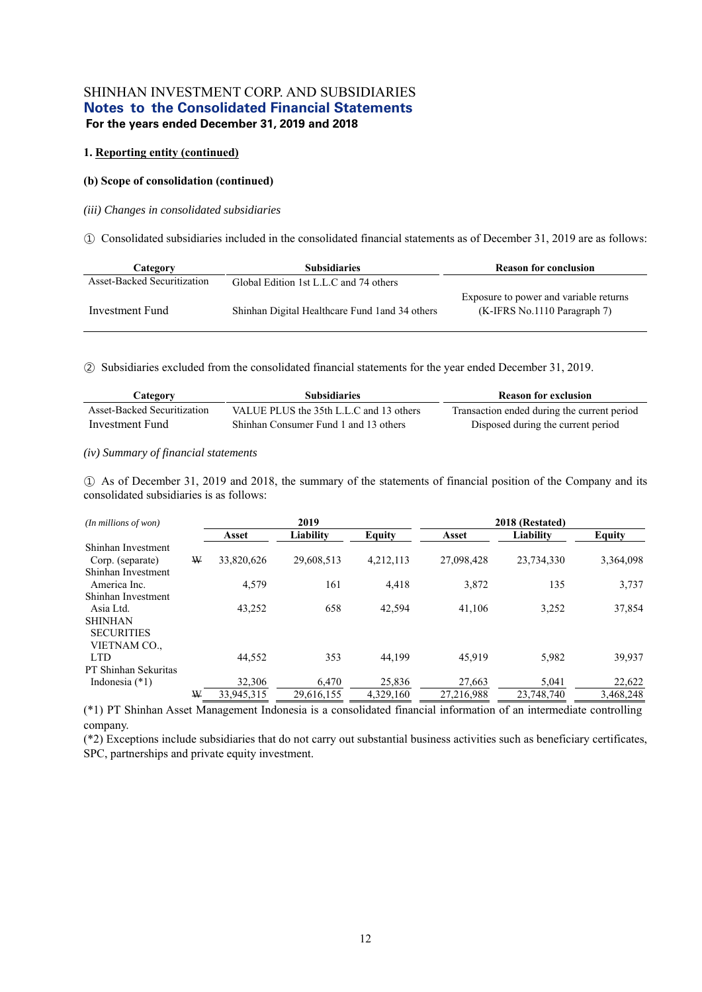#### **1. Reporting entity (continued)**

#### **(b) Scope of consolidation (continued)**

#### *(iii) Changes in consolidated subsidiaries*

① Consolidated subsidiaries included in the consolidated financial statements as of December 31, 2019 are as follows:

| Category                           | <b>Subsidiaries</b>                             | <b>Reason for conclusion</b>                                             |
|------------------------------------|-------------------------------------------------|--------------------------------------------------------------------------|
| <b>Asset-Backed Securitization</b> | Global Edition 1st L.L.C and 74 others          |                                                                          |
| Investment Fund                    | Shinhan Digital Healthcare Fund 1 and 34 others | Exposure to power and variable returns<br>$(K-IFRS$ No.1110 Paragraph 7) |

② Subsidiaries excluded from the consolidated financial statements for the year ended December 31, 2019.

| Category                    | <b>Subsidiaries</b>                     | <b>Reason for exclusion</b>                 |
|-----------------------------|-----------------------------------------|---------------------------------------------|
| Asset-Backed Securitization | VALUE PLUS the 35th L.L.C and 13 others | Transaction ended during the current period |
| Investment Fund             | Shinhan Consumer Fund 1 and 13 others   | Disposed during the current period          |

#### *(iv) Summary of financial statements*

① As of December 31, 2019 and 2018, the summary of the statements of financial position of the Company and its consolidated subsidiaries is as follows:

| $(In$ millions of won $)$ |   | 2019       |            |               | 2018 (Restated) |            |               |
|---------------------------|---|------------|------------|---------------|-----------------|------------|---------------|
|                           |   | Asset      | Liability  | <b>Equity</b> | Asset           | Liability  | <b>Equity</b> |
| Shinhan Investment        |   |            |            |               |                 |            |               |
| Corp. (separate)          | W | 33,820,626 | 29,608,513 | 4,212,113     | 27,098,428      | 23,734,330 | 3,364,098     |
| Shinhan Investment        |   |            |            |               |                 |            |               |
| America Inc.              |   | 4,579      | 161        | 4.418         | 3,872           | 135        | 3,737         |
| Shinhan Investment        |   |            |            |               |                 |            |               |
| Asia Ltd.                 |   | 43,252     | 658        | 42,594        | 41,106          | 3,252      | 37,854        |
| <b>SHINHAN</b>            |   |            |            |               |                 |            |               |
| <b>SECURITIES</b>         |   |            |            |               |                 |            |               |
| VIETNAM CO.,              |   |            |            |               |                 |            |               |
| <b>LTD</b>                |   | 44,552     | 353        | 44.199        | 45.919          | 5,982      | 39,937        |
| PT Shinhan Sekuritas      |   |            |            |               |                 |            |               |
| Indonesia $(*1)$          |   | 32,306     | 6,470      | 25,836        | 27,663          | 5,041      | 22,622        |
|                           | W | 33,945,315 | 29.616.155 | 4,329,160     | 27,216,988      | 23,748,740 | 3.468.248     |

(\*1) PT Shinhan Asset Management Indonesia is a consolidated financial information of an intermediate controlling company.

(\*2) Exceptions include subsidiaries that do not carry out substantial business activities such as beneficiary certificates, SPC, partnerships and private equity investment.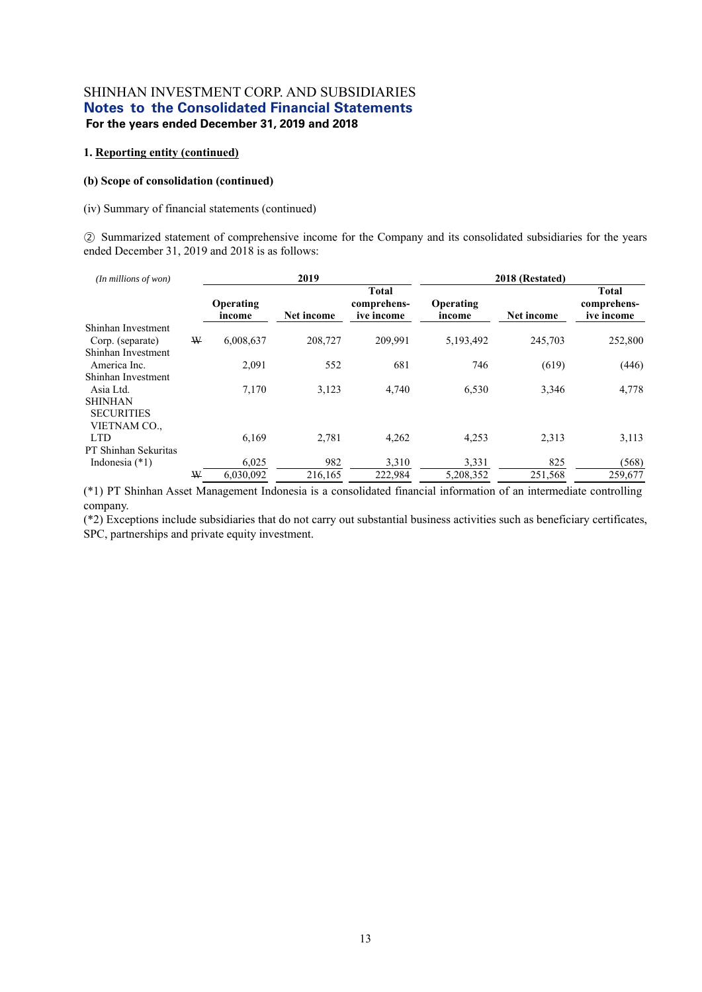#### **1. Reporting entity (continued)**

#### **(b) Scope of consolidation (continued)**

#### (iv) Summary of financial statements (continued)

② Summarized statement of comprehensive income for the Company and its consolidated subsidiaries for the years ended December 31, 2019 and 2018 is as follows:

| (In millions of won)                   |   |                     | 2019       |                                           | 2018 (Restated)     |            |                                           |
|----------------------------------------|---|---------------------|------------|-------------------------------------------|---------------------|------------|-------------------------------------------|
|                                        |   | Operating<br>income | Net income | <b>Total</b><br>comprehens-<br>ive income | Operating<br>income | Net income | <b>Total</b><br>comprehens-<br>ive income |
| Shinhan Investment<br>Corp. (separate) | W | 6,008,637           | 208,727    | 209,991                                   | 5,193,492           | 245,703    | 252,800                                   |
| Shinhan Investment                     |   |                     |            |                                           |                     |            |                                           |
| America Inc.                           |   | 2,091               | 552        | 681                                       | 746                 | (619)      | (446)                                     |
| Shinhan Investment                     |   |                     |            |                                           |                     |            |                                           |
| Asia Ltd.                              |   | 7,170               | 3,123      | 4,740                                     | 6,530               | 3,346      | 4,778                                     |
| <b>SHINHAN</b><br><b>SECURITIES</b>    |   |                     |            |                                           |                     |            |                                           |
| VIETNAM CO.,                           |   |                     |            |                                           |                     |            |                                           |
| <b>LTD</b>                             |   | 6,169               | 2,781      | 4,262                                     | 4,253               | 2,313      | 3,113                                     |
| PT Shinhan Sekuritas                   |   |                     |            |                                           |                     |            |                                           |
| Indonesia $(*1)$                       |   | 6,025               | 982        | 3,310                                     | 3,331               | 825        | (568)                                     |
|                                        | W | 6.030.092           | 216,165    | 222,984                                   | 5,208,352           | 251,568    | 259,677                                   |

(\*1) PT Shinhan Asset Management Indonesia is a consolidated financial information of an intermediate controlling company.

(\*2) Exceptions include subsidiaries that do not carry out substantial business activities such as beneficiary certificates, SPC, partnerships and private equity investment.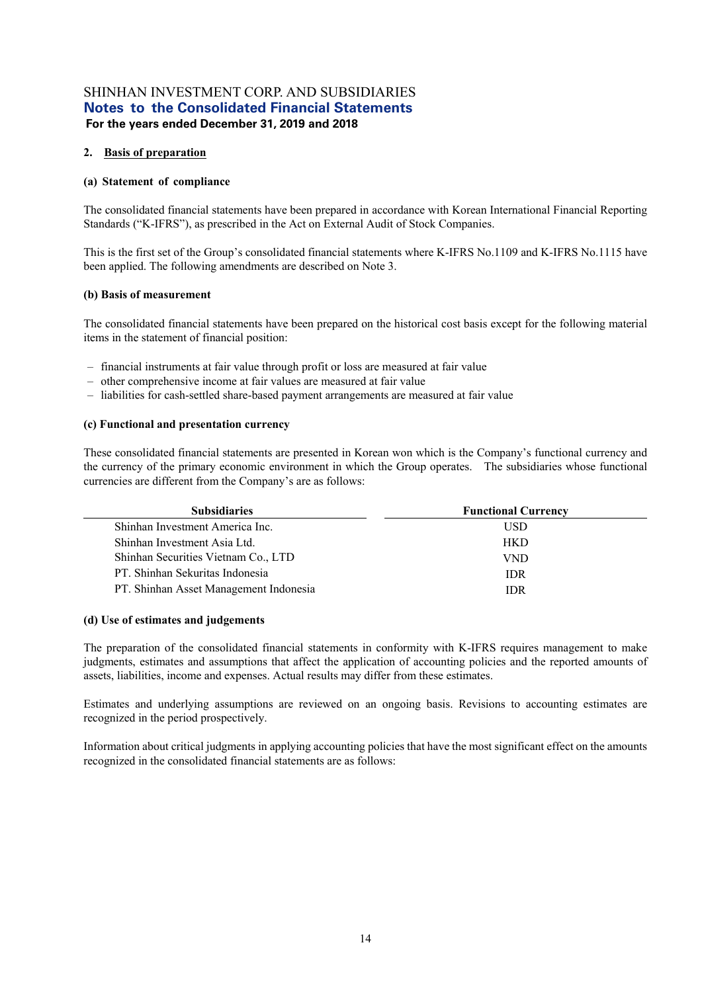#### **2. Basis of preparation**

#### **(a) Statement of compliance**

The consolidated financial statements have been prepared in accordance with Korean International Financial Reporting Standards ("K-IFRS"), as prescribed in the Act on External Audit of Stock Companies.

This is the first set of the Group's consolidated financial statements where K-IFRS No.1109 and K-IFRS No.1115 have been applied. The following amendments are described on Note 3.

#### **(b) Basis of measurement**

The consolidated financial statements have been prepared on the historical cost basis except for the following material items in the statement of financial position:

- financial instruments at fair value through profit or loss are measured at fair value
- other comprehensive income at fair values are measured at fair value
- liabilities for cash-settled share-based payment arrangements are measured at fair value

#### **(c) Functional and presentation currency**

These consolidated financial statements are presented in Korean won which is the Company's functional currency and the currency of the primary economic environment in which the Group operates. The subsidiaries whose functional currencies are different from the Company's are as follows:

| <b>Subsidiaries</b>                    | <b>Functional Currency</b> |
|----------------------------------------|----------------------------|
| Shinhan Investment America Inc.        | USD.                       |
| Shinhan Investment Asia Ltd.           | <b>HKD</b>                 |
| Shinhan Securities Vietnam Co., LTD    | <b>VND</b>                 |
| PT. Shinhan Sekuritas Indonesia        | <b>IDR</b>                 |
| PT. Shinhan Asset Management Indonesia | <b>IDR</b>                 |

#### **(d) Use of estimates and judgements**

The preparation of the consolidated financial statements in conformity with K-IFRS requires management to make judgments, estimates and assumptions that affect the application of accounting policies and the reported amounts of assets, liabilities, income and expenses. Actual results may differ from these estimates.

Estimates and underlying assumptions are reviewed on an ongoing basis. Revisions to accounting estimates are recognized in the period prospectively.

Information about critical judgments in applying accounting policies that have the most significant effect on the amounts recognized in the consolidated financial statements are as follows: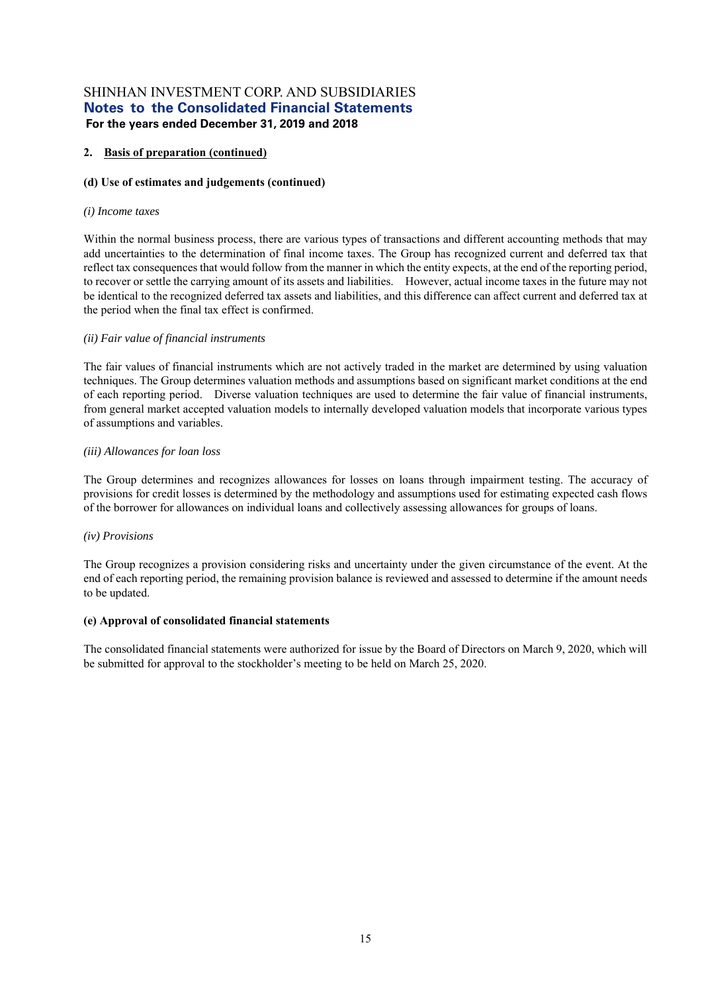#### **2. Basis of preparation (continued)**

#### **(d) Use of estimates and judgements (continued)**

#### *(i) Income taxes*

Within the normal business process, there are various types of transactions and different accounting methods that may add uncertainties to the determination of final income taxes. The Group has recognized current and deferred tax that reflect tax consequences that would follow from the manner in which the entity expects, at the end of the reporting period, to recover or settle the carrying amount of its assets and liabilities. However, actual income taxes in the future may not be identical to the recognized deferred tax assets and liabilities, and this difference can affect current and deferred tax at the period when the final tax effect is confirmed.

#### *(ii) Fair value of financial instruments*

The fair values of financial instruments which are not actively traded in the market are determined by using valuation techniques. The Group determines valuation methods and assumptions based on significant market conditions at the end of each reporting period. Diverse valuation techniques are used to determine the fair value of financial instruments, from general market accepted valuation models to internally developed valuation models that incorporate various types of assumptions and variables.

#### *(iii) Allowances for loan loss*

The Group determines and recognizes allowances for losses on loans through impairment testing. The accuracy of provisions for credit losses is determined by the methodology and assumptions used for estimating expected cash flows of the borrower for allowances on individual loans and collectively assessing allowances for groups of loans.

#### *(iv) Provisions*

The Group recognizes a provision considering risks and uncertainty under the given circumstance of the event. At the end of each reporting period, the remaining provision balance is reviewed and assessed to determine if the amount needs to be updated.

#### **(e) Approval of consolidated financial statements**

The consolidated financial statements were authorized for issue by the Board of Directors on March 9, 2020, which will be submitted for approval to the stockholder's meeting to be held on March 25, 2020.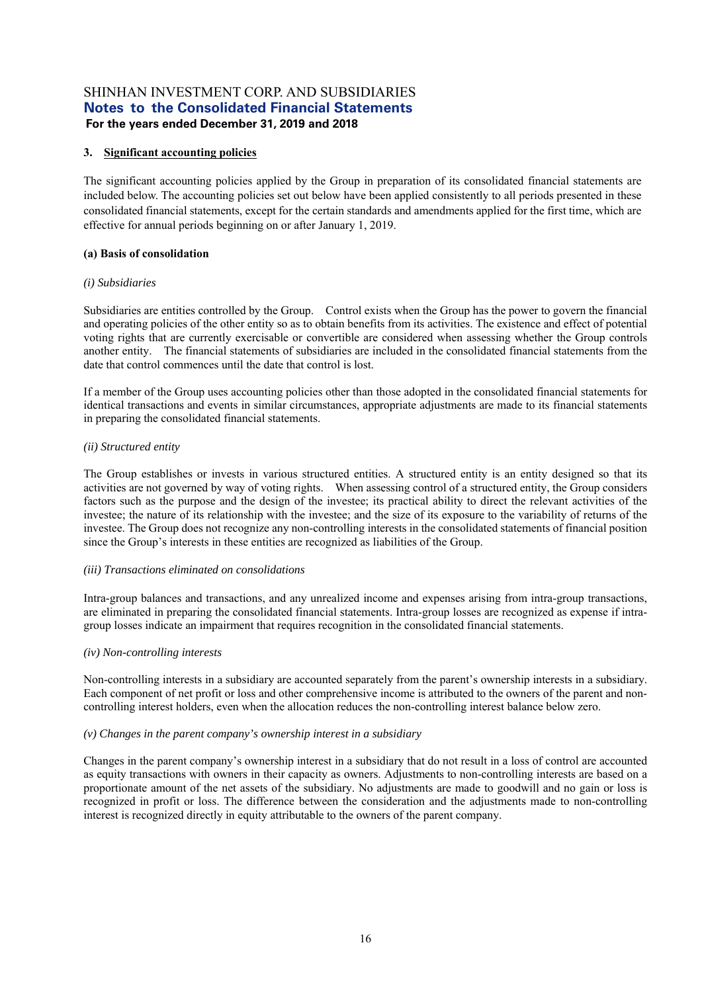#### **3. Significant accounting policies**

The significant accounting policies applied by the Group in preparation of its consolidated financial statements are included below. The accounting policies set out below have been applied consistently to all periods presented in these consolidated financial statements, except for the certain standards and amendments applied for the first time, which are effective for annual periods beginning on or after January 1, 2019.

#### **(a) Basis of consolidation**

#### *(i) Subsidiaries*

Subsidiaries are entities controlled by the Group. Control exists when the Group has the power to govern the financial and operating policies of the other entity so as to obtain benefits from its activities. The existence and effect of potential voting rights that are currently exercisable or convertible are considered when assessing whether the Group controls another entity. The financial statements of subsidiaries are included in the consolidated financial statements from the date that control commences until the date that control is lost.

If a member of the Group uses accounting policies other than those adopted in the consolidated financial statements for identical transactions and events in similar circumstances, appropriate adjustments are made to its financial statements in preparing the consolidated financial statements.

#### *(ii) Structured entity*

The Group establishes or invests in various structured entities. A structured entity is an entity designed so that its activities are not governed by way of voting rights. When assessing control of a structured entity, the Group considers factors such as the purpose and the design of the investee; its practical ability to direct the relevant activities of the investee; the nature of its relationship with the investee; and the size of its exposure to the variability of returns of the investee. The Group does not recognize any non-controlling interests in the consolidated statements of financial position since the Group's interests in these entities are recognized as liabilities of the Group.

#### *(iii) Transactions eliminated on consolidations*

Intra-group balances and transactions, and any unrealized income and expenses arising from intra-group transactions, are eliminated in preparing the consolidated financial statements. Intra-group losses are recognized as expense if intragroup losses indicate an impairment that requires recognition in the consolidated financial statements.

#### *(iv) Non-controlling interests*

Non-controlling interests in a subsidiary are accounted separately from the parent's ownership interests in a subsidiary. Each component of net profit or loss and other comprehensive income is attributed to the owners of the parent and noncontrolling interest holders, even when the allocation reduces the non-controlling interest balance below zero.

#### *(v) Changes in the parent company's ownership interest in a subsidiary*

Changes in the parent company's ownership interest in a subsidiary that do not result in a loss of control are accounted as equity transactions with owners in their capacity as owners. Adjustments to non-controlling interests are based on a proportionate amount of the net assets of the subsidiary. No adjustments are made to goodwill and no gain or loss is recognized in profit or loss. The difference between the consideration and the adjustments made to non-controlling interest is recognized directly in equity attributable to the owners of the parent company.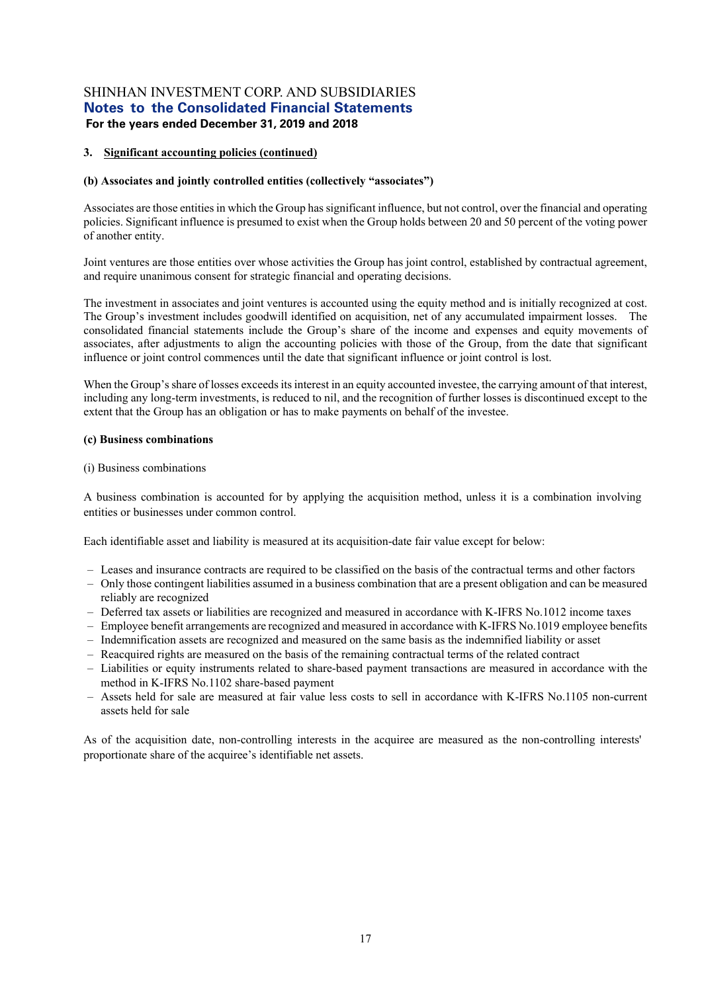#### **3. Significant accounting policies (continued)**

#### **(b) Associates and jointly controlled entities (collectively "associates")**

Associates are those entities in which the Group has significant influence, but not control, over the financial and operating policies. Significant influence is presumed to exist when the Group holds between 20 and 50 percent of the voting power of another entity.

Joint ventures are those entities over whose activities the Group has joint control, established by contractual agreement, and require unanimous consent for strategic financial and operating decisions.

The investment in associates and joint ventures is accounted using the equity method and is initially recognized at cost. The Group's investment includes goodwill identified on acquisition, net of any accumulated impairment losses. The consolidated financial statements include the Group's share of the income and expenses and equity movements of associates, after adjustments to align the accounting policies with those of the Group, from the date that significant influence or joint control commences until the date that significant influence or joint control is lost.

When the Group's share of losses exceeds its interest in an equity accounted investee, the carrying amount of that interest, including any long-term investments, is reduced to nil, and the recognition of further losses is discontinued except to the extent that the Group has an obligation or has to make payments on behalf of the investee.

#### **(c) Business combinations**

#### (i) Business combinations

A business combination is accounted for by applying the acquisition method, unless it is a combination involving entities or businesses under common control.

Each identifiable asset and liability is measured at its acquisition-date fair value except for below:

- Leases and insurance contracts are required to be classified on the basis of the contractual terms and other factors
- Only those contingent liabilities assumed in a business combination that are a present obligation and can be measured reliably are recognized
- Deferred tax assets or liabilities are recognized and measured in accordance with K-IFRS No.1012 income taxes
- Employee benefit arrangements are recognized and measured in accordance with K-IFRS No.1019 employee benefits
- Indemnification assets are recognized and measured on the same basis as the indemnified liability or asset
- Reacquired rights are measured on the basis of the remaining contractual terms of the related contract
- Liabilities or equity instruments related to share-based payment transactions are measured in accordance with the method in K-IFRS No.1102 share-based payment
- Assets held for sale are measured at fair value less costs to sell in accordance with K-IFRS No.1105 non-current assets held for sale

As of the acquisition date, non-controlling interests in the acquiree are measured as the non-controlling interests' proportionate share of the acquiree's identifiable net assets.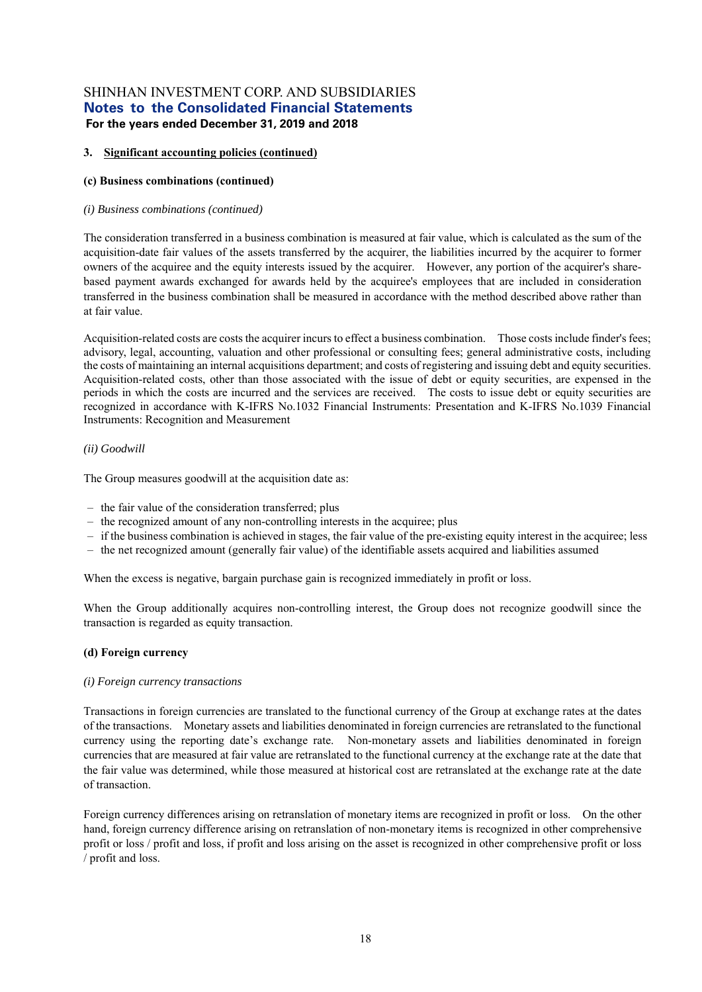#### **3. Significant accounting policies (continued)**

#### **(c) Business combinations (continued)**

#### *(i) Business combinations (continued)*

The consideration transferred in a business combination is measured at fair value, which is calculated as the sum of the acquisition-date fair values of the assets transferred by the acquirer, the liabilities incurred by the acquirer to former owners of the acquiree and the equity interests issued by the acquirer. However, any portion of the acquirer's sharebased payment awards exchanged for awards held by the acquiree's employees that are included in consideration transferred in the business combination shall be measured in accordance with the method described above rather than at fair value.

Acquisition-related costs are costs the acquirer incurs to effect a business combination. Those costs include finder's fees; advisory, legal, accounting, valuation and other professional or consulting fees; general administrative costs, including the costs of maintaining an internal acquisitions department; and costs of registering and issuing debt and equity securities. Acquisition-related costs, other than those associated with the issue of debt or equity securities, are expensed in the periods in which the costs are incurred and the services are received. The costs to issue debt or equity securities are recognized in accordance with K-IFRS No.1032 Financial Instruments: Presentation and K-IFRS No.1039 Financial Instruments: Recognition and Measurement

#### *(ii) Goodwill*

The Group measures goodwill at the acquisition date as:

- the fair value of the consideration transferred; plus
- the recognized amount of any non-controlling interests in the acquiree; plus
- if the business combination is achieved in stages, the fair value of the pre-existing equity interest in the acquiree; less
- the net recognized amount (generally fair value) of the identifiable assets acquired and liabilities assumed

When the excess is negative, bargain purchase gain is recognized immediately in profit or loss.

When the Group additionally acquires non-controlling interest, the Group does not recognize goodwill since the transaction is regarded as equity transaction.

#### **(d) Foreign currency**

#### *(i) Foreign currency transactions*

Transactions in foreign currencies are translated to the functional currency of the Group at exchange rates at the dates of the transactions. Monetary assets and liabilities denominated in foreign currencies are retranslated to the functional currency using the reporting date's exchange rate. Non-monetary assets and liabilities denominated in foreign currencies that are measured at fair value are retranslated to the functional currency at the exchange rate at the date that the fair value was determined, while those measured at historical cost are retranslated at the exchange rate at the date of transaction.

Foreign currency differences arising on retranslation of monetary items are recognized in profit or loss. On the other hand, foreign currency difference arising on retranslation of non-monetary items is recognized in other comprehensive profit or loss / profit and loss, if profit and loss arising on the asset is recognized in other comprehensive profit or loss / profit and loss.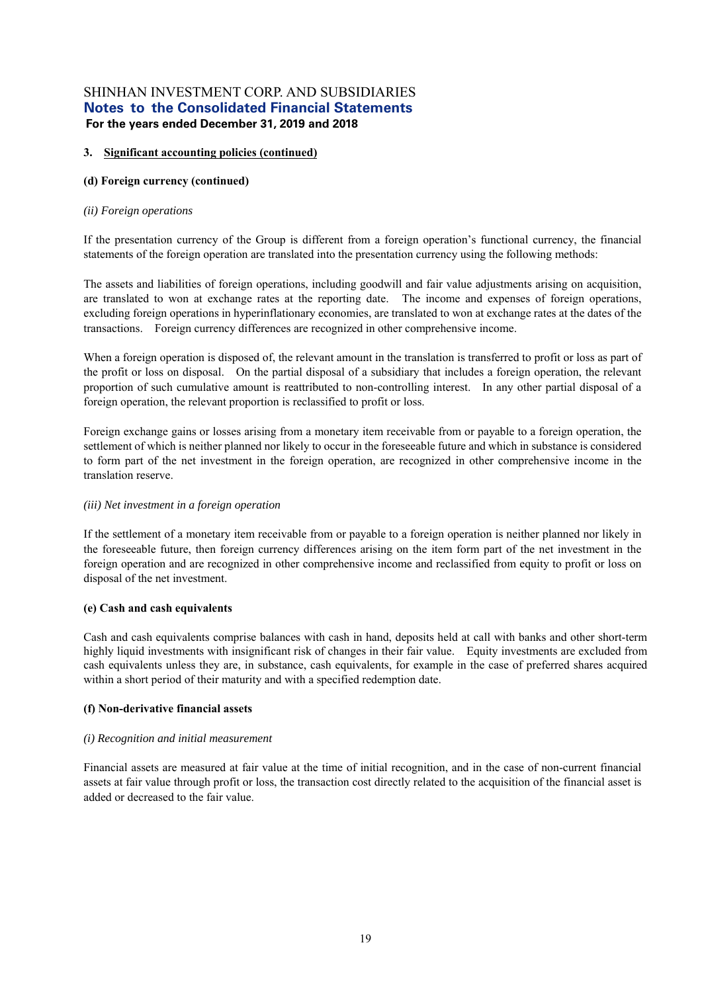#### **3. Significant accounting policies (continued)**

#### **(d) Foreign currency (continued)**

#### *(ii)* Foreign operations

If the presentation currency of the Group is different from a foreign operation's functional currency, the financial statements of the foreign operation are translated into the presentation currency using the following methods:

The assets and liabilities of foreign operations, including goodwill and fair value adjustments arising on acquisition, are translated to won at exchange rates at the reporting date. The income and expenses of foreign operations, excluding foreign operations in hyperinflationary economies, are translated to won at exchange rates at the dates of the transactions. Foreign currency differences are recognized in other comprehensive income.

When a foreign operation is disposed of, the relevant amount in the translation is transferred to profit or loss as part of the profit or loss on disposal. On the partial disposal of a subsidiary that includes a foreign operation, the relevant proportion of such cumulative amount is reattributed to non-controlling interest. In any other partial disposal of a foreign operation, the relevant proportion is reclassified to profit or loss.

Foreign exchange gains or losses arising from a monetary item receivable from or payable to a foreign operation, the settlement of which is neither planned nor likely to occur in the foreseeable future and which in substance is considered to form part of the net investment in the foreign operation, are recognized in other comprehensive income in the translation reserve.

#### *(iii) Net investment in a foreign operation*

If the settlement of a monetary item receivable from or payable to a foreign operation is neither planned nor likely in the foreseeable future, then foreign currency differences arising on the item form part of the net investment in the foreign operation and are recognized in other comprehensive income and reclassified from equity to profit or loss on disposal of the net investment.

#### **(e) Cash and cash equivalents**

Cash and cash equivalents comprise balances with cash in hand, deposits held at call with banks and other short-term highly liquid investments with insignificant risk of changes in their fair value. Equity investments are excluded from cash equivalents unless they are, in substance, cash equivalents, for example in the case of preferred shares acquired within a short period of their maturity and with a specified redemption date.

#### **(f) Non-derivative financial assets**

#### *(i) Recognition and initial measurement*

Financial assets are measured at fair value at the time of initial recognition, and in the case of non-current financial assets at fair value through profit or loss, the transaction cost directly related to the acquisition of the financial asset is added or decreased to the fair value.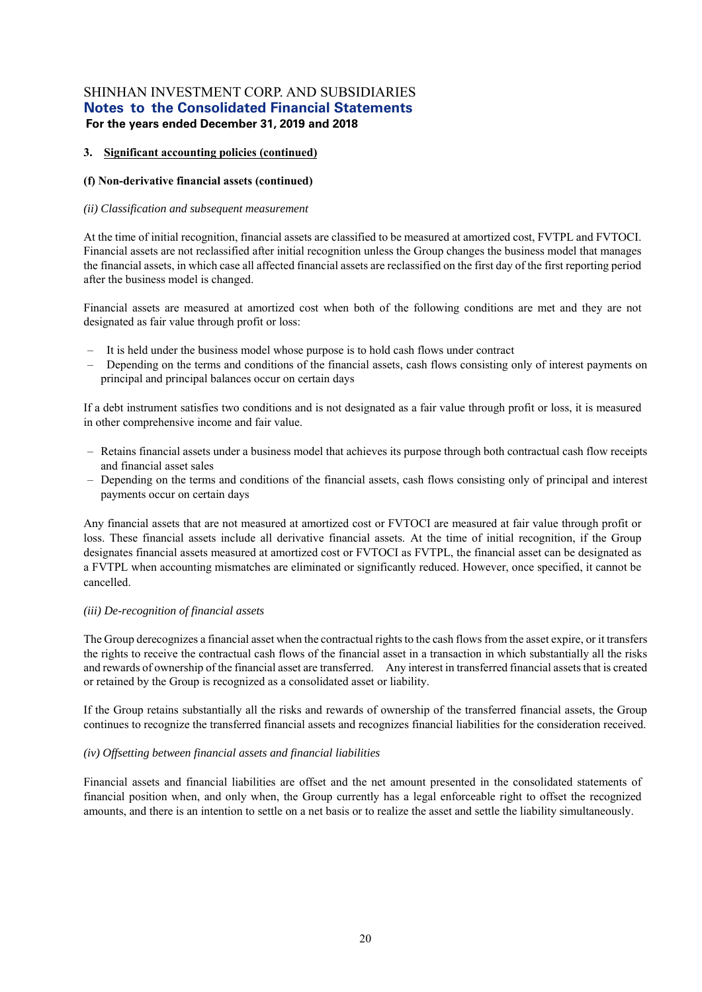#### **3. Significant accounting policies (continued)**

#### **(f) Non-derivative financial assets (continued)**

#### *(ii) Classification and subsequent measurement*

At the time of initial recognition, financial assets are classified to be measured at amortized cost, FVTPL and FVTOCI. Financial assets are not reclassified after initial recognition unless the Group changes the business model that manages the financial assets, in which case all affected financial assets are reclassified on the first day of the first reporting period after the business model is changed.

Financial assets are measured at amortized cost when both of the following conditions are met and they are not designated as fair value through profit or loss:

- It is held under the business model whose purpose is to hold cash flows under contract
- Depending on the terms and conditions of the financial assets, cash flows consisting only of interest payments on principal and principal balances occur on certain days

If a debt instrument satisfies two conditions and is not designated as a fair value through profit or loss, it is measured in other comprehensive income and fair value.

- Retains financial assets under a business model that achieves its purpose through both contractual cash flow receipts and financial asset sales
- Depending on the terms and conditions of the financial assets, cash flows consisting only of principal and interest payments occur on certain days

Any financial assets that are not measured at amortized cost or FVTOCI are measured at fair value through profit or loss. These financial assets include all derivative financial assets. At the time of initial recognition, if the Group designates financial assets measured at amortized cost or FVTOCI as FVTPL, the financial asset can be designated as a FVTPL when accounting mismatches are eliminated or significantly reduced. However, once specified, it cannot be cancelled.

#### *(iii) De-recognition of financial assets*

The Group derecognizes a financial asset when the contractual rights to the cash flows from the asset expire, or it transfers the rights to receive the contractual cash flows of the financial asset in a transaction in which substantially all the risks and rewards of ownership of the financial asset are transferred. Any interest in transferred financial assets that is created or retained by the Group is recognized as a consolidated asset or liability.

If the Group retains substantially all the risks and rewards of ownership of the transferred financial assets, the Group continues to recognize the transferred financial assets and recognizes financial liabilities for the consideration received.

#### *(iv) Offsetting between financial assets and financial liabilities*

Financial assets and financial liabilities are offset and the net amount presented in the consolidated statements of financial position when, and only when, the Group currently has a legal enforceable right to offset the recognized amounts, and there is an intention to settle on a net basis or to realize the asset and settle the liability simultaneously.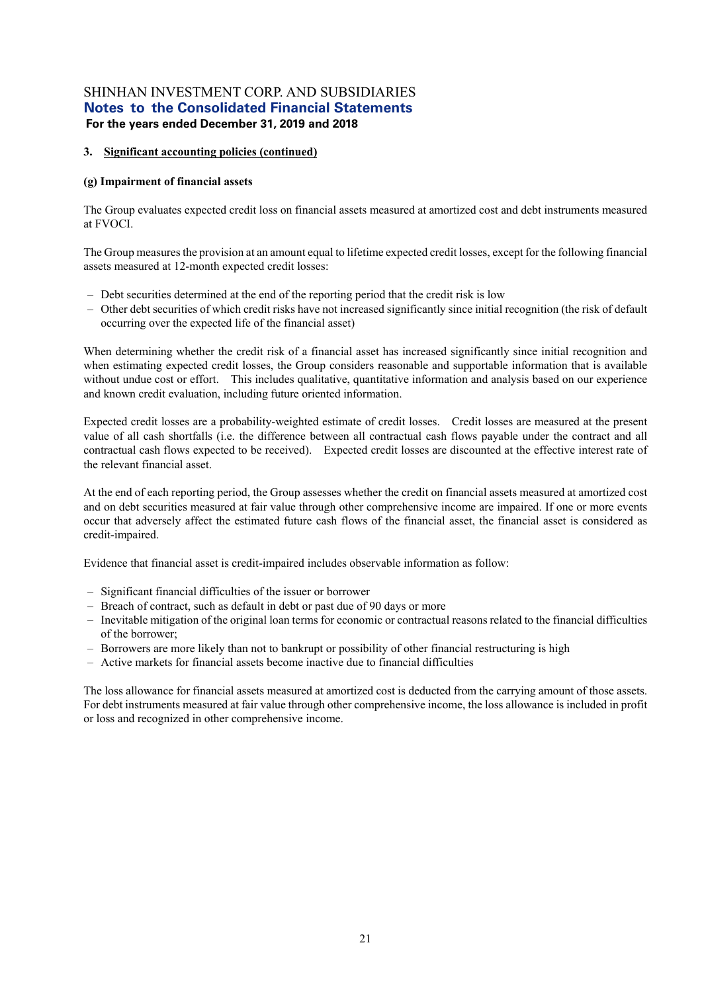#### **3. Significant accounting policies (continued)**

#### **(g) Impairment of financial assets**

The Group evaluates expected credit loss on financial assets measured at amortized cost and debt instruments measured at FVOCI.

The Group measures the provision at an amount equal to lifetime expected credit losses, except for the following financial assets measured at 12-month expected credit losses:

- Debt securities determined at the end of the reporting period that the credit risk is low
- Other debt securities of which credit risks have not increased significantly since initial recognition (the risk of default occurring over the expected life of the financial asset)

When determining whether the credit risk of a financial asset has increased significantly since initial recognition and when estimating expected credit losses, the Group considers reasonable and supportable information that is available without undue cost or effort. This includes qualitative, quantitative information and analysis based on our experience and known credit evaluation, including future oriented information.

Expected credit losses are a probability-weighted estimate of credit losses. Credit losses are measured at the present value of all cash shortfalls (i.e. the difference between all contractual cash flows payable under the contract and all contractual cash flows expected to be received). Expected credit losses are discounted at the effective interest rate of the relevant financial asset.

At the end of each reporting period, the Group assesses whether the credit on financial assets measured at amortized cost and on debt securities measured at fair value through other comprehensive income are impaired. If one or more events occur that adversely affect the estimated future cash flows of the financial asset, the financial asset is considered as credit-impaired.

Evidence that financial asset is credit-impaired includes observable information as follow:

- Significant financial difficulties of the issuer or borrower
- Breach of contract, such as default in debt or past due of 90 days or more
- Inevitable mitigation of the original loan terms for economic or contractual reasons related to the financial difficulties of the borrower;
- Borrowers are more likely than not to bankrupt or possibility of other financial restructuring is high
- Active markets for financial assets become inactive due to financial difficulties

The loss allowance for financial assets measured at amortized cost is deducted from the carrying amount of those assets. For debt instruments measured at fair value through other comprehensive income, the loss allowance is included in profit or loss and recognized in other comprehensive income.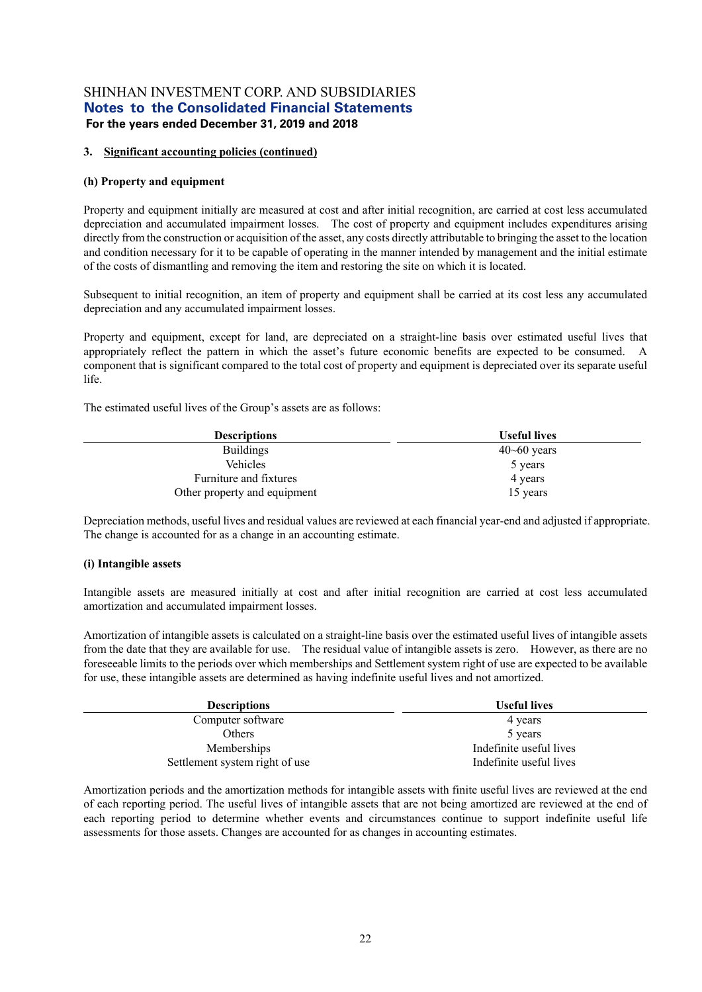#### **3. Significant accounting policies (continued)**

#### **(h) Property and equipment**

Property and equipment initially are measured at cost and after initial recognition, are carried at cost less accumulated depreciation and accumulated impairment losses. The cost of property and equipment includes expenditures arising directly from the construction or acquisition of the asset, any costs directly attributable to bringing the asset to the location and condition necessary for it to be capable of operating in the manner intended by management and the initial estimate of the costs of dismantling and removing the item and restoring the site on which it is located.

Subsequent to initial recognition, an item of property and equipment shall be carried at its cost less any accumulated depreciation and any accumulated impairment losses.

Property and equipment, except for land, are depreciated on a straight-line basis over estimated useful lives that appropriately reflect the pattern in which the asset's future economic benefits are expected to be consumed. A component that is significant compared to the total cost of property and equipment is depreciated over its separate useful life.

The estimated useful lives of the Group's assets are as follows:

| <b>Descriptions</b>          | <b>Useful lives</b>  |
|------------------------------|----------------------|
| <b>Buildings</b>             | $40\text{-}60$ years |
| <b>Vehicles</b>              | 5 years              |
| Furniture and fixtures       | 4 years              |
| Other property and equipment | 15 years             |

Depreciation methods, useful lives and residual values are reviewed at each financial year-end and adjusted if appropriate. The change is accounted for as a change in an accounting estimate.

#### **(i) Intangible assets**

Intangible assets are measured initially at cost and after initial recognition are carried at cost less accumulated amortization and accumulated impairment losses.

Amortization of intangible assets is calculated on a straight-line basis over the estimated useful lives of intangible assets from the date that they are available for use. The residual value of intangible assets is zero. However, as there are no foreseeable limits to the periods over which memberships and Settlement system right of use are expected to be available for use, these intangible assets are determined as having indefinite useful lives and not amortized.

| <b>Descriptions</b>            | <b>Useful lives</b>     |
|--------------------------------|-------------------------|
| Computer software              | 4 years                 |
| Others                         | 5 years                 |
| Memberships                    | Indefinite useful lives |
| Settlement system right of use | Indefinite useful lives |

Amortization periods and the amortization methods for intangible assets with finite useful lives are reviewed at the end of each reporting period. The useful lives of intangible assets that are not being amortized are reviewed at the end of each reporting period to determine whether events and circumstances continue to support indefinite useful life assessments for those assets. Changes are accounted for as changes in accounting estimates.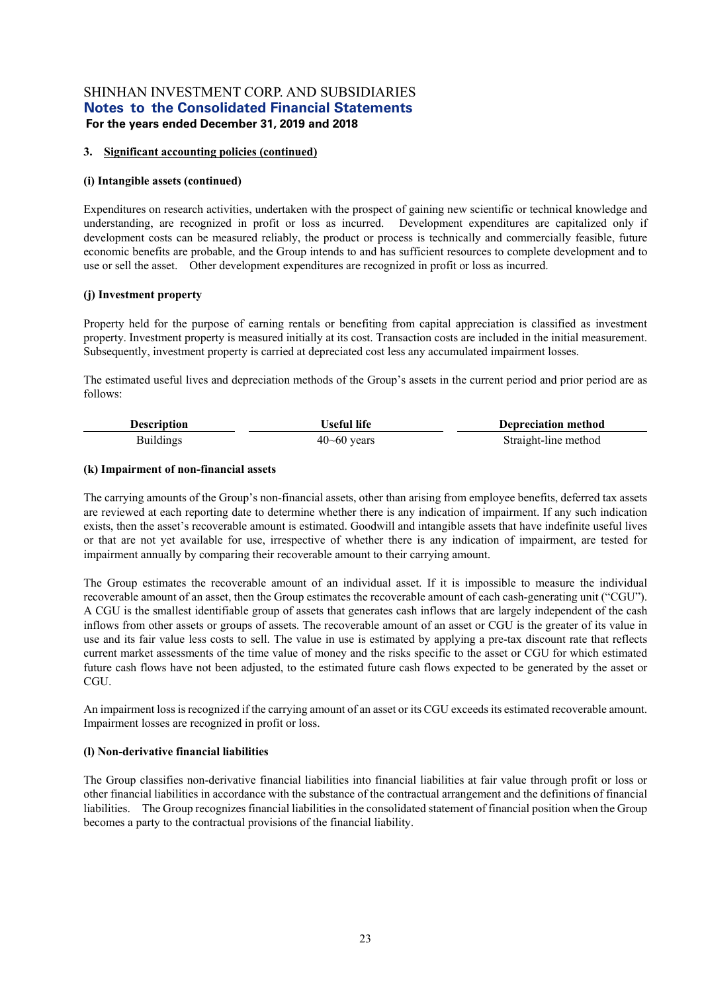#### **3. Significant accounting policies (continued)**

#### **(i) Intangible assets (continued)**

Expenditures on research activities, undertaken with the prospect of gaining new scientific or technical knowledge and understanding, are recognized in profit or loss as incurred. Development expenditures are capitalized only if development costs can be measured reliably, the product or process is technically and commercially feasible, future economic benefits are probable, and the Group intends to and has sufficient resources to complete development and to use or sell the asset. Other development expenditures are recognized in profit or loss as incurred.

#### **(j) Investment property**

Property held for the purpose of earning rentals or benefiting from capital appreciation is classified as investment property. Investment property is measured initially at its cost. Transaction costs are included in the initial measurement. Subsequently, investment property is carried at depreciated cost less any accumulated impairment losses.

The estimated useful lives and depreciation methods of the Group's assets in the current period and prior period are as follows:

| <b>Description</b> | Useful life     | Depreciation method  |
|--------------------|-----------------|----------------------|
| <b>Buildings</b>   | $40 - 60$ years | Straight-line method |

#### **(k) Impairment of non-financial assets**

The carrying amounts of the Group's non-financial assets, other than arising from employee benefits, deferred tax assets are reviewed at each reporting date to determine whether there is any indication of impairment. If any such indication exists, then the asset's recoverable amount is estimated. Goodwill and intangible assets that have indefinite useful lives or that are not yet available for use, irrespective of whether there is any indication of impairment, are tested for impairment annually by comparing their recoverable amount to their carrying amount.

The Group estimates the recoverable amount of an individual asset. If it is impossible to measure the individual recoverable amount of an asset, then the Group estimates the recoverable amount of each cash-generating unit ("CGU"). A CGU is the smallest identifiable group of assets that generates cash inflows that are largely independent of the cash inflows from other assets or groups of assets. The recoverable amount of an asset or CGU is the greater of its value in use and its fair value less costs to sell. The value in use is estimated by applying a pre-tax discount rate that reflects current market assessments of the time value of money and the risks specific to the asset or CGU for which estimated future cash flows have not been adjusted, to the estimated future cash flows expected to be generated by the asset or CGU.

An impairment loss is recognized if the carrying amount of an asset or its CGU exceeds its estimated recoverable amount. Impairment losses are recognized in profit or loss.

#### **(l) Non-derivative financial liabilities**

The Group classifies non-derivative financial liabilities into financial liabilities at fair value through profit or loss or other financial liabilities in accordance with the substance of the contractual arrangement and the definitions of financial liabilities. The Group recognizes financial liabilities in the consolidated statement of financial position when the Group becomes a party to the contractual provisions of the financial liability.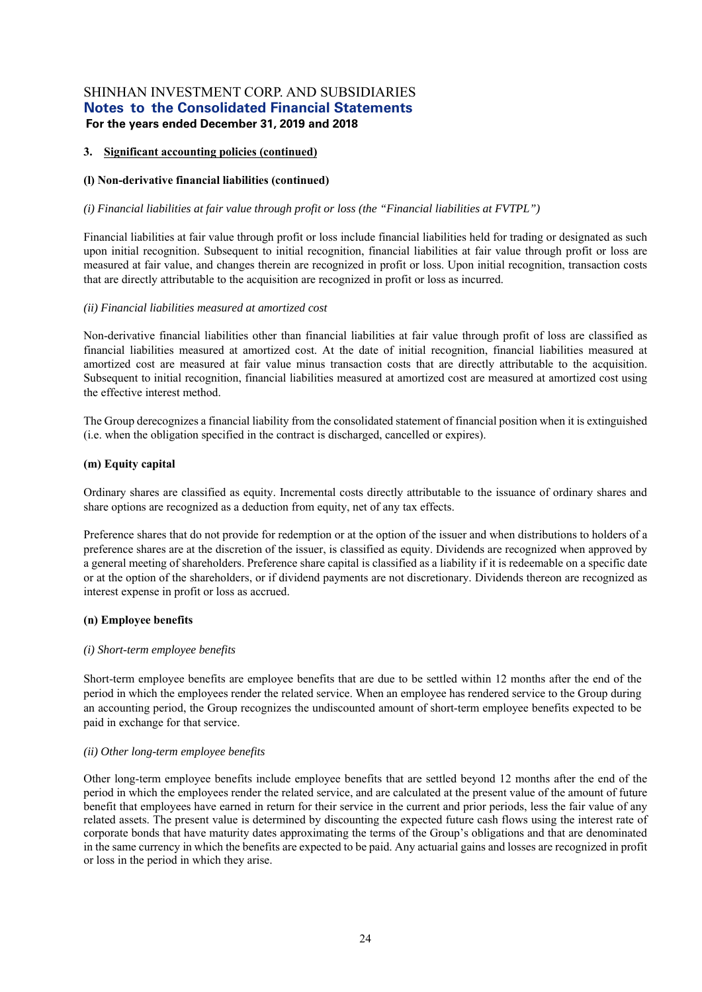#### **3. Significant accounting policies (continued)**

#### **(l) Non-derivative financial liabilities (continued)**

#### *(i) Financial liabilities at fair value through profit or loss (the "Financial liabilities at FVTPL")*

Financial liabilities at fair value through profit or loss include financial liabilities held for trading or designated as such upon initial recognition. Subsequent to initial recognition, financial liabilities at fair value through profit or loss are measured at fair value, and changes therein are recognized in profit or loss. Upon initial recognition, transaction costs that are directly attributable to the acquisition are recognized in profit or loss as incurred.

#### *(ii) Financial liabilities measured at amortized cost*

Non-derivative financial liabilities other than financial liabilities at fair value through profit of loss are classified as financial liabilities measured at amortized cost. At the date of initial recognition, financial liabilities measured at amortized cost are measured at fair value minus transaction costs that are directly attributable to the acquisition. Subsequent to initial recognition, financial liabilities measured at amortized cost are measured at amortized cost using the effective interest method.

The Group derecognizes a financial liability from the consolidated statement of financial position when it is extinguished (i.e. when the obligation specified in the contract is discharged, cancelled or expires).

#### **(m) Equity capital**

Ordinary shares are classified as equity. Incremental costs directly attributable to the issuance of ordinary shares and share options are recognized as a deduction from equity, net of any tax effects.

Preference shares that do not provide for redemption or at the option of the issuer and when distributions to holders of a preference shares are at the discretion of the issuer, is classified as equity. Dividends are recognized when approved by a general meeting of shareholders. Preference share capital is classified as a liability if it is redeemable on a specific date or at the option of the shareholders, or if dividend payments are not discretionary. Dividends thereon are recognized as interest expense in profit or loss as accrued.

#### **(n) Employee benefits**

#### *(i) Short-term employee benefits*

Short-term employee benefits are employee benefits that are due to be settled within 12 months after the end of the period in which the employees render the related service. When an employee has rendered service to the Group during an accounting period, the Group recognizes the undiscounted amount of short-term employee benefits expected to be paid in exchange for that service.

#### *(ii) Other long-term employee benefits*

Other long-term employee benefits include employee benefits that are settled beyond 12 months after the end of the period in which the employees render the related service, and are calculated at the present value of the amount of future benefit that employees have earned in return for their service in the current and prior periods, less the fair value of any related assets. The present value is determined by discounting the expected future cash flows using the interest rate of corporate bonds that have maturity dates approximating the terms of the Group's obligations and that are denominated in the same currency in which the benefits are expected to be paid. Any actuarial gains and losses are recognized in profit or loss in the period in which they arise.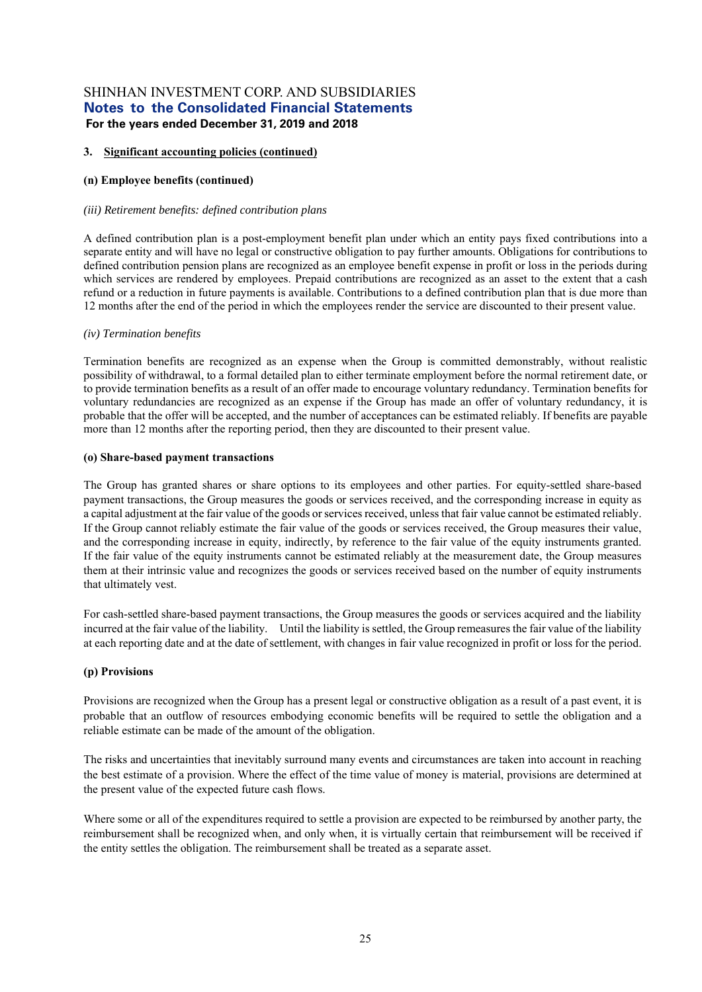#### **3. Significant accounting policies (continued)**

#### **(n) Employee benefits (continued)**

#### *(iii) Retirement benefits: defined contribution plans*

A defined contribution plan is a post-employment benefit plan under which an entity pays fixed contributions into a separate entity and will have no legal or constructive obligation to pay further amounts. Obligations for contributions to defined contribution pension plans are recognized as an employee benefit expense in profit or loss in the periods during which services are rendered by employees. Prepaid contributions are recognized as an asset to the extent that a cash refund or a reduction in future payments is available. Contributions to a defined contribution plan that is due more than 12 months after the end of the period in which the employees render the service are discounted to their present value.

#### *(iv) Termination benefits*

Termination benefits are recognized as an expense when the Group is committed demonstrably, without realistic possibility of withdrawal, to a formal detailed plan to either terminate employment before the normal retirement date, or to provide termination benefits as a result of an offer made to encourage voluntary redundancy. Termination benefits for voluntary redundancies are recognized as an expense if the Group has made an offer of voluntary redundancy, it is probable that the offer will be accepted, and the number of acceptances can be estimated reliably. If benefits are payable more than 12 months after the reporting period, then they are discounted to their present value.

#### **(o) Share-based payment transactions**

The Group has granted shares or share options to its employees and other parties. For equity-settled share-based payment transactions, the Group measures the goods or services received, and the corresponding increase in equity as a capital adjustment at the fair value of the goods or services received, unless that fair value cannot be estimated reliably. If the Group cannot reliably estimate the fair value of the goods or services received, the Group measures their value, and the corresponding increase in equity, indirectly, by reference to the fair value of the equity instruments granted. If the fair value of the equity instruments cannot be estimated reliably at the measurement date, the Group measures them at their intrinsic value and recognizes the goods or services received based on the number of equity instruments that ultimately vest.

For cash-settled share-based payment transactions, the Group measures the goods or services acquired and the liability incurred at the fair value of the liability. Until the liability is settled, the Group remeasures the fair value of the liability at each reporting date and at the date of settlement, with changes in fair value recognized in profit or loss for the period.

#### **(p) Provisions**

Provisions are recognized when the Group has a present legal or constructive obligation as a result of a past event, it is probable that an outflow of resources embodying economic benefits will be required to settle the obligation and a reliable estimate can be made of the amount of the obligation.

The risks and uncertainties that inevitably surround many events and circumstances are taken into account in reaching the best estimate of a provision. Where the effect of the time value of money is material, provisions are determined at the present value of the expected future cash flows.

Where some or all of the expenditures required to settle a provision are expected to be reimbursed by another party, the reimbursement shall be recognized when, and only when, it is virtually certain that reimbursement will be received if the entity settles the obligation. The reimbursement shall be treated as a separate asset.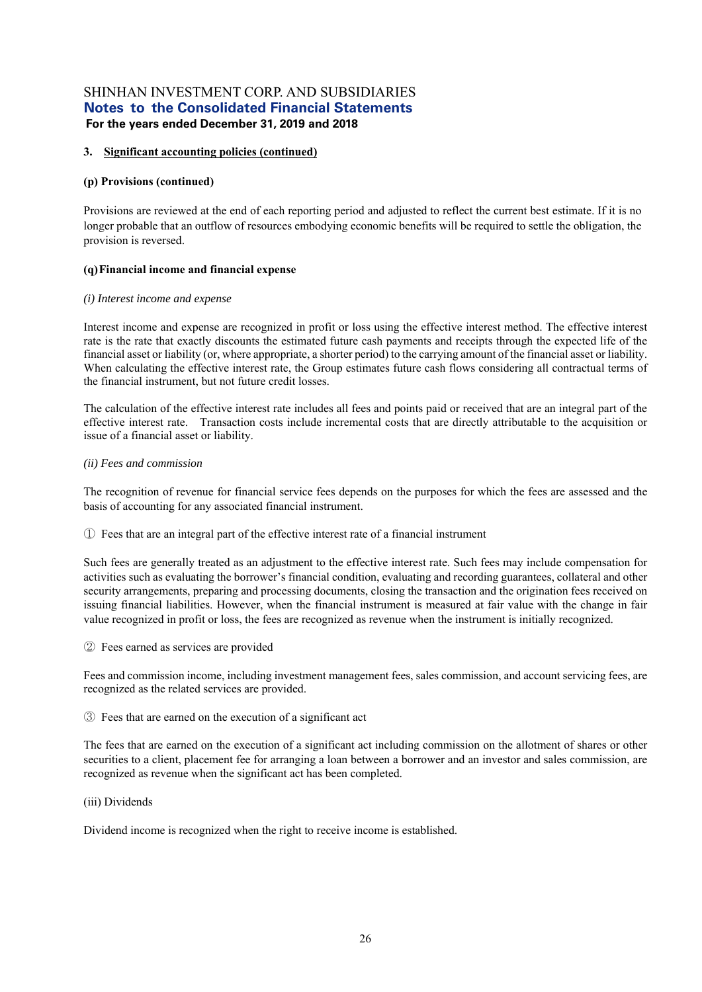#### **3. Significant accounting policies (continued)**

#### **(p) Provisions (continued)**

Provisions are reviewed at the end of each reporting period and adjusted to reflect the current best estimate. If it is no longer probable that an outflow of resources embodying economic benefits will be required to settle the obligation, the provision is reversed.

#### **(q) Financial income and financial expense**

#### *(i) Interest income and expense*

Interest income and expense are recognized in profit or loss using the effective interest method. The effective interest rate is the rate that exactly discounts the estimated future cash payments and receipts through the expected life of the financial asset or liability (or, where appropriate, a shorter period) to the carrying amount of the financial asset or liability. When calculating the effective interest rate, the Group estimates future cash flows considering all contractual terms of the financial instrument, but not future credit losses.

The calculation of the effective interest rate includes all fees and points paid or received that are an integral part of the effective interest rate. Transaction costs include incremental costs that are directly attributable to the acquisition or issue of a financial asset or liability.

#### *(ii) Fees and commission*

The recognition of revenue for financial service fees depends on the purposes for which the fees are assessed and the basis of accounting for any associated financial instrument.

① Fees that are an integral part of the effective interest rate of a financial instrument

Such fees are generally treated as an adjustment to the effective interest rate. Such fees may include compensation for activities such as evaluating the borrower's financial condition, evaluating and recording guarantees, collateral and other security arrangements, preparing and processing documents, closing the transaction and the origination fees received on issuing financial liabilities. However, when the financial instrument is measured at fair value with the change in fair value recognized in profit or loss, the fees are recognized as revenue when the instrument is initially recognized.

② Fees earned as services are provided

Fees and commission income, including investment management fees, sales commission, and account servicing fees, are recognized as the related services are provided.

③ Fees that are earned on the execution of a significant act

The fees that are earned on the execution of a significant act including commission on the allotment of shares or other securities to a client, placement fee for arranging a loan between a borrower and an investor and sales commission, are recognized as revenue when the significant act has been completed.

(iii) Dividends

Dividend income is recognized when the right to receive income is established.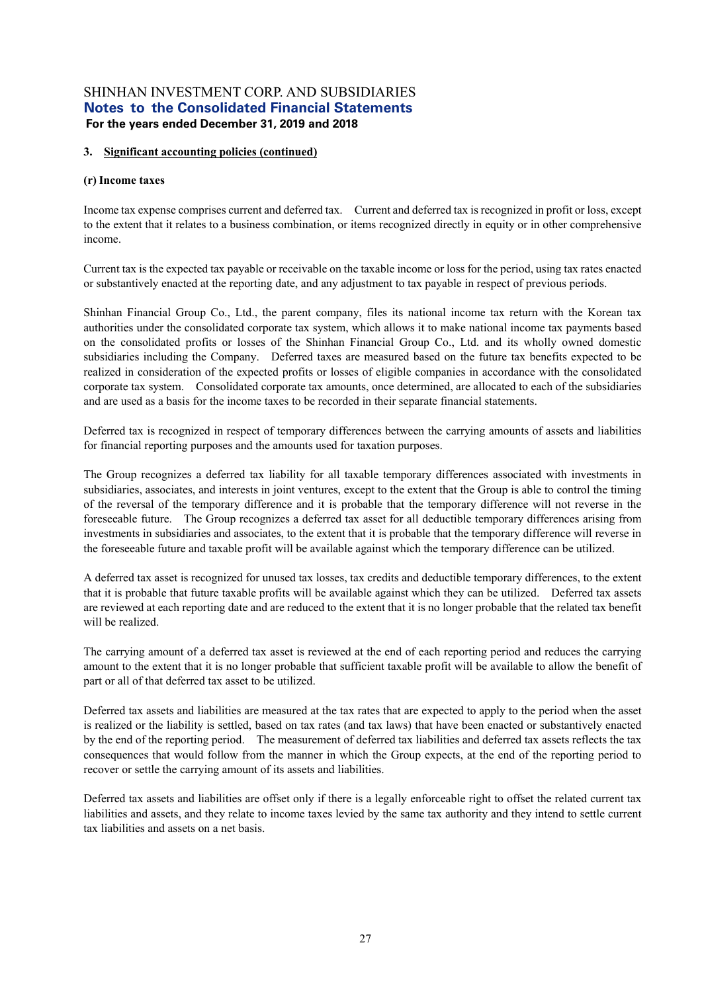#### **3. Significant accounting policies (continued)**

#### **(r) Income taxes**

Income tax expense comprises current and deferred tax. Current and deferred tax is recognized in profit or loss, except to the extent that it relates to a business combination, or items recognized directly in equity or in other comprehensive income.

Current tax is the expected tax payable or receivable on the taxable income or loss for the period, using tax rates enacted or substantively enacted at the reporting date, and any adjustment to tax payable in respect of previous periods.

Shinhan Financial Group Co., Ltd., the parent company, files its national income tax return with the Korean tax authorities under the consolidated corporate tax system, which allows it to make national income tax payments based on the consolidated profits or losses of the Shinhan Financial Group Co., Ltd. and its wholly owned domestic subsidiaries including the Company. Deferred taxes are measured based on the future tax benefits expected to be realized in consideration of the expected profits or losses of eligible companies in accordance with the consolidated corporate tax system. Consolidated corporate tax amounts, once determined, are allocated to each of the subsidiaries and are used as a basis for the income taxes to be recorded in their separate financial statements.

Deferred tax is recognized in respect of temporary differences between the carrying amounts of assets and liabilities for financial reporting purposes and the amounts used for taxation purposes.

The Group recognizes a deferred tax liability for all taxable temporary differences associated with investments in subsidiaries, associates, and interests in joint ventures, except to the extent that the Group is able to control the timing of the reversal of the temporary difference and it is probable that the temporary difference will not reverse in the foreseeable future. The Group recognizes a deferred tax asset for all deductible temporary differences arising from investments in subsidiaries and associates, to the extent that it is probable that the temporary difference will reverse in the foreseeable future and taxable profit will be available against which the temporary difference can be utilized.

A deferred tax asset is recognized for unused tax losses, tax credits and deductible temporary differences, to the extent that it is probable that future taxable profits will be available against which they can be utilized. Deferred tax assets are reviewed at each reporting date and are reduced to the extent that it is no longer probable that the related tax benefit will be realized.

The carrying amount of a deferred tax asset is reviewed at the end of each reporting period and reduces the carrying amount to the extent that it is no longer probable that sufficient taxable profit will be available to allow the benefit of part or all of that deferred tax asset to be utilized.

Deferred tax assets and liabilities are measured at the tax rates that are expected to apply to the period when the asset is realized or the liability is settled, based on tax rates (and tax laws) that have been enacted or substantively enacted by the end of the reporting period. The measurement of deferred tax liabilities and deferred tax assets reflects the tax consequences that would follow from the manner in which the Group expects, at the end of the reporting period to recover or settle the carrying amount of its assets and liabilities.

Deferred tax assets and liabilities are offset only if there is a legally enforceable right to offset the related current tax liabilities and assets, and they relate to income taxes levied by the same tax authority and they intend to settle current tax liabilities and assets on a net basis.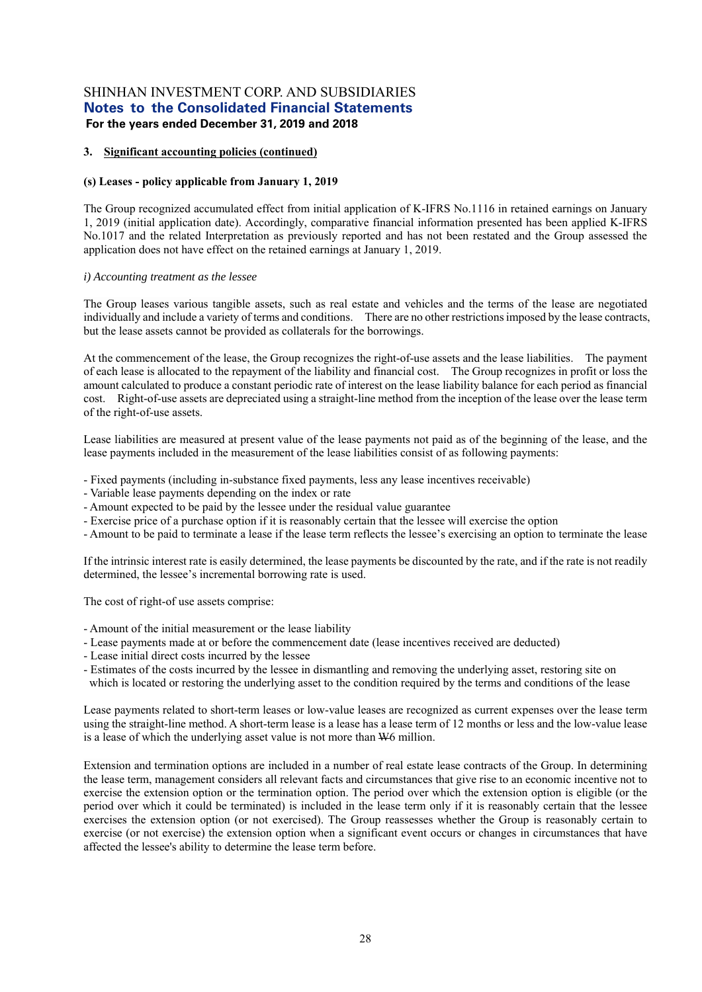#### **3. Significant accounting policies (continued)**

#### **(s) Leases - policy applicable from January 1, 2019**

The Group recognized accumulated effect from initial application of K-IFRS No.1116 in retained earnings on January 1, 2019 (initial application date). Accordingly, comparative financial information presented has been applied K-IFRS No.1017 and the related Interpretation as previously reported and has not been restated and the Group assessed the application does not have effect on the retained earnings at January 1, 2019.

#### *i) Accounting treatment as the lessee*

The Group leases various tangible assets, such as real estate and vehicles and the terms of the lease are negotiated individually and include a variety of terms and conditions. There are no other restrictions imposed by the lease contracts, but the lease assets cannot be provided as collaterals for the borrowings.

At the commencement of the lease, the Group recognizes the right-of-use assets and the lease liabilities. The payment of each lease is allocated to the repayment of the liability and financial cost. The Group recognizes in profit or loss the amount calculated to produce a constant periodic rate of interest on the lease liability balance for each period as financial cost. Right-of-use assets are depreciated using a straight-line method from the inception of the lease over the lease term of the right-of-use assets.

Lease liabilities are measured at present value of the lease payments not paid as of the beginning of the lease, and the lease payments included in the measurement of the lease liabilities consist of as following payments:

- Fixed payments (including in-substance fixed payments, less any lease incentives receivable)
- Variable lease payments depending on the index or rate
- Amount expected to be paid by the lessee under the residual value guarantee
- Exercise price of a purchase option if it is reasonably certain that the lessee will exercise the option
- Amount to be paid to terminate a lease if the lease term reflects the lessee's exercising an option to terminate the lease

If the intrinsic interest rate is easily determined, the lease payments be discounted by the rate, and if the rate is not readily determined, the lessee's incremental borrowing rate is used.

The cost of right-of use assets comprise:

- Amount of the initial measurement or the lease liability
- Lease payments made at or before the commencement date (lease incentives received are deducted)
- Lease initial direct costs incurred by the lessee
- Estimates of the costs incurred by the lessee in dismantling and removing the underlying asset, restoring site on which is located or restoring the underlying asset to the condition required by the terms and conditions of the lease

Lease payments related to short-term leases or low-value leases are recognized as current expenses over the lease term using the straight-line method. A short-term lease is a lease has a lease term of 12 months or less and the low-value lease is a lease of which the underlying asset value is not more than W6 million.

Extension and termination options are included in a number of real estate lease contracts of the Group. In determining the lease term, management considers all relevant facts and circumstances that give rise to an economic incentive not to exercise the extension option or the termination option. The period over which the extension option is eligible (or the period over which it could be terminated) is included in the lease term only if it is reasonably certain that the lessee exercises the extension option (or not exercised). The Group reassesses whether the Group is reasonably certain to exercise (or not exercise) the extension option when a significant event occurs or changes in circumstances that have affected the lessee's ability to determine the lease term before.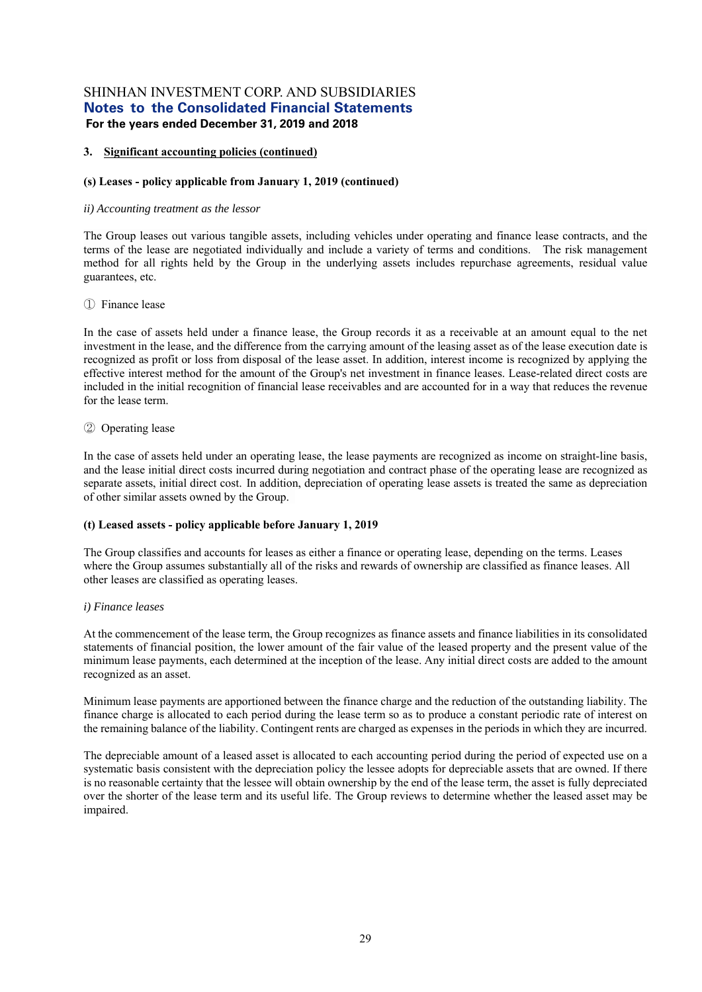#### **3. Significant accounting policies (continued)**

#### **(s) Leases - policy applicable from January 1, 2019 (continued)**

#### *ii) Accounting treatment as the lessor*

The Group leases out various tangible assets, including vehicles under operating and finance lease contracts, and the terms of the lease are negotiated individually and include a variety of terms and conditions. The risk management method for all rights held by the Group in the underlying assets includes repurchase agreements, residual value guarantees, etc.

#### ① Finance lease

In the case of assets held under a finance lease, the Group records it as a receivable at an amount equal to the net investment in the lease, and the difference from the carrying amount of the leasing asset as of the lease execution date is recognized as profit or loss from disposal of the lease asset. In addition, interest income is recognized by applying the effective interest method for the amount of the Group's net investment in finance leases. Lease-related direct costs are included in the initial recognition of financial lease receivables and are accounted for in a way that reduces the revenue for the lease term.

#### ② Operating lease

In the case of assets held under an operating lease, the lease payments are recognized as income on straight-line basis, and the lease initial direct costs incurred during negotiation and contract phase of the operating lease are recognized as separate assets, initial direct cost. In addition, depreciation of operating lease assets is treated the same as depreciation of other similar assets owned by the Group.

#### **(t) Leased assets - policy applicable before January 1, 2019**

The Group classifies and accounts for leases as either a finance or operating lease, depending on the terms. Leases where the Group assumes substantially all of the risks and rewards of ownership are classified as finance leases. All other leases are classified as operating leases.

#### *i) Finance leases*

At the commencement of the lease term, the Group recognizes as finance assets and finance liabilities in its consolidated statements of financial position, the lower amount of the fair value of the leased property and the present value of the minimum lease payments, each determined at the inception of the lease. Any initial direct costs are added to the amount recognized as an asset.

Minimum lease payments are apportioned between the finance charge and the reduction of the outstanding liability. The finance charge is allocated to each period during the lease term so as to produce a constant periodic rate of interest on the remaining balance of the liability. Contingent rents are charged as expenses in the periods in which they are incurred.

The depreciable amount of a leased asset is allocated to each accounting period during the period of expected use on a systematic basis consistent with the depreciation policy the lessee adopts for depreciable assets that are owned. If there is no reasonable certainty that the lessee will obtain ownership by the end of the lease term, the asset is fully depreciated over the shorter of the lease term and its useful life. The Group reviews to determine whether the leased asset may be impaired.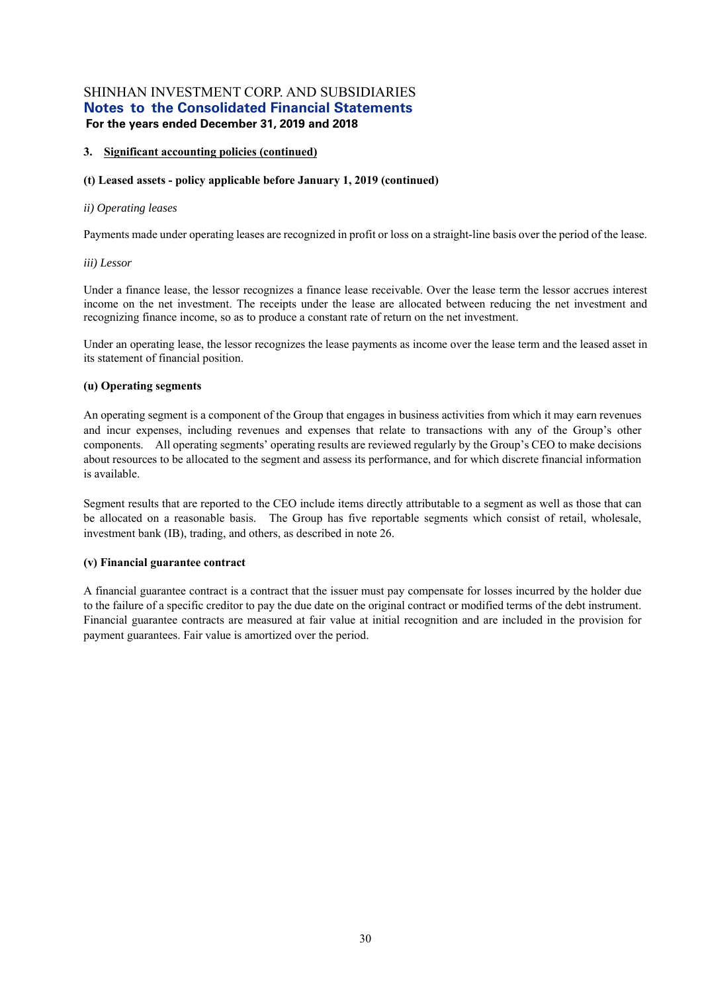#### **3. Significant accounting policies (continued)**

#### **(t) Leased assets - policy applicable before January 1, 2019 (continued)**

#### *ii) Operating leases*

Payments made under operating leases are recognized in profit or loss on a straight-line basis over the period of the lease.

#### *iii) Lessor*

Under a finance lease, the lessor recognizes a finance lease receivable. Over the lease term the lessor accrues interest income on the net investment. The receipts under the lease are allocated between reducing the net investment and recognizing finance income, so as to produce a constant rate of return on the net investment.

Under an operating lease, the lessor recognizes the lease payments as income over the lease term and the leased asset in its statement of financial position.

#### **(u) Operating segments**

An operating segment is a component of the Group that engages in business activities from which it may earn revenues and incur expenses, including revenues and expenses that relate to transactions with any of the Group's other components. All operating segments' operating results are reviewed regularly by the Group's CEO to make decisions about resources to be allocated to the segment and assess its performance, and for which discrete financial information is available.

Segment results that are reported to the CEO include items directly attributable to a segment as well as those that can be allocated on a reasonable basis. The Group has five reportable segments which consist of retail, wholesale, investment bank (IB), trading, and others, as described in note 26.

#### **(v) Financial guarantee contract**

A financial guarantee contract is a contract that the issuer must pay compensate for losses incurred by the holder due to the failure of a specific creditor to pay the due date on the original contract or modified terms of the debt instrument. Financial guarantee contracts are measured at fair value at initial recognition and are included in the provision for payment guarantees. Fair value is amortized over the period.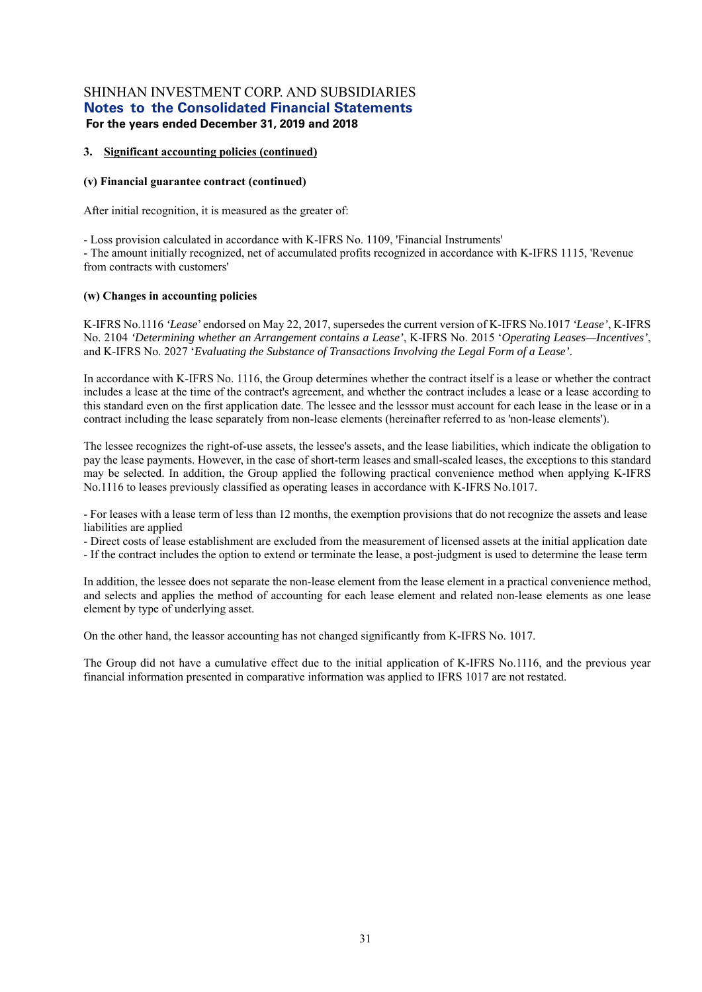#### **3. Significant accounting policies (continued)**

#### **(v) Financial guarantee contract (continued)**

After initial recognition, it is measured as the greater of:

- Loss provision calculated in accordance with K-IFRS No. 1109, 'Financial Instruments'

- The amount initially recognized, net of accumulated profits recognized in accordance with K-IFRS 1115, 'Revenue from contracts with customers'

#### **(w) Changes in accounting policies**

K-IFRS No.1116 *'Lease*' endorsed on May 22, 2017, supersedes the current version of K-IFRS No.1017 *'Lease'*, K-IFRS No. 2104 *'Determining whether an Arrangement contains a Lease'*, K-IFRS No. 2015 '*Operating Leases—Incentives'*, and K-IFRS No. 2027 '*Evaluating the Substance of Transactions Involving the Legal Form of a Lease'*.

In accordance with K-IFRS No. 1116, the Group determines whether the contract itself is a lease or whether the contract includes a lease at the time of the contract's agreement, and whether the contract includes a lease or a lease according to this standard even on the first application date. The lessee and the lesssor must account for each lease in the lease or in a contract including the lease separately from non-lease elements (hereinafter referred to as 'non-lease elements').

The lessee recognizes the right-of-use assets, the lessee's assets, and the lease liabilities, which indicate the obligation to pay the lease payments. However, in the case of short-term leases and small-scaled leases, the exceptions to this standard may be selected. In addition, the Group applied the following practical convenience method when applying K-IFRS No.1116 to leases previously classified as operating leases in accordance with K-IFRS No.1017.

- For leases with a lease term of less than 12 months, the exemption provisions that do not recognize the assets and lease liabilities are applied

- Direct costs of lease establishment are excluded from the measurement of licensed assets at the initial application date

- If the contract includes the option to extend or terminate the lease, a post-judgment is used to determine the lease term

In addition, the lessee does not separate the non-lease element from the lease element in a practical convenience method, and selects and applies the method of accounting for each lease element and related non-lease elements as one lease element by type of underlying asset.

On the other hand, the leassor accounting has not changed significantly from K-IFRS No. 1017.

The Group did not have a cumulative effect due to the initial application of K-IFRS No.1116, and the previous year financial information presented in comparative information was applied to IFRS 1017 are not restated.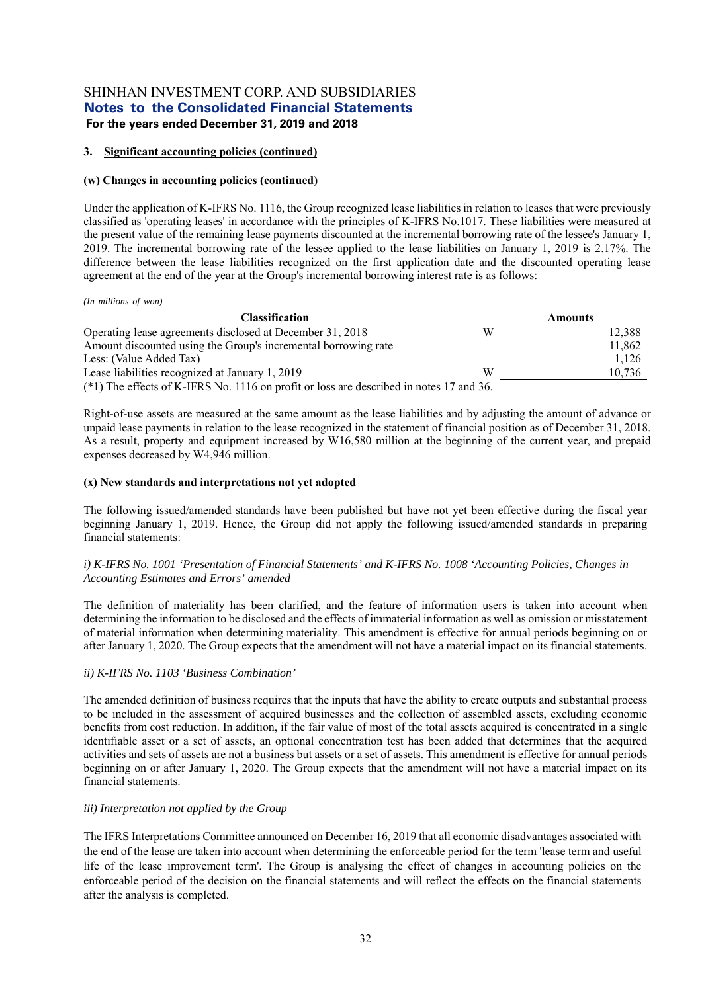#### **3. Significant accounting policies (continued)**

#### **(w) Changes in accounting policies (continued)**

Under the application of K-IFRS No. 1116, the Group recognized lease liabilities in relation to leases that were previously classified as 'operating leases' in accordance with the principles of K-IFRS No.1017. These liabilities were measured at the present value of the remaining lease payments discounted at the incremental borrowing rate of the lessee's January 1, 2019. The incremental borrowing rate of the lessee applied to the lease liabilities on January 1, 2019 is 2.17%. The difference between the lease liabilities recognized on the first application date and the discounted operating lease agreement at the end of the year at the Group's incremental borrowing interest rate is as follows:

*(In millions of won)*

| <b>Classification</b>                                                                   |   | <b>Amounts</b> |
|-----------------------------------------------------------------------------------------|---|----------------|
| Operating lease agreements disclosed at December 31, 2018                               | W | 12,388         |
| Amount discounted using the Group's incremental borrowing rate                          |   | 11,862         |
| Less: (Value Added Tax)                                                                 |   | 1.126          |
| Lease liabilities recognized at January 1, 2019                                         | ₩ | 10,736         |
| (*1) The effects of K-IFRS No. 1116 on profit or loss are described in notes 17 and 36. |   |                |

Right-of-use assets are measured at the same amount as the lease liabilities and by adjusting the amount of advance or unpaid lease payments in relation to the lease recognized in the statement of financial position as of December 31, 2018. As a result, property and equipment increased by W16,580 million at the beginning of the current year, and prepaid expenses decreased by W4,946 million.

#### **(x) New standards and interpretations not yet adopted**

The following issued/amended standards have been published but have not yet been effective during the fiscal year beginning January 1, 2019. Hence, the Group did not apply the following issued/amended standards in preparing financial statements:

#### *i) K-IFRS No. 1001 'Presentation of Financial Statements' and K-IFRS No. 1008 'Accounting Policies, Changes in Accounting Estimates and Errors' amended*

The definition of materiality has been clarified, and the feature of information users is taken into account when determining the information to be disclosed and the effects of immaterial information as well as omission or misstatement of material information when determining materiality. This amendment is effective for annual periods beginning on or after January 1, 2020. The Group expects that the amendment will not have a material impact on its financial statements.

#### *ii) K-IFRS No. 1103 'Business Combination'*

The amended definition of business requires that the inputs that have the ability to create outputs and substantial process to be included in the assessment of acquired businesses and the collection of assembled assets, excluding economic benefits from cost reduction. In addition, if the fair value of most of the total assets acquired is concentrated in a single identifiable asset or a set of assets, an optional concentration test has been added that determines that the acquired activities and sets of assets are not a business but assets or a set of assets. This amendment is effective for annual periods beginning on or after January 1, 2020. The Group expects that the amendment will not have a material impact on its financial statements.

#### *iii) Interpretation not applied by the Group*

The IFRS Interpretations Committee announced on December 16, 2019 that all economic disadvantages associated with the end of the lease are taken into account when determining the enforceable period for the term 'lease term and useful life of the lease improvement term'. The Group is analysing the effect of changes in accounting policies on the enforceable period of the decision on the financial statements and will reflect the effects on the financial statements after the analysis is completed.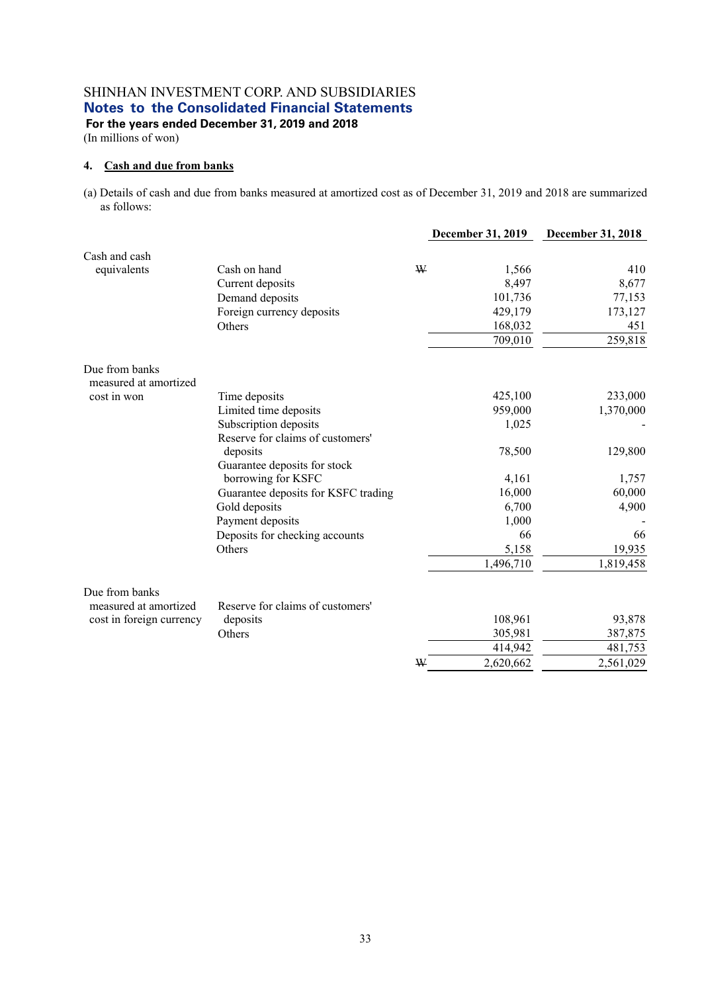# SHINHAN INVESTMENT CORP. AND SUBSIDIARIES **Notes to the Consolidated Financial Statements**

 **For the years ended December 31, 2019 and 2018**  (In millions of won)

### **4. Cash and due from banks**

(a) Details of cash and due from banks measured at amortized cost as of December 31, 2019 and 2018 are summarized as follows:

|                                         |                                     |   | December 31, 2019 | <b>December 31, 2018</b> |
|-----------------------------------------|-------------------------------------|---|-------------------|--------------------------|
| Cash and cash                           |                                     |   |                   |                          |
| equivalents                             | Cash on hand                        | ₩ | 1,566             | 410                      |
|                                         | Current deposits                    |   | 8,497             | 8,677                    |
|                                         | Demand deposits                     |   | 101,736           | 77,153                   |
|                                         | Foreign currency deposits           |   | 429,179           | 173,127                  |
|                                         | Others                              |   | 168,032           | 451                      |
|                                         |                                     |   | 709,010           | 259,818                  |
| Due from banks<br>measured at amortized |                                     |   |                   |                          |
| cost in won                             | Time deposits                       |   | 425,100           | 233,000                  |
|                                         | Limited time deposits               |   | 959,000           | 1,370,000                |
|                                         | Subscription deposits               |   | 1,025             |                          |
|                                         | Reserve for claims of customers'    |   |                   |                          |
|                                         | deposits                            |   | 78,500            | 129,800                  |
|                                         | Guarantee deposits for stock        |   |                   |                          |
|                                         | borrowing for KSFC                  |   | 4,161             | 1,757                    |
|                                         | Guarantee deposits for KSFC trading |   | 16,000            | 60,000                   |
|                                         | Gold deposits                       |   | 6,700             | 4,900                    |
|                                         | Payment deposits                    |   | 1,000             |                          |
|                                         | Deposits for checking accounts      |   | 66                | 66                       |
|                                         | Others                              |   | 5,158             | 19,935                   |
|                                         |                                     |   | 1,496,710         | 1,819,458                |
| Due from banks<br>measured at amortized | Reserve for claims of customers'    |   |                   |                          |
| cost in foreign currency                | deposits                            |   | 108,961           | 93,878                   |
|                                         | Others                              |   | 305,981           | 387,875                  |
|                                         |                                     |   | 414,942           | 481,753                  |
|                                         |                                     | W | 2,620,662         | 2,561,029                |
|                                         |                                     |   |                   |                          |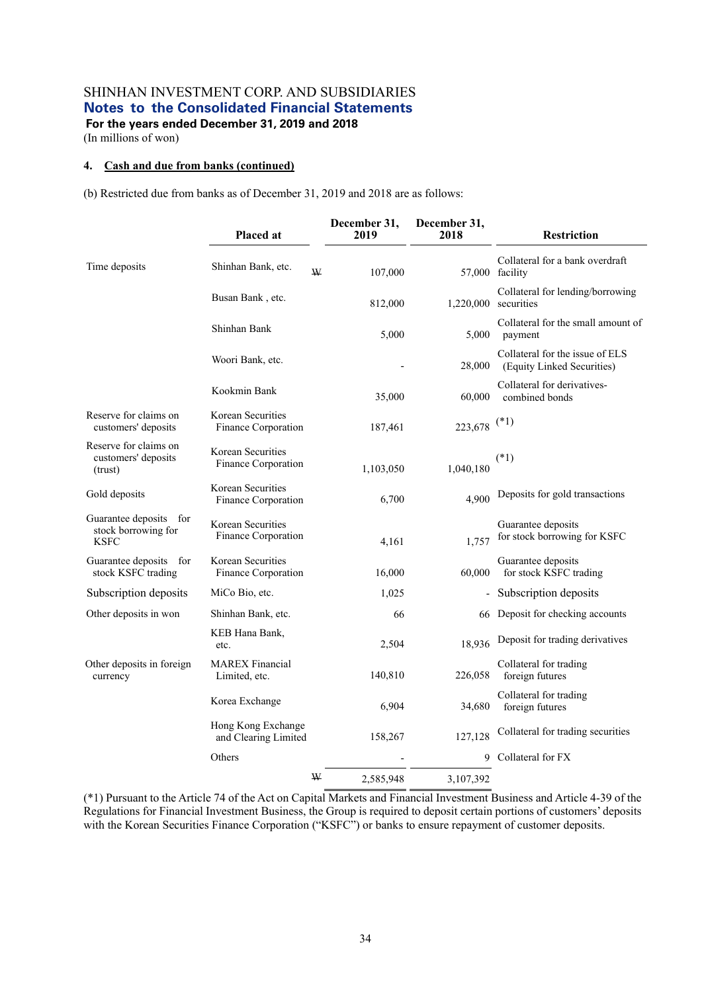(In millions of won)

# **4. Cash and due from banks (continued)**

(b) Restricted due from banks as of December 31, 2019 and 2018 are as follows:

|                                                              | Placed at                                  | December 31,<br>2019 | December 31,<br>2018 | <b>Restriction</b>                                            |
|--------------------------------------------------------------|--------------------------------------------|----------------------|----------------------|---------------------------------------------------------------|
| Time deposits                                                | Shinhan Bank, etc.                         | W<br>107,000         |                      | Collateral for a bank overdraft<br>57,000 facility            |
|                                                              | Busan Bank, etc.                           | 812,000              |                      | Collateral for lending/borrowing<br>$1,220,000$ securities    |
|                                                              | Shinhan Bank                               | 5,000                | 5,000                | Collateral for the small amount of<br>payment                 |
|                                                              | Woori Bank, etc.                           |                      | 28,000               | Collateral for the issue of ELS<br>(Equity Linked Securities) |
|                                                              | Kookmin Bank                               | 35,000               | 60,000               | Collateral for derivatives-<br>combined bonds                 |
| Reserve for claims on<br>customers' deposits                 | Korean Securities<br>Finance Corporation   | 187,461              | 223,678              | $(*1)$                                                        |
| Reserve for claims on<br>customers' deposits<br>(trust)      | Korean Securities<br>Finance Corporation   | 1,103,050            | 1,040,180            | $(*1)$                                                        |
| Gold deposits                                                | Korean Securities<br>Finance Corporation   | 6,700                | 4,900                | Deposits for gold transactions                                |
| Guarantee deposits for<br>stock borrowing for<br><b>KSFC</b> | Korean Securities<br>Finance Corporation   | 4,161                | 1,757                | Guarantee deposits<br>for stock borrowing for KSFC            |
| Guarantee deposits for<br>stock KSFC trading                 | Korean Securities<br>Finance Corporation   | 16,000               | 60,000               | Guarantee deposits<br>for stock KSFC trading                  |
| Subscription deposits                                        | MiCo Bio, etc.                             | 1,025                |                      | Subscription deposits                                         |
| Other deposits in won                                        | Shinhan Bank, etc.                         | 66                   |                      | 66 Deposit for checking accounts                              |
|                                                              | KEB Hana Bank,<br>etc.                     | 2,504                | 18,936               | Deposit for trading derivatives                               |
| Other deposits in foreign<br>currency                        | <b>MAREX</b> Financial<br>Limited, etc.    | 140,810              | 226,058              | Collateral for trading<br>foreign futures                     |
|                                                              | Korea Exchange                             | 6,904                | 34,680               | Collateral for trading<br>foreign futures                     |
|                                                              | Hong Kong Exchange<br>and Clearing Limited | 158,267              | 127,128              | Collateral for trading securities                             |
|                                                              | Others                                     |                      | 9                    | Collateral for FX                                             |
|                                                              |                                            | W<br>2,585,948       | 3,107,392            |                                                               |

(\*1) Pursuant to the Article 74 of the Act on Capital Markets and Financial Investment Business and Article 4-39 of the Regulations for Financial Investment Business, the Group is required to deposit certain portions of customers' deposits with the Korean Securities Finance Corporation ("KSFC") or banks to ensure repayment of customer deposits.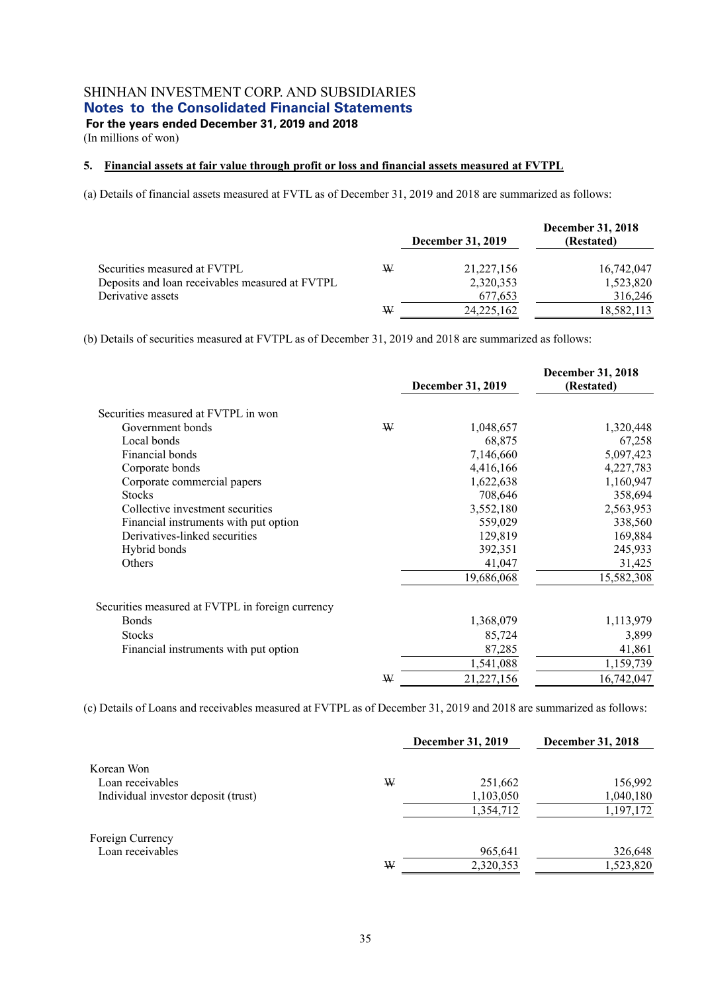(In millions of won)

#### **5. Financial assets at fair value through profit or loss and financial assets measured at FVTPL**

(a) Details of financial assets measured at FVTL as of December 31, 2019 and 2018 are summarized as follows:

|                                                 |   | <b>December 31, 2019</b> | December 31, 2018<br>(Restated) |
|-------------------------------------------------|---|--------------------------|---------------------------------|
| Securities measured at FVTPL                    | W | 21, 227, 156             | 16,742,047                      |
| Deposits and loan receivables measured at FVTPL |   | 2,320,353                | 1,523,820                       |
| Derivative assets                               |   | 677.653                  | 316,246                         |
|                                                 | W | 24, 225, 162             | 18,582,113                      |

(b) Details of securities measured at FVTPL as of December 31, 2019 and 2018 are summarized as follows:

|                                                  |   | December 31, 2019 | <b>December 31, 2018</b><br>(Restated) |
|--------------------------------------------------|---|-------------------|----------------------------------------|
| Securities measured at FVTPL in won              |   |                   |                                        |
| Government bonds                                 | W | 1,048,657         | 1,320,448                              |
| Local bonds                                      |   | 68,875            | 67,258                                 |
| Financial bonds                                  |   | 7,146,660         | 5,097,423                              |
| Corporate bonds                                  |   | 4,416,166         | 4,227,783                              |
| Corporate commercial papers                      |   | 1,622,638         | 1,160,947                              |
| <b>Stocks</b>                                    |   | 708,646           | 358,694                                |
| Collective investment securities                 |   | 3,552,180         | 2,563,953                              |
| Financial instruments with put option            |   | 559,029           | 338,560                                |
| Derivatives-linked securities                    |   | 129,819           | 169,884                                |
| Hybrid bonds                                     |   | 392,351           | 245,933                                |
| Others                                           |   | 41,047            | 31,425                                 |
|                                                  |   | 19,686,068        | 15,582,308                             |
| Securities measured at FVTPL in foreign currency |   |                   |                                        |
| <b>Bonds</b>                                     |   | 1,368,079         | 1,113,979                              |
| <b>Stocks</b>                                    |   | 85,724            | 3,899                                  |
| Financial instruments with put option            |   | 87,285            | 41,861                                 |
|                                                  |   | 1,541,088         | 1,159,739                              |
|                                                  | ₩ | 21,227,156        | 16,742,047                             |

(c) Details of Loans and receivables measured at FVTPL as of December 31, 2019 and 2018 are summarized as follows:

|                                     |   | <b>December 31, 2019</b> | December 31, 2018 |
|-------------------------------------|---|--------------------------|-------------------|
| Korean Won                          |   |                          |                   |
| Loan receivables                    | W | 251,662                  | 156,992           |
| Individual investor deposit (trust) |   | 1,103,050                | 1,040,180         |
|                                     |   | 1,354,712                | 1,197,172         |
| Foreign Currency                    |   |                          |                   |
| Loan receivables                    |   | 965,641                  | 326,648           |
|                                     | W | 2,320,353                | 1,523,820         |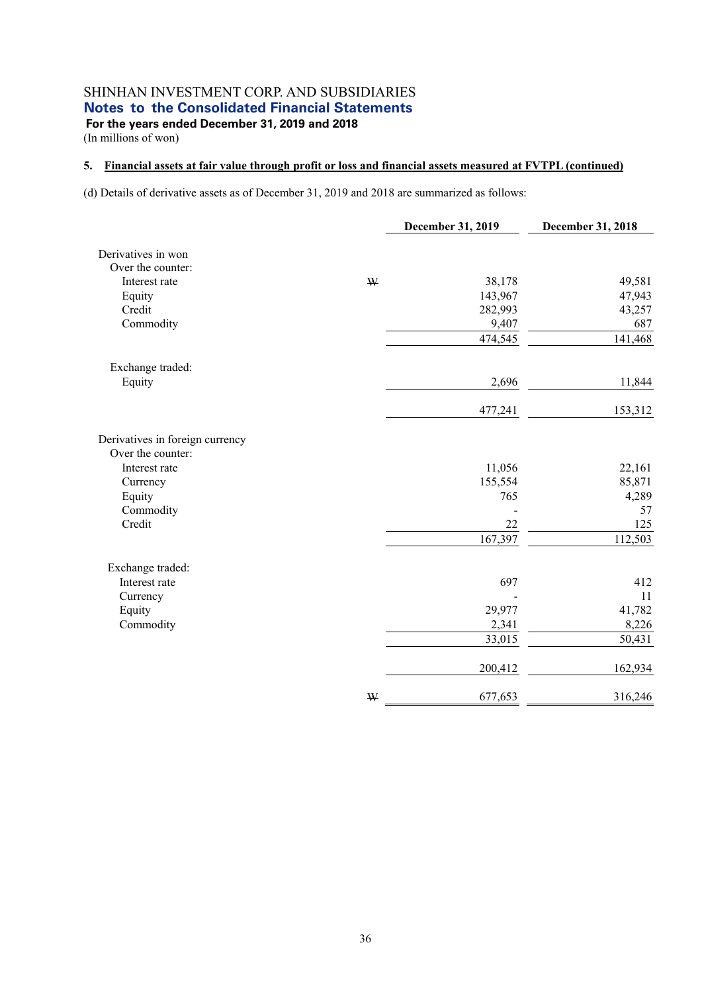(In millions of won)

#### **5. Financial assets at fair value through profit or loss and financial assets measured at FVTPL (continued)**

(d) Details of derivative assets as of December 31, 2019 and 2018 are summarized as follows:

|                                 |   | December 31, 2019 | December 31, 2018 |
|---------------------------------|---|-------------------|-------------------|
| Derivatives in won              |   |                   |                   |
| Over the counter:               |   |                   |                   |
| Interest rate                   | W | 38,178            | 49,581            |
| Equity                          |   | 143,967           | 47,943            |
| Credit                          |   | 282,993           | 43,257            |
| Commodity                       |   | 9,407             | 687               |
|                                 |   | 474,545           | 141,468           |
| Exchange traded:                |   |                   |                   |
| Equity                          |   | 2,696             | 11,844            |
|                                 |   | 477,241           | 153,312           |
| Derivatives in foreign currency |   |                   |                   |
| Over the counter:               |   |                   |                   |
| Interest rate                   |   | 11,056            | 22,161            |
| Currency                        |   | 155,554           | 85,871            |
| Equity                          |   | 765               | 4,289             |
| Commodity                       |   |                   | 57                |
| Credit                          |   | 22                | 125               |
|                                 |   | 167,397           | 112,503           |
| Exchange traded:                |   |                   |                   |
| Interest rate                   |   | 697               | 412               |
| Currency                        |   |                   | 11                |
| Equity                          |   | 29,977            | 41,782            |
| Commodity                       |   | 2,341             | 8,226             |
|                                 |   | 33,015            | 50,431            |
|                                 |   | 200,412           | 162,934           |
|                                 | W | 677,653           | 316,246           |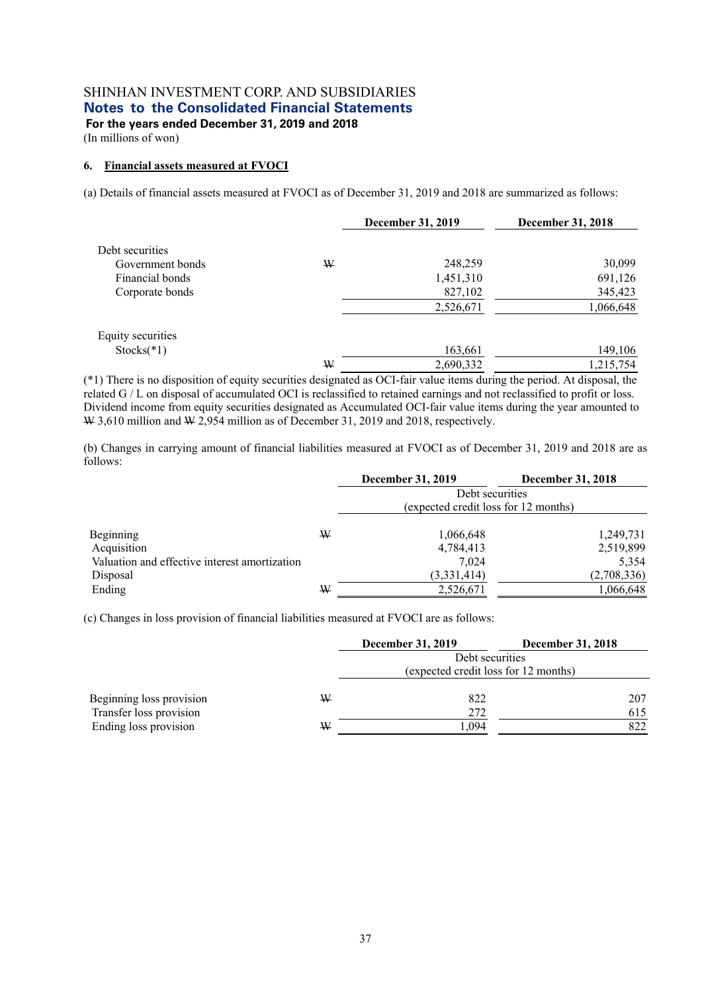(In millions of won)

#### **6. Financial assets measured at FVOCI**

(a) Details of financial assets measured at FVOCI as of December 31, 2019 and 2018 are summarized as follows:

|                   |   | <b>December 31, 2019</b> | December 31, 2018 |
|-------------------|---|--------------------------|-------------------|
| Debt securities   |   |                          |                   |
| Government bonds  | W | 248,259                  | 30,099            |
| Financial bonds   |   | 1,451,310                | 691,126           |
| Corporate bonds   |   | 827,102                  | 345,423           |
|                   |   | 2,526,671                | 1,066,648         |
| Equity securities |   |                          |                   |
| $Stocks(*1)$      |   | 163,661                  | 149,106           |
|                   | W | 2,690,332                | 1,215,754         |

(\*1) There is no disposition of equity securities designated as OCI-fair value items during the period. At disposal, the related G / L on disposal of accumulated OCI is reclassified to retained earnings and not reclassified to profit or loss. Dividend income from equity securities designated as Accumulated OCI-fair value items during the year amounted to  $\text{W }$  3,610 million and W 2,954 million as of December 31, 2019 and 2018, respectively.

(b) Changes in carrying amount of financial liabilities measured at FVOCI as of December 31, 2019 and 2018 are as follows:

|                                               |   | <b>December 31, 2019</b>             | December 31, 2018 |  |  |  |
|-----------------------------------------------|---|--------------------------------------|-------------------|--|--|--|
|                                               |   | Debt securities                      |                   |  |  |  |
|                                               |   | (expected credit loss for 12 months) |                   |  |  |  |
|                                               | W | 1,066,648                            | 1,249,731         |  |  |  |
| Beginning<br>Acquisition                      |   | 4,784,413                            | 2,519,899         |  |  |  |
| Valuation and effective interest amortization |   | 7.024                                | 5,354             |  |  |  |
| Disposal                                      |   | (3,331,414)                          | (2,708,336)       |  |  |  |
| Ending                                        | W | 2,526,671                            | 1,066,648         |  |  |  |

(c) Changes in loss provision of financial liabilities measured at FVOCI are as follows:

|                          |                 | <b>December 31, 2019</b> | <b>December 31, 2018</b>             |  |  |
|--------------------------|-----------------|--------------------------|--------------------------------------|--|--|
|                          | Debt securities |                          |                                      |  |  |
|                          |                 |                          | (expected credit loss for 12 months) |  |  |
| Beginning loss provision | ₩               | 822                      | 207                                  |  |  |
| Transfer loss provision  |                 | 272                      | 615                                  |  |  |
| Ending loss provision    | ₩               | .094                     | 822                                  |  |  |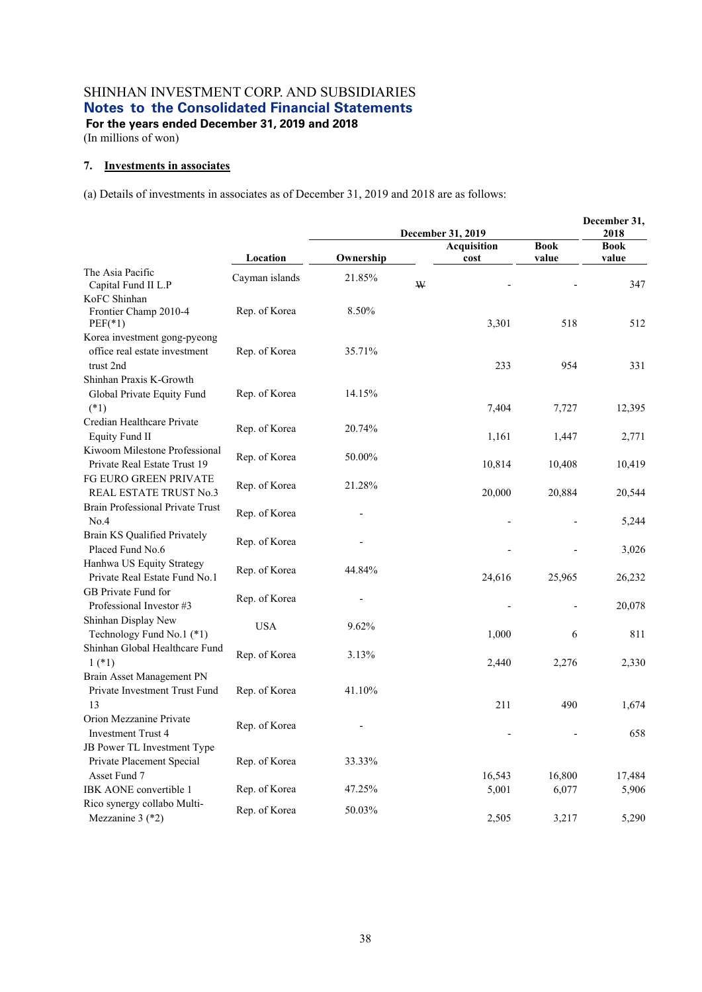**For the years ended December 31, 2019 and 2018**  (In millions of won)

# **7. Investments in associates**

(a) Details of investments in associates as of December 31, 2019 and 2018 are as follows:

|                                                                            |                | December 31, 2019 |             |                            |        | December 31,<br>2018 |  |
|----------------------------------------------------------------------------|----------------|-------------------|-------------|----------------------------|--------|----------------------|--|
|                                                                            |                |                   | <b>Book</b> | <b>Book</b>                |        |                      |  |
|                                                                            | Location       | Ownership         |             | <b>Acquisition</b><br>cost | value  | value                |  |
| The Asia Pacific<br>Capital Fund II L.P                                    | Cayman islands | 21.85%            | W           |                            |        | 347                  |  |
| KoFC Shinhan<br>Frontier Champ 2010-4<br>$PEF(*1)$                         | Rep. of Korea  | 8.50%             |             | 3,301                      | 518    | 512                  |  |
| Korea investment gong-pyeong<br>office real estate investment<br>trust 2nd | Rep. of Korea  | 35.71%            |             | 233                        | 954    | 331                  |  |
| Shinhan Praxis K-Growth                                                    |                |                   |             |                            |        |                      |  |
| Global Private Equity Fund<br>$(*1)$                                       | Rep. of Korea  | 14.15%            |             | 7,404                      | 7,727  | 12,395               |  |
| Credian Healthcare Private<br><b>Equity Fund II</b>                        | Rep. of Korea  | 20.74%            |             | 1,161                      | 1,447  | 2,771                |  |
| Kiwoom Milestone Professional<br>Private Real Estate Trust 19              | Rep. of Korea  | 50.00%            |             | 10,814                     | 10,408 | 10,419               |  |
| FG EURO GREEN PRIVATE<br>REAL ESTATE TRUST No.3                            | Rep. of Korea  | 21.28%            |             | 20,000                     | 20,884 | 20,544               |  |
| Brain Professional Private Trust<br>No.4                                   | Rep. of Korea  |                   |             |                            |        | 5,244                |  |
| Brain KS Qualified Privately<br>Placed Fund No.6                           | Rep. of Korea  |                   |             |                            |        | 3,026                |  |
| Hanhwa US Equity Strategy<br>Private Real Estate Fund No.1                 | Rep. of Korea  | 44.84%            |             | 24,616                     | 25,965 | 26,232               |  |
| GB Private Fund for<br>Professional Investor #3                            | Rep. of Korea  |                   |             |                            |        | 20,078               |  |
| Shinhan Display New<br>Technology Fund No.1 (*1)                           | <b>USA</b>     | 9.62%             |             | 1,000                      | 6      | 811                  |  |
| Shinhan Global Healthcare Fund<br>$1$ (*1)                                 | Rep. of Korea  | 3.13%             |             | 2,440                      | 2,276  | 2,330                |  |
| Brain Asset Management PN<br>Private Investment Trust Fund<br>13           | Rep. of Korea  | 41.10%            |             | 211                        | 490    | 1,674                |  |
| Orion Mezzanine Private<br><b>Investment Trust 4</b>                       | Rep. of Korea  |                   |             |                            |        | 658                  |  |
| JB Power TL Investment Type<br>Private Placement Special<br>Asset Fund 7   | Rep. of Korea  | 33.33%            |             | 16,543                     | 16,800 | 17,484               |  |
| IBK AONE convertible 1                                                     | Rep. of Korea  | 47.25%            |             | 5,001                      | 6,077  | 5,906                |  |
| Rico synergy collabo Multi-<br>Mezzanine 3 (*2)                            | Rep. of Korea  | 50.03%            |             | 2,505                      | 3,217  | 5,290                |  |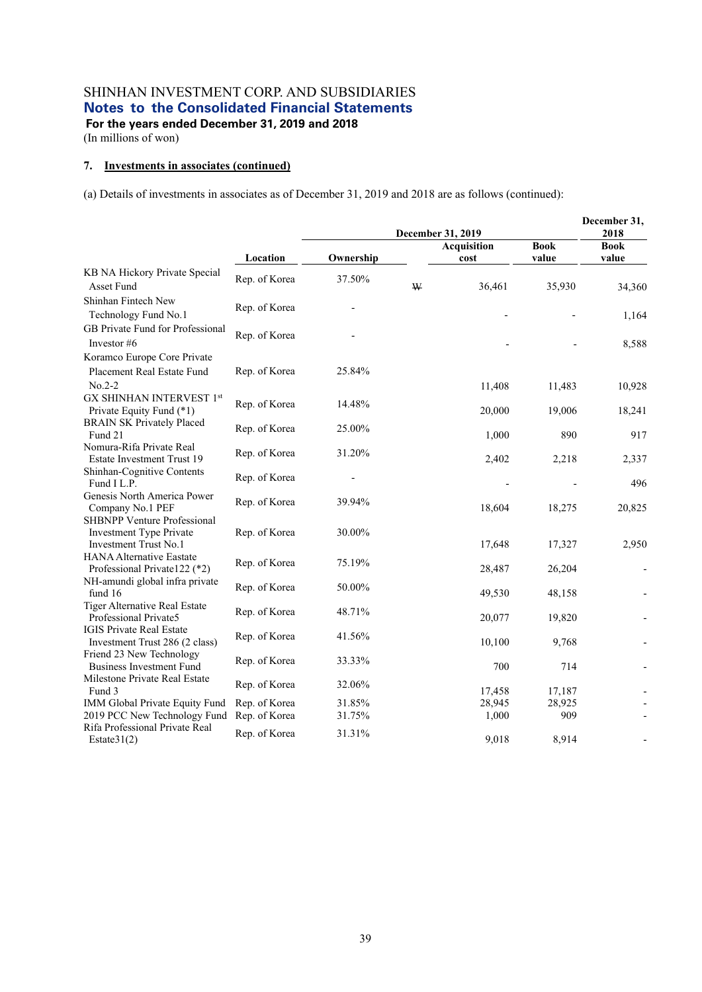**For the years ended December 31, 2019 and 2018** 

(In millions of won)

#### **7. Investments in associates (continued)**

(a) Details of investments in associates as of December 31, 2019 and 2018 are as follows (continued):

|                                                                   |               |           |   | December 31,<br>2018 |             |                              |
|-------------------------------------------------------------------|---------------|-----------|---|----------------------|-------------|------------------------------|
|                                                                   |               |           |   | <b>Acquisition</b>   | <b>Book</b> | <b>Book</b>                  |
|                                                                   | Location      | Ownership |   | cost                 | value       | value                        |
| KB NA Hickory Private Special<br>Asset Fund                       | Rep. of Korea | 37.50%    | W | 36,461               | 35,930      | 34,360                       |
| Shinhan Fintech New<br>Technology Fund No.1                       | Rep. of Korea |           |   |                      |             | 1,164                        |
| GB Private Fund for Professional<br>Investor #6                   | Rep. of Korea |           |   |                      |             | 8,588                        |
| Koramco Europe Core Private                                       |               |           |   |                      |             |                              |
| Placement Real Estate Fund                                        | Rep. of Korea | 25.84%    |   |                      |             |                              |
| $No.2-2$                                                          |               |           |   | 11,408               | 11,483      | 10,928                       |
| GX SHINHAN INTERVEST 1st                                          |               |           |   |                      |             |                              |
| Private Equity Fund (*1)                                          | Rep. of Korea | 14.48%    |   | 20,000               | 19,006      | 18,241                       |
| <b>BRAIN SK Privately Placed</b>                                  | Rep. of Korea | 25.00%    |   |                      |             |                              |
| Fund 21                                                           |               |           |   | 1,000                | 890         | 917                          |
| Nomura-Rifa Private Real<br>Estate Investment Trust 19            | Rep. of Korea | 31.20%    |   | 2,402                | 2,218       | 2,337                        |
| Shinhan-Cognitive Contents<br>Fund I L.P.                         | Rep. of Korea |           |   |                      |             | 496                          |
| Genesis North America Power<br>Company No.1 PEF                   | Rep. of Korea | 39.94%    |   | 18,604               | 18,275      | 20,825                       |
| SHBNPP Venture Professional                                       |               |           |   |                      |             |                              |
| Investment Type Private                                           | Rep. of Korea | 30.00%    |   |                      |             |                              |
| Investment Trust No.1                                             |               |           |   | 17,648               | 17,327      | 2,950                        |
| <b>HANA Alternative Eastate</b><br>Professional Private 122 (*2)  | Rep. of Korea | 75.19%    |   | 28,487               | 26,204      | $\qquad \qquad \blacksquare$ |
| NH-amundi global infra private<br>fund 16                         | Rep. of Korea | 50.00%    |   | 49,530               | 48,158      | $\overline{\phantom{m}}$     |
| Tiger Alternative Real Estate<br>Professional Private5            | Rep. of Korea | 48.71%    |   | 20,077               | 19,820      |                              |
| <b>IGIS Private Real Estate</b><br>Investment Trust 286 (2 class) | Rep. of Korea | 41.56%    |   | 10,100               | 9,768       |                              |
| Friend 23 New Technology                                          |               |           |   |                      |             |                              |
| <b>Business Investment Fund</b>                                   | Rep. of Korea | 33.33%    |   | 700                  | 714         |                              |
| Milestone Private Real Estate                                     |               |           |   |                      |             |                              |
| Fund 3                                                            | Rep. of Korea | 32.06%    |   | 17,458               | 17,187      |                              |
| IMM Global Private Equity Fund                                    | Rep. of Korea | 31.85%    |   | 28,945               | 28,925      |                              |
| 2019 PCC New Technology Fund                                      | Rep. of Korea | 31.75%    |   | 1,000                | 909         |                              |
| Rifa Professional Private Real<br>Estate $31(2)$                  | Rep. of Korea | 31.31%    |   | 9,018                | 8,914       |                              |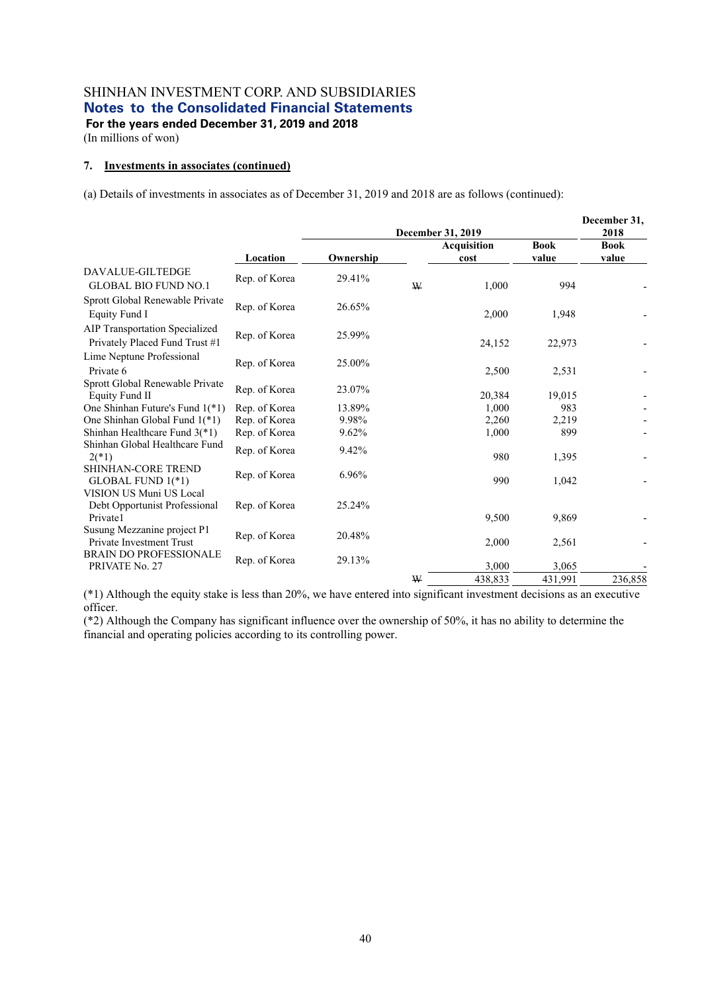**For the years ended December 31, 2019 and 2018** 

(In millions of won)

#### **7. Investments in associates (continued)**

(a) Details of investments in associates as of December 31, 2019 and 2018 are as follows (continued):

|                                                                      |               |           | December 31, 2019 |                     |                      |                              |  |
|----------------------------------------------------------------------|---------------|-----------|-------------------|---------------------|----------------------|------------------------------|--|
|                                                                      | Location      | Ownership |                   | Acquisition<br>cost | <b>Book</b><br>value | 2018<br><b>Book</b><br>value |  |
| DAVALUE-GILTEDGE<br><b>GLOBAL BIO FUND NO.1</b>                      | Rep. of Korea | 29.41%    | W                 | 1,000               | 994                  |                              |  |
| Sprott Global Renewable Private<br>Equity Fund I                     | Rep. of Korea | 26.65%    |                   | 2,000               | 1,948                |                              |  |
| AIP Transportation Specialized<br>Privately Placed Fund Trust #1     | Rep. of Korea | 25.99%    |                   | 24,152              | 22,973               |                              |  |
| Lime Neptune Professional<br>Private 6                               | Rep. of Korea | 25.00%    |                   | 2,500               | 2,531                |                              |  |
| Sprott Global Renewable Private<br>Equity Fund II                    | Rep. of Korea | 23.07%    |                   | 20,384              | 19,015               |                              |  |
| One Shinhan Future's Fund 1(*1)                                      | Rep. of Korea | 13.89%    |                   | 1,000               | 983                  |                              |  |
| One Shinhan Global Fund 1(*1)                                        | Rep. of Korea | 9.98%     |                   | 2,260               | 2,219                |                              |  |
| Shinhan Healthcare Fund $3(*)$                                       | Rep. of Korea | 9.62%     |                   | 1,000               | 899                  |                              |  |
| Shinhan Global Healthcare Fund<br>$2(*)$                             | Rep. of Korea | 9.42%     |                   | 980                 | 1,395                |                              |  |
| <b>SHINHAN-CORE TREND</b><br>GLOBAL FUND 1(*1)                       | Rep. of Korea | 6.96%     |                   | 990                 | 1,042                |                              |  |
| VISION US Muni US Local<br>Debt Opportunist Professional<br>Private1 | Rep. of Korea | 25.24%    |                   |                     |                      |                              |  |
| Susung Mezzanine project P1<br>Private Investment Trust              | Rep. of Korea | 20.48%    |                   | 9,500<br>2,000      | 9,869<br>2,561       |                              |  |
| <b>BRAIN DO PROFESSIONALE</b><br>PRIVATE No. 27                      | Rep. of Korea | 29.13%    |                   | 3,000               | 3,065                |                              |  |
|                                                                      |               |           | W                 | 438,833             | 431,991              | 236,858                      |  |

(\*1) Although the equity stake is less than 20%, we have entered into significant investment decisions as an executive officer.

(\*2) Although the Company has significant influence over the ownership of 50%, it has no ability to determine the financial and operating policies according to its controlling power.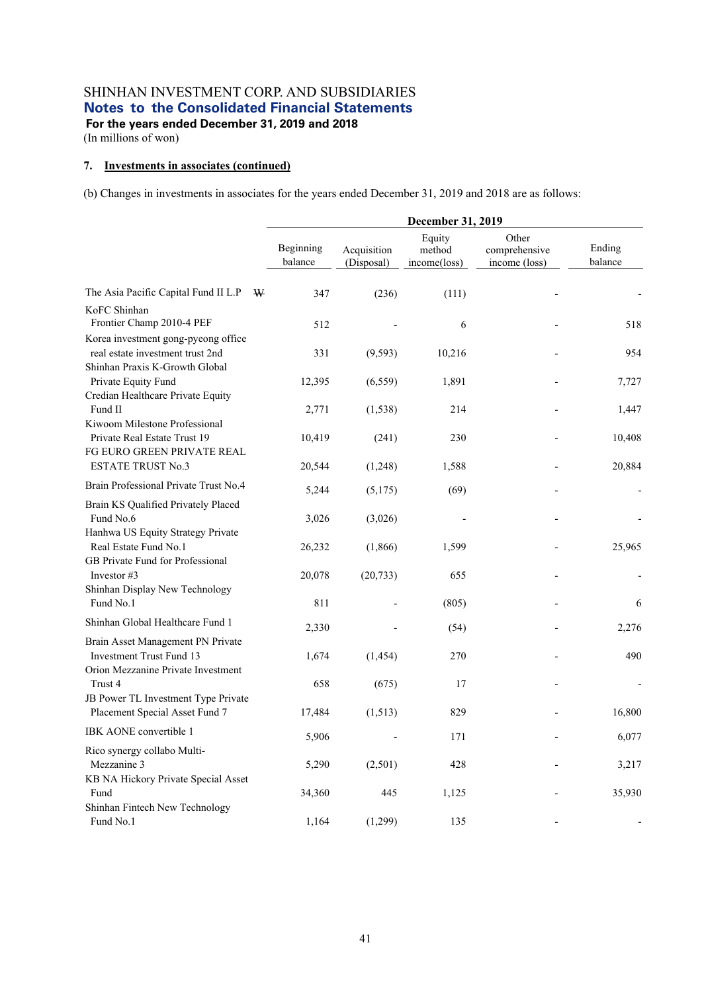(In millions of won)

#### **7. Investments in associates (continued)**

|                                                                                                |                      |                           | December 31, 2019                |                                         |                   |
|------------------------------------------------------------------------------------------------|----------------------|---------------------------|----------------------------------|-----------------------------------------|-------------------|
|                                                                                                | Beginning<br>balance | Acquisition<br>(Disposal) | Equity<br>method<br>income(loss) | Other<br>comprehensive<br>income (loss) | Ending<br>balance |
| The Asia Pacific Capital Fund II L.P<br>W                                                      | 347                  | (236)                     | (111)                            |                                         |                   |
| KoFC Shinhan<br>Frontier Champ 2010-4 PEF                                                      | 512                  |                           | 6                                |                                         | 518               |
| Korea investment gong-pyeong office<br>real estate investment trust 2nd                        | 331                  | (9, 593)                  | 10,216                           |                                         | 954               |
| Shinhan Praxis K-Growth Global<br>Private Equity Fund<br>Credian Healthcare Private Equity     | 12,395               | (6, 559)                  | 1,891                            |                                         | 7,727             |
| Fund II                                                                                        | 2,771                | (1, 538)                  | 214                              |                                         | 1,447             |
| Kiwoom Milestone Professional<br>Private Real Estate Trust 19<br>FG EURO GREEN PRIVATE REAL    | 10,419               | (241)                     | 230                              |                                         | 10,408            |
| <b>ESTATE TRUST No.3</b>                                                                       | 20,544               | (1,248)                   | 1,588                            |                                         | 20,884            |
| Brain Professional Private Trust No.4                                                          | 5,244                | (5,175)                   | (69)                             |                                         |                   |
| Brain KS Qualified Privately Placed<br>Fund No.6                                               | 3,026                | (3,026)                   |                                  |                                         |                   |
| Hanhwa US Equity Strategy Private<br>Real Estate Fund No.1<br>GB Private Fund for Professional | 26,232               | (1,866)                   | 1,599                            |                                         | 25,965            |
| Investor #3<br>Shinhan Display New Technology                                                  | 20,078               | (20, 733)                 | 655                              |                                         |                   |
| Fund No.1                                                                                      | 811                  |                           | (805)                            |                                         | 6                 |
| Shinhan Global Healthcare Fund 1                                                               | 2,330                |                           | (54)                             |                                         | 2,276             |
| Brain Asset Management PN Private<br>Investment Trust Fund 13                                  | 1,674                | (1, 454)                  | 270                              |                                         | 490               |
| Orion Mezzanine Private Investment<br>Trust 4<br>JB Power TL Investment Type Private           | 658                  | (675)                     | 17                               |                                         |                   |
| Placement Special Asset Fund 7                                                                 | 17,484               | (1,513)                   | 829                              |                                         | 16,800            |
| IBK AONE convertible 1                                                                         | 5,906                |                           | 171                              |                                         | 6,077             |
| Rico synergy collabo Multi-<br>Mezzanine 3                                                     | 5,290                | (2,501)                   | 428                              |                                         | 3,217             |
| KB NA Hickory Private Special Asset<br>Fund<br>Shinhan Fintech New Technology                  | 34,360               | 445                       | 1,125                            |                                         | 35,930            |
| Fund No.1                                                                                      | 1,164                | (1,299)                   | 135                              |                                         |                   |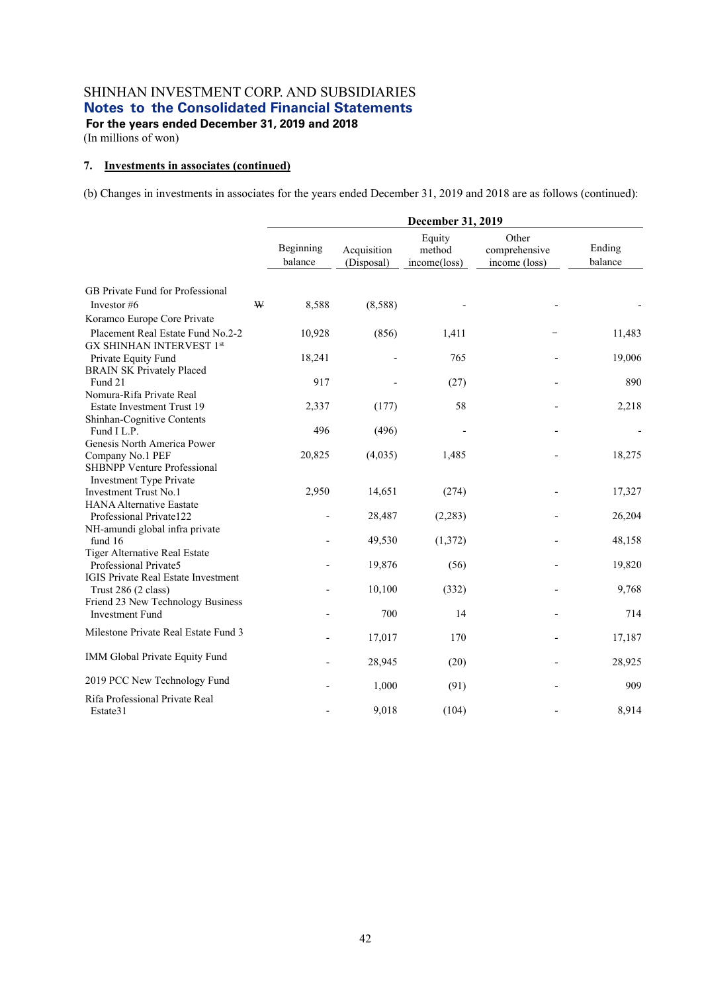(In millions of won)

#### **7. Investments in associates (continued)**

|                                                                      |             | December 31, 2019        |                           |                                  |                                         |                   |  |  |
|----------------------------------------------------------------------|-------------|--------------------------|---------------------------|----------------------------------|-----------------------------------------|-------------------|--|--|
|                                                                      |             | Beginning<br>balance     | Acquisition<br>(Disposal) | Equity<br>method<br>income(loss) | Other<br>comprehensive<br>income (loss) | Ending<br>balance |  |  |
| GB Private Fund for Professional                                     |             |                          |                           |                                  |                                         |                   |  |  |
| Investor #6                                                          | $\mathbf W$ | 8,588                    | (8,588)                   |                                  |                                         |                   |  |  |
| Koramco Europe Core Private                                          |             |                          |                           |                                  |                                         |                   |  |  |
| Placement Real Estate Fund No.2-2<br><b>GX SHINHAN INTERVEST 1st</b> |             | 10,928                   | (856)                     | 1,411                            |                                         | 11,483            |  |  |
|                                                                      |             | 18,241                   |                           | 765                              |                                         | 19,006            |  |  |
| Private Equity Fund<br><b>BRAIN SK Privately Placed</b>              |             |                          |                           |                                  |                                         |                   |  |  |
| Fund 21                                                              |             | 917                      |                           | (27)                             |                                         | 890               |  |  |
| Nomura-Rifa Private Real                                             |             |                          |                           |                                  |                                         |                   |  |  |
| Estate Investment Trust 19                                           |             | 2,337                    | (177)                     | 58                               |                                         | 2,218             |  |  |
| Shinhan-Cognitive Contents                                           |             |                          |                           |                                  |                                         |                   |  |  |
| Fund I L.P.                                                          |             | 496                      | (496)                     |                                  |                                         |                   |  |  |
| Genesis North America Power                                          |             |                          |                           |                                  |                                         |                   |  |  |
| Company No.1 PEF                                                     |             | 20,825                   | (4,035)                   | 1,485                            |                                         | 18,275            |  |  |
| <b>SHBNPP Venture Professional</b><br><b>Investment Type Private</b> |             |                          |                           |                                  |                                         |                   |  |  |
| <b>Investment Trust No.1</b>                                         |             | 2,950                    | 14,651                    | (274)                            |                                         | 17,327            |  |  |
| <b>HANA Alternative Eastate</b>                                      |             |                          |                           |                                  |                                         |                   |  |  |
| Professional Private122                                              |             | $\overline{a}$           | 28,487                    | (2, 283)                         |                                         | 26,204            |  |  |
| NH-amundi global infra private                                       |             |                          |                           |                                  |                                         |                   |  |  |
| fund 16                                                              |             |                          | 49,530                    | (1,372)                          |                                         | 48,158            |  |  |
| Tiger Alternative Real Estate                                        |             |                          |                           |                                  |                                         |                   |  |  |
| Professional Private5                                                |             |                          | 19,876                    | (56)                             |                                         | 19,820            |  |  |
| <b>IGIS Private Real Estate Investment</b>                           |             |                          |                           |                                  |                                         |                   |  |  |
| Trust 286 (2 class)                                                  |             |                          | 10,100                    | (332)                            |                                         | 9,768             |  |  |
| Friend 23 New Technology Business                                    |             |                          |                           |                                  |                                         |                   |  |  |
| <b>Investment Fund</b>                                               |             |                          | 700                       | 14                               |                                         | 714               |  |  |
| Milestone Private Real Estate Fund 3                                 |             |                          | 17,017                    | 170                              |                                         | 17,187            |  |  |
| IMM Global Private Equity Fund                                       |             |                          | 28,945                    | (20)                             |                                         | 28,925            |  |  |
| 2019 PCC New Technology Fund                                         |             |                          | 1,000                     | (91)                             |                                         | 909               |  |  |
| Rifa Professional Private Real<br>Estate31                           |             | $\overline{\phantom{0}}$ | 9,018                     | (104)                            |                                         | 8,914             |  |  |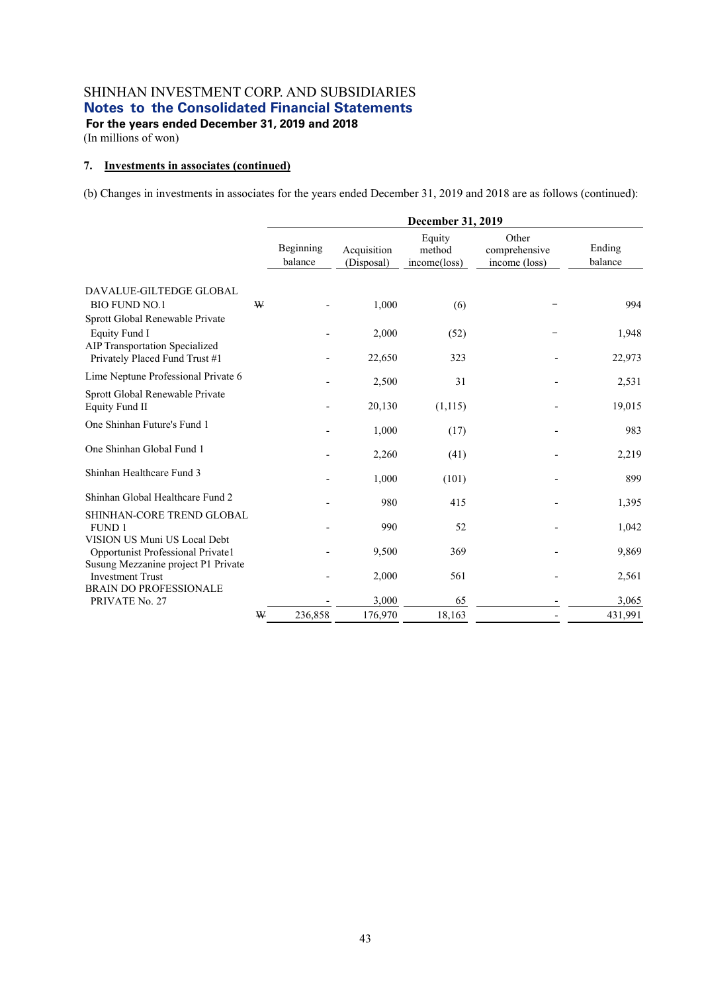(In millions of won)

#### **7. Investments in associates (continued)**

|                                                                                                 |   |                      |                           | December 31, 2019                |                                         |                   |
|-------------------------------------------------------------------------------------------------|---|----------------------|---------------------------|----------------------------------|-----------------------------------------|-------------------|
|                                                                                                 |   | Beginning<br>balance | Acquisition<br>(Disposal) | Equity<br>method<br>income(loss) | Other<br>comprehensive<br>income (loss) | Ending<br>balance |
| DAVALUE-GILTEDGE GLOBAL<br><b>BIO FUND NO.1</b>                                                 | W |                      | 1,000                     | (6)                              |                                         | 994               |
| Sprott Global Renewable Private<br>Equity Fund I<br>AIP Transportation Specialized              |   |                      | 2,000                     | (52)                             |                                         | 1,948             |
| Privately Placed Fund Trust #1<br>Lime Neptune Professional Private 6                           |   |                      | 22,650                    | 323                              |                                         | 22,973            |
| Sprott Global Renewable Private<br>Equity Fund II                                               |   |                      | 2,500<br>20,130           | 31<br>(1,115)                    |                                         | 2,531<br>19,015   |
| One Shinhan Future's Fund 1                                                                     |   |                      | 1,000                     | (17)                             |                                         | 983               |
| One Shinhan Global Fund 1                                                                       |   |                      | 2,260                     | (41)                             |                                         | 2,219             |
| Shinhan Healthcare Fund 3                                                                       |   |                      | 1,000                     | (101)                            |                                         | 899               |
| Shinhan Global Healthcare Fund 2                                                                |   |                      | 980                       | 415                              |                                         | 1,395             |
| SHINHAN-CORE TREND GLOBAL<br><b>FUND 1</b>                                                      |   |                      | 990                       | 52                               |                                         | 1,042             |
| VISION US Muni US Local Debt<br>Opportunist Professional Private1                               |   |                      | 9,500                     | 369                              |                                         | 9,869             |
| Susung Mezzanine project P1 Private<br><b>Investment Trust</b><br><b>BRAIN DO PROFESSIONALE</b> |   |                      | 2,000                     | 561                              |                                         | 2,561             |
| PRIVATE No. 27                                                                                  |   |                      | 3,000                     | 65                               |                                         | 3,065             |
|                                                                                                 | W | 236,858              | 176,970                   | 18,163                           |                                         | 431,991           |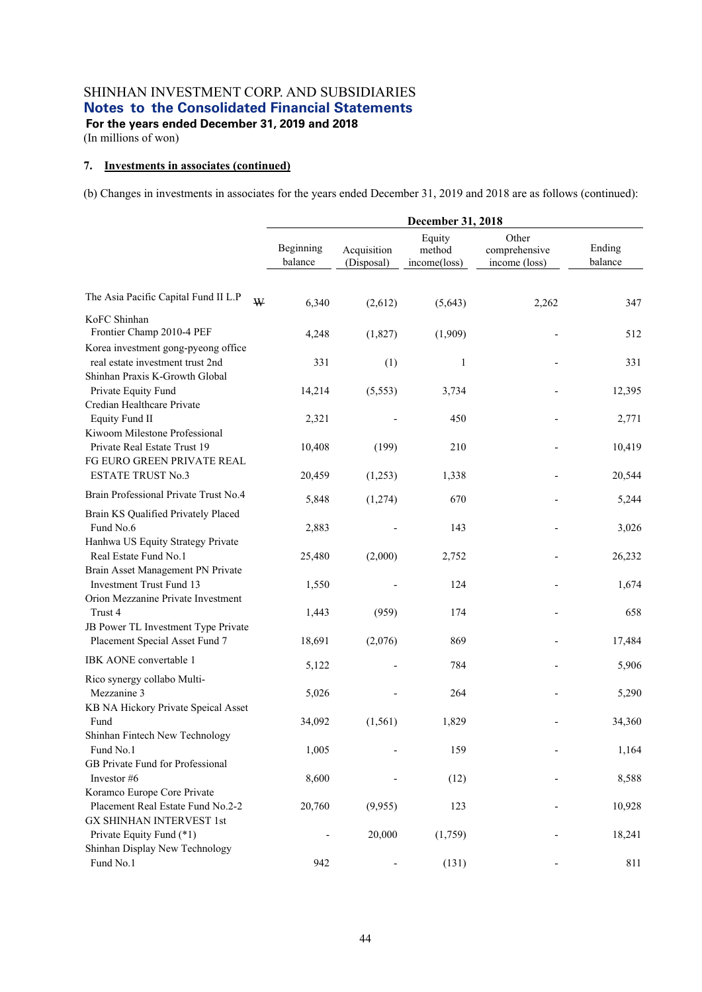(In millions of won)

#### **7. Investments in associates (continued)**

|                                                                                                           |                      |                           | December 31, 2018                |                                         |                   |
|-----------------------------------------------------------------------------------------------------------|----------------------|---------------------------|----------------------------------|-----------------------------------------|-------------------|
|                                                                                                           | Beginning<br>balance | Acquisition<br>(Disposal) | Equity<br>method<br>income(loss) | Other<br>comprehensive<br>income (loss) | Ending<br>balance |
| The Asia Pacific Capital Fund II L.P<br>W                                                                 | 6,340                | (2,612)                   | (5,643)                          | 2,262                                   | 347               |
| KoFC Shinhan<br>Frontier Champ 2010-4 PEF                                                                 | 4,248                | (1,827)                   | (1,909)                          |                                         | 512               |
| Korea investment gong-pyeong office<br>real estate investment trust 2nd<br>Shinhan Praxis K-Growth Global | 331                  | (1)                       | $\mathbf{1}$                     |                                         | 331               |
| Private Equity Fund<br>Credian Healthcare Private                                                         | 14,214               | (5, 553)                  | 3,734                            |                                         | 12,395            |
| <b>Equity Fund II</b><br>Kiwoom Milestone Professional                                                    | 2,321                |                           | 450                              |                                         | 2,771             |
| Private Real Estate Trust 19<br>FG EURO GREEN PRIVATE REAL                                                | 10,408               | (199)                     | 210                              |                                         | 10,419            |
| <b>ESTATE TRUST No.3</b>                                                                                  | 20,459               | (1,253)                   | 1,338                            |                                         | 20,544            |
| Brain Professional Private Trust No.4                                                                     | 5,848                | (1,274)                   | 670                              |                                         | 5,244             |
| Brain KS Qualified Privately Placed<br>Fund No.6<br>Hanhwa US Equity Strategy Private                     | 2,883                |                           | 143                              |                                         | 3,026             |
| Real Estate Fund No.1                                                                                     | 25,480               | (2,000)                   | 2,752                            |                                         | 26,232            |
| Brain Asset Management PN Private<br><b>Investment Trust Fund 13</b>                                      | 1,550                |                           | 124                              |                                         | 1,674             |
| Orion Mezzanine Private Investment<br>Trust 4                                                             | 1,443                | (959)                     | 174                              |                                         | 658               |
| JB Power TL Investment Type Private<br>Placement Special Asset Fund 7                                     | 18,691               | (2,076)                   | 869                              |                                         | 17,484            |
| IBK AONE convertable 1                                                                                    | 5,122                |                           | 784                              |                                         | 5,906             |
| Rico synergy collabo Multi-<br>Mezzanine 3<br>KB NA Hickory Private Speical Asset                         | 5,026                |                           | 264                              |                                         | 5,290             |
| Fund                                                                                                      | 34,092               | (1, 561)                  | 1,829                            |                                         | 34,360            |
| Shinhan Fintech New Technology<br>Fund No.1<br>GB Private Fund for Professional                           | 1,005                |                           | 159                              |                                         | 1,164             |
| Investor #6                                                                                               | 8,600                |                           | (12)                             |                                         | 8,588             |
| Koramco Europe Core Private<br>Placement Real Estate Fund No.2-2<br><b>GX SHINHAN INTERVEST 1st</b>       | 20,760               | (9,955)                   | 123                              |                                         | 10,928            |
| Private Equity Fund (*1)<br>Shinhan Display New Technology                                                |                      | 20,000                    | (1,759)                          |                                         | 18,241            |
| Fund No.1                                                                                                 | 942                  |                           | (131)                            |                                         | 811               |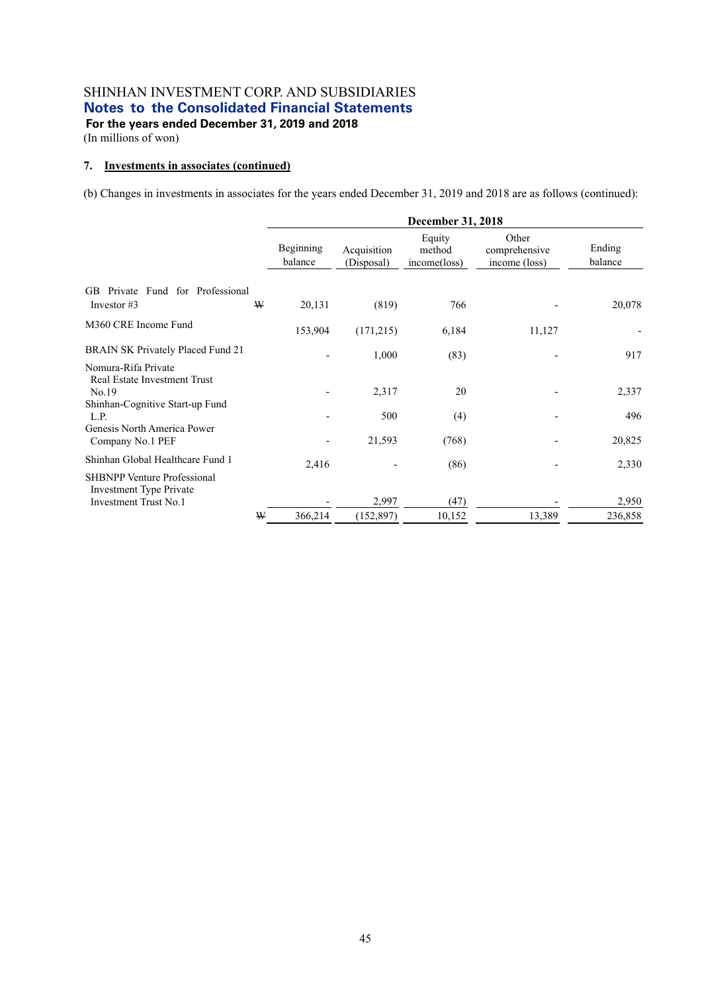(In millions of won)

#### **7. Investments in associates (continued)**

|                                                                      |   |                      |                           | <b>December 31, 2018</b>         |                                         |                   |
|----------------------------------------------------------------------|---|----------------------|---------------------------|----------------------------------|-----------------------------------------|-------------------|
|                                                                      |   | Beginning<br>balance | Acquisition<br>(Disposal) | Equity<br>method<br>income(loss) | Other<br>comprehensive<br>income (loss) | Ending<br>balance |
| Private Fund for Professional<br>GB.                                 |   |                      |                           |                                  |                                         |                   |
| Investor $#3$                                                        | W | 20,131               | (819)                     | 766                              |                                         | 20,078            |
| M360 CRE Income Fund                                                 |   | 153,904              | (171,215)                 | 6,184                            | 11,127                                  |                   |
| <b>BRAIN SK Privately Placed Fund 21</b>                             |   |                      | 1,000                     | (83)                             |                                         | 917               |
| Nomura-Rifa Private<br>Real Estate Investment Trust                  |   |                      |                           |                                  |                                         |                   |
| No.19                                                                |   |                      | 2,317                     | 20                               |                                         | 2,337             |
| Shinhan-Cognitive Start-up Fund<br>L.P.                              |   |                      | 500                       | (4)                              |                                         | 496               |
| Genesis North America Power<br>Company No.1 PEF                      |   |                      | 21,593                    | (768)                            |                                         | 20,825            |
| Shinhan Global Healthcare Fund 1                                     |   | 2,416                |                           | (86)                             |                                         | 2,330             |
| <b>SHBNPP Venture Professional</b><br><b>Investment Type Private</b> |   |                      |                           |                                  |                                         |                   |
| Investment Trust No.1                                                |   |                      | 2,997                     | (47)                             |                                         | 2,950             |
|                                                                      | W | 366,214              | (152, 897)                | 10,152                           | 13,389                                  | 236,858           |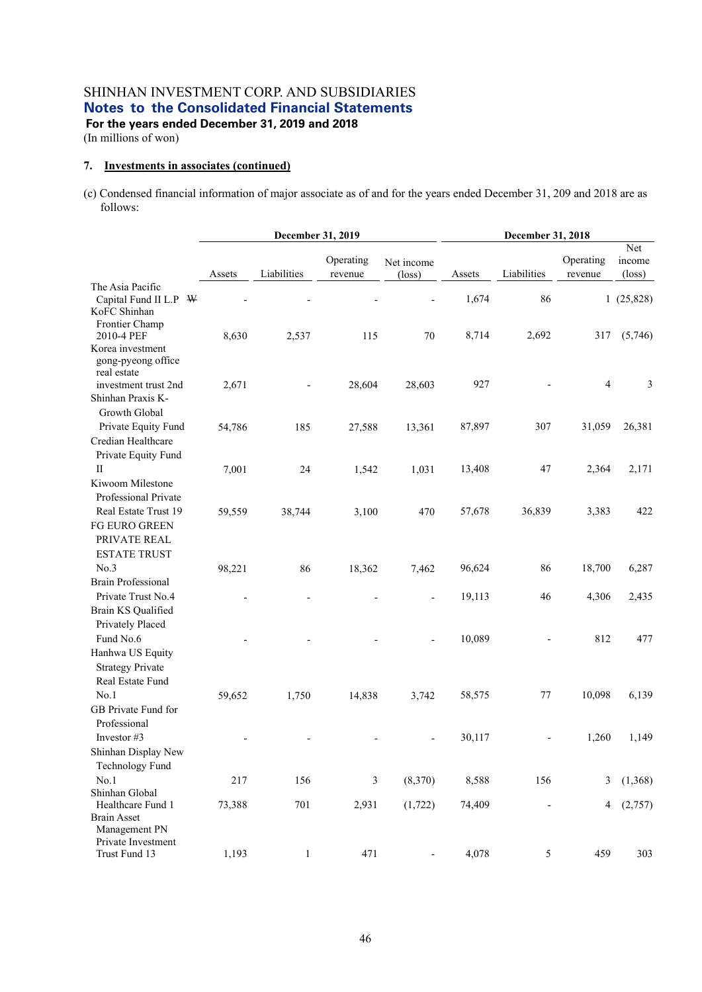(In millions of won)

#### **7. Investments in associates (continued)**

(c) Condensed financial information of major associate as of and for the years ended December 31, 209 and 2018 are as follows:

|                                                                                                  |        | December 31, 2019 |                      |                               | December 31, 2018 |             |                      |                                  |
|--------------------------------------------------------------------------------------------------|--------|-------------------|----------------------|-------------------------------|-------------------|-------------|----------------------|----------------------------------|
|                                                                                                  | Assets | Liabilities       | Operating<br>revenue | Net income<br>$(\text{loss})$ | Assets            | Liabilities | Operating<br>revenue | Net<br>income<br>$(\text{loss})$ |
| The Asia Pacific<br>Capital Fund II L.P<br>W<br>KoFC Shinhan                                     |        |                   |                      |                               | 1,674             | 86          |                      | 1(25,828)                        |
| Frontier Champ<br>2010-4 PEF<br>Korea investment<br>gong-pyeong office                           | 8,630  | 2,537             | 115                  | 70                            | 8,714             | 2,692       | 317                  | (5,746)                          |
| real estate<br>investment trust 2nd<br>Shinhan Praxis K-<br>Growth Global                        | 2,671  |                   | 28,604               | 28,603                        | 927               |             | $\overline{4}$       | 3                                |
| Private Equity Fund<br>Credian Healthcare<br>Private Equity Fund                                 | 54,786 | 185               | 27,588               | 13,361                        | 87,897            | 307         | 31,059               | 26,381                           |
| П<br>Kiwoom Milestone<br>Professional Private                                                    | 7,001  | 24                | 1,542                | 1,031                         | 13,408            | 47          | 2,364                | 2,171                            |
| Real Estate Trust 19<br>FG EURO GREEN<br>PRIVATE REAL<br><b>ESTATE TRUST</b>                     | 59,559 | 38,744            | 3,100                | 470                           | 57,678            | 36,839      | 3,383                | 422                              |
| No.3                                                                                             | 98,221 | 86                | 18,362               | 7,462                         | 96,624            | 86          | 18,700               | 6,287                            |
| <b>Brain Professional</b><br>Private Trust No.4<br>Brain KS Qualified<br>Privately Placed        |        |                   |                      |                               | 19,113            | 46          | 4,306                | 2,435                            |
| Fund No.6<br>Hanhwa US Equity<br><b>Strategy Private</b><br>Real Estate Fund                     |        |                   |                      |                               | 10,089            |             | 812                  | 477                              |
| No.1<br>GB Private Fund for<br>Professional                                                      | 59,652 | 1,750             | 14,838               | 3,742                         | 58,575            | $77 \,$     | 10,098               | 6,139                            |
| Investor #3<br>Shinhan Display New<br>Technology Fund                                            |        |                   |                      |                               | 30,117            |             | 1,260                | 1,149                            |
| No.1                                                                                             | 217    | 156               | 3                    | (8,370)                       | 8,588             | 156         | 3                    | (1,368)                          |
| Shinhan Global<br>Healthcare Fund 1<br><b>Brain Asset</b><br>Management PN<br>Private Investment | 73,388 | 701               | 2,931                | (1, 722)                      | 74,409            |             | 4                    | (2,757)                          |
| Trust Fund 13                                                                                    | 1,193  | $\mathbf{1}$      | 471                  |                               | 4,078             | 5           | 459                  | 303                              |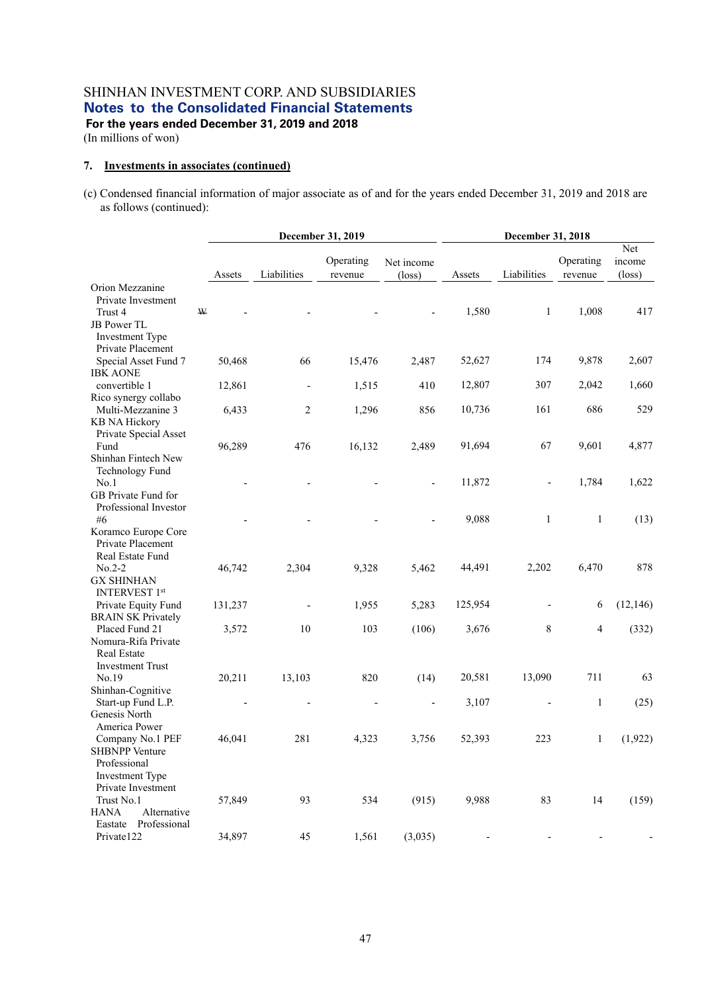(In millions of won)

#### **7. Investments in associates (continued)**

(c) Condensed financial information of major associate as of and for the years ended December 31, 2019 and 2018 are as follows (continued):

|                                                                                                                     |   | December 31, 2019 |                          |                      |                               | December 31, 2018 |              |                      |                                  |  |
|---------------------------------------------------------------------------------------------------------------------|---|-------------------|--------------------------|----------------------|-------------------------------|-------------------|--------------|----------------------|----------------------------------|--|
|                                                                                                                     |   | Assets            | Liabilities              | Operating<br>revenue | Net income<br>$(\text{loss})$ | Assets            | Liabilities  | Operating<br>revenue | Net<br>income<br>$(\text{loss})$ |  |
| Orion Mezzanine<br>Private Investment<br>Trust 4<br>JB Power TL                                                     | W |                   |                          |                      |                               | 1,580             | $\mathbf{1}$ | 1,008                | 417                              |  |
| Investment Type<br>Private Placement<br>Special Asset Fund 7<br><b>IBK AONE</b>                                     |   | 50,468            | 66                       | 15,476               | 2,487                         | 52,627            | 174          | 9,878                | 2,607                            |  |
| convertible 1                                                                                                       |   | 12,861            | $\overline{\phantom{0}}$ | 1,515                | 410                           | 12,807            | 307          | 2,042                | 1,660                            |  |
| Rico synergy collabo<br>Multi-Mezzanine 3<br><b>KB NA Hickory</b><br>Private Special Asset                          |   | 6,433             | $\overline{c}$           | 1,296                | 856                           | 10,736            | 161          | 686                  | 529                              |  |
| Fund<br>Shinhan Fintech New<br>Technology Fund                                                                      |   | 96,289            | 476                      | 16,132               | 2,489                         | 91,694            | 67           | 9,601                | 4,877                            |  |
| No.1<br>GB Private Fund for<br>Professional Investor                                                                |   |                   |                          |                      | $\overline{a}$                | 11,872            |              | 1,784                | 1,622                            |  |
| #6<br>Koramco Europe Core<br>Private Placement<br>Real Estate Fund                                                  |   |                   |                          |                      |                               | 9,088             | $\mathbf{1}$ | $\mathbf{1}$         | (13)                             |  |
| $No.2-2$<br><b>GX SHINHAN</b><br><b>INTERVEST 1st</b>                                                               |   | 46,742            | 2,304                    | 9,328                | 5,462                         | 44,491            | 2,202        | 6,470                | 878                              |  |
| Private Equity Fund<br><b>BRAIN SK Privately</b>                                                                    |   | 131,237           |                          | 1,955                | 5,283                         | 125,954           |              | 6                    | (12, 146)                        |  |
| Placed Fund 21<br>Nomura-Rifa Private<br>Real Estate<br><b>Investment Trust</b>                                     |   | 3,572             | 10                       | 103                  | (106)                         | 3,676             | 8            | $\overline{4}$       | (332)                            |  |
| No.19                                                                                                               |   | 20,211            | 13,103                   | 820                  | (14)                          | 20,581            | 13,090       | 711                  | 63                               |  |
| Shinhan-Cognitive<br>Start-up Fund L.P.<br>Genesis North                                                            |   |                   |                          |                      | L,                            | 3,107             |              | $\mathbf{1}$         | (25)                             |  |
| America Power<br>Company No.1 PEF<br><b>SHBNPP Venture</b><br>Professional<br>Investment Type<br>Private Investment |   | 46,041            | 281                      | 4,323                | 3,756                         | 52,393            | 223          | $\,1$                | (1,922)                          |  |
| Trust No.1<br><b>HANA</b><br>Alternative<br>Eastate Professional                                                    |   | 57,849            | 93                       | 534                  | (915)                         | 9,988             | 83           | 14                   | (159)                            |  |
| Private122                                                                                                          |   | 34,897            | 45                       | 1,561                | (3,035)                       |                   |              |                      |                                  |  |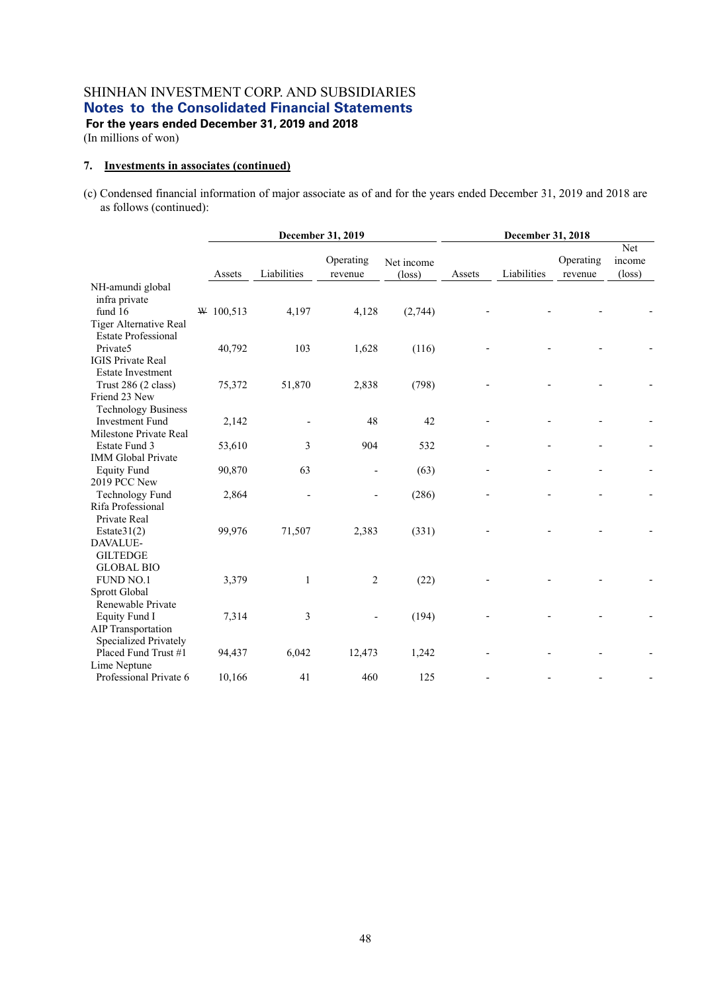(In millions of won)

#### **7. Investments in associates (continued)**

(c) Condensed financial information of major associate as of and for the years ended December 31, 2019 and 2018 are as follows (continued):

|                                         | December 31, 2019 |             |                      |                               | December 31, 2018 |             |                      |                                  |  |
|-----------------------------------------|-------------------|-------------|----------------------|-------------------------------|-------------------|-------------|----------------------|----------------------------------|--|
|                                         | Assets            | Liabilities | Operating<br>revenue | Net income<br>$(\text{loss})$ | Assets            | Liabilities | Operating<br>revenue | Net<br>income<br>$(\text{loss})$ |  |
| NH-amundi global                        |                   |             |                      |                               |                   |             |                      |                                  |  |
| infra private                           |                   |             |                      |                               |                   |             |                      |                                  |  |
| fund 16                                 | W 100,513         | 4,197       | 4,128                | (2,744)                       |                   |             |                      |                                  |  |
| Tiger Alternative Real                  |                   |             |                      |                               |                   |             |                      |                                  |  |
| <b>Estate Professional</b>              |                   |             |                      |                               |                   |             |                      |                                  |  |
| Private5                                | 40,792            | 103         | 1,628                | (116)                         |                   |             |                      |                                  |  |
| <b>IGIS Private Real</b>                |                   |             |                      |                               |                   |             |                      |                                  |  |
| <b>Estate Investment</b>                |                   |             |                      |                               |                   |             |                      |                                  |  |
| Trust 286 (2 class)                     | 75,372            | 51,870      | 2,838                | (798)                         |                   |             |                      |                                  |  |
| Friend 23 New                           |                   |             |                      |                               |                   |             |                      |                                  |  |
| <b>Technology Business</b>              |                   |             |                      |                               |                   |             |                      |                                  |  |
| <b>Investment Fund</b>                  | 2,142             |             | 48                   | 42                            |                   |             |                      |                                  |  |
| Milestone Private Real<br>Estate Fund 3 | 53,610            | 3           | 904                  | 532                           |                   |             |                      |                                  |  |
| <b>IMM Global Private</b>               |                   |             |                      |                               |                   |             |                      |                                  |  |
| <b>Equity Fund</b>                      | 90,870            | 63          |                      | (63)                          |                   |             |                      |                                  |  |
| 2019 PCC New                            |                   |             |                      |                               |                   |             |                      |                                  |  |
| Technology Fund                         | 2,864             |             |                      | (286)                         |                   |             |                      |                                  |  |
| Rifa Professional                       |                   |             |                      |                               |                   |             |                      |                                  |  |
| Private Real                            |                   |             |                      |                               |                   |             |                      |                                  |  |
| Estate $31(2)$                          | 99,976            | 71,507      | 2,383                | (331)                         |                   |             |                      |                                  |  |
| DAVALUE-                                |                   |             |                      |                               |                   |             |                      |                                  |  |
| <b>GILTEDGE</b>                         |                   |             |                      |                               |                   |             |                      |                                  |  |
| <b>GLOBAL BIO</b>                       |                   |             |                      |                               |                   |             |                      |                                  |  |
| <b>FUND NO.1</b>                        | 3,379             | 1           | 2                    | (22)                          |                   |             |                      |                                  |  |
| Sprott Global                           |                   |             |                      |                               |                   |             |                      |                                  |  |
| Renewable Private                       |                   |             |                      |                               |                   |             |                      |                                  |  |
| <b>Equity Fund I</b>                    | 7,314             | 3           |                      | (194)                         |                   |             |                      |                                  |  |
| <b>AIP</b> Transportation               |                   |             |                      |                               |                   |             |                      |                                  |  |
| Specialized Privately                   |                   |             |                      |                               |                   |             |                      |                                  |  |
| Placed Fund Trust #1                    | 94,437            | 6,042       | 12,473               | 1,242                         |                   |             |                      |                                  |  |
| Lime Neptune                            |                   |             |                      |                               |                   |             |                      |                                  |  |
| Professional Private 6                  | 10,166            | 41          | 460                  | 125                           |                   |             |                      |                                  |  |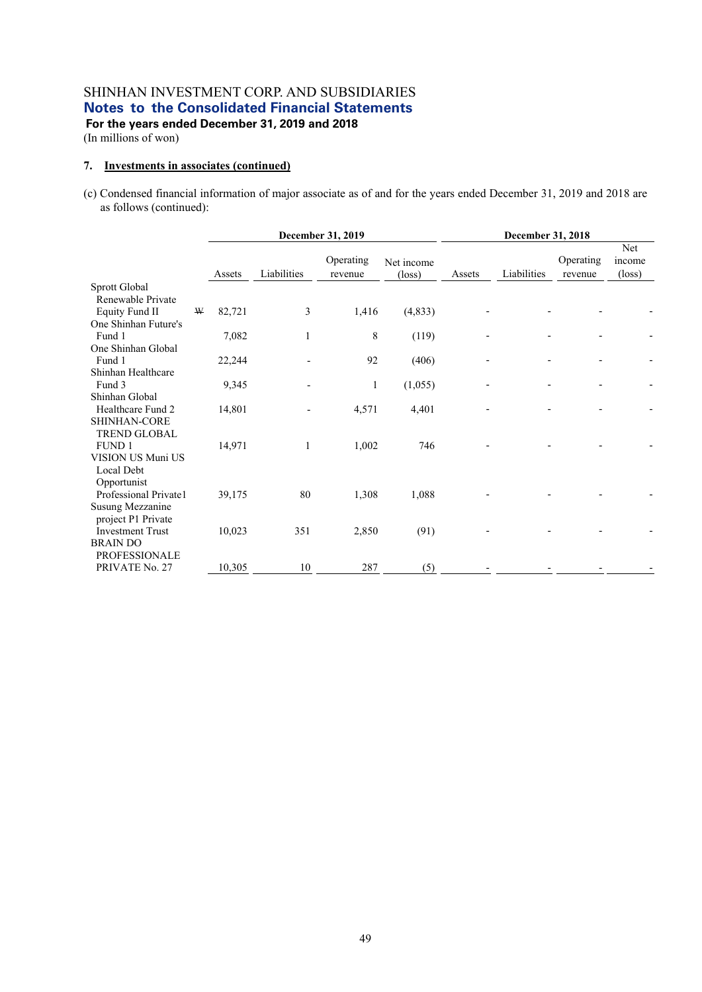(In millions of won)

#### **7. Investments in associates (continued)**

(c) Condensed financial information of major associate as of and for the years ended December 31, 2019 and 2018 are as follows (continued):

|                         |   | December 31, 2019 |             |                      |                               | December 31, 2018 |             |                      |                                  |
|-------------------------|---|-------------------|-------------|----------------------|-------------------------------|-------------------|-------------|----------------------|----------------------------------|
|                         |   | Assets            | Liabilities | Operating<br>revenue | Net income<br>$(\text{loss})$ | Assets            | Liabilities | Operating<br>revenue | Net<br>income<br>$(\text{loss})$ |
| Sprott Global           |   |                   |             |                      |                               |                   |             |                      |                                  |
| Renewable Private       |   |                   |             |                      |                               |                   |             |                      |                                  |
| <b>Equity Fund II</b>   | W | 82,721            | 3           | 1,416                | (4, 833)                      |                   |             |                      |                                  |
| One Shinhan Future's    |   |                   |             |                      |                               |                   |             |                      |                                  |
| Fund 1                  |   | 7,082             |             | 8                    | (119)                         |                   |             |                      |                                  |
| One Shinhan Global      |   |                   |             |                      |                               |                   |             |                      |                                  |
| Fund 1                  |   | 22,244            |             | 92                   | (406)                         |                   |             |                      |                                  |
| Shinhan Healthcare      |   |                   |             |                      |                               |                   |             |                      |                                  |
| Fund 3                  |   | 9,345             |             | 1                    | (1,055)                       |                   |             |                      |                                  |
| Shinhan Global          |   |                   |             |                      |                               |                   |             |                      |                                  |
| Healthcare Fund 2       |   | 14,801            |             | 4,571                | 4,401                         |                   |             |                      |                                  |
| SHINHAN-CORE            |   |                   |             |                      |                               |                   |             |                      |                                  |
| <b>TREND GLOBAL</b>     |   |                   |             |                      |                               |                   |             |                      |                                  |
| <b>FUND1</b>            |   | 14,971            |             | 1,002                | 746                           |                   |             |                      |                                  |
| VISION US Muni US       |   |                   |             |                      |                               |                   |             |                      |                                  |
| Local Debt              |   |                   |             |                      |                               |                   |             |                      |                                  |
| Opportunist             |   |                   |             |                      |                               |                   |             |                      |                                  |
| Professional Private1   |   | 39,175            | 80          | 1,308                | 1,088                         |                   |             |                      |                                  |
| Susung Mezzanine        |   |                   |             |                      |                               |                   |             |                      |                                  |
| project P1 Private      |   |                   |             |                      |                               |                   |             |                      |                                  |
| <b>Investment Trust</b> |   | 10,023            | 351         | 2,850                | (91)                          |                   |             |                      |                                  |
| <b>BRAIN DO</b>         |   |                   |             |                      |                               |                   |             |                      |                                  |
| <b>PROFESSIONALE</b>    |   |                   |             |                      |                               |                   |             |                      |                                  |
| PRIVATE No. 27          |   | 10,305            | 10          | 287                  | (5)                           |                   |             |                      |                                  |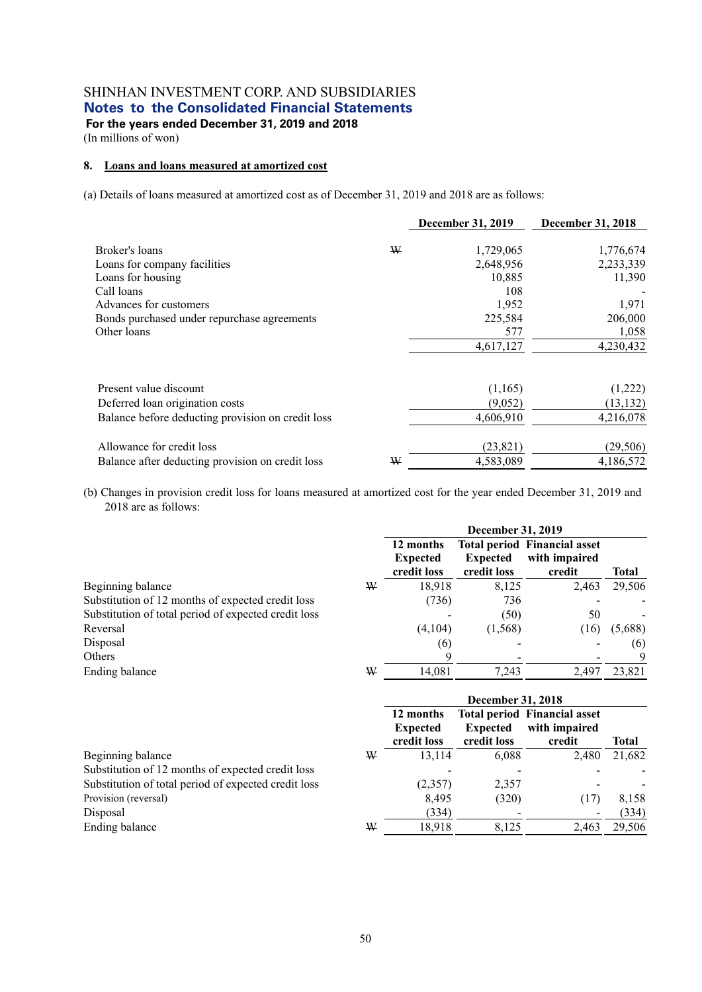(In millions of won)

#### **8. Loans and loans measured at amortized cost**

(a) Details of loans measured at amortized cost as of December 31, 2019 and 2018 are as follows:

|                                                   |   | <b>December 31, 2019</b> | December 31, 2018 |
|---------------------------------------------------|---|--------------------------|-------------------|
|                                                   |   |                          |                   |
| Broker's loans                                    | W | 1,729,065                | 1,776,674         |
| Loans for company facilities                      |   | 2,648,956                | 2,233,339         |
| Loans for housing                                 |   | 10,885                   | 11,390            |
| Call loans                                        |   | 108                      |                   |
| Advances for customers                            |   | 1,952                    | 1,971             |
| Bonds purchased under repurchase agreements       |   | 225,584                  | 206,000           |
| Other loans                                       |   | 577                      | 1,058             |
|                                                   |   | 4,617,127                | 4,230,432         |
| Present value discount                            |   | (1,165)                  | (1,222)           |
| Deferred loan origination costs                   |   | (9,052)                  | (13, 132)         |
| Balance before deducting provision on credit loss |   | 4,606,910                | 4,216,078         |
| Allowance for credit loss                         |   | (23, 821)                | (29, 506)         |
| Balance after deducting provision on credit loss  | W | 4,583,089                | 4,186,572         |

(b) Changes in provision credit loss for loans measured at amortized cost for the year ended December 31, 2019 and 2018 are as follows:

|                                                      |   |                                             | <b>December 31, 2019</b>       |                                                                |         |
|------------------------------------------------------|---|---------------------------------------------|--------------------------------|----------------------------------------------------------------|---------|
|                                                      |   | 12 months<br><b>Expected</b><br>credit loss | <b>Expected</b><br>credit loss | <b>Total period Financial asset</b><br>with impaired<br>credit | Total   |
| Beginning balance                                    | W | 18,918                                      | 8,125                          | 2,463                                                          | 29,506  |
| Substitution of 12 months of expected credit loss    |   | (736)                                       | 736                            |                                                                |         |
| Substitution of total period of expected credit loss |   |                                             | (50)                           | 50                                                             |         |
| Reversal                                             |   | (4,104)                                     | (1, 568)                       | (16)                                                           | (5,688) |
| Disposal                                             |   | (6)                                         |                                |                                                                | (6)     |
| Others                                               |   | 9                                           |                                |                                                                | 9       |
| Ending balance                                       | W | 14,081                                      | 7,243                          | 2,497                                                          | 23,821  |
|                                                      |   |                                             | <b>December 31, 2018</b>       |                                                                |         |

| 12 months<br><b>Expected</b><br>credit loss | <b>Expected</b><br>credit loss | with impaired<br>credit              | Total                                                          |
|---------------------------------------------|--------------------------------|--------------------------------------|----------------------------------------------------------------|
|                                             |                                | 2.480                                | 21,682                                                         |
|                                             |                                |                                      |                                                                |
|                                             | 2,357                          |                                      |                                                                |
|                                             |                                | (17)                                 | 8,158                                                          |
| (334)                                       |                                | $\overline{\phantom{a}}$             | (334)                                                          |
|                                             |                                | 2,463                                | 29,506                                                         |
| ₩                                           | W                              | 13.114<br>(2,357)<br>8,495<br>18.918 | <b>Total period Financial asset</b><br>6.088<br>(320)<br>8.125 |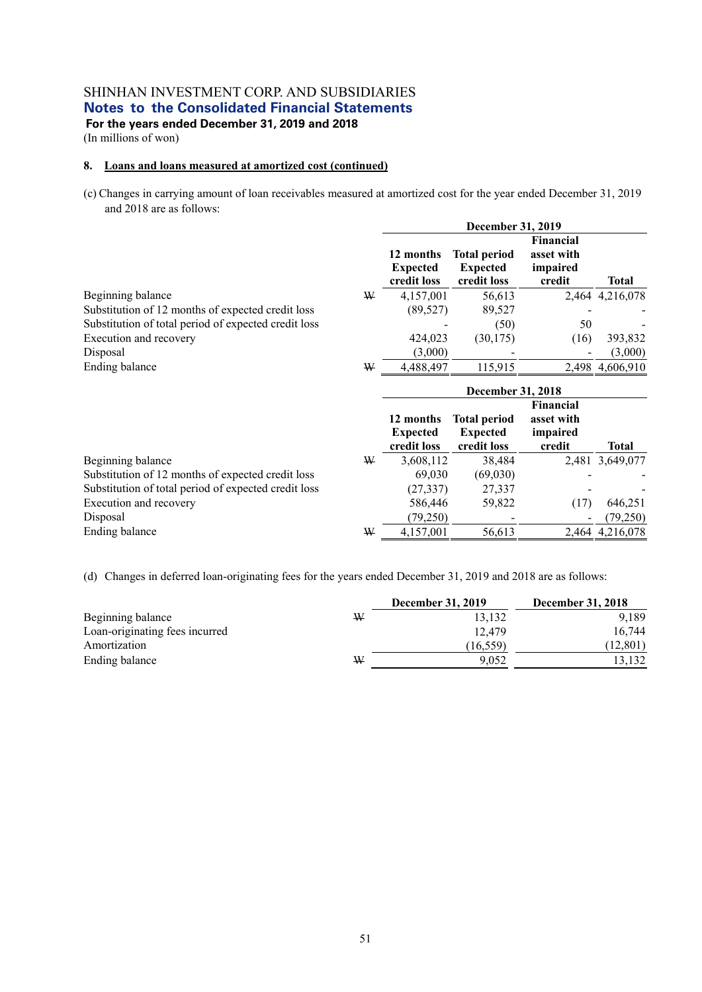(In millions of won)

#### **8. Loans and loans measured at amortized cost (continued)**

(c) Changes in carrying amount of loan receivables measured at amortized cost for the year ended December 31, 2019 and 2018 are as follows:

|                                                      | December 31, 2019                           |                                                       |                                               |                 |  |  |
|------------------------------------------------------|---------------------------------------------|-------------------------------------------------------|-----------------------------------------------|-----------------|--|--|
|                                                      | 12 months<br><b>Expected</b><br>credit loss | <b>Total period</b><br><b>Expected</b><br>credit loss | Financial<br>asset with<br>impaired<br>credit | <b>Total</b>    |  |  |
| Beginning balance<br>₩                               | 4,157,001                                   | 56,613                                                |                                               | 2,464 4,216,078 |  |  |
| Substitution of 12 months of expected credit loss    | (89, 527)                                   | 89,527                                                |                                               |                 |  |  |
| Substitution of total period of expected credit loss |                                             | (50)                                                  | 50                                            |                 |  |  |
| Execution and recovery                               | 424,023                                     | (30, 175)                                             | (16)                                          | 393,832         |  |  |
| Disposal                                             | (3,000)                                     |                                                       |                                               | (3,000)         |  |  |
| Ending balance<br>₩                                  | 4,488,497                                   | 115,915                                               | 2.498                                         | 4,606,910       |  |  |

|                                                      |   | December 31, 2018                           |                                                       |                                               |                 |  |  |
|------------------------------------------------------|---|---------------------------------------------|-------------------------------------------------------|-----------------------------------------------|-----------------|--|--|
|                                                      |   | 12 months<br><b>Expected</b><br>credit loss | <b>Total period</b><br><b>Expected</b><br>credit loss | Financial<br>asset with<br>impaired<br>credit | <b>Total</b>    |  |  |
| Beginning balance                                    | ₩ | 3,608,112                                   | 38,484                                                |                                               | 2,481 3,649,077 |  |  |
| Substitution of 12 months of expected credit loss    |   | 69,030                                      | (69,030)                                              |                                               |                 |  |  |
| Substitution of total period of expected credit loss |   | (27, 337)                                   | 27,337                                                |                                               |                 |  |  |
| Execution and recovery                               |   | 586,446                                     | 59,822                                                | (17)                                          | 646,251         |  |  |
| Disposal                                             |   | (79,250)                                    |                                                       |                                               | (79,250)        |  |  |
| Ending balance                                       | ₩ | 4,157,001                                   | 56,613                                                |                                               | 2,464 4,216,078 |  |  |

(d) Changes in deferred loan-originating fees for the years ended December 31, 2019 and 2018 are as follows:

|                                |   | <b>December 31, 2019</b> | <b>December 31, 2018</b> |
|--------------------------------|---|--------------------------|--------------------------|
| Beginning balance              | ₩ | 13.132                   | 9.189                    |
| Loan-originating fees incurred |   | 12.479                   | 16,744                   |
| Amortization                   |   | (16.559)                 | (12, 801)                |
| Ending balance                 | ₩ | 9.052                    | 3.132                    |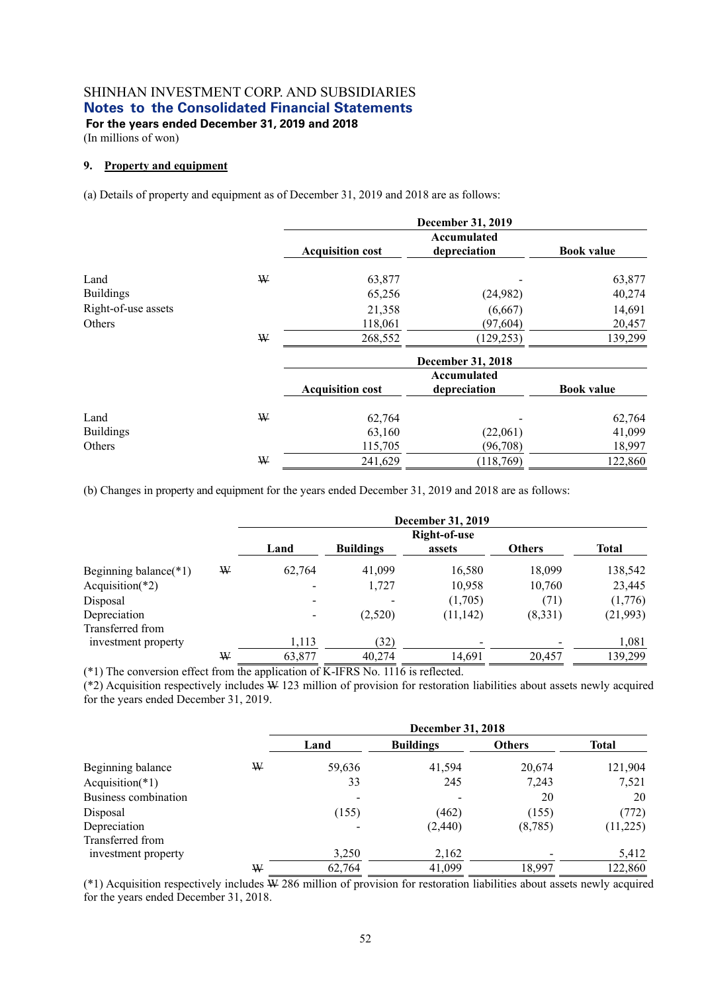**For the years ended December 31, 2019 and 2018**  (In millions of won)

#### **9. Property and equipment**

(a) Details of property and equipment as of December 31, 2019 and 2018 are as follows:

|                     |   |                         | <b>December 31, 2019</b>    |                   |
|---------------------|---|-------------------------|-----------------------------|-------------------|
|                     |   | <b>Acquisition cost</b> | Accumulated<br>depreciation | <b>Book value</b> |
| Land                | ₩ | 63,877                  |                             | 63,877            |
| <b>Buildings</b>    |   | 65,256                  | (24,982)                    | 40,274            |
| Right-of-use assets |   | 21,358                  | (6,667)                     | 14,691            |
| Others              |   | 118,061                 | (97, 604)                   | 20,457            |
|                     | ₩ | 268,552                 | (129, 253)                  | 139,299           |
|                     |   |                         | December 31, 2018           |                   |
|                     |   | <b>Acquisition cost</b> | Accumulated<br>depreciation | <b>Book value</b> |
| Land                | W | 62,764                  |                             | 62,764            |
| <b>Buildings</b>    |   | 63,160                  | (22,061)                    | 41,099            |
| Others              |   | 115,705                 | (96,708)                    | 18,997            |
|                     | ₩ | 241,629                 | (118, 769)                  | 122,860           |

(b) Changes in property and equipment for the years ended December 31, 2019 and 2018 are as follows:

|                                  |   | December 31, 2019        |                  |              |               |              |  |
|----------------------------------|---|--------------------------|------------------|--------------|---------------|--------------|--|
|                                  |   |                          |                  | Right-of-use |               |              |  |
|                                  |   | Land                     | <b>Buildings</b> | assets       | <b>Others</b> | <b>Total</b> |  |
| Beginning balance $(*1)$         | ₩ | 62,764                   | 41,099           | 16,580       | 18,099        | 138,542      |  |
| Acquisition( $*2$ )              |   | $\overline{a}$           | 1,727            | 10,958       | 10,760        | 23,445       |  |
| Disposal                         |   | $\overline{\phantom{0}}$ |                  | (1,705)      | (71)          | (1,776)      |  |
| Depreciation<br>Transferred from |   | $\overline{\phantom{0}}$ | (2,520)          | (11, 142)    | (8,331)       | (21,993)     |  |
| investment property              |   | 1,113                    | (32)             |              |               | 1,081        |  |
|                                  | ₩ | 63,877                   | 40,274           | 14,691       | 20,457        | 139,299      |  |

(\*1) The conversion effect from the application of K-IFRS No. 1116 is reflected.

 $(*2)$  Acquisition respectively includes  $\overline{w}$  123 million of provision for restoration liabilities about assets newly acquired for the years ended December 31, 2019.

|                      |   | December 31, 2018 |                  |               |              |  |
|----------------------|---|-------------------|------------------|---------------|--------------|--|
|                      |   | Land              | <b>Buildings</b> | <b>Others</b> | <b>Total</b> |  |
| Beginning balance    | W | 59,636            | 41,594           | 20,674        | 121,904      |  |
| Acquisition( $*1$ )  |   | 33                | 245              | 7,243         | 7,521        |  |
| Business combination |   | -                 |                  | 20            | 20           |  |
| Disposal             |   | (155)             | (462)            | (155)         | (772)        |  |
| Depreciation         |   |                   | (2,440)          | (8,785)       | (11,225)     |  |
| Transferred from     |   |                   |                  |               |              |  |
| investment property  |   | 3,250             | 2,162            |               | 5,412        |  |
|                      | W | 62,764            | 41,099           | 18,997        | 122,860      |  |

(\*1) Acquisition respectively includes W 286 million of provision for restoration liabilities about assets newly acquired for the years ended December 31, 2018.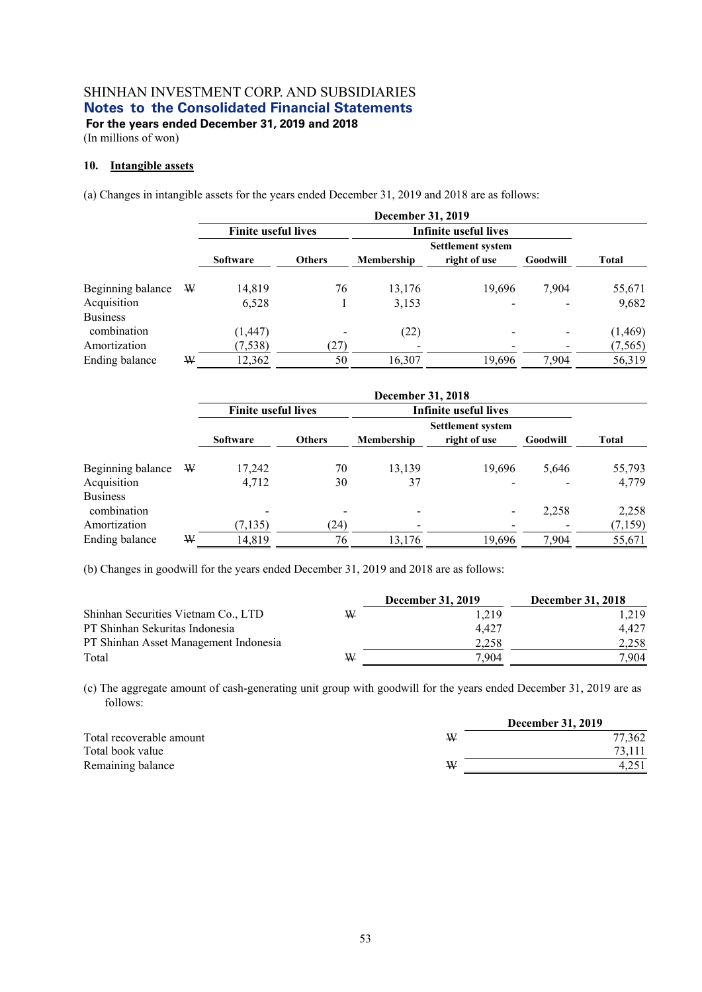(In millions of won)

#### **10. Intangible assets**

(a) Changes in intangible assets for the years ended December 31, 2019 and 2018 are as follows:

|                   |   | <b>December 31, 2019</b>   |               |            |                              |          |              |
|-------------------|---|----------------------------|---------------|------------|------------------------------|----------|--------------|
|                   |   | <b>Finite useful lives</b> |               |            | <b>Infinite useful lives</b> |          |              |
|                   |   |                            |               |            | <b>Settlement system</b>     |          |              |
|                   |   | <b>Software</b>            | <b>Others</b> | Membership | right of use                 | Goodwill | <b>Total</b> |
| Beginning balance | W | 14,819                     | 76            | 13,176     | 19,696                       | 7,904    | 55,671       |
| Acquisition       |   | 6,528                      |               | 3,153      |                              |          | 9,682        |
| <b>Business</b>   |   |                            |               |            |                              |          |              |
| combination       |   | (1, 447)                   |               | (22)       |                              |          | (1, 469)     |
| Amortization      |   | (7, 538)                   | (27)          |            |                              |          | (7, 565)     |
| Ending balance    | W | 12,362                     | 50            | 16,307     | 19,696                       | 7,904    | 56,319       |

|                                |   | <b>December 31, 2018</b>   |               |                          |                          |          |         |
|--------------------------------|---|----------------------------|---------------|--------------------------|--------------------------|----------|---------|
|                                |   | <b>Finite useful lives</b> |               |                          | Infinite useful lives    |          |         |
|                                |   |                            |               |                          | <b>Settlement system</b> |          |         |
|                                |   | <b>Software</b>            | <b>Others</b> | Membership               | right of use             | Goodwill | Total   |
| Beginning balance              | W | 17,242                     | 70            | 13,139                   | 19.696                   | 5,646    | 55,793  |
| Acquisition                    |   | 4,712                      | 30            | 37                       |                          |          | 4,779   |
| <b>Business</b><br>combination |   | $\overline{\phantom{a}}$   |               | $\overline{\phantom{a}}$ |                          | 2,258    | 2,258   |
| Amortization                   |   | (7, 135)                   | (24)          |                          |                          |          | (7,159) |
| Ending balance                 | W | 14,819                     | 76            | 13,176                   | 19,696                   | 7,904    | 55,671  |

(b) Changes in goodwill for the years ended December 31, 2019 and 2018 are as follows:

|                                       |   | December 31, 2019 | <b>December 31, 2018</b> |
|---------------------------------------|---|-------------------|--------------------------|
| Shinhan Securities Vietnam Co., LTD   | ₩ | 1.219             | 1.219                    |
| PT Shinhan Sekuritas Indonesia        |   | 4.427             | 4.427                    |
| PT Shinhan Asset Management Indonesia |   | 2.258             | 2.258                    |
| Total                                 | ₩ | 7.904             | 7.904                    |

(c) The aggregate amount of cash-generating unit group with goodwill for the years ended December 31, 2019 are as follows:

|                          |   | <b>December 31, 2019</b> |
|--------------------------|---|--------------------------|
| Total recoverable amount | W | 77,362                   |
| Total book value         |   | 73.111                   |
| Remaining balance        | ₩ |                          |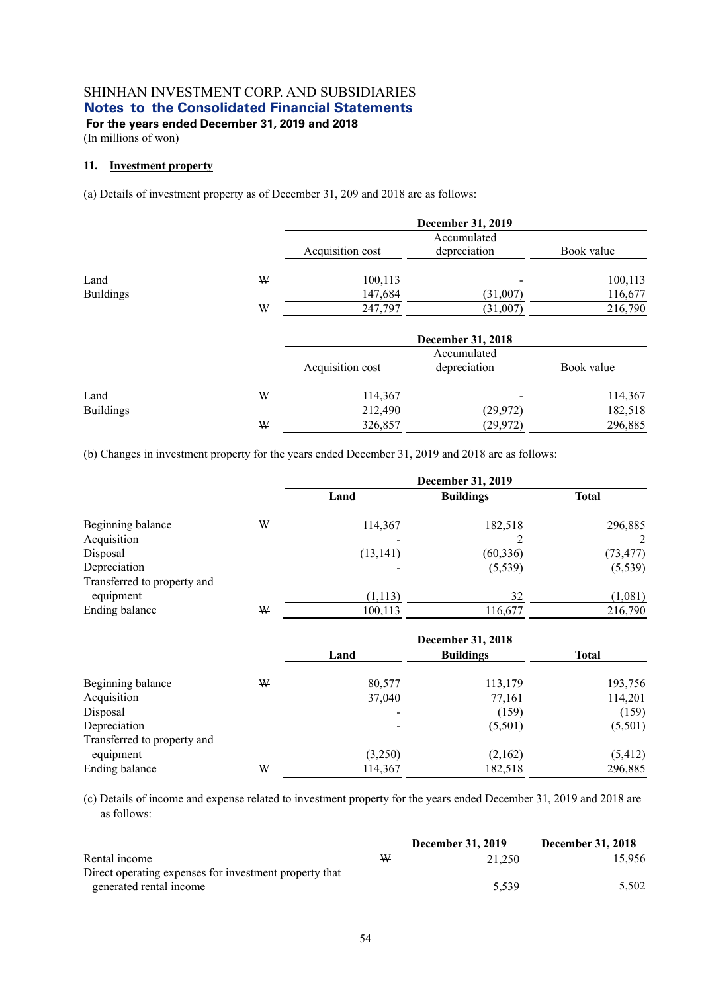(In millions of won)

#### **11. Investment property**

(a) Details of investment property as of December 31, 209 and 2018 are as follows:

|                  |   |                  | <b>December 31, 2019</b> |            |
|------------------|---|------------------|--------------------------|------------|
|                  |   |                  | Accumulated              |            |
|                  |   | Acquisition cost | depreciation             | Book value |
| Land             | W | 100,113          |                          | 100,113    |
| <b>Buildings</b> |   | 147,684          | (31,007)                 | 116,677    |
|                  | ₩ | 247,797          | (31,007)                 | 216,790    |
|                  |   |                  | <b>December 31, 2018</b> |            |
|                  |   |                  | Accumulated              |            |
|                  |   | Acquisition cost | depreciation             | Book value |
| Land             | ₩ | 114,367          |                          | 114,367    |
| <b>Buildings</b> |   | 212,490          | (29, 972)                | 182,518    |
|                  | W | 326,857          | (29, 972)                | 296,885    |

(b) Changes in investment property for the years ended December 31, 2019 and 2018 are as follows:

|                             |   | December 31, 2019 |                  |              |  |
|-----------------------------|---|-------------------|------------------|--------------|--|
|                             |   | Land              | <b>Buildings</b> | <b>Total</b> |  |
| Beginning balance           | W | 114,367           | 182,518          | 296,885      |  |
| Acquisition                 |   |                   |                  | 2            |  |
| Disposal                    |   | (13, 141)         | (60, 336)        | (73, 477)    |  |
| Depreciation                |   |                   | (5,539)          | (5, 539)     |  |
| Transferred to property and |   |                   |                  |              |  |
| equipment                   |   | (1,113)           | 32               | (1,081)      |  |
| Ending balance              | ₩ | 100,113           | 116,677          | 216,790      |  |
|                             |   |                   |                  |              |  |

|                             |   | <b>December 31, 2018</b> |                  |              |  |
|-----------------------------|---|--------------------------|------------------|--------------|--|
|                             |   | Land                     | <b>Buildings</b> | <b>Total</b> |  |
| Beginning balance           | W | 80,577                   | 113,179          | 193,756      |  |
| Acquisition                 |   | 37,040                   | 77,161           | 114,201      |  |
| Disposal                    |   |                          | (159)            | (159)        |  |
| Depreciation                |   |                          | (5,501)          | (5,501)      |  |
| Transferred to property and |   |                          |                  |              |  |
| equipment                   |   | (3,250)                  | (2,162)          | (5, 412)     |  |
| Ending balance              | ₩ | 114,367                  | 182,518          | 296,885      |  |

(c) Details of income and expense related to investment property for the years ended December 31, 2019 and 2018 are as follows:

|                                                        |   | <b>December 31, 2019</b> | <b>December 31, 2018</b> |
|--------------------------------------------------------|---|--------------------------|--------------------------|
| Rental income                                          | W | 21,250                   | 15.956                   |
| Direct operating expenses for investment property that |   |                          |                          |
| generated rental income                                |   | 5.539                    | 5.502                    |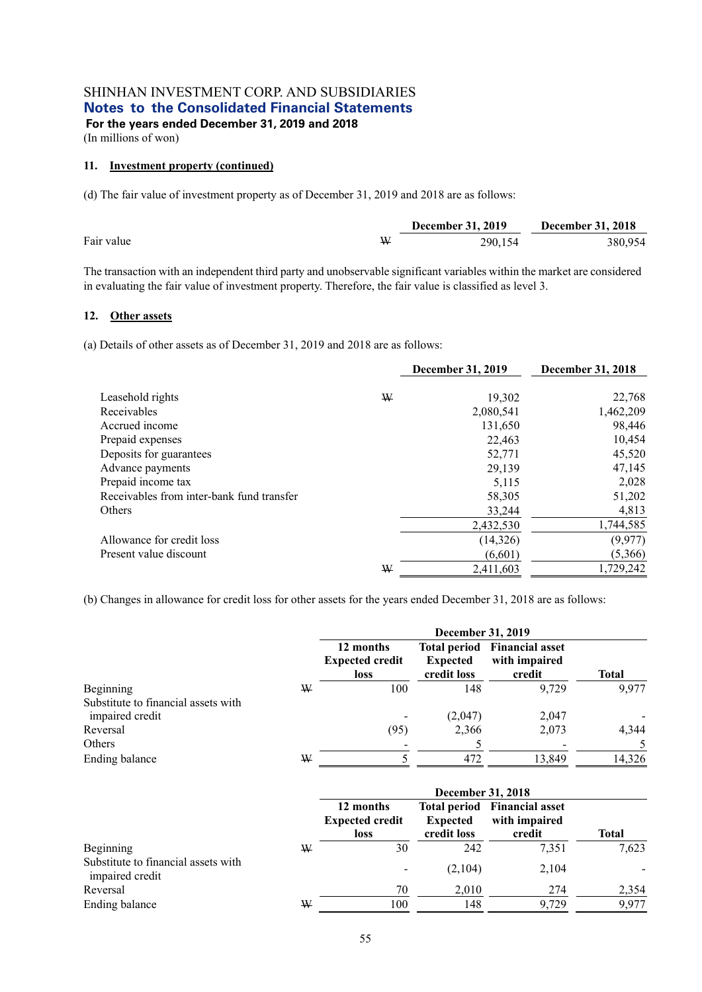(In millions of won)

#### **11. Investment property (continued)**

(d) The fair value of investment property as of December 31, 2019 and 2018 are as follows:

|            |   | <b>December 31, 2019</b> | <b>December 31, 2018</b> |
|------------|---|--------------------------|--------------------------|
| Fair value | W | 290,154                  | 380,954                  |

The transaction with an independent third party and unobservable significant variables within the market are considered in evaluating the fair value of investment property. Therefore, the fair value is classified as level 3.

#### **12. Other assets**

(a) Details of other assets as of December 31, 2019 and 2018 are as follows:

|                                           |   | <b>December 31, 2019</b> | December 31, 2018 |
|-------------------------------------------|---|--------------------------|-------------------|
| Leasehold rights                          | W | 19,302                   | 22,768            |
| Receivables                               |   | 2,080,541                | 1,462,209         |
| Accrued income                            |   | 131,650                  | 98,446            |
| Prepaid expenses                          |   | 22,463                   | 10,454            |
| Deposits for guarantees                   |   | 52,771                   | 45,520            |
| Advance payments                          |   | 29,139                   | 47,145            |
| Prepaid income tax                        |   | 5.115                    | 2,028             |
| Receivables from inter-bank fund transfer |   | 58,305                   | 51,202            |
| Others                                    |   | 33,244                   | 4,813             |
|                                           |   | 2,432,530                | 1,744,585         |
| Allowance for credit loss                 |   | (14, 326)                | (9, 977)          |
| Present value discount                    |   | (6,601)                  | (5,366)           |
|                                           | ₩ | 2,411,603                | 1,729,242         |

(b) Changes in allowance for credit loss for other assets for the years ended December 31, 2018 are as follows:

|                                                        |   | December 31, 2019                                  |                                |                                                                |        |  |  |
|--------------------------------------------------------|---|----------------------------------------------------|--------------------------------|----------------------------------------------------------------|--------|--|--|
|                                                        |   | 12 months<br><b>Expected credit</b><br><b>loss</b> | <b>Expected</b><br>credit loss | <b>Total period</b> Financial asset<br>with impaired<br>credit | Total  |  |  |
| Beginning                                              | W | 100                                                | 148                            | 9.729                                                          | 9,977  |  |  |
| Substitute to financial assets with<br>impaired credit |   |                                                    | (2,047)                        | 2,047                                                          |        |  |  |
| Reversal                                               |   | (95)                                               | 2,366                          | 2,073                                                          | 4,344  |  |  |
| Others                                                 |   |                                                    |                                |                                                                | 5      |  |  |
| Ending balance                                         | W |                                                    | 472                            | 13,849                                                         | 14,326 |  |  |

|                                                        |   | December 31, 2018                                  |                                |                                                                |              |  |  |
|--------------------------------------------------------|---|----------------------------------------------------|--------------------------------|----------------------------------------------------------------|--------------|--|--|
|                                                        |   | 12 months<br><b>Expected credit</b><br><b>loss</b> | <b>Expected</b><br>credit loss | <b>Total period</b> Financial asset<br>with impaired<br>credit | <b>Total</b> |  |  |
| Beginning                                              | W | 30                                                 | 242                            | 7,351                                                          | 7,623        |  |  |
| Substitute to financial assets with<br>impaired credit |   |                                                    | (2,104)                        | 2,104                                                          |              |  |  |
| Reversal                                               |   | 70                                                 | 2,010                          | 274                                                            | 2,354        |  |  |
| Ending balance                                         | ₩ | 100                                                | 148                            | 9.729                                                          | 9,977        |  |  |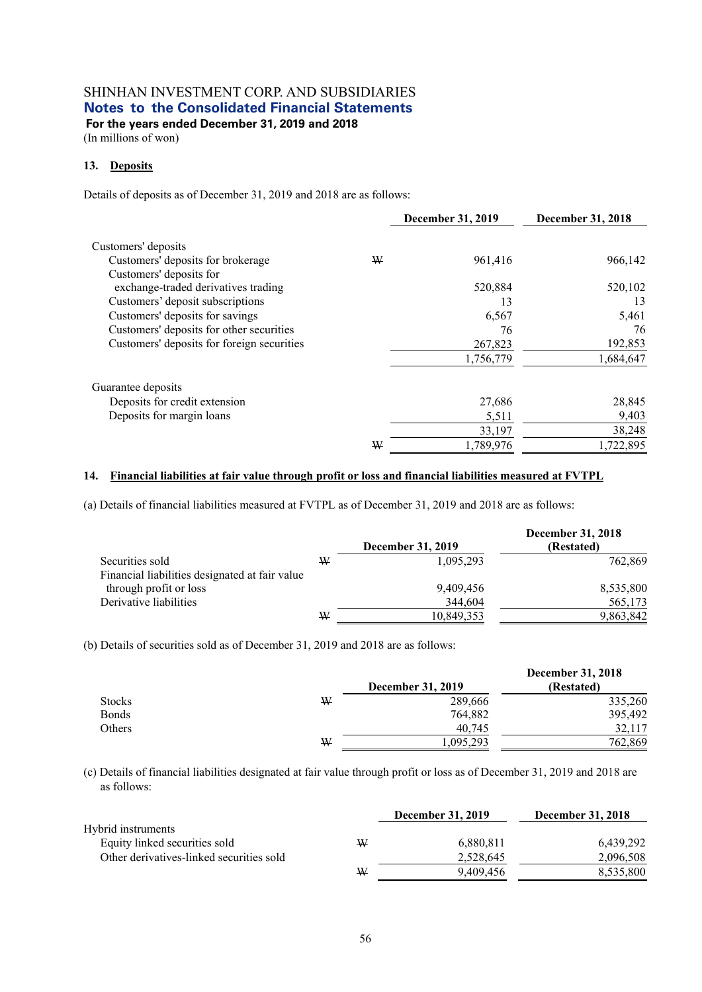(In millions of won)

#### **13. Deposits**

Details of deposits as of December 31, 2019 and 2018 are as follows:

|                                            |   | December 31, 2019 | December 31, 2018 |
|--------------------------------------------|---|-------------------|-------------------|
| Customers' deposits                        |   |                   |                   |
| Customers' deposits for brokerage          | ₩ | 961,416           | 966,142           |
| Customers' deposits for                    |   |                   |                   |
| exchange-traded derivatives trading        |   | 520,884           | 520,102           |
| Customers' deposit subscriptions           |   | 13                | 13                |
| Customers' deposits for savings            |   | 6,567             | 5,461             |
| Customers' deposits for other securities   |   | 76                | 76                |
| Customers' deposits for foreign securities |   | 267,823           | 192,853           |
|                                            |   | 1,756,779         | 1,684,647         |
| Guarantee deposits                         |   |                   |                   |
| Deposits for credit extension              |   | 27,686            | 28,845            |
| Deposits for margin loans                  |   | 5,511             | 9,403             |
|                                            |   | 33,197            | 38,248            |
|                                            | ₩ | 1,789,976         | 1,722,895         |

#### **14. Financial liabilities at fair value through profit or loss and financial liabilities measured at FVTPL**

(a) Details of financial liabilities measured at FVTPL as of December 31, 2019 and 2018 are as follows:

|                                                |   | <b>December 31, 2019</b> | <b>December 31, 2018</b><br>(Restated) |
|------------------------------------------------|---|--------------------------|----------------------------------------|
| Securities sold                                | W | 1,095,293                | 762,869                                |
| Financial liabilities designated at fair value |   |                          |                                        |
| through profit or loss                         |   | 9,409,456                | 8,535,800                              |
| Derivative liabilities                         |   | 344,604                  | 565,173                                |
|                                                | W | 10,849,353               | 9,863,842                              |

(b) Details of securities sold as of December 31, 2019 and 2018 are as follows:

|               |   |                          | <b>December 31, 2018</b> |
|---------------|---|--------------------------|--------------------------|
|               |   | <b>December 31, 2019</b> | (Restated)               |
| <b>Stocks</b> | W | 289,666                  | 335,260                  |
| <b>Bonds</b>  |   | 764,882                  | 395,492                  |
| Others        |   | 40,745                   | 32,117                   |
|               | W | 1,095,293                | 762,869                  |

(c) Details of financial liabilities designated at fair value through profit or loss as of December 31, 2019 and 2018 are as follows:

|                                          |   | <b>December 31, 2019</b> | <b>December 31, 2018</b> |
|------------------------------------------|---|--------------------------|--------------------------|
| Hybrid instruments                       |   |                          |                          |
| Equity linked securities sold            | ₩ | 6.880.811                | 6,439,292                |
| Other derivatives-linked securities sold |   | 2.528.645                | 2,096,508                |
|                                          | W | 9.409.456                | 8.535.800                |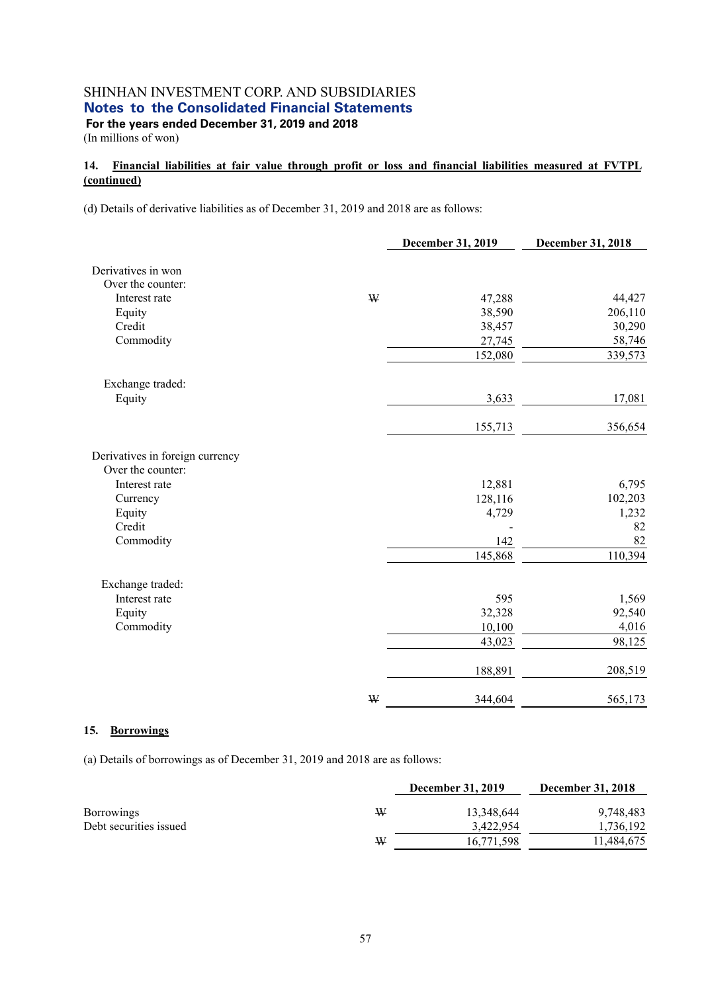(In millions of won)

### **14. Financial liabilities at fair value through profit or loss and financial liabilities measured at FVTPL (continued)**

(d) Details of derivative liabilities as of December 31, 2019 and 2018 are as follows:

|                                 |             | <b>December 31, 2019</b> | December 31, 2018 |
|---------------------------------|-------------|--------------------------|-------------------|
| Derivatives in won              |             |                          |                   |
| Over the counter:               |             |                          |                   |
| Interest rate                   | ₩           | 47,288                   | 44,427            |
| Equity                          |             | 38,590                   | 206,110           |
| Credit                          |             | 38,457                   | 30,290            |
| Commodity                       |             | 27,745                   | 58,746            |
|                                 |             | 152,080                  | 339,573           |
| Exchange traded:                |             |                          |                   |
| Equity                          |             | 3,633                    | 17,081            |
|                                 |             | 155,713                  | 356,654           |
| Derivatives in foreign currency |             |                          |                   |
| Over the counter:               |             |                          |                   |
| Interest rate                   |             | 12,881                   | 6,795             |
| Currency                        |             | 128,116                  | 102,203           |
| Equity                          |             | 4,729                    | 1,232             |
| Credit                          |             |                          | 82                |
| Commodity                       |             | 142                      | 82                |
|                                 |             | 145,868                  | 110,394           |
| Exchange traded:                |             |                          |                   |
| Interest rate                   |             | 595                      | 1,569             |
| Equity                          |             | 32,328                   | 92,540            |
| Commodity                       |             | 10,100                   | 4,016             |
|                                 |             | 43,023                   | 98,125            |
|                                 |             | 188,891                  | 208,519           |
|                                 | $\mathbf W$ | 344,604                  | 565,173           |

#### **15. Borrowings**

(a) Details of borrowings as of December 31, 2019 and 2018 are as follows:

|                        |   | <b>December 31, 2019</b> | <b>December 31, 2018</b> |
|------------------------|---|--------------------------|--------------------------|
| <b>Borrowings</b>      | W | 13,348,644               | 9,748,483                |
| Debt securities issued |   | 3,422,954                | 1,736,192                |
|                        | ₩ | 16,771,598               | 11,484,675               |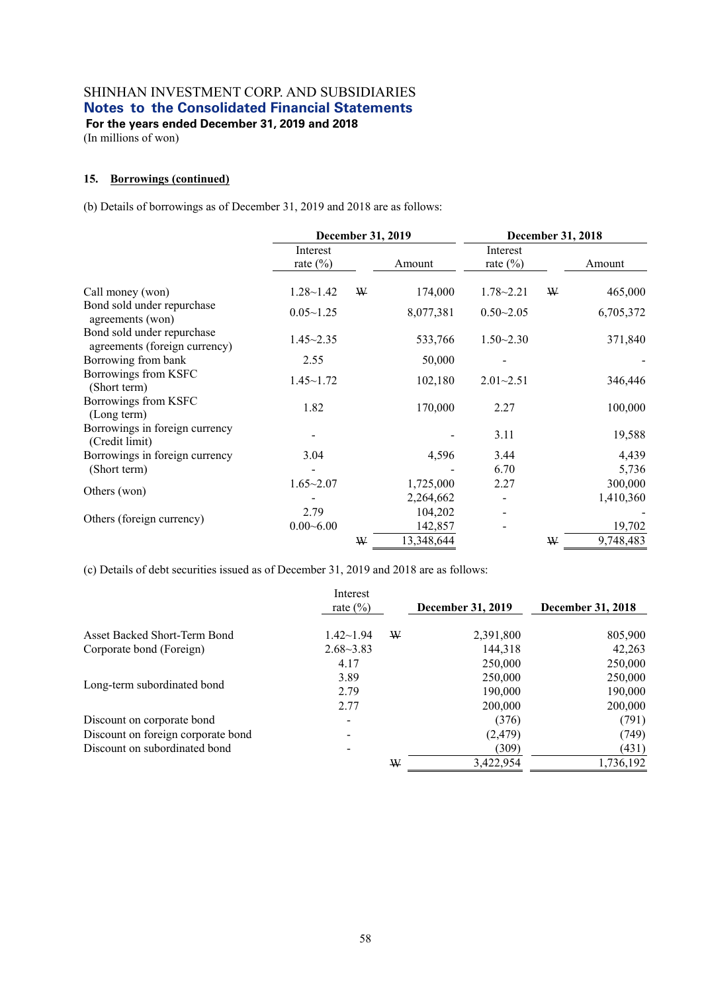(In millions of won)

#### **15. Borrowings (continued)**

(b) Details of borrowings as of December 31, 2019 and 2018 are as follows:

|                                                             | December 31, 2019       |   |            | December 31, 2018        |   |           |
|-------------------------------------------------------------|-------------------------|---|------------|--------------------------|---|-----------|
|                                                             | Interest<br>rate $(\%)$ |   | Amount     | Interest<br>rate $(\% )$ |   | Amount    |
| Call money (won)                                            | $1.28 - 1.42$           | ₩ | 174,000    | $1.78 - 2.21$            | ₩ | 465,000   |
| Bond sold under repurchase<br>agreements (won)              | $0.05 - 1.25$           |   | 8,077,381  | $0.50 - 2.05$            |   | 6,705,372 |
| Bond sold under repurchase<br>agreements (foreign currency) | $1.45 - 2.35$           |   | 533,766    | $1.50 - 2.30$            |   | 371,840   |
| Borrowing from bank                                         | 2.55                    |   | 50,000     |                          |   |           |
| Borrowings from KSFC<br>(Short term)                        | $1.45 \sim 1.72$        |   | 102,180    | $2.01 - 2.51$            |   | 346,446   |
| Borrowings from KSFC<br>(Long term)                         | 1.82                    |   | 170,000    | 2.27                     |   | 100,000   |
| Borrowings in foreign currency<br>(Credit limit)            |                         |   |            | 3.11                     |   | 19,588    |
| Borrowings in foreign currency                              | 3.04                    |   | 4,596      | 3.44                     |   | 4,439     |
| (Short term)                                                |                         |   |            | 6.70                     |   | 5,736     |
| Others (won)                                                | $1.65 - 2.07$           |   | 1,725,000  | 2.27                     |   | 300,000   |
|                                                             |                         |   | 2,264,662  |                          |   | 1,410,360 |
| Others (foreign currency)                                   | 2.79                    |   | 104,202    |                          |   |           |
|                                                             | $0.00 - 6.00$           |   | 142,857    |                          |   | 19,702    |
|                                                             |                         | ₩ | 13,348,644 |                          | ₩ | 9,748,483 |

(c) Details of debt securities issued as of December 31, 2019 and 2018 are as follows:

|                                    | Interest<br>rate $(\% )$ |   | <b>December 31, 2019</b> | <b>December 31, 2018</b> |
|------------------------------------|--------------------------|---|--------------------------|--------------------------|
|                                    |                          |   |                          |                          |
| Asset Backed Short-Term Bond       | $1.42 \sim 1.94$         | ₩ | 2,391,800                | 805,900                  |
| Corporate bond (Foreign)           | $2.68 - 3.83$            |   | 144,318                  | 42,263                   |
|                                    | 4.17                     |   | 250,000                  | 250,000                  |
|                                    | 3.89                     |   | 250,000                  | 250,000                  |
| Long-term subordinated bond        | 2.79                     |   | 190,000                  | 190,000                  |
|                                    | 2.77                     |   | 200,000                  | 200,000                  |
| Discount on corporate bond         |                          |   | (376)                    | (791)                    |
| Discount on foreign corporate bond |                          |   | (2, 479)                 | (749)                    |
| Discount on subordinated bond      | -                        |   | (309)                    | (431)                    |
|                                    |                          | W | 3,422,954                | 1,736,192                |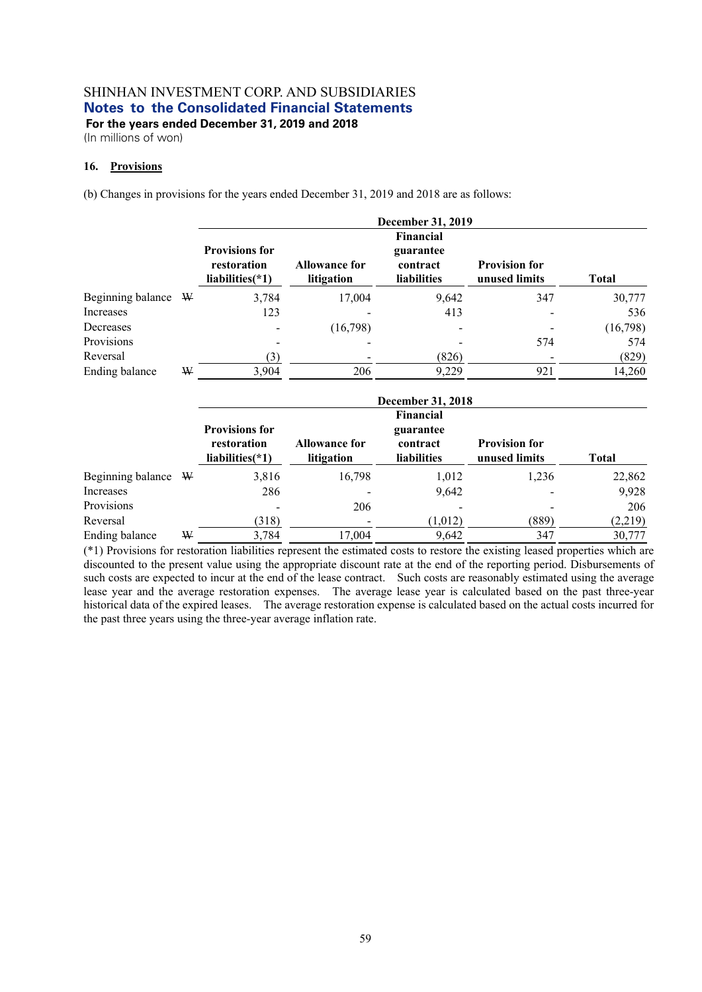(In millions of won)

## **16. Provisions**

(b) Changes in provisions for the years ended December 31, 2019 and 2018 are as follows:

|                   |   | December 31, 2019                                          |                                    |                                                          |                                       |              |  |  |  |
|-------------------|---|------------------------------------------------------------|------------------------------------|----------------------------------------------------------|---------------------------------------|--------------|--|--|--|
|                   |   | <b>Provisions for</b><br>restoration<br>liabilities $(*1)$ | <b>Allowance for</b><br>litigation | Financial<br>guarantee<br>contract<br><b>liabilities</b> | <b>Provision for</b><br>unused limits | <b>Total</b> |  |  |  |
| Beginning balance | W | 3,784                                                      | 17,004                             | 9,642                                                    | 347                                   | 30,777       |  |  |  |
| Increases         |   | 123                                                        |                                    | 413                                                      |                                       | 536          |  |  |  |
| Decreases         |   |                                                            | (16,798)                           |                                                          |                                       | (16,798)     |  |  |  |
| Provisions        |   |                                                            |                                    |                                                          | 574                                   | 574          |  |  |  |
| Reversal          |   | (3)                                                        |                                    | (826)                                                    |                                       | (829)        |  |  |  |
| Ending balance    | ₩ | 3,904                                                      | 206                                | 9,229                                                    | 921                                   | 14,260       |  |  |  |

|                   |    | <b>December 31, 2018</b>           |                                    |                         |                                       |              |  |  |  |  |  |
|-------------------|----|------------------------------------|------------------------------------|-------------------------|---------------------------------------|--------------|--|--|--|--|--|
|                   |    | <b>Financial</b>                   |                                    |                         |                                       |              |  |  |  |  |  |
|                   |    | <b>Provisions for</b><br>guarantee |                                    |                         |                                       |              |  |  |  |  |  |
|                   |    | restoration<br>liabilities(*1)     | <b>Allowance for</b><br>litigation | contract<br>liabilities | <b>Provision for</b><br>unused limits | <b>Total</b> |  |  |  |  |  |
| Beginning balance | W. | 3,816                              | 16,798                             | 1,012                   | 1,236                                 | 22,862       |  |  |  |  |  |
| Increases         |    | 286                                |                                    | 9,642                   |                                       | 9,928        |  |  |  |  |  |
| Provisions        |    |                                    | 206                                |                         |                                       | 206          |  |  |  |  |  |
| Reversal          |    | (318)                              |                                    | (1,012)                 | (889)                                 | (2,219)      |  |  |  |  |  |
| Ending balance    | W  | 3,784                              | 17.004                             | 9,642                   | 347                                   | 30,777       |  |  |  |  |  |

(\*1) Provisions for restoration liabilities represent the estimated costs to restore the existing leased properties which are discounted to the present value using the appropriate discount rate at the end of the reporting period. Disbursements of such costs are expected to incur at the end of the lease contract. Such costs are reasonably estimated using the average lease year and the average restoration expenses. The average lease year is calculated based on the past three-year historical data of the expired leases. The average restoration expense is calculated based on the actual costs incurred for the past three years using the three-year average inflation rate.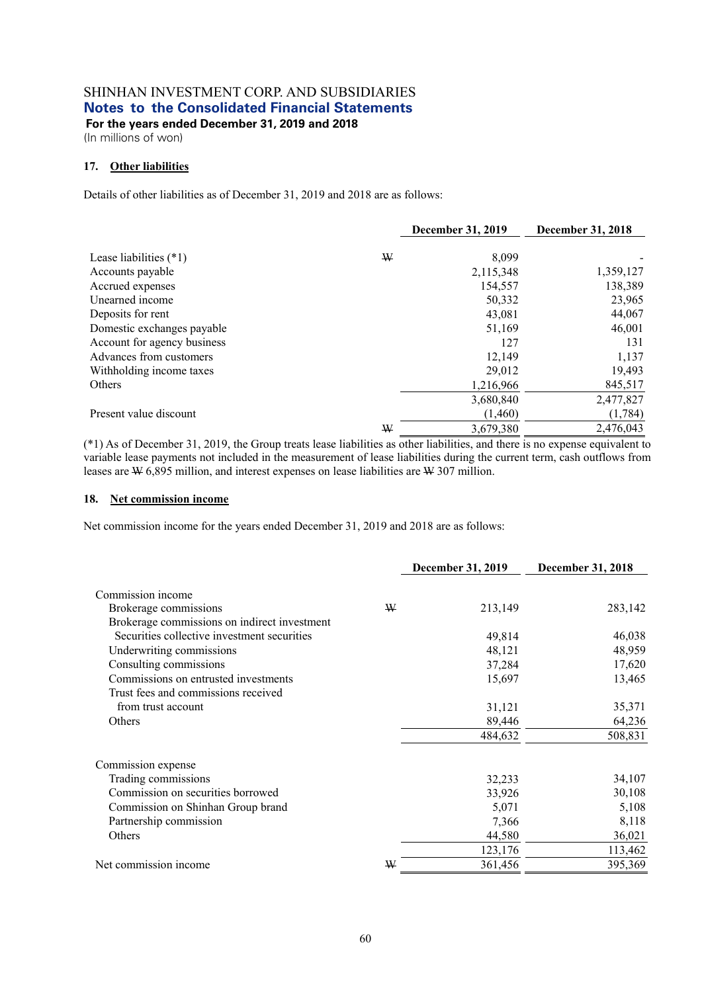**For the years ended December 31, 2019 and 2018**  (In millions of won)

#### **17. Other liabilities**

Details of other liabilities as of December 31, 2019 and 2018 are as follows:

|                             |   | <b>December 31, 2019</b> | December 31, 2018 |
|-----------------------------|---|--------------------------|-------------------|
| Lease liabilities $(*1)$    | ₩ | 8,099                    |                   |
| Accounts payable            |   | 2,115,348                | 1,359,127         |
| Accrued expenses            |   | 154,557                  | 138,389           |
| Unearned income             |   | 50,332                   | 23,965            |
| Deposits for rent           |   | 43,081                   | 44,067            |
| Domestic exchanges payable  |   | 51,169                   | 46,001            |
| Account for agency business |   | 127                      | 131               |
| Advances from customers     |   | 12,149                   | 1,137             |
| Withholding income taxes    |   | 29,012                   | 19,493            |
| Others                      |   | 1,216,966                | 845,517           |
|                             |   | 3,680,840                | 2,477,827         |
| Present value discount      |   | (1,460)                  | (1,784)           |
|                             | W | 3,679,380                | 2,476,043         |

(\*1) As of December 31, 2019, the Group treats lease liabilities as other liabilities, and there is no expense equivalent to variable lease payments not included in the measurement of lease liabilities during the current term, cash outflows from leases are  $W$  6,895 million, and interest expenses on lease liabilities are  $W$  307 million.

#### **18. Net commission income**

Net commission income for the years ended December 31, 2019 and 2018 are as follows:

|                                              |   | December 31, 2019 | December 31, 2018 |
|----------------------------------------------|---|-------------------|-------------------|
| Commission income                            |   |                   |                   |
|                                              | W |                   | 283,142           |
| Brokerage commissions                        |   | 213,149           |                   |
| Brokerage commissions on indirect investment |   |                   |                   |
| Securities collective investment securities  |   | 49,814            | 46,038            |
| Underwriting commissions                     |   | 48,121            | 48,959            |
| Consulting commissions                       |   | 37,284            | 17,620            |
| Commissions on entrusted investments         |   | 15,697            | 13,465            |
| Trust fees and commissions received          |   |                   |                   |
| from trust account                           |   | 31,121            | 35,371            |
| Others                                       |   | 89,446            | 64,236            |
|                                              |   | 484,632           | 508,831           |
| Commission expense                           |   |                   |                   |
| Trading commissions                          |   | 32,233            | 34,107            |
| Commission on securities borrowed            |   | 33,926            | 30,108            |
| Commission on Shinhan Group brand            |   | 5,071             | 5,108             |
| Partnership commission                       |   | 7,366             | 8,118             |
| Others                                       |   | 44,580            | 36,021            |
|                                              |   | 123,176           | 113,462           |
| Net commission income                        | ₩ | 361,456           | 395,369           |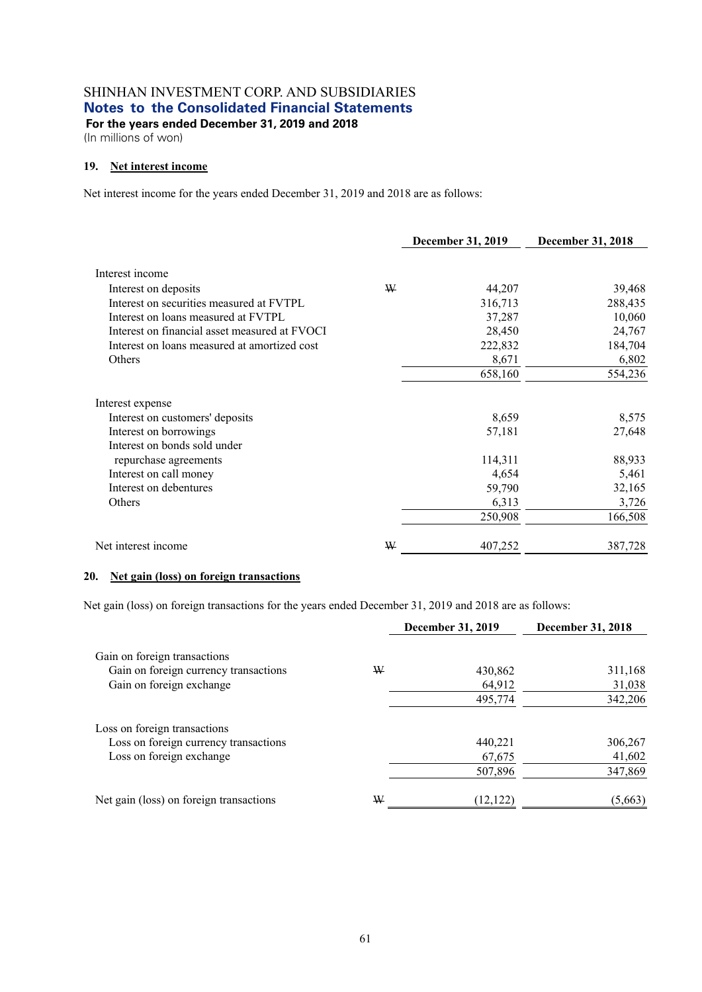**For the years ended December 31, 2019 and 2018**  (In millions of won)

### **19. Net interest income**

Net interest income for the years ended December 31, 2019 and 2018 are as follows:

|                                               |   | <b>December 31, 2019</b> | <b>December 31, 2018</b> |
|-----------------------------------------------|---|--------------------------|--------------------------|
| Interest income                               |   |                          |                          |
| Interest on deposits                          | ₩ | 44,207                   | 39,468                   |
| Interest on securities measured at FVTPL      |   | 316,713                  | 288,435                  |
| Interest on loans measured at FVTPL           |   | 37,287                   | 10,060                   |
| Interest on financial asset measured at FVOCI |   | 28,450                   | 24,767                   |
| Interest on loans measured at amortized cost  |   | 222,832                  | 184,704                  |
| Others                                        |   | 8,671                    | 6,802                    |
|                                               |   | 658,160                  | 554,236                  |
| Interest expense                              |   |                          |                          |
| Interest on customers' deposits               |   | 8,659                    | 8,575                    |
| Interest on borrowings                        |   | 57,181                   | 27,648                   |
| Interest on bonds sold under                  |   |                          |                          |
| repurchase agreements                         |   | 114,311                  | 88,933                   |
| Interest on call money                        |   | 4,654                    | 5,461                    |
| Interest on debentures                        |   | 59,790                   | 32,165                   |
| Others                                        |   | 6,313                    | 3,726                    |
|                                               |   | 250,908                  | 166,508                  |
| Net interest income                           | W | 407,252                  | 387,728                  |

#### **20. Net gain (loss) on foreign transactions**

Net gain (loss) on foreign transactions for the years ended December 31, 2019 and 2018 are as follows:

|                                         |   | December 31, 2019 | <b>December 31, 2018</b> |
|-----------------------------------------|---|-------------------|--------------------------|
| Gain on foreign transactions            |   |                   |                          |
| Gain on foreign currency transactions   | W | 430,862           | 311,168                  |
| Gain on foreign exchange                |   | 64,912            | 31,038                   |
|                                         |   | 495,774           | 342,206                  |
| Loss on foreign transactions            |   |                   |                          |
| Loss on foreign currency transactions   |   | 440,221           | 306,267                  |
| Loss on foreign exchange                |   | 67,675            | 41,602                   |
|                                         |   | 507,896           | 347,869                  |
| Net gain (loss) on foreign transactions | W | (12, 122)         | (5,663)                  |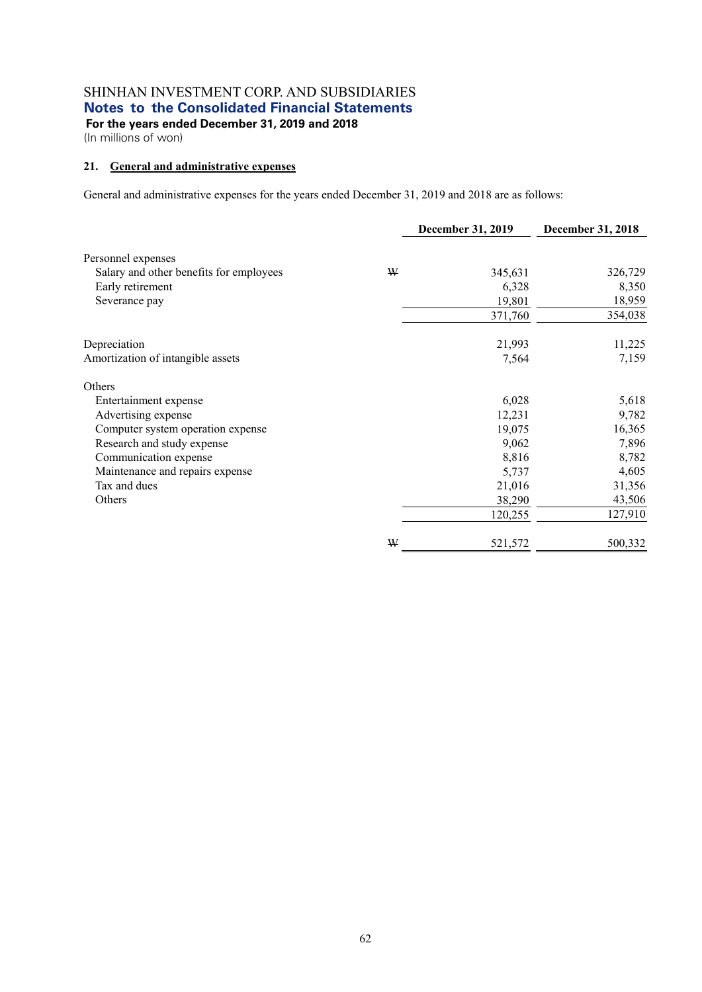**For the years ended December 31, 2019 and 2018**  (In millions of won)

#### **21. General and administrative expenses**

General and administrative expenses for the years ended December 31, 2019 and 2018 are as follows:

|                                         |   | December 31, 2019 | December 31, 2018 |
|-----------------------------------------|---|-------------------|-------------------|
| Personnel expenses                      |   |                   |                   |
| Salary and other benefits for employees | W | 345,631           | 326,729           |
| Early retirement                        |   | 6,328             | 8,350             |
| Severance pay                           |   | 19,801            | 18,959            |
|                                         |   | 371,760           | 354,038           |
| Depreciation                            |   | 21,993            | 11,225            |
| Amortization of intangible assets       |   | 7,564             | 7,159             |
| Others                                  |   |                   |                   |
| Entertainment expense                   |   | 6,028             | 5,618             |
| Advertising expense                     |   | 12,231            | 9,782             |
| Computer system operation expense       |   | 19,075            | 16,365            |
| Research and study expense              |   | 9,062             | 7,896             |
| Communication expense                   |   | 8,816             | 8,782             |
| Maintenance and repairs expense         |   | 5,737             | 4,605             |
| Tax and dues                            |   | 21,016            | 31,356            |
| Others                                  |   | 38,290            | 43,506            |
|                                         |   | 120,255           | 127,910           |
|                                         | ₩ | 521,572           | 500,332           |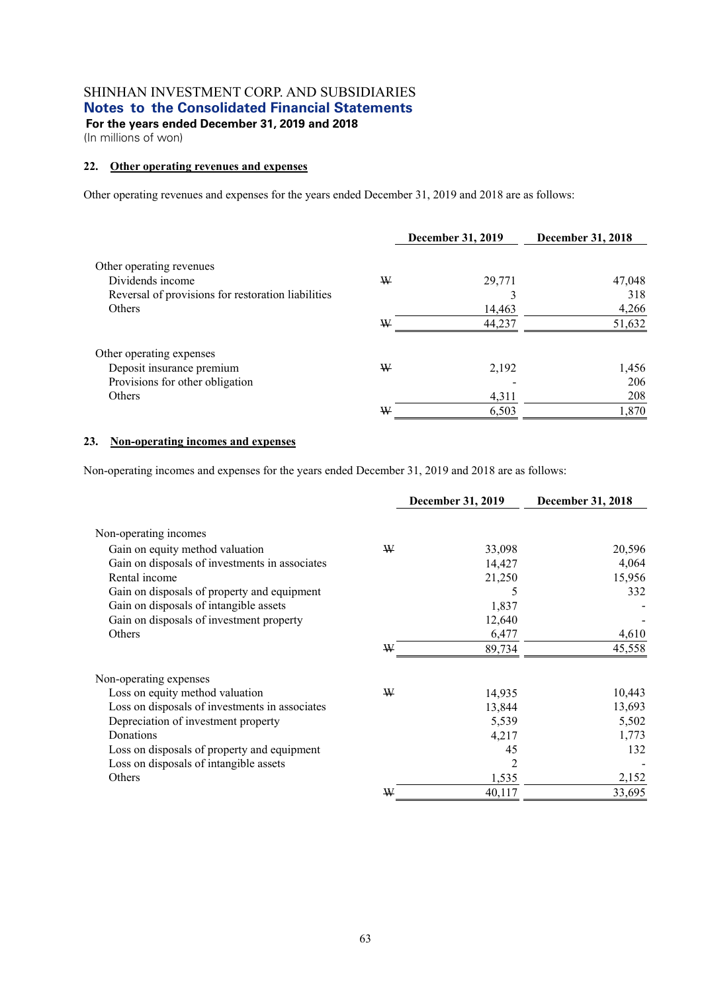**For the years ended December 31, 2019 and 2018**  (In millions of won)

#### **22. Other operating revenues and expenses**

Other operating revenues and expenses for the years ended December 31, 2019 and 2018 are as follows:

|                                                    |   | <b>December 31, 2019</b> | <b>December 31, 2018</b> |
|----------------------------------------------------|---|--------------------------|--------------------------|
| Other operating revenues                           |   |                          |                          |
| Dividends income                                   | W | 29,771                   | 47,048                   |
| Reversal of provisions for restoration liabilities |   |                          | 318                      |
| <b>Others</b>                                      |   | 14,463                   | 4,266                    |
|                                                    | ₩ | 44,237                   | 51,632                   |
| Other operating expenses                           |   |                          |                          |
| Deposit insurance premium                          | W | 2,192                    | 1,456                    |
| Provisions for other obligation                    |   |                          | 206                      |
| <b>Others</b>                                      |   | 4,311                    | 208                      |
|                                                    | ₩ | 6,503                    | 1,870                    |

#### **23. Non-operating incomes and expenses**

Non-operating incomes and expenses for the years ended December 31, 2019 and 2018 are as follows:

|                                                |   | <b>December 31, 2019</b> | <b>December 31, 2018</b> |
|------------------------------------------------|---|--------------------------|--------------------------|
| Non-operating incomes                          |   |                          |                          |
| Gain on equity method valuation                | W | 33,098                   | 20,596                   |
| Gain on disposals of investments in associates |   | 14,427                   | 4,064                    |
| Rental income                                  |   | 21,250                   | 15,956                   |
| Gain on disposals of property and equipment    |   | 5                        | 332                      |
| Gain on disposals of intangible assets         |   | 1,837                    |                          |
| Gain on disposals of investment property       |   | 12,640                   |                          |
| Others                                         |   | 6,477                    | 4,610                    |
|                                                | W | 89,734                   | 45,558                   |
| Non-operating expenses                         |   |                          |                          |
| Loss on equity method valuation                | ₩ | 14,935                   | 10,443                   |
| Loss on disposals of investments in associates |   | 13,844                   | 13,693                   |
| Depreciation of investment property            |   | 5,539                    | 5,502                    |
| Donations                                      |   | 4,217                    | 1,773                    |
| Loss on disposals of property and equipment    |   | 45                       | 132                      |
| Loss on disposals of intangible assets         |   | $\overline{2}$           |                          |
| Others                                         |   | 1,535                    | 2,152                    |
|                                                | ₩ | 40,117                   | 33,695                   |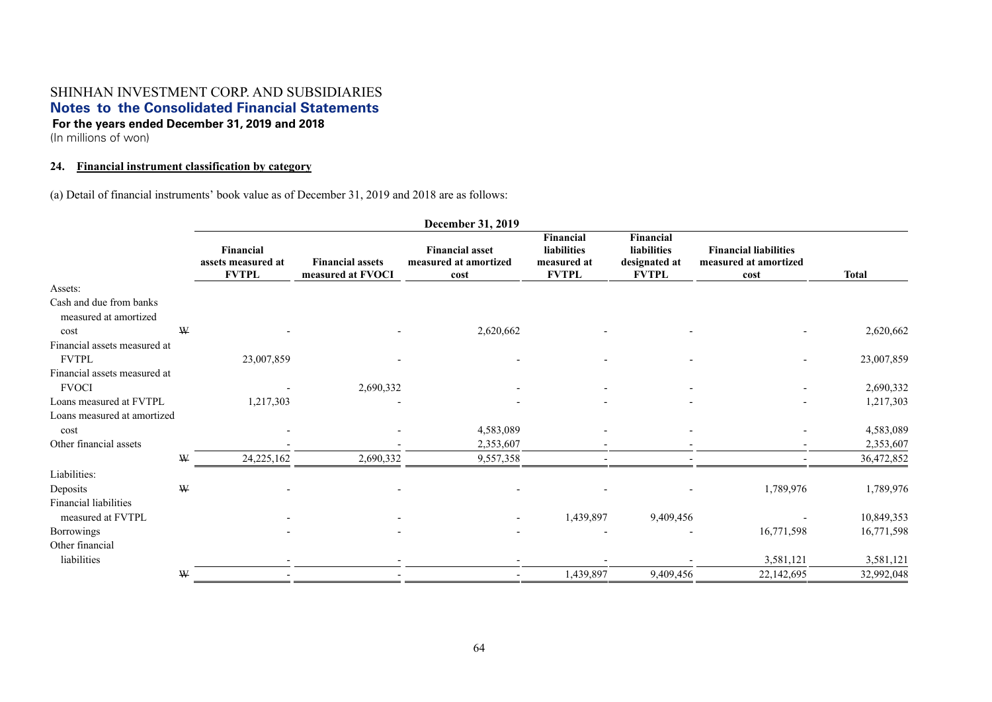(In millions of won)

### **24. Financial instrument classification by category**

(a) Detail of financial instruments' book value as of December 31, 2019 and 2018 are as follows:

|                                                  |              |                                                 |                                              | December 31, 2019                                       |                                                                |                                                                  |                                                               |              |
|--------------------------------------------------|--------------|-------------------------------------------------|----------------------------------------------|---------------------------------------------------------|----------------------------------------------------------------|------------------------------------------------------------------|---------------------------------------------------------------|--------------|
|                                                  |              | Financial<br>assets measured at<br><b>FVTPL</b> | <b>Financial assets</b><br>measured at FVOCI | <b>Financial asset</b><br>measured at amortized<br>cost | <b>Financial</b><br>liabilities<br>measured at<br><b>FVTPL</b> | <b>Financial</b><br>liabilities<br>designated at<br><b>FVTPL</b> | <b>Financial liabilities</b><br>measured at amortized<br>cost | <b>Total</b> |
| Assets:                                          |              |                                                 |                                              |                                                         |                                                                |                                                                  |                                                               |              |
| Cash and due from banks<br>measured at amortized |              |                                                 |                                              |                                                         |                                                                |                                                                  |                                                               |              |
| cost                                             | W            |                                                 |                                              | 2,620,662                                               |                                                                |                                                                  |                                                               | 2,620,662    |
| Financial assets measured at<br><b>FVTPL</b>     |              | 23,007,859                                      |                                              |                                                         |                                                                |                                                                  |                                                               | 23,007,859   |
| Financial assets measured at                     |              |                                                 |                                              |                                                         |                                                                |                                                                  |                                                               |              |
| <b>FVOCI</b>                                     |              |                                                 | 2,690,332                                    |                                                         |                                                                |                                                                  |                                                               | 2,690,332    |
| Loans measured at FVTPL                          |              | 1,217,303                                       |                                              |                                                         |                                                                |                                                                  |                                                               | 1,217,303    |
| Loans measured at amortized                      |              |                                                 |                                              |                                                         |                                                                |                                                                  |                                                               |              |
| cost                                             |              |                                                 |                                              | 4,583,089                                               |                                                                |                                                                  |                                                               | 4,583,089    |
| Other financial assets                           |              |                                                 |                                              | 2,353,607                                               | $\overline{\phantom{a}}$                                       |                                                                  |                                                               | 2,353,607    |
|                                                  | W            | 24,225,162                                      | 2,690,332                                    | 9,557,358                                               |                                                                |                                                                  |                                                               | 36,472,852   |
| Liabilities:                                     |              |                                                 |                                              |                                                         |                                                                |                                                                  |                                                               |              |
| Deposits                                         | $\mathbf{W}$ |                                                 |                                              |                                                         |                                                                |                                                                  | 1,789,976                                                     | 1,789,976    |
| Financial liabilities                            |              |                                                 |                                              |                                                         |                                                                |                                                                  |                                                               |              |
| measured at FVTPL                                |              |                                                 |                                              |                                                         | 1,439,897                                                      | 9,409,456                                                        |                                                               | 10,849,353   |
| Borrowings                                       |              |                                                 |                                              |                                                         |                                                                |                                                                  | 16,771,598                                                    | 16,771,598   |
| Other financial                                  |              |                                                 |                                              |                                                         |                                                                |                                                                  |                                                               |              |
| liabilities                                      |              |                                                 |                                              |                                                         |                                                                |                                                                  | 3,581,121                                                     | 3,581,121    |
|                                                  | W            |                                                 |                                              |                                                         | 1,439,897                                                      | 9,409,456                                                        | 22,142,695                                                    | 32,992,048   |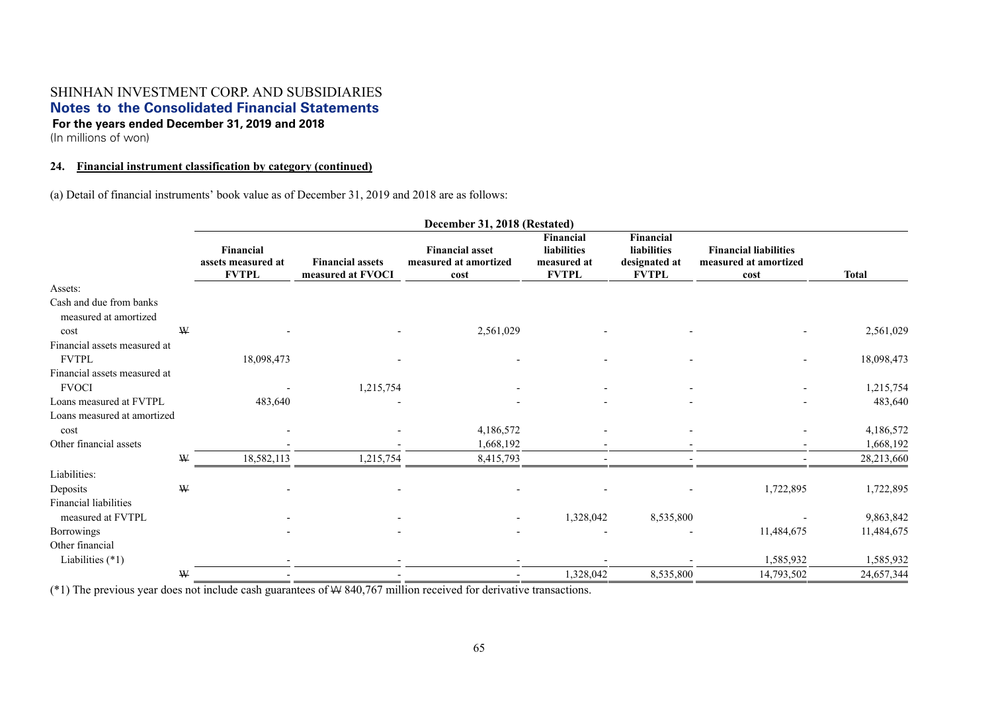(In millions of won)

#### **24. Financial instrument classification by category (continued)**

(a) Detail of financial instruments' book value as of December 31, 2019 and 2018 are as follows:

|                                                  | December 31, 2018 (Restated)                    |                                              |                                                         |                                                                |                                                           |                                                               |              |
|--------------------------------------------------|-------------------------------------------------|----------------------------------------------|---------------------------------------------------------|----------------------------------------------------------------|-----------------------------------------------------------|---------------------------------------------------------------|--------------|
|                                                  | Financial<br>assets measured at<br><b>FVTPL</b> | <b>Financial assets</b><br>measured at FVOCI | <b>Financial asset</b><br>measured at amortized<br>cost | <b>Financial</b><br>liabilities<br>measured at<br><b>FVTPL</b> | Financial<br>liabilities<br>designated at<br><b>FVTPL</b> | <b>Financial liabilities</b><br>measured at amortized<br>cost | <b>Total</b> |
| Assets:                                          |                                                 |                                              |                                                         |                                                                |                                                           |                                                               |              |
| Cash and due from banks<br>measured at amortized |                                                 |                                              |                                                         |                                                                |                                                           |                                                               |              |
| W<br>cost                                        |                                                 |                                              | 2,561,029                                               |                                                                |                                                           |                                                               | 2,561,029    |
| Financial assets measured at                     |                                                 |                                              |                                                         |                                                                |                                                           |                                                               |              |
| <b>FVTPL</b>                                     | 18,098,473                                      |                                              |                                                         |                                                                |                                                           |                                                               | 18,098,473   |
| Financial assets measured at                     |                                                 |                                              |                                                         |                                                                |                                                           |                                                               |              |
| <b>FVOCI</b>                                     |                                                 | 1,215,754                                    |                                                         | $\blacksquare$                                                 |                                                           |                                                               | 1,215,754    |
| Loans measured at FVTPL                          | 483,640                                         |                                              |                                                         |                                                                |                                                           |                                                               | 483,640      |
| Loans measured at amortized                      |                                                 |                                              |                                                         |                                                                |                                                           |                                                               |              |
| cost                                             |                                                 |                                              | 4,186,572                                               |                                                                |                                                           |                                                               | 4,186,572    |
| Other financial assets                           |                                                 |                                              | 1,668,192                                               |                                                                |                                                           |                                                               | 1,668,192    |
| W                                                | 18,582,113                                      | 1,215,754                                    | 8,415,793                                               |                                                                |                                                           |                                                               | 28,213,660   |
| Liabilities:                                     |                                                 |                                              |                                                         |                                                                |                                                           |                                                               |              |
| W<br>Deposits                                    |                                                 |                                              |                                                         |                                                                |                                                           | 1,722,895                                                     | 1,722,895    |
| Financial liabilities                            |                                                 |                                              |                                                         |                                                                |                                                           |                                                               |              |
| measured at FVTPL                                |                                                 |                                              |                                                         | 1,328,042                                                      | 8,535,800                                                 |                                                               | 9,863,842    |
| Borrowings                                       |                                                 |                                              |                                                         |                                                                |                                                           | 11,484,675                                                    | 11,484,675   |
| Other financial                                  |                                                 |                                              |                                                         |                                                                |                                                           |                                                               |              |
| Liabilities $(*1)$                               |                                                 |                                              |                                                         |                                                                |                                                           | 1,585,932                                                     | 1,585,932    |
| W                                                |                                                 |                                              |                                                         | 1,328,042                                                      | 8,535,800                                                 | 14,793,502                                                    | 24,657,344   |

(\*1) The previous year does not include cash guarantees of W 840,767 million received for derivative transactions.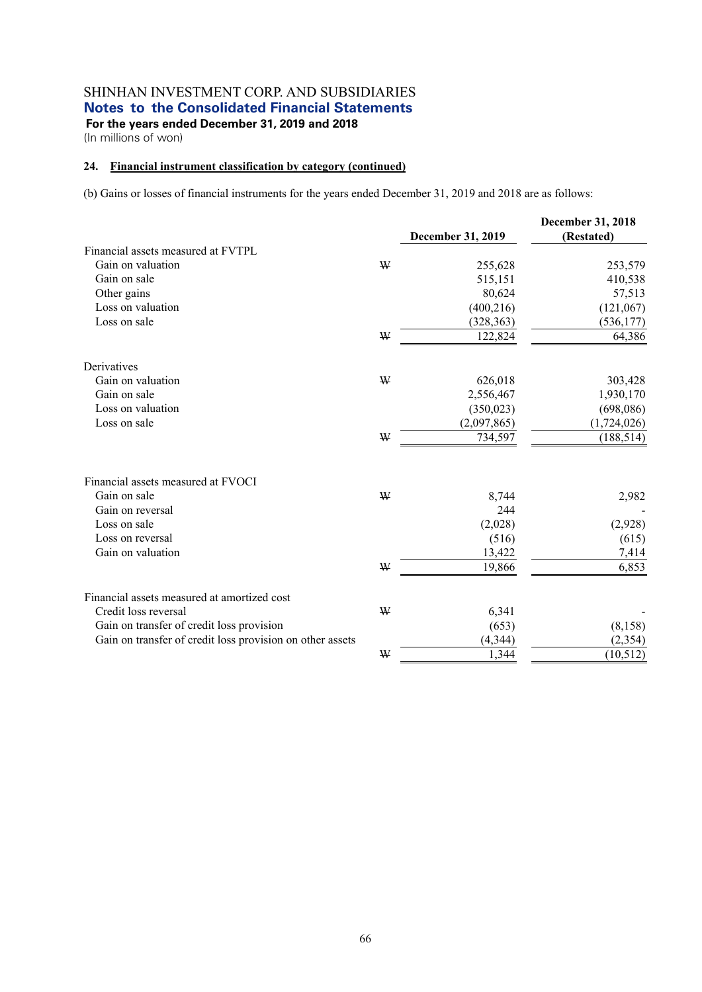(In millions of won)

#### **24. Financial instrument classification by category (continued)**

(b) Gains or losses of financial instruments for the years ended December 31, 2019 and 2018 are as follows:

|                                                           |             |                   | December 31, 2018 |
|-----------------------------------------------------------|-------------|-------------------|-------------------|
|                                                           |             | December 31, 2019 | (Restated)        |
| Financial assets measured at FVTPL                        |             |                   |                   |
| Gain on valuation                                         | W           | 255,628           | 253,579           |
| Gain on sale                                              |             | 515,151           | 410,538           |
| Other gains                                               |             | 80,624            | 57,513            |
| Loss on valuation                                         |             | (400, 216)        | (121,067)         |
| Loss on sale                                              |             | (328, 363)        | (536, 177)        |
|                                                           | W           | 122,824           | 64,386            |
| Derivatives                                               |             |                   |                   |
| Gain on valuation                                         | W           | 626,018           | 303,428           |
| Gain on sale                                              |             | 2,556,467         | 1,930,170         |
| Loss on valuation                                         |             | (350, 023)        | (698, 086)        |
| Loss on sale                                              |             | (2,097,865)       | (1,724,026)       |
|                                                           | $\mathbf W$ | 734,597           | (188, 514)        |
|                                                           |             |                   |                   |
| Financial assets measured at FVOCI                        |             |                   |                   |
| Gain on sale                                              | W           | 8,744             | 2,982             |
| Gain on reversal                                          |             | 244               |                   |
| Loss on sale                                              |             | (2,028)           | (2,928)           |
| Loss on reversal                                          |             | (516)             | (615)             |
| Gain on valuation                                         |             | 13,422            | 7,414             |
|                                                           | W           | 19,866            | 6,853             |
| Financial assets measured at amortized cost               |             |                   |                   |
| Credit loss reversal                                      | W           | 6,341             |                   |
| Gain on transfer of credit loss provision                 |             | (653)             | (8, 158)          |
| Gain on transfer of credit loss provision on other assets |             | (4, 344)          | (2, 354)          |
|                                                           | ₩           | 1,344             | (10, 512)         |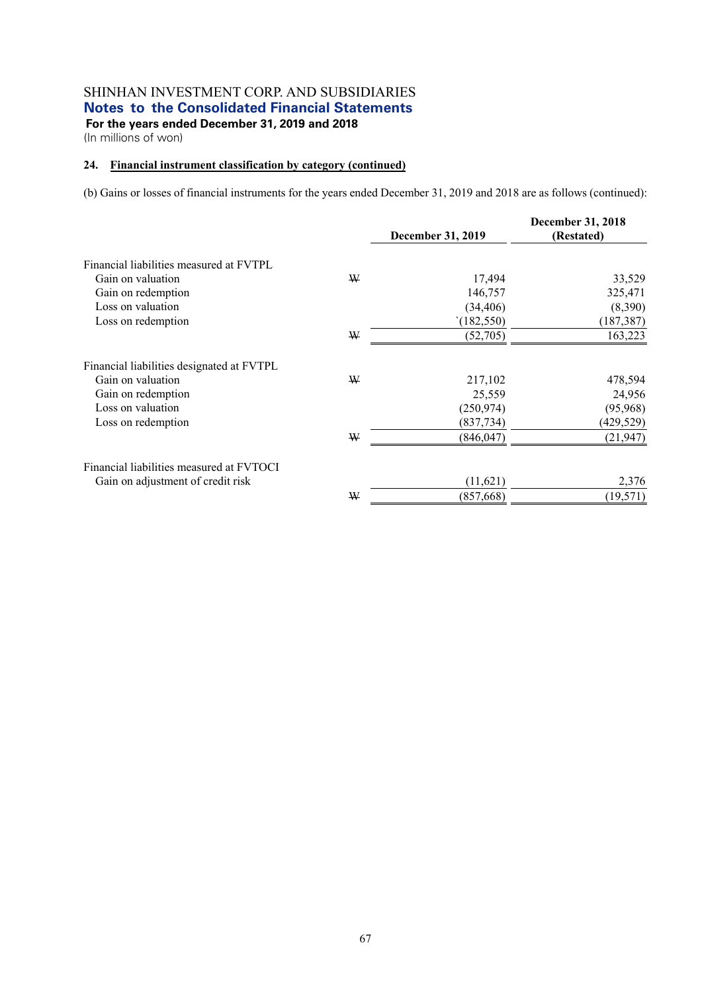(In millions of won)

#### **24. Financial instrument classification by category (continued)**

(b) Gains or losses of financial instruments for the years ended December 31, 2019 and 2018 are as follows (continued):

|                                           |   |                          | <b>December 31, 2018</b> |  |  |
|-------------------------------------------|---|--------------------------|--------------------------|--|--|
|                                           |   | <b>December 31, 2019</b> | (Restated)               |  |  |
| Financial liabilities measured at FVTPL   |   |                          |                          |  |  |
| Gain on valuation                         | ₩ | 17,494                   | 33,529                   |  |  |
| Gain on redemption                        |   | 146,757                  | 325,471                  |  |  |
| Loss on valuation                         |   | (34, 406)                | (8,390)                  |  |  |
| Loss on redemption                        |   | (182, 550)               | (187, 387)               |  |  |
|                                           | ₩ | (52,705)                 | 163,223                  |  |  |
| Financial liabilities designated at FVTPL |   |                          |                          |  |  |
| Gain on valuation                         | ₩ | 217,102                  | 478,594                  |  |  |
| Gain on redemption                        |   | 25,559                   | 24,956                   |  |  |
| Loss on valuation                         |   | (250, 974)               | (95, 968)                |  |  |
| Loss on redemption                        |   | (837, 734)               | (429, 529)               |  |  |
|                                           | ₩ | (846, 047)               | (21, 947)                |  |  |
| Financial liabilities measured at FVTOCI  |   |                          |                          |  |  |
| Gain on adjustment of credit risk         |   | (11,621)                 | 2,376                    |  |  |
|                                           | ₩ | (857, 668)               | (19, 571)                |  |  |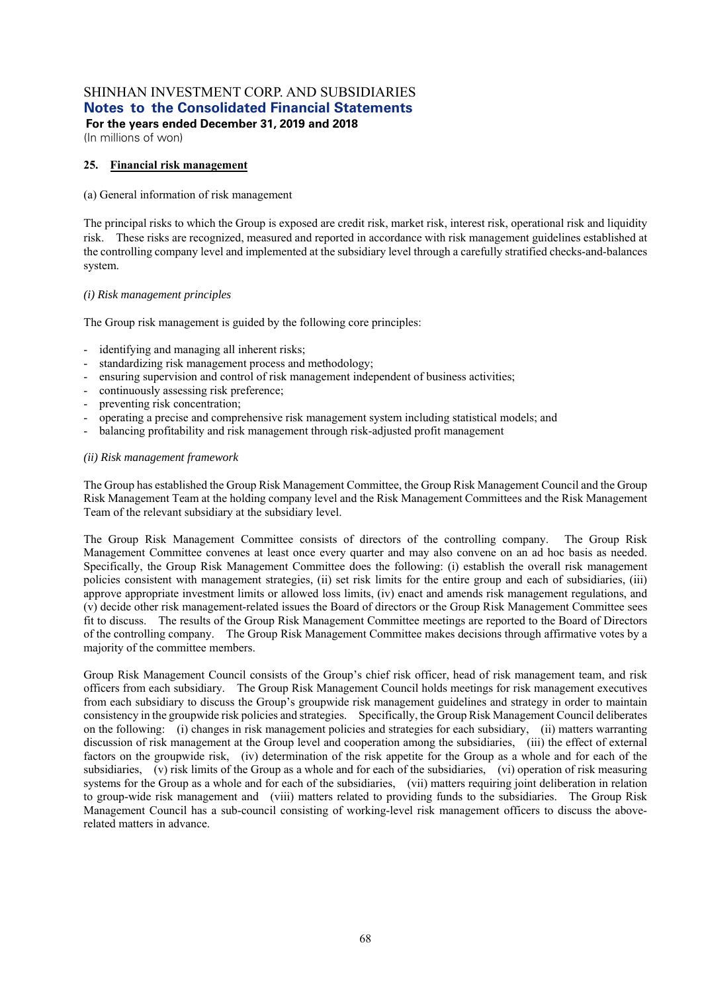**For the years ended December 31, 2019 and 2018** 

(In millions of won)

#### **25. Financial risk management**

#### (a) General information of risk management

The principal risks to which the Group is exposed are credit risk, market risk, interest risk, operational risk and liquidity risk. These risks are recognized, measured and reported in accordance with risk management guidelines established at the controlling company level and implemented at the subsidiary level through a carefully stratified checks-and-balances system.

#### *(i) Risk management principles*

The Group risk management is guided by the following core principles:

- identifying and managing all inherent risks;
- standardizing risk management process and methodology;
- ensuring supervision and control of risk management independent of business activities;
- continuously assessing risk preference;
- preventing risk concentration;
- operating a precise and comprehensive risk management system including statistical models; and
- balancing profitability and risk management through risk-adjusted profit management

#### *(ii) Risk management framework*

The Group has established the Group Risk Management Committee, the Group Risk Management Council and the Group Risk Management Team at the holding company level and the Risk Management Committees and the Risk Management Team of the relevant subsidiary at the subsidiary level.

The Group Risk Management Committee consists of directors of the controlling company. The Group Risk Management Committee convenes at least once every quarter and may also convene on an ad hoc basis as needed. Specifically, the Group Risk Management Committee does the following: (i) establish the overall risk management policies consistent with management strategies, (ii) set risk limits for the entire group and each of subsidiaries, (iii) approve appropriate investment limits or allowed loss limits, (iv) enact and amends risk management regulations, and (v) decide other risk management-related issues the Board of directors or the Group Risk Management Committee sees fit to discuss. The results of the Group Risk Management Committee meetings are reported to the Board of Directors of the controlling company. The Group Risk Management Committee makes decisions through affirmative votes by a majority of the committee members.

Group Risk Management Council consists of the Group's chief risk officer, head of risk management team, and risk officers from each subsidiary. The Group Risk Management Council holds meetings for risk management executives from each subsidiary to discuss the Group's groupwide risk management guidelines and strategy in order to maintain consistency in the groupwide risk policies and strategies. Specifically, the Group Risk Management Council deliberates on the following: (i) changes in risk management policies and strategies for each subsidiary, (ii) matters warranting discussion of risk management at the Group level and cooperation among the subsidiaries, (iii) the effect of external factors on the groupwide risk, (iv) determination of the risk appetite for the Group as a whole and for each of the subsidiaries, (v) risk limits of the Group as a whole and for each of the subsidiaries, (vi) operation of risk measuring systems for the Group as a whole and for each of the subsidiaries, (vii) matters requiring joint deliberation in relation to group-wide risk management and (viii) matters related to providing funds to the subsidiaries. The Group Risk Management Council has a sub-council consisting of working-level risk management officers to discuss the aboverelated matters in advance.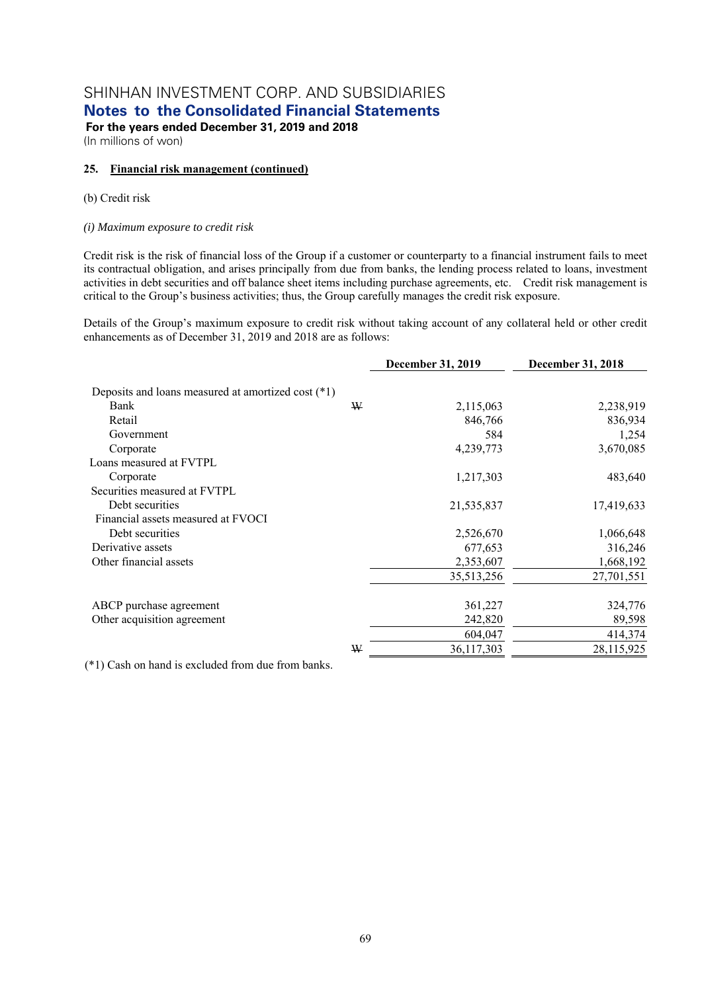# SHINHAN INVESTMENT CORP. AND SUBSIDIARIES

**Notes to the Consolidated Financial Statements** 

 **For the years ended December 31, 2019 and 2018**  (In millions of won)

#### **25. Financial risk management (continued)**

#### (b) Credit risk

#### *(i) Maximum exposure to credit risk*

Credit risk is the risk of financial loss of the Group if a customer or counterparty to a financial instrument fails to meet its contractual obligation, and arises principally from due from banks, the lending process related to loans, investment activities in debt securities and off balance sheet items including purchase agreements, etc. Credit risk management is critical to the Group's business activities; thus, the Group carefully manages the credit risk exposure.

Details of the Group's maximum exposure to credit risk without taking account of any collateral held or other credit enhancements as of December 31, 2019 and 2018 are as follows:

|                                                    |   | December 31, 2019 | <b>December 31, 2018</b> |
|----------------------------------------------------|---|-------------------|--------------------------|
| Deposits and loans measured at amortized cost (*1) |   |                   |                          |
| Bank                                               | ₩ | 2,115,063         | 2,238,919                |
| Retail                                             |   | 846,766           | 836,934                  |
| Government                                         |   | 584               | 1,254                    |
| Corporate                                          |   | 4,239,773         | 3,670,085                |
| Loans measured at FVTPL                            |   |                   |                          |
| Corporate                                          |   | 1,217,303         | 483,640                  |
| Securities measured at FVTPL                       |   |                   |                          |
| Debt securities                                    |   | 21,535,837        | 17,419,633               |
| Financial assets measured at FVOCI                 |   |                   |                          |
| Debt securities                                    |   | 2,526,670         | 1,066,648                |
| Derivative assets                                  |   | 677,653           | 316,246                  |
| Other financial assets                             |   | 2,353,607         | 1,668,192                |
|                                                    |   | 35,513,256        | 27,701,551               |
| ABCP purchase agreement                            |   | 361,227           | 324,776                  |
| Other acquisition agreement                        |   | 242,820           | 89,598                   |
|                                                    |   | 604,047           | 414,374                  |
|                                                    | ₩ | 36,117,303        | 28,115,925               |

(\*1) Cash on hand is excluded from due from banks.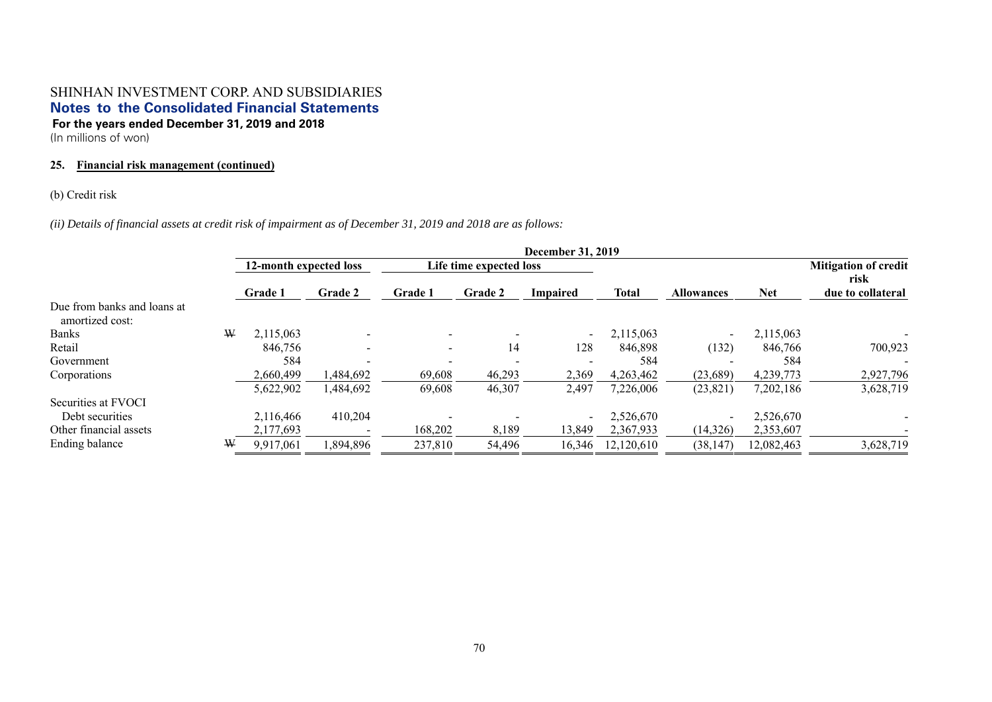(In millions of won)

## **25. Financial risk management (continued)**

### (b) Credit risk

*(ii) Details of financial assets at credit risk of impairment as of December 31, 2019 and 2018 are as follows:* 

|                                                |   | <b>December 31, 2019</b> |           |                         |                |                          |              |                          |                                     |                   |
|------------------------------------------------|---|--------------------------|-----------|-------------------------|----------------|--------------------------|--------------|--------------------------|-------------------------------------|-------------------|
|                                                |   | 12-month expected loss   |           | Life time expected loss |                |                          |              |                          | <b>Mitigation of credit</b><br>risk |                   |
|                                                |   | <b>Grade 1</b>           | Grade 2   | <b>Grade 1</b>          | <b>Grade 2</b> | Impaired                 | <b>Total</b> | <b>Allowances</b>        | Net                                 | due to collateral |
| Due from banks and loans at<br>amortized cost: |   |                          |           |                         |                |                          |              |                          |                                     |                   |
| <b>Banks</b>                                   | W | 2,115,063                |           |                         |                | $\sim$                   | 2,115,063    | $\overline{\phantom{a}}$ | 2,115,063                           |                   |
| Retail                                         |   | 846,756                  |           | $\sim$                  | 14             | 128                      | 846,898      | (132)                    | 846,766                             | 700,923           |
| Government                                     |   | 584                      |           |                         |                |                          | 584          |                          | 584                                 |                   |
| Corporations                                   |   | 2.660,499                | 484,692,ا | 69,608                  | 46,293         | 2,369                    | 4,263,462    | (23,689)                 | 4,239,773                           | 2,927,796         |
|                                                |   | 5,622,902                | .484.692  | 69,608                  | 46,307         | 2,497                    | 7,226,006    | (23, 821)                | 7,202,186                           | 3,628,719         |
| Securities at FVOCI                            |   |                          |           |                         |                |                          |              |                          |                                     |                   |
| Debt securities                                |   | 2.116.466                | 410,204   |                         |                | $\overline{\phantom{0}}$ | 2,526,670    | $\overline{\phantom{0}}$ | 2,526,670                           |                   |
| Other financial assets                         |   | 2,177,693                |           | 168,202                 | 8,189          | 13,849                   | 2,367,933    | (14,326)                 | 2,353,607                           |                   |
| Ending balance                                 | ₩ | 9,917,061                | ,894,896  | 237,810                 | 54,496         | 16,346                   | 12,120,610   | (38, 147)                | 12,082,463                          | 3,628,719         |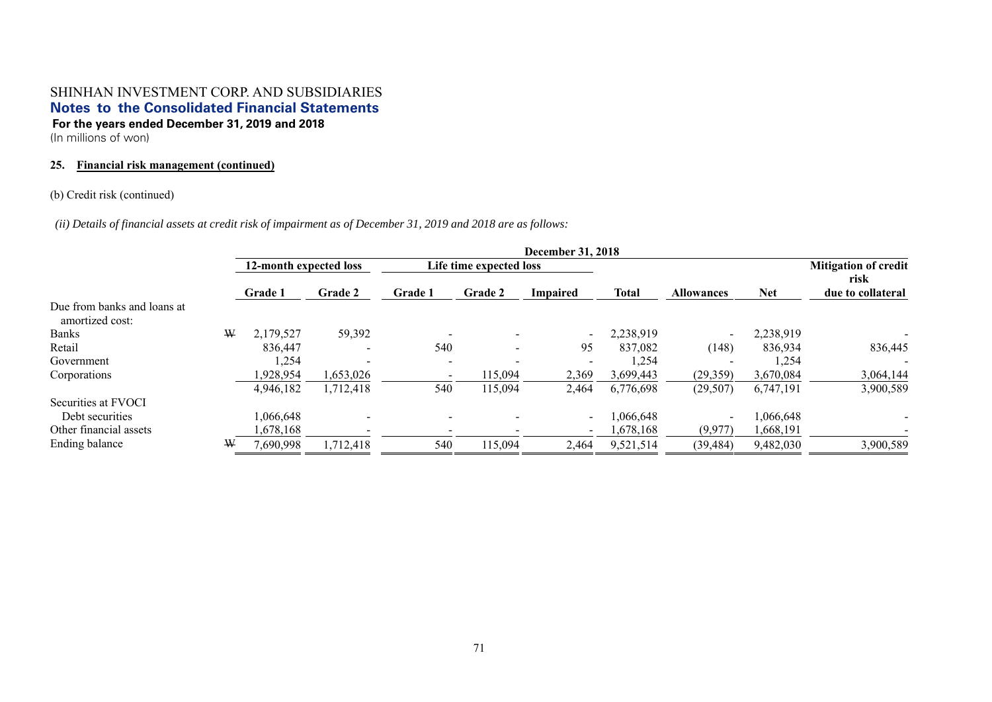(In millions of won)

### **25. Financial risk management (continued)**

### (b) Credit risk (continued)

*(ii) Details of financial assets at credit risk of impairment as of December 31, 2019 and 2018 are as follows:* 

|                                                |   | <b>December 31, 2018</b> |                |                |                          |                |              |                          |                           |                             |
|------------------------------------------------|---|--------------------------|----------------|----------------|--------------------------|----------------|--------------|--------------------------|---------------------------|-----------------------------|
|                                                |   | 12-month expected loss   |                |                | Life time expected loss  |                |              |                          |                           | <b>Mitigation of credit</b> |
|                                                |   | <b>Grade 1</b>           | <b>Grade 2</b> | <b>Grade 1</b> | <b>Grade 2</b>           | Impaired       | <b>Total</b> | Net<br><b>Allowances</b> | risk<br>due to collateral |                             |
| Due from banks and loans at<br>amortized cost: |   |                          |                |                |                          |                |              |                          |                           |                             |
| <b>Banks</b>                                   | W | 2,179,527                | 59,392         |                |                          |                | 2,238,919    | $\overline{\phantom{a}}$ | 2,238,919                 |                             |
| Retail                                         |   | 836,447                  |                | 540            | $\overline{\phantom{0}}$ | 95             | 837,082      | (148)                    | 836,934                   | 836,445                     |
| Government                                     |   | 1,254                    |                |                |                          |                | 1,254        |                          | 1,254                     |                             |
| Corporations                                   |   | 928,954                  | ,653,026       |                | 115,094                  | 2,369          | 3,699,443    | (29, 359)                | 3,670,084                 | 3,064,144                   |
|                                                |   | 4,946,182                | 1,712,418      | 540            | 115,094                  | 2,464          | 6,776,698    | (29, 507)                | 6,747,191                 | 3,900,589                   |
| Securities at FVOCI                            |   |                          |                |                |                          |                |              |                          |                           |                             |
| Debt securities                                |   | 1,066,648                |                |                |                          | $\blacksquare$ | 1,066,648    | $\overline{\phantom{a}}$ | 1,066,648                 |                             |
| Other financial assets                         |   | .678,168                 |                |                |                          | $\sim$         | 1,678,168    | (9,977)                  | 1,668,191                 |                             |
| Ending balance                                 | ₩ | 7,690,998                | 1,712,418      | 540            | 115,094                  | 2,464          | 9,521,514    | (39, 484)                | 9,482,030                 | 3,900,589                   |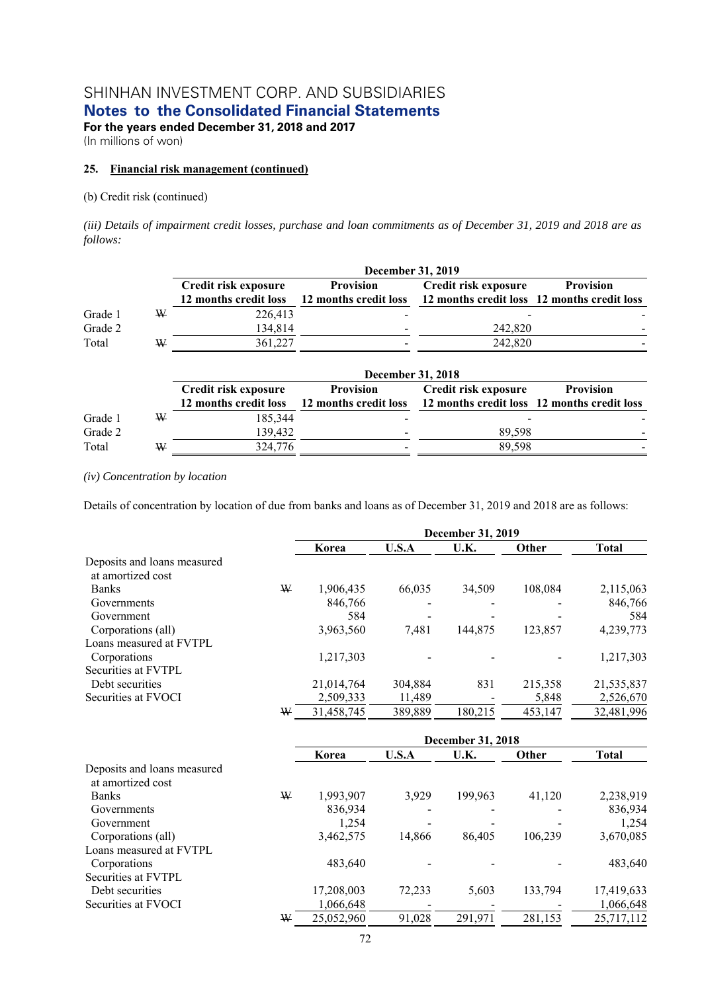**Notes to the Consolidated Financial Statements** 

**For the years ended December 31, 2018 and 2017**  (In millions of won)

### **25. Financial risk management (continued)**

### (b) Credit risk (continued)

*(iii) Details of impairment credit losses, purchase and loan commitments as of December 31, 2019 and 2018 are as follows:* 

|         |   |                       | <b>December 31, 2019</b> |                                             |                  |
|---------|---|-----------------------|--------------------------|---------------------------------------------|------------------|
|         |   | Credit risk exposure  | <b>Provision</b>         | Credit risk exposure                        | <b>Provision</b> |
|         |   | 12 months credit loss | 12 months credit loss    | 12 months credit loss 12 months credit loss |                  |
| Grade 1 | ₩ | 226,413               |                          |                                             |                  |
| Grade 2 |   | 134,814               |                          | 242,820                                     |                  |
| Total   | W | 361,227               |                          | 242,820                                     |                  |
|         |   |                       | December 31, 2018        |                                             |                  |
|         |   | Credit risk exposure  | <b>Provision</b>         | Credit risk exposure                        | <b>Provision</b> |
|         |   | 12 months credit loss | 12 months credit loss    | 12 months credit loss 12 months credit loss |                  |
| Grade 1 | ₩ | 185,344               |                          |                                             |                  |
| Grade 2 |   | 139,432               |                          | 89,598                                      |                  |
| Total   | W | 324,776               |                          | 89,598                                      |                  |

#### *(iv) Concentration by location*

Details of concentration by location of due from banks and loans as of December 31, 2019 and 2018 are as follows:

|                             |   | December 31, 2019 |         |         |         |              |  |
|-----------------------------|---|-------------------|---------|---------|---------|--------------|--|
|                             |   | Korea             | U.S.A   | U.K.    | Other   | <b>Total</b> |  |
| Deposits and loans measured |   |                   |         |         |         |              |  |
| at amortized cost           |   |                   |         |         |         |              |  |
| <b>Banks</b>                | ₩ | 1,906,435         | 66.035  | 34.509  | 108,084 | 2,115,063    |  |
| Governments                 |   | 846,766           |         |         |         | 846,766      |  |
| Government                  |   | 584               |         |         |         | 584          |  |
| Corporations (all)          |   | 3,963,560         | 7,481   | 144,875 | 123,857 | 4,239,773    |  |
| Loans measured at FVTPL     |   |                   |         |         |         |              |  |
| Corporations                |   | 1,217,303         |         |         |         | 1,217,303    |  |
| Securities at FVTPL         |   |                   |         |         |         |              |  |
| Debt securities             |   | 21,014,764        | 304,884 | 831     | 215,358 | 21,535,837   |  |
| Securities at FVOCI         |   | 2,509,333         | 11,489  |         | 5,848   | 2,526,670    |  |
|                             | W | 31,458,745        | 389,889 | 180.215 | 453,147 | 32,481,996   |  |

|                             |   | <b>December 31, 2018</b> |        |         |         |              |  |  |
|-----------------------------|---|--------------------------|--------|---------|---------|--------------|--|--|
|                             |   | Korea                    | U.S.A  | U.K.    | Other   | <b>Total</b> |  |  |
| Deposits and loans measured |   |                          |        |         |         |              |  |  |
| at amortized cost           |   |                          |        |         |         |              |  |  |
| <b>Banks</b>                | W | 1,993,907                | 3,929  | 199,963 | 41,120  | 2,238,919    |  |  |
| Governments                 |   | 836,934                  |        |         |         | 836,934      |  |  |
| Government                  |   | 1.254                    |        |         |         | 1,254        |  |  |
| Corporations (all)          |   | 3,462,575                | 14.866 | 86,405  | 106,239 | 3,670,085    |  |  |
| Loans measured at FVTPL     |   |                          |        |         |         |              |  |  |
| Corporations                |   | 483.640                  |        |         |         | 483,640      |  |  |
| Securities at FVTPL         |   |                          |        |         |         |              |  |  |
| Debt securities             |   | 17,208,003               | 72,233 | 5,603   | 133,794 | 17,419,633   |  |  |
| Securities at FVOCI         |   | 1,066,648                |        |         |         | 1,066,648    |  |  |
|                             | W | 25,052,960               | 91,028 | 291,971 | 281,153 | 25,717,112   |  |  |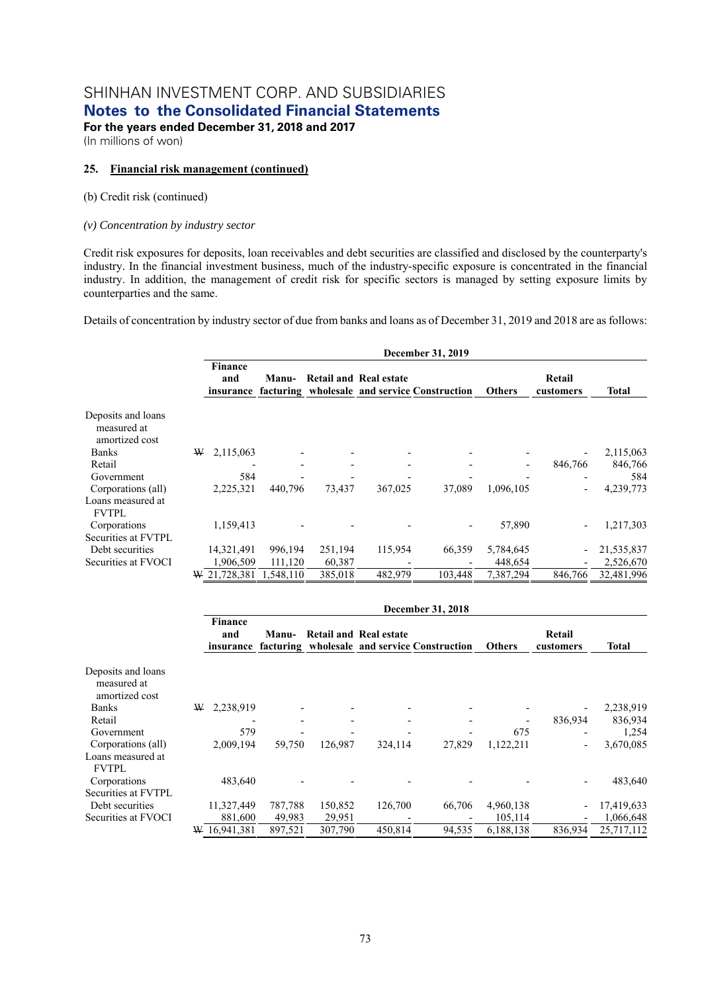**Notes to the Consolidated Financial Statements** 

**For the years ended December 31, 2018 and 2017**  (In millions of won)

### **25. Financial risk management (continued)**

### (b) Credit risk (continued)

### *(v) Concentration by industry sector*

Credit risk exposures for deposits, loan receivables and debt securities are classified and disclosed by the counterparty's industry. In the financial investment business, much of the industry-specific exposure is concentrated in the financial industry. In addition, the management of credit risk for specific sectors is managed by setting exposure limits by counterparties and the same.

Details of concentration by industry sector of due from banks and loans as of December 31, 2019 and 2018 are as follows:

|                                                     | December 31, 2019 |           |         |                               |                                                        |               |                          |              |  |  |  |
|-----------------------------------------------------|-------------------|-----------|---------|-------------------------------|--------------------------------------------------------|---------------|--------------------------|--------------|--|--|--|
|                                                     | Finance<br>and    | Manu-     |         | <b>Retail and Real estate</b> | insurance facturing wholesale and service Construction | <b>Others</b> | Retail<br>customers      | <b>Total</b> |  |  |  |
| Deposits and loans<br>measured at<br>amortized cost |                   |           |         |                               |                                                        |               |                          |              |  |  |  |
| <b>Banks</b>                                        | 2,115,063<br>W    |           |         |                               |                                                        |               | $\overline{\phantom{0}}$ | 2,115,063    |  |  |  |
| Retail                                              |                   |           |         |                               |                                                        |               | 846,766                  | 846,766      |  |  |  |
| Government                                          | 584               |           |         |                               |                                                        |               |                          | 584          |  |  |  |
| Corporations (all)                                  | 2,225,321         | 440,796   | 73,437  | 367,025                       | 37,089                                                 | 1,096,105     | $\qquad \qquad$          | 4,239,773    |  |  |  |
| Loans measured at<br><b>FVTPL</b>                   |                   |           |         |                               |                                                        |               |                          |              |  |  |  |
| Corporations                                        | 1,159,413         |           |         |                               |                                                        | 57,890        | $\overline{\phantom{0}}$ | 1,217,303    |  |  |  |
| Securities at FVTPL                                 |                   |           |         |                               |                                                        |               |                          |              |  |  |  |
| Debt securities                                     | 14,321,491        | 996,194   | 251,194 | 115,954                       | 66,359                                                 | 5,784,645     | $\overline{a}$           | 21,535,837   |  |  |  |
| Securities at FVOCI                                 | 1,906,509         | 111,120   | 60,387  |                               |                                                        | 448,654       |                          | 2,526,670    |  |  |  |
|                                                     | W 21,728,381      | 1.548.110 | 385,018 | 482,979                       | 103,448                                                | 7,387,294     | 846,766                  | 32,481,996   |  |  |  |

|                                                     | December 31, 2018     |         |         |                        |                                                        |               |                          |            |  |  |  |
|-----------------------------------------------------|-----------------------|---------|---------|------------------------|--------------------------------------------------------|---------------|--------------------------|------------|--|--|--|
|                                                     | <b>Finance</b><br>and | Manu-   |         | Retail and Real estate | insurance facturing wholesale and service Construction | <b>Others</b> | Retail<br>customers      | Total      |  |  |  |
| Deposits and loans<br>measured at<br>amortized cost |                       |         |         |                        |                                                        |               |                          |            |  |  |  |
| <b>Banks</b>                                        | 2,238,919<br>W        |         |         |                        |                                                        |               |                          | 2,238,919  |  |  |  |
| Retail                                              |                       |         |         |                        |                                                        |               | 836,934                  | 836,934    |  |  |  |
| Government                                          | 579                   |         |         |                        |                                                        | 675           |                          | 1,254      |  |  |  |
| Corporations (all)                                  | 2,009,194             | 59,750  | 126,987 | 324,114                | 27,829                                                 | 1,122,211     | $\overline{\phantom{a}}$ | 3,670,085  |  |  |  |
| Loans measured at<br><b>FVTPL</b>                   |                       |         |         |                        |                                                        |               |                          |            |  |  |  |
| Corporations                                        | 483,640               |         |         |                        |                                                        |               | $\overline{\phantom{a}}$ | 483,640    |  |  |  |
| Securities at FVTPL                                 |                       |         |         |                        |                                                        |               |                          |            |  |  |  |
| Debt securities                                     | 11,327,449            | 787,788 | 150,852 | 126,700                | 66,706                                                 | 4,960,138     | $\overline{\phantom{a}}$ | 17,419,633 |  |  |  |
| Securities at FVOCI                                 | 881,600               | 49,983  | 29,951  |                        |                                                        | 105,114       | $\overline{\phantom{a}}$ | 1,066,648  |  |  |  |
|                                                     | 16,941,381<br>W       | 897,521 | 307,790 | 450,814                | 94,535                                                 | 6,188,138     | 836,934                  | 25,717,112 |  |  |  |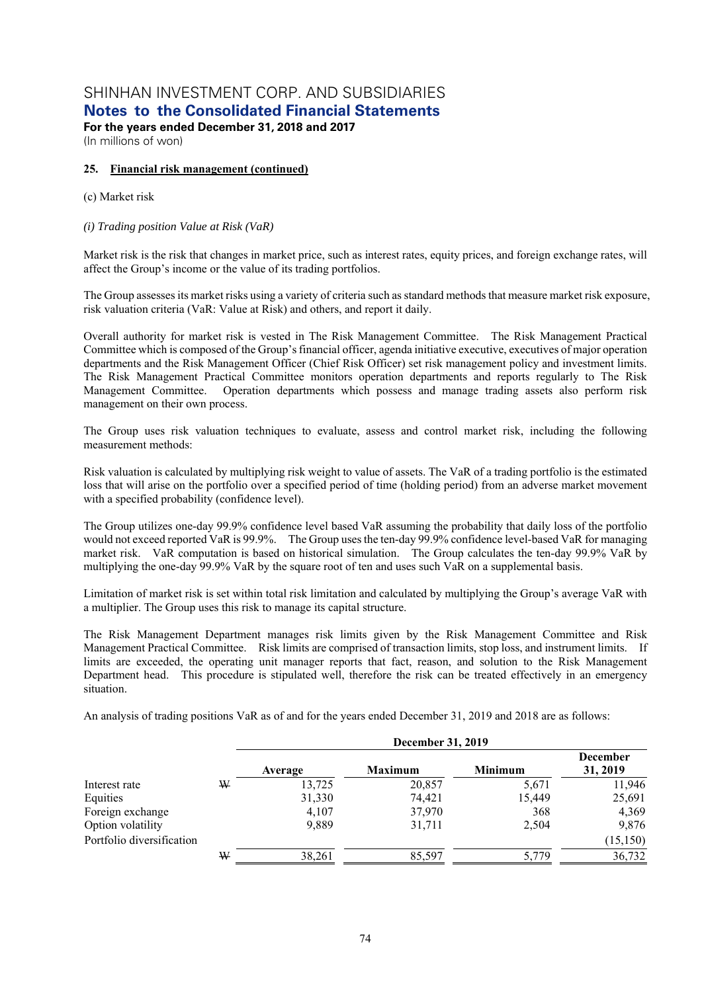**Notes to the Consolidated Financial Statements** 

**For the years ended December 31, 2018 and 2017**  (In millions of won)

### **25. Financial risk management (continued)**

### (c) Market risk

### *(i) Trading position Value at Risk (VaR)*

Market risk is the risk that changes in market price, such as interest rates, equity prices, and foreign exchange rates, will affect the Group's income or the value of its trading portfolios.

The Group assesses its market risks using a variety of criteria such as standard methods that measure market risk exposure, risk valuation criteria (VaR: Value at Risk) and others, and report it daily.

Overall authority for market risk is vested in The Risk Management Committee. The Risk Management Practical Committee which is composed of the Group's financial officer, agenda initiative executive, executives of major operation departments and the Risk Management Officer (Chief Risk Officer) set risk management policy and investment limits. The Risk Management Practical Committee monitors operation departments and reports regularly to The Risk Management Committee. Operation departments which possess and manage trading assets also perform risk management on their own process.

The Group uses risk valuation techniques to evaluate, assess and control market risk, including the following measurement methods:

Risk valuation is calculated by multiplying risk weight to value of assets. The VaR of a trading portfolio is the estimated loss that will arise on the portfolio over a specified period of time (holding period) from an adverse market movement with a specified probability (confidence level).

The Group utilizes one-day 99.9% confidence level based VaR assuming the probability that daily loss of the portfolio would not exceed reported VaR is 99.9%. The Group uses the ten-day 99.9% confidence level-based VaR for managing market risk. VaR computation is based on historical simulation. The Group calculates the ten-day 99.9% VaR by multiplying the one-day 99.9% VaR by the square root of ten and uses such VaR on a supplemental basis.

Limitation of market risk is set within total risk limitation and calculated by multiplying the Group's average VaR with a multiplier. The Group uses this risk to manage its capital structure.

The Risk Management Department manages risk limits given by the Risk Management Committee and Risk Management Practical Committee. Risk limits are comprised of transaction limits, stop loss, and instrument limits. If limits are exceeded, the operating unit manager reports that fact, reason, and solution to the Risk Management Department head. This procedure is stipulated well, therefore the risk can be treated effectively in an emergency situation.

An analysis of trading positions VaR as of and for the years ended December 31, 2019 and 2018 are as follows:

|                           |   | December 31, 2019 |                |                |                             |  |  |  |  |  |
|---------------------------|---|-------------------|----------------|----------------|-----------------------------|--|--|--|--|--|
|                           |   | Average           | <b>Maximum</b> | <b>Minimum</b> | <b>December</b><br>31, 2019 |  |  |  |  |  |
| Interest rate             | ₩ | 13,725            | 20,857         | 5,671          | 11,946                      |  |  |  |  |  |
| Equities                  |   | 31,330            | 74,421         | 15,449         | 25,691                      |  |  |  |  |  |
| Foreign exchange          |   | 4,107             | 37,970         | 368            | 4,369                       |  |  |  |  |  |
| Option volatility         |   | 9,889             | 31,711         | 2,504          | 9,876                       |  |  |  |  |  |
| Portfolio diversification |   |                   |                |                | (15, 150)                   |  |  |  |  |  |
|                           | ₩ | 38,261            | 85,597         | 5,779          | 36,732                      |  |  |  |  |  |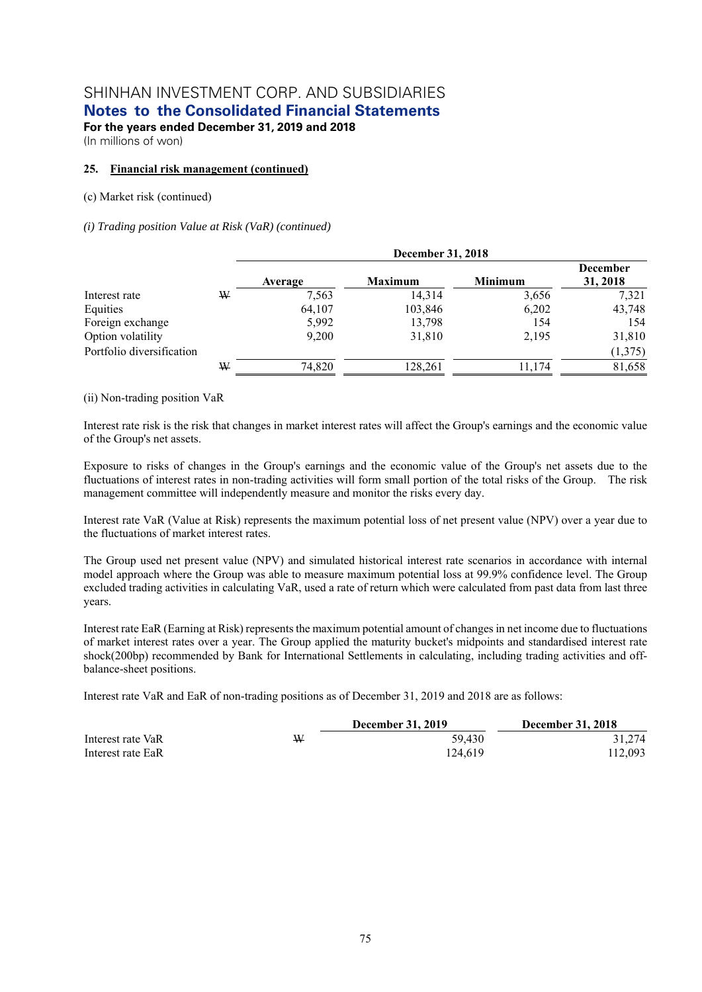**Notes to the Consolidated Financial Statements** 

**For the years ended December 31, 2019 and 2018**  (In millions of won)

### **25. Financial risk management (continued)**

### (c) Market risk (continued)

### *(i) Trading position Value at Risk (VaR) (continued)*

|                           |   | December 31, 2018 |                |                |                             |  |  |  |  |  |
|---------------------------|---|-------------------|----------------|----------------|-----------------------------|--|--|--|--|--|
|                           |   | Average           | <b>Maximum</b> | <b>Minimum</b> | <b>December</b><br>31, 2018 |  |  |  |  |  |
| Interest rate             | W | 7,563             | 14,314         | 3,656          | 7,321                       |  |  |  |  |  |
| Equities                  |   | 64,107            | 103,846        | 6,202          | 43,748                      |  |  |  |  |  |
| Foreign exchange          |   | 5,992             | 13,798         | 154            | 154                         |  |  |  |  |  |
| Option volatility         |   | 9,200             | 31,810         | 2,195          | 31,810                      |  |  |  |  |  |
| Portfolio diversification |   |                   |                |                | (1,375)                     |  |  |  |  |  |
|                           | W | 74,820            | 128,261        | 11,174         | 81,658                      |  |  |  |  |  |

(ii) Non-trading position VaR

Interest rate risk is the risk that changes in market interest rates will affect the Group's earnings and the economic value of the Group's net assets.

Exposure to risks of changes in the Group's earnings and the economic value of the Group's net assets due to the fluctuations of interest rates in non-trading activities will form small portion of the total risks of the Group. The risk management committee will independently measure and monitor the risks every day.

Interest rate VaR (Value at Risk) represents the maximum potential loss of net present value (NPV) over a year due to the fluctuations of market interest rates.

The Group used net present value (NPV) and simulated historical interest rate scenarios in accordance with internal model approach where the Group was able to measure maximum potential loss at 99.9% confidence level. The Group excluded trading activities in calculating VaR, used a rate of return which were calculated from past data from last three years.

Interest rate EaR (Earning at Risk) represents the maximum potential amount of changes in net income due to fluctuations of market interest rates over a year. The Group applied the maturity bucket's midpoints and standardised interest rate shock(200bp) recommended by Bank for International Settlements in calculating, including trading activities and offbalance-sheet positions.

Interest rate VaR and EaR of non-trading positions as of December 31, 2019 and 2018 are as follows:

|                   |   | <b>December 31, 2019</b> | <b>December 31, 2018</b> |
|-------------------|---|--------------------------|--------------------------|
| Interest rate VaR | W | 59.430                   | 31.274                   |
| Interest rate EaR |   | 124.619                  | 112,093                  |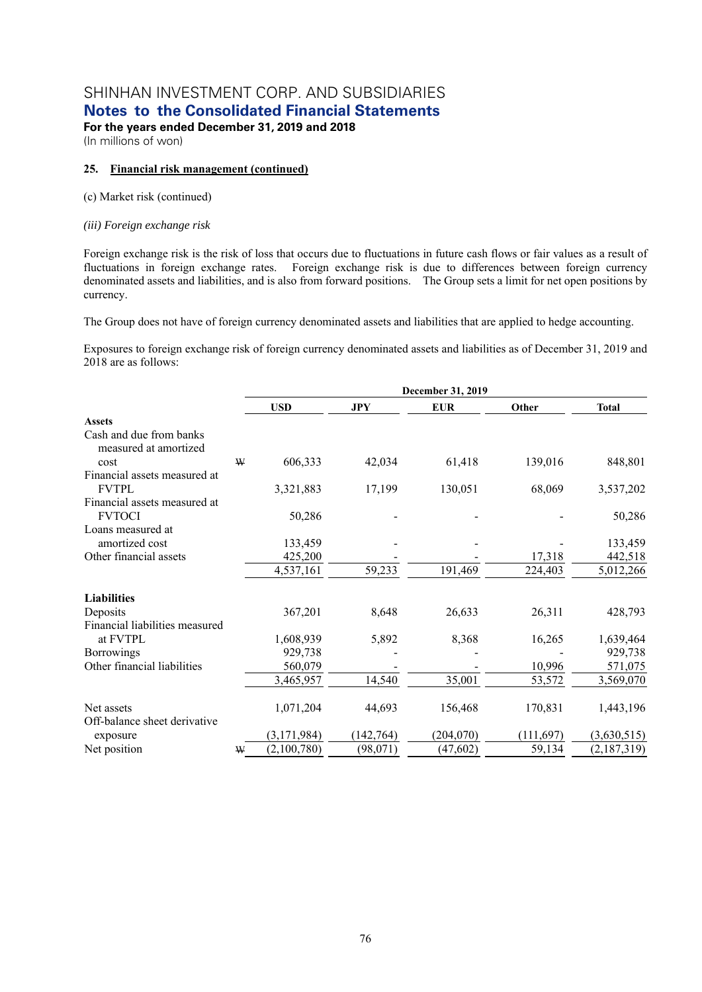**Notes to the Consolidated Financial Statements** 

**For the years ended December 31, 2019 and 2018**  (In millions of won)

### **25. Financial risk management (continued)**

#### (c) Market risk (continued)

#### *(iii) Foreign exchange risk*

Foreign exchange risk is the risk of loss that occurs due to fluctuations in future cash flows or fair values as a result of fluctuations in foreign exchange rates. Foreign exchange risk is due to differences between foreign currency denominated assets and liabilities, and is also from forward positions. The Group sets a limit for net open positions by currency.

The Group does not have of foreign currency denominated assets and liabilities that are applied to hedge accounting.

Exposures to foreign exchange risk of foreign currency denominated assets and liabilities as of December 31, 2019 and 2018 are as follows:

|                                                          |   | December 31, 2019 |            |            |            |              |  |  |  |  |
|----------------------------------------------------------|---|-------------------|------------|------------|------------|--------------|--|--|--|--|
|                                                          |   | <b>USD</b>        | <b>JPY</b> | <b>EUR</b> | Other      | <b>Total</b> |  |  |  |  |
| <b>Assets</b>                                            |   |                   |            |            |            |              |  |  |  |  |
| Cash and due from banks<br>measured at amortized<br>cost | W | 606,333           | 42,034     | 61,418     | 139,016    | 848,801      |  |  |  |  |
| Financial assets measured at                             |   |                   |            |            |            |              |  |  |  |  |
| <b>FVTPL</b>                                             |   | 3,321,883         | 17,199     | 130,051    | 68,069     | 3,537,202    |  |  |  |  |
| Financial assets measured at                             |   |                   |            |            |            |              |  |  |  |  |
| <b>FVTOCI</b>                                            |   | 50,286            |            |            |            | 50,286       |  |  |  |  |
| Loans measured at                                        |   |                   |            |            |            |              |  |  |  |  |
| amortized cost                                           |   | 133,459           |            |            |            | 133,459      |  |  |  |  |
| Other financial assets                                   |   | 425,200           |            |            | 17,318     | 442,518      |  |  |  |  |
|                                                          |   | 4,537,161         | 59,233     | 191,469    | 224,403    | 5,012,266    |  |  |  |  |
| <b>Liabilities</b>                                       |   |                   |            |            |            |              |  |  |  |  |
| Deposits                                                 |   | 367,201           | 8,648      | 26,633     | 26,311     | 428,793      |  |  |  |  |
| Financial liabilities measured                           |   |                   |            |            |            |              |  |  |  |  |
| at FVTPL                                                 |   | 1,608,939         | 5,892      | 8,368      | 16,265     | 1,639,464    |  |  |  |  |
| <b>Borrowings</b>                                        |   | 929,738           |            |            |            | 929,738      |  |  |  |  |
| Other financial liabilities                              |   | 560,079           |            |            | 10,996     | 571,075      |  |  |  |  |
|                                                          |   | 3,465,957         | 14,540     | 35,001     | 53,572     | 3,569,070    |  |  |  |  |
| Net assets<br>Off-balance sheet derivative               |   | 1,071,204         | 44,693     | 156,468    | 170,831    | 1,443,196    |  |  |  |  |
| exposure                                                 |   | (3, 171, 984)     | (142, 764) | (204, 070) | (111, 697) | (3,630,515)  |  |  |  |  |
| Net position                                             | W | (2,100,780)       | (98,071)   | (47, 602)  | 59,134     | (2,187,319)  |  |  |  |  |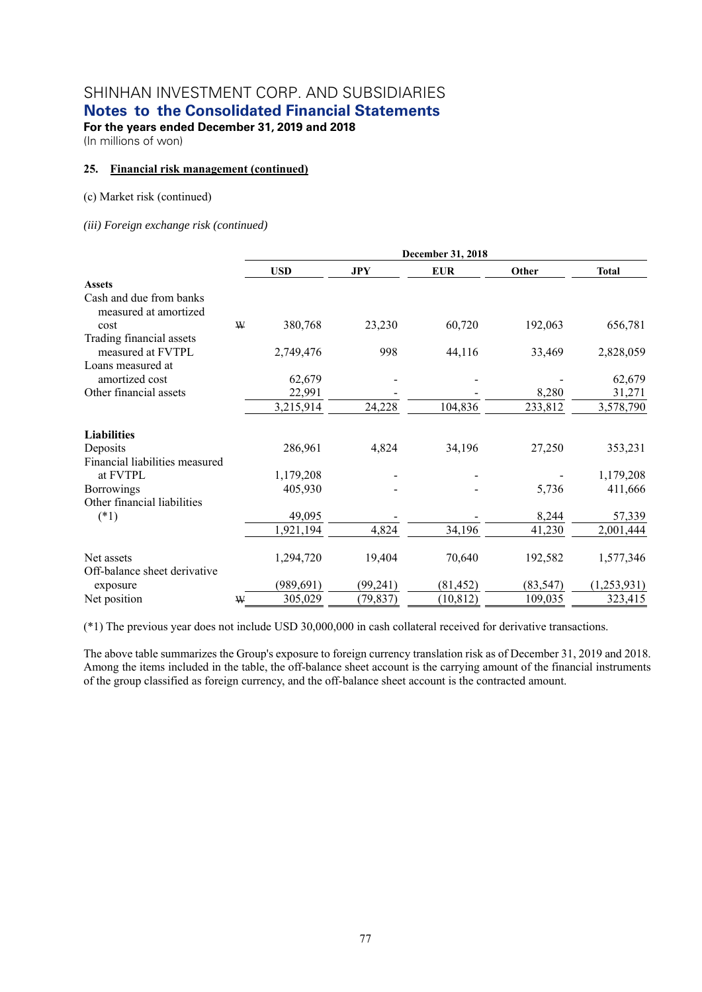**Notes to the Consolidated Financial Statements** 

**For the years ended December 31, 2019 and 2018** 

(In millions of won)

### **25. Financial risk management (continued)**

#### (c) Market risk (continued)

*(iii) Foreign exchange risk (continued)*

|                                                  |   | December 31, 2018 |            |            |           |              |  |  |  |  |
|--------------------------------------------------|---|-------------------|------------|------------|-----------|--------------|--|--|--|--|
|                                                  |   | <b>USD</b>        | <b>JPY</b> | <b>EUR</b> | Other     | <b>Total</b> |  |  |  |  |
| <b>Assets</b>                                    |   |                   |            |            |           |              |  |  |  |  |
| Cash and due from banks<br>measured at amortized |   |                   |            |            |           |              |  |  |  |  |
| cost                                             | W | 380,768           | 23,230     | 60,720     | 192,063   | 656,781      |  |  |  |  |
| Trading financial assets                         |   |                   |            |            |           |              |  |  |  |  |
| measured at FVTPL                                |   | 2,749,476         | 998        | 44,116     | 33,469    | 2,828,059    |  |  |  |  |
| Loans measured at                                |   |                   |            |            |           |              |  |  |  |  |
| amortized cost                                   |   | 62,679            |            |            |           | 62,679       |  |  |  |  |
| Other financial assets                           |   | 22,991            |            |            | 8,280     | 31,271       |  |  |  |  |
|                                                  |   | 3,215,914         | 24,228     | 104,836    | 233,812   | 3,578,790    |  |  |  |  |
| <b>Liabilities</b>                               |   |                   |            |            |           |              |  |  |  |  |
| Deposits                                         |   | 286,961           | 4,824      | 34,196     | 27,250    | 353,231      |  |  |  |  |
| Financial liabilities measured                   |   |                   |            |            |           |              |  |  |  |  |
| at FVTPL                                         |   | 1,179,208         |            |            |           | 1,179,208    |  |  |  |  |
| <b>Borrowings</b>                                |   | 405,930           |            |            | 5,736     | 411,666      |  |  |  |  |
| Other financial liabilities                      |   |                   |            |            |           |              |  |  |  |  |
| $(*1)$                                           |   | 49,095            |            |            | 8,244     | 57,339       |  |  |  |  |
|                                                  |   | 1,921,194         | 4,824      | 34,196     | 41,230    | 2,001,444    |  |  |  |  |
| Net assets<br>Off-balance sheet derivative       |   | 1,294,720         | 19,404     | 70,640     | 192,582   | 1,577,346    |  |  |  |  |
| exposure                                         |   | (989, 691)        | (99,241)   | (81, 452)  | (83, 547) | (1,253,931)  |  |  |  |  |
| Net position                                     | W | 305,029           | (79, 837)  | (10, 812)  | 109,035   | 323,415      |  |  |  |  |

(\*1) The previous year does not include USD 30,000,000 in cash collateral received for derivative transactions.

The above table summarizes the Group's exposure to foreign currency translation risk as of December 31, 2019 and 2018. Among the items included in the table, the off-balance sheet account is the carrying amount of the financial instruments of the group classified as foreign currency, and the off-balance sheet account is the contracted amount.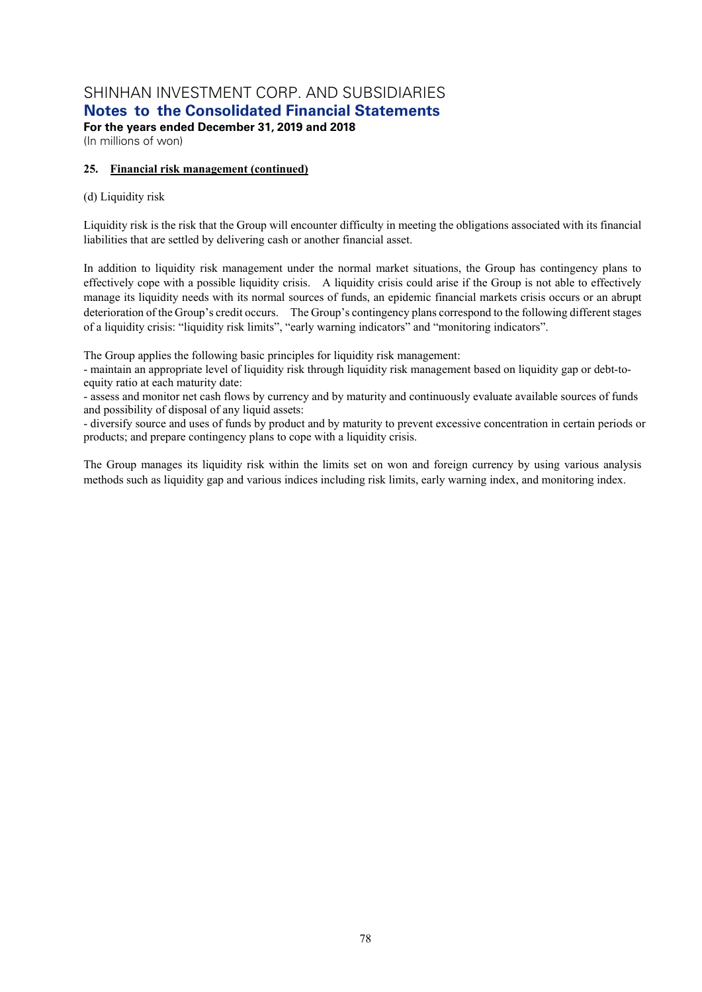**Notes to the Consolidated Financial Statements** 

**For the years ended December 31, 2019 and 2018**  (In millions of won)

### **25. Financial risk management (continued)**

### (d) Liquidity risk

Liquidity risk is the risk that the Group will encounter difficulty in meeting the obligations associated with its financial liabilities that are settled by delivering cash or another financial asset.

In addition to liquidity risk management under the normal market situations, the Group has contingency plans to effectively cope with a possible liquidity crisis. A liquidity crisis could arise if the Group is not able to effectively manage its liquidity needs with its normal sources of funds, an epidemic financial markets crisis occurs or an abrupt deterioration of the Group's credit occurs. The Group's contingency plans correspond to the following different stages of a liquidity crisis: "liquidity risk limits", "early warning indicators" and "monitoring indicators".

The Group applies the following basic principles for liquidity risk management:

- maintain an appropriate level of liquidity risk through liquidity risk management based on liquidity gap or debt-toequity ratio at each maturity date:

- assess and monitor net cash flows by currency and by maturity and continuously evaluate available sources of funds and possibility of disposal of any liquid assets:

- diversify source and uses of funds by product and by maturity to prevent excessive concentration in certain periods or products; and prepare contingency plans to cope with a liquidity crisis.

The Group manages its liquidity risk within the limits set on won and foreign currency by using various analysis methods such as liquidity gap and various indices including risk limits, early warning index, and monitoring index.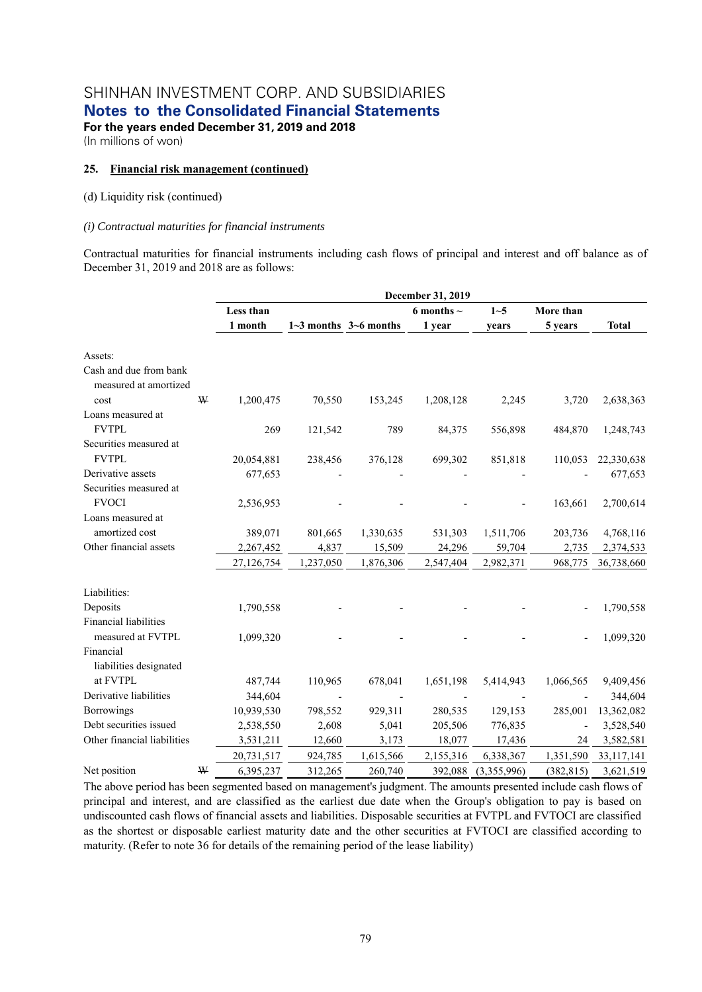**For the years ended December 31, 2019 and 2018**  (In millions of won)

### **25. Financial risk management (continued)**

### (d) Liquidity risk (continued)

### *(i) Contractual maturities for financial instruments*

Contractual maturities for financial instruments including cash flows of principal and interest and off balance as of December 31, 2019 and 2018 are as follows:

|                                                 |   |            | December 31, 2019 |                           |                 |             |                |              |  |  |  |  |
|-------------------------------------------------|---|------------|-------------------|---------------------------|-----------------|-------------|----------------|--------------|--|--|--|--|
|                                                 |   | Less than  |                   |                           | 6 months $\sim$ | $1 - 5$     | More than      |              |  |  |  |  |
|                                                 |   | 1 month    |                   | $1-3$ months $3-6$ months | 1 year          | years       | 5 years        | <b>Total</b> |  |  |  |  |
| Assets:                                         |   |            |                   |                           |                 |             |                |              |  |  |  |  |
| Cash and due from bank<br>measured at amortized |   |            |                   |                           |                 |             |                |              |  |  |  |  |
| cost                                            | W | 1,200,475  | 70,550            | 153,245                   | 1,208,128       | 2,245       | 3,720          | 2,638,363    |  |  |  |  |
| Loans measured at                               |   |            |                   |                           |                 |             |                |              |  |  |  |  |
| <b>FVTPL</b>                                    |   | 269        | 121,542           | 789                       | 84,375          | 556,898     | 484,870        | 1,248,743    |  |  |  |  |
| Securities measured at                          |   |            |                   |                           |                 |             |                |              |  |  |  |  |
| <b>FVTPL</b>                                    |   | 20,054,881 | 238,456           | 376,128                   | 699,302         | 851,818     | 110,053        | 22,330,638   |  |  |  |  |
| Derivative assets                               |   | 677,653    |                   |                           |                 |             |                | 677,653      |  |  |  |  |
| Securities measured at                          |   |            |                   |                           |                 |             |                |              |  |  |  |  |
| <b>FVOCI</b>                                    |   | 2,536,953  |                   |                           |                 |             | 163,661        | 2,700,614    |  |  |  |  |
| Loans measured at                               |   |            |                   |                           |                 |             |                |              |  |  |  |  |
| amortized cost                                  |   | 389,071    | 801,665           | 1,330,635                 | 531,303         | 1,511,706   | 203,736        | 4,768,116    |  |  |  |  |
| Other financial assets                          |   | 2,267,452  | 4,837             | 15,509                    | 24,296          | 59,704      | 2,735          | 2,374,533    |  |  |  |  |
|                                                 |   | 27,126,754 | 1,237,050         | 1,876,306                 | 2,547,404       | 2,982,371   | 968,775        | 36,738,660   |  |  |  |  |
| Liabilities:                                    |   |            |                   |                           |                 |             |                |              |  |  |  |  |
| Deposits                                        |   | 1,790,558  |                   |                           |                 |             |                | 1,790,558    |  |  |  |  |
| Financial liabilities                           |   |            |                   |                           |                 |             |                |              |  |  |  |  |
| measured at FVTPL                               |   | 1,099,320  |                   |                           |                 |             |                | 1,099,320    |  |  |  |  |
| Financial                                       |   |            |                   |                           |                 |             |                |              |  |  |  |  |
| liabilities designated                          |   |            |                   |                           |                 |             |                |              |  |  |  |  |
| at FVTPL                                        |   | 487,744    | 110,965           | 678,041                   | 1,651,198       | 5,414,943   | 1,066,565      | 9,409,456    |  |  |  |  |
| Derivative liabilities                          |   | 344,604    |                   |                           |                 |             |                | 344,604      |  |  |  |  |
| Borrowings                                      |   | 10,939,530 | 798,552           | 929,311                   | 280,535         | 129,153     | 285,001        | 13,362,082   |  |  |  |  |
| Debt securities issued                          |   | 2,538,550  | 2,608             | 5,041                     | 205,506         | 776,835     | $\overline{a}$ | 3,528,540    |  |  |  |  |
| Other financial liabilities                     |   | 3,531,211  | 12,660            | 3,173                     | 18,077          | 17,436      | 24             | 3,582,581    |  |  |  |  |
|                                                 |   | 20,731,517 | 924,785           | 1,615,566                 | 2,155,316       | 6,338,367   | 1,351,590      | 33,117,141   |  |  |  |  |
| Net position                                    | W | 6,395,237  | 312,265           | 260,740                   | 392,088         | (3,355,996) | (382, 815)     | 3,621,519    |  |  |  |  |

The above period has been segmented based on management's judgment. The amounts presented include cash flows of principal and interest, and are classified as the earliest due date when the Group's obligation to pay is based on undiscounted cash flows of financial assets and liabilities. Disposable securities at FVTPL and FVTOCI are classified as the shortest or disposable earliest maturity date and the other securities at FVTOCI are classified according to maturity. (Refer to note 36 for details of the remaining period of the lease liability)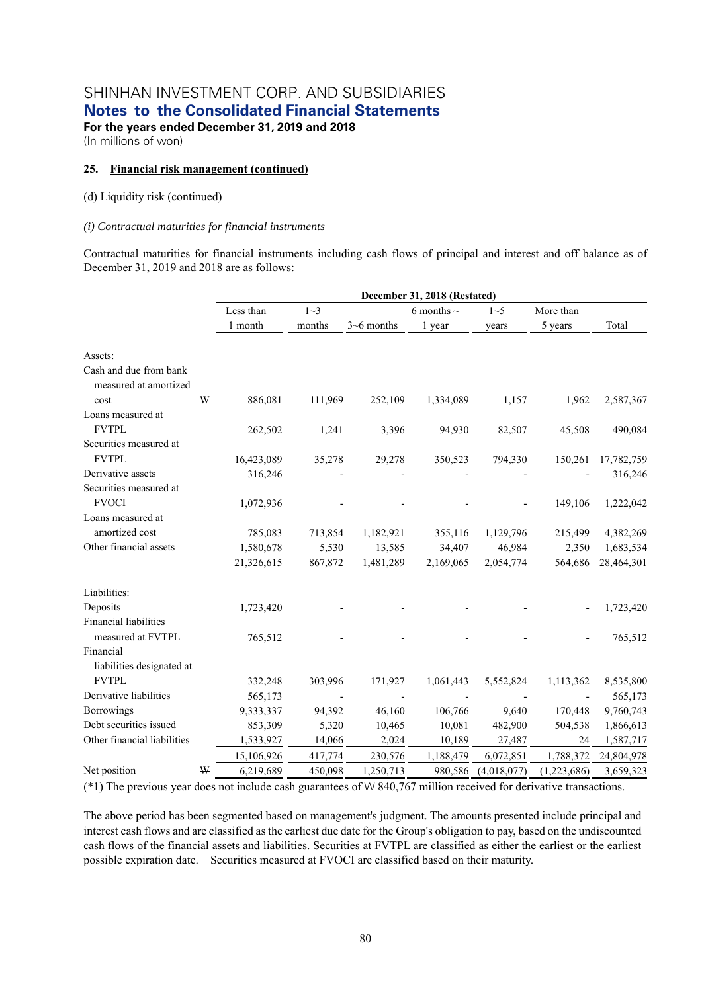**For the years ended December 31, 2019 and 2018**  (In millions of won)

### **25. Financial risk management (continued)**

### (d) Liquidity risk (continued)

### *(i) Contractual maturities for financial instruments*

Contractual maturities for financial instruments including cash flows of principal and interest and off balance as of December 31, 2019 and 2018 are as follows:

|                                                 |   |            | December 31, 2018 (Restated) |                |                 |             |             |            |  |  |  |
|-------------------------------------------------|---|------------|------------------------------|----------------|-----------------|-------------|-------------|------------|--|--|--|
|                                                 |   | Less than  | $1 - 3$                      |                | 6 months $\sim$ | 1~5         | More than   |            |  |  |  |
|                                                 |   | 1 month    | months                       | $3 - 6$ months | 1 year          | years       | 5 years     | Total      |  |  |  |
| Assets:                                         |   |            |                              |                |                 |             |             |            |  |  |  |
| Cash and due from bank<br>measured at amortized |   |            |                              |                |                 |             |             |            |  |  |  |
| cost                                            | ₩ | 886,081    | 111,969                      | 252,109        | 1,334,089       | 1,157       | 1,962       | 2,587,367  |  |  |  |
| Loans measured at                               |   |            |                              |                |                 |             |             |            |  |  |  |
| <b>FVTPL</b>                                    |   | 262,502    | 1,241                        | 3,396          | 94,930          | 82,507      | 45,508      | 490,084    |  |  |  |
| Securities measured at                          |   |            |                              |                |                 |             |             |            |  |  |  |
| <b>FVTPL</b>                                    |   | 16,423,089 | 35,278                       | 29,278         | 350,523         | 794,330     | 150,261     | 17,782,759 |  |  |  |
| Derivative assets                               |   | 316,246    |                              |                |                 |             |             | 316,246    |  |  |  |
| Securities measured at                          |   |            |                              |                |                 |             |             |            |  |  |  |
| <b>FVOCI</b>                                    |   | 1,072,936  |                              |                |                 |             | 149,106     | 1,222,042  |  |  |  |
| Loans measured at                               |   |            |                              |                |                 |             |             |            |  |  |  |
| amortized cost                                  |   | 785,083    | 713,854                      | 1,182,921      | 355,116         | 1,129,796   | 215,499     | 4,382,269  |  |  |  |
| Other financial assets                          |   | 1,580,678  | 5,530                        | 13,585         | 34,407          | 46,984      | 2,350       | 1,683,534  |  |  |  |
|                                                 |   | 21,326,615 | 867,872                      | 1,481,289      | 2,169,065       | 2,054,774   | 564,686     | 28,464,301 |  |  |  |
| Liabilities:                                    |   |            |                              |                |                 |             |             |            |  |  |  |
| Deposits                                        |   | 1,723,420  |                              |                |                 |             |             | 1,723,420  |  |  |  |
| <b>Financial liabilities</b>                    |   |            |                              |                |                 |             |             |            |  |  |  |
| measured at FVTPL                               |   | 765,512    |                              |                |                 |             |             | 765,512    |  |  |  |
| Financial                                       |   |            |                              |                |                 |             |             |            |  |  |  |
| liabilities designated at                       |   |            |                              |                |                 |             |             |            |  |  |  |
| <b>FVTPL</b>                                    |   | 332,248    | 303,996                      | 171,927        | 1,061,443       | 5,552,824   | 1,113,362   | 8,535,800  |  |  |  |
| Derivative liabilities                          |   | 565,173    |                              |                |                 |             |             | 565,173    |  |  |  |
| <b>Borrowings</b>                               |   | 9,333,337  | 94,392                       | 46,160         | 106,766         | 9,640       | 170,448     | 9,760,743  |  |  |  |
| Debt securities issued                          |   | 853,309    | 5,320                        | 10,465         | 10,081          | 482,900     | 504,538     | 1,866,613  |  |  |  |
| Other financial liabilities                     |   | 1,533,927  | 14,066                       | 2,024          | 10,189          | 27,487      | 24          | 1,587,717  |  |  |  |
|                                                 |   | 15,106,926 | 417,774                      | 230,576        | 1,188,479       | 6,072,851   | 1,788,372   | 24,804,978 |  |  |  |
| Net position                                    | W | 6,219,689  | 450,098                      | 1,250,713      | 980,586         | (4,018,077) | (1,223,686) | 3,659,323  |  |  |  |

(\*1) The previous year does not include cash guarantees of W 840,767 million received for derivative transactions.

The above period has been segmented based on management's judgment. The amounts presented include principal and interest cash flows and are classified as the earliest due date for the Group's obligation to pay, based on the undiscounted cash flows of the financial assets and liabilities. Securities at FVTPL are classified as either the earliest or the earliest possible expiration date. Securities measured at FVOCI are classified based on their maturity.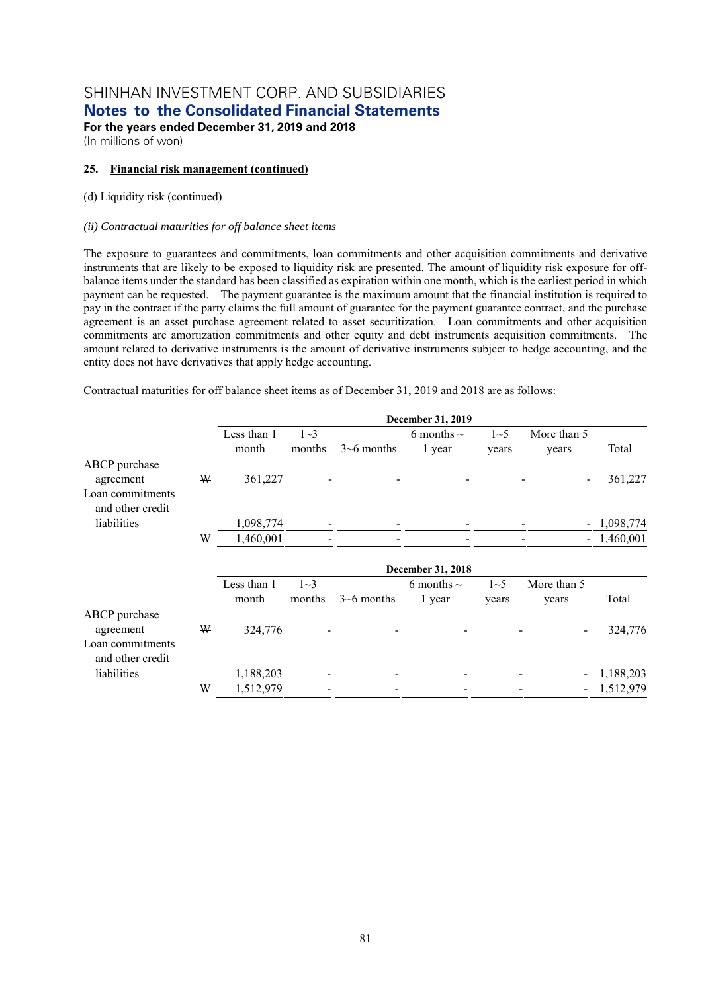**For the years ended December 31, 2019 and 2018**  (In millions of won)

### **25. Financial risk management (continued)**

### (d) Liquidity risk (continued)

### *(ii) Contractual maturities for off balance sheet items*

The exposure to guarantees and commitments, loan commitments and other acquisition commitments and derivative instruments that are likely to be exposed to liquidity risk are presented. The amount of liquidity risk exposure for offbalance items under the standard has been classified as expiration within one month, which is the earliest period in which payment can be requested. The payment guarantee is the maximum amount that the financial institution is required to pay in the contract if the party claims the full amount of guarantee for the payment guarantee contract, and the purchase agreement is an asset purchase agreement related to asset securitization. Loan commitments and other acquisition commitments are amortization commitments and other equity and debt instruments acquisition commitments. The amount related to derivative instruments is the amount of derivative instruments subject to hedge accounting, and the entity does not have derivatives that apply hedge accounting.

Contractual maturities for off balance sheet items as of December 31, 2019 and 2018 are as follows:

|                                                                    |   |             |          |                  | December 31, 2019 |         |                          |              |
|--------------------------------------------------------------------|---|-------------|----------|------------------|-------------------|---------|--------------------------|--------------|
|                                                                    |   | Less than 1 | $1 - 3$  |                  | 6 months $\sim$   | $1 - 5$ | More than 5              |              |
|                                                                    |   | month       | months   | $3\neg 6$ months | 1 year            | years   | years                    | Total        |
| ABCP purchase<br>agreement<br>Loan commitments<br>and other credit | W | 361,227     |          |                  |                   |         |                          | 361,227      |
| liabilities                                                        |   | 1,098,774   |          |                  |                   |         |                          | 1,098,774    |
|                                                                    | ₩ | 1,460,001   |          |                  |                   |         |                          | $-1,460,001$ |
|                                                                    |   |             |          |                  | December 31, 2018 |         |                          |              |
|                                                                    |   | Less than 1 | $1\sim3$ |                  | 6 months $\sim$   | $1 - 5$ | More than 5              |              |
|                                                                    |   | month       | months   | $3\neg 6$ months | 1 year            | years   | years                    | Total        |
| ABCP purchase<br>agreement<br>Loan commitments                     | ₩ | 324,776     |          |                  |                   |         |                          | 324,776      |
| and other credit<br>liabilities                                    |   | 1,188,203   |          |                  |                   |         | $\blacksquare$           | 1,188,203    |
|                                                                    | ₩ | 1,512,979   |          |                  |                   |         | $\overline{\phantom{a}}$ | 1,512,979    |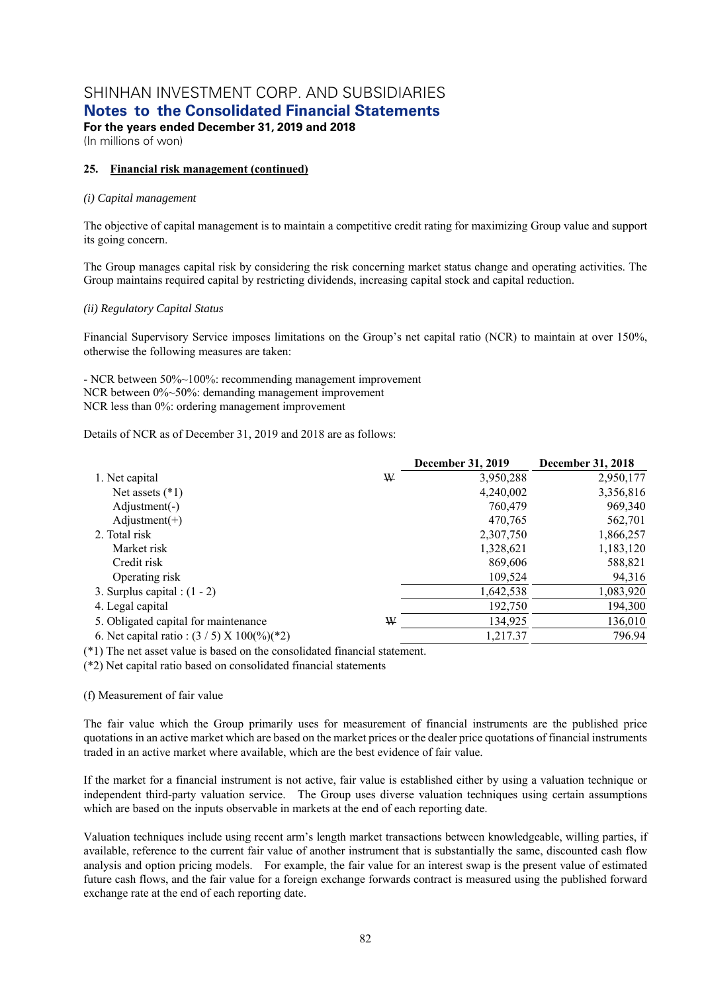**Notes to the Consolidated Financial Statements** 

**For the years ended December 31, 2019 and 2018**  (In millions of won)

### **25. Financial risk management (continued)**

### *(i) Capital management*

The objective of capital management is to maintain a competitive credit rating for maximizing Group value and support its going concern.

The Group manages capital risk by considering the risk concerning market status change and operating activities. The Group maintains required capital by restricting dividends, increasing capital stock and capital reduction.

### *(ii) Regulatory Capital Status*

Financial Supervisory Service imposes limitations on the Group's net capital ratio (NCR) to maintain at over 150%, otherwise the following measures are taken:

- NCR between 50%~100%: recommending management improvement NCR between 0%~50%: demanding management improvement NCR less than 0%: ordering management improvement

Details of NCR as of December 31, 2019 and 2018 are as follows:

|                                                               |   | December 31, 2019 | <b>December 31, 2018</b> |
|---------------------------------------------------------------|---|-------------------|--------------------------|
| 1. Net capital                                                | ₩ | 3,950,288         | 2,950,177                |
| Net assets $(*1)$                                             |   | 4,240,002         | 3,356,816                |
| $\text{Adjustment}(-)$                                        |   | 760,479           | 969,340                  |
| $\text{Adjustment}(+)$                                        |   | 470,765           | 562,701                  |
| 2. Total risk                                                 |   | 2,307,750         | 1,866,257                |
| Market risk                                                   |   | 1,328,621         | 1,183,120                |
| Credit risk                                                   |   | 869,606           | 588,821                  |
| Operating risk                                                |   | 109,524           | 94,316                   |
| 3. Surplus capital : $(1 - 2)$                                |   | 1,642,538         | 1,083,920                |
| 4. Legal capital                                              |   | 192,750           | 194,300                  |
| 5. Obligated capital for maintenance                          | ₩ | 134,925           | 136,010                  |
| 6. Net capital ratio : $(3/5)$ X $100\frac{(\frac{1}{2})}{2}$ |   | 1,217.37          | 796.94                   |

(\*1) The net asset value is based on the consolidated financial statement.

(\*2) Net capital ratio based on consolidated financial statements

### (f) Measurement of fair value

The fair value which the Group primarily uses for measurement of financial instruments are the published price quotations in an active market which are based on the market prices or the dealer price quotations of financial instruments traded in an active market where available, which are the best evidence of fair value.

If the market for a financial instrument is not active, fair value is established either by using a valuation technique or independent third-party valuation service. The Group uses diverse valuation techniques using certain assumptions which are based on the inputs observable in markets at the end of each reporting date.

Valuation techniques include using recent arm's length market transactions between knowledgeable, willing parties, if available, reference to the current fair value of another instrument that is substantially the same, discounted cash flow analysis and option pricing models. For example, the fair value for an interest swap is the present value of estimated future cash flows, and the fair value for a foreign exchange forwards contract is measured using the published forward exchange rate at the end of each reporting date.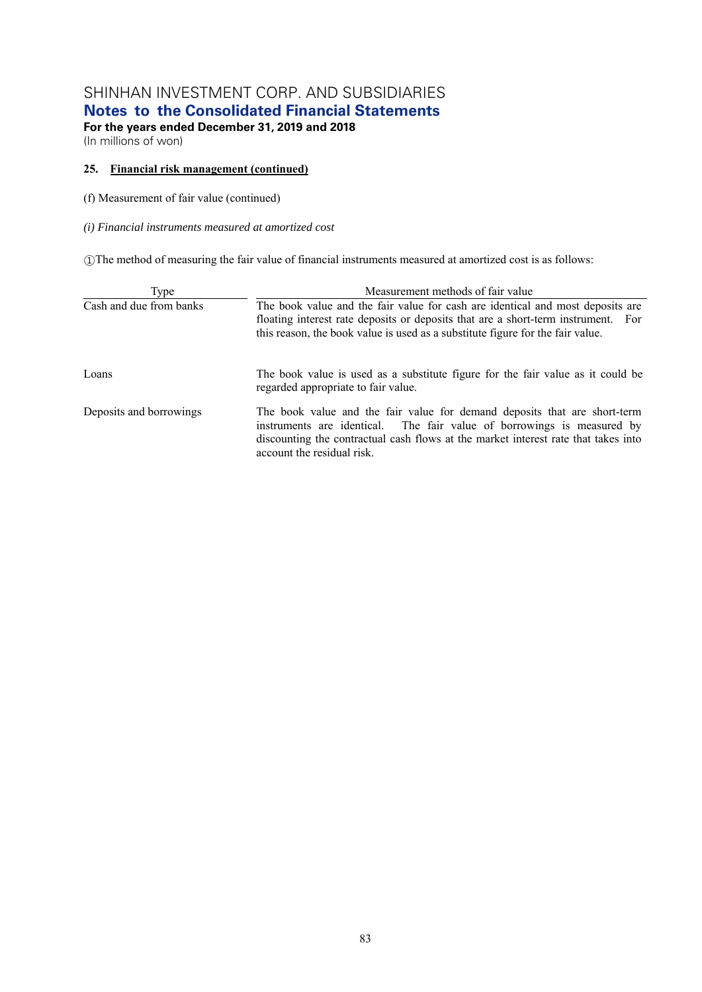**Notes to the Consolidated Financial Statements** 

**For the years ended December 31, 2019 and 2018**  (In millions of won)

### **25. Financial risk management (continued)**

(f) Measurement of fair value (continued)

### *(i) Financial instruments measured at amortized cost*

①The method of measuring the fair value of financial instruments measured at amortized cost is as follows:

| Type                    | Measurement methods of fair value                                                                                                                                                                                                                                       |  |  |  |  |  |
|-------------------------|-------------------------------------------------------------------------------------------------------------------------------------------------------------------------------------------------------------------------------------------------------------------------|--|--|--|--|--|
| Cash and due from banks | The book value and the fair value for cash are identical and most deposits are<br>floating interest rate deposits or deposits that are a short-term instrument. For<br>this reason, the book value is used as a substitute figure for the fair value.                   |  |  |  |  |  |
| Loans                   | The book value is used as a substitute figure for the fair value as it could be<br>regarded appropriate to fair value.                                                                                                                                                  |  |  |  |  |  |
| Deposits and borrowings | The book value and the fair value for demand deposits that are short-term<br>instruments are identical. The fair value of borrowings is measured by<br>discounting the contractual cash flows at the market interest rate that takes into<br>account the residual risk. |  |  |  |  |  |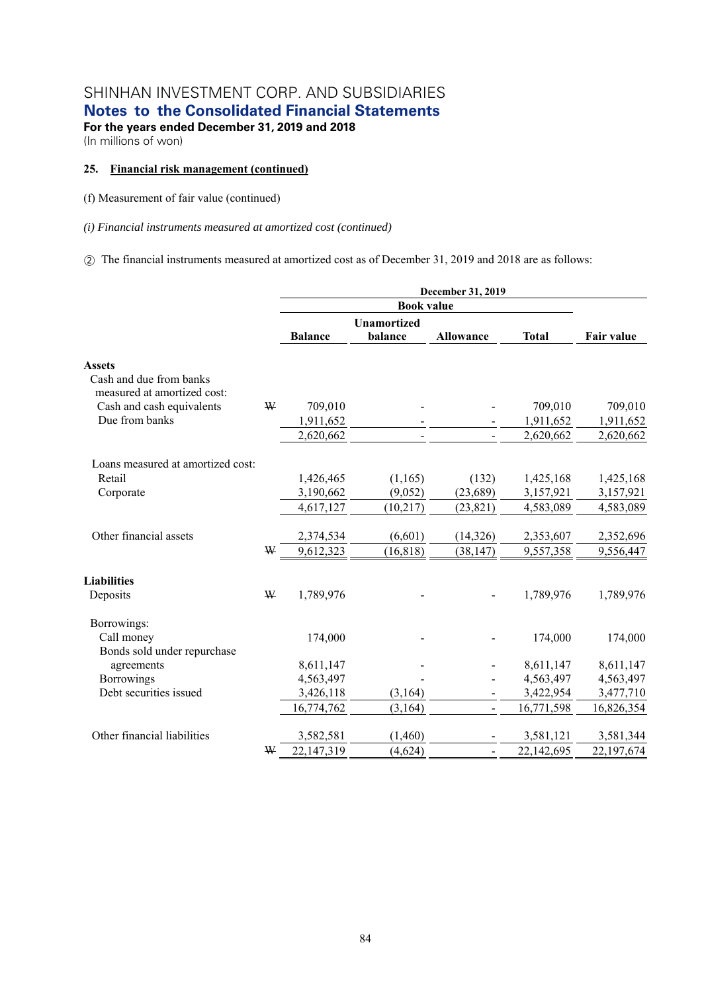**Notes to the Consolidated Financial Statements** 

**For the years ended December 31, 2019 and 2018**  (In millions of won)

### **25. Financial risk management (continued)**

(f) Measurement of fair value (continued)

*(i) Financial instruments measured at amortized cost (continued)* 

② The financial instruments measured at amortized cost as of December 31, 2019 and 2018 are as follows:

|                                                        |   |                | <b>Book value</b>             |                  |              |                   |
|--------------------------------------------------------|---|----------------|-------------------------------|------------------|--------------|-------------------|
|                                                        |   | <b>Balance</b> | <b>Unamortized</b><br>balance | <b>Allowance</b> | <b>Total</b> | <b>Fair value</b> |
|                                                        |   |                |                               |                  |              |                   |
| <b>Assets</b>                                          |   |                |                               |                  |              |                   |
| Cash and due from banks<br>measured at amortized cost: |   |                |                               |                  |              |                   |
| Cash and cash equivalents                              | W | 709,010        |                               |                  | 709,010      | 709,010           |
| Due from banks                                         |   | 1,911,652      |                               |                  | 1,911,652    | 1,911,652         |
|                                                        |   | 2,620,662      |                               |                  | 2,620,662    | 2,620,662         |
| Loans measured at amortized cost:                      |   |                |                               |                  |              |                   |
| Retail                                                 |   | 1,426,465      | (1,165)                       | (132)            | 1,425,168    | 1,425,168         |
| Corporate                                              |   | 3,190,662      | (9,052)                       | (23, 689)        | 3,157,921    | 3,157,921         |
|                                                        |   | 4,617,127      | (10,217)                      | (23, 821)        | 4,583,089    | 4,583,089         |
| Other financial assets                                 |   | 2,374,534      | (6,601)                       | (14, 326)        | 2,353,607    | 2,352,696         |
|                                                        | W | 9,612,323      | (16, 818)                     | (38, 147)        | 9,557,358    | 9,556,447         |
| <b>Liabilities</b>                                     |   |                |                               |                  |              |                   |
| Deposits                                               | W | 1,789,976      |                               |                  | 1,789,976    | 1,789,976         |
| Borrowings:                                            |   |                |                               |                  |              |                   |
| Call money                                             |   | 174,000        |                               |                  | 174,000      | 174,000           |
| Bonds sold under repurchase                            |   |                |                               |                  |              |                   |
| agreements                                             |   | 8,611,147      |                               |                  | 8,611,147    | 8,611,147         |
| Borrowings                                             |   | 4,563,497      |                               |                  | 4,563,497    | 4,563,497         |
| Debt securities issued                                 |   | 3,426,118      | (3,164)                       |                  | 3,422,954    | 3,477,710         |
|                                                        |   | 16,774,762     | (3,164)                       | $\overline{a}$   | 16,771,598   | 16,826,354        |
| Other financial liabilities                            |   | 3,582,581      | (1,460)                       |                  | 3,581,121    | 3,581,344         |
|                                                        | W | 22,147,319     | (4,624)                       | $\blacksquare$   | 22,142,695   | 22,197,674        |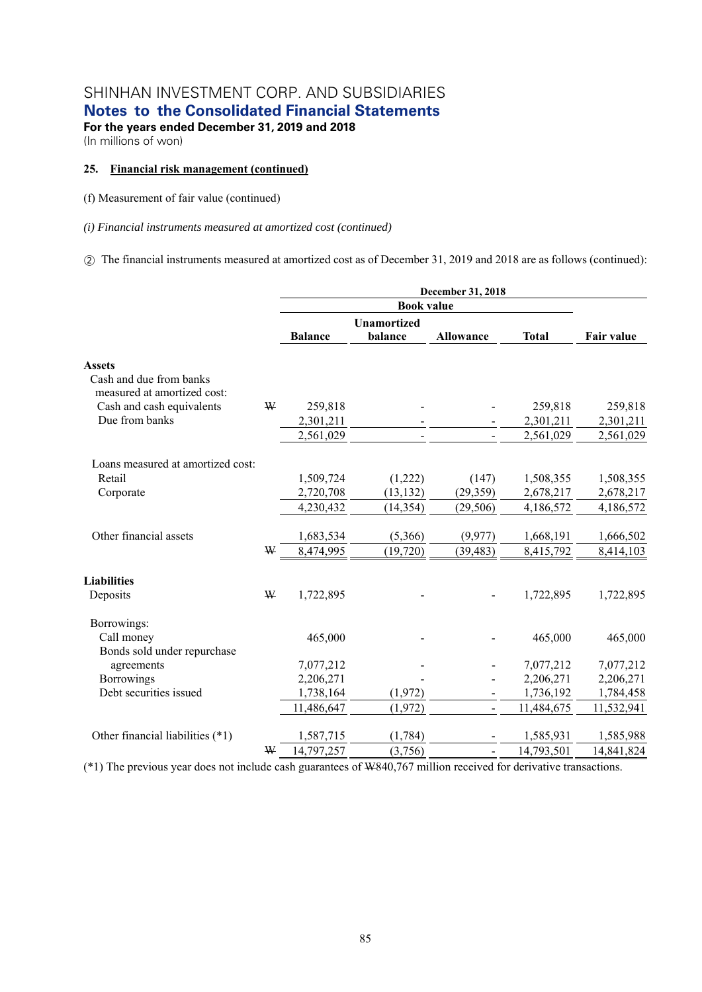**Notes to the Consolidated Financial Statements** 

**For the years ended December 31, 2019 and 2018**  (In millions of won)

#### **25. Financial risk management (continued)**

(f) Measurement of fair value (continued)

*(i) Financial instruments measured at amortized cost (continued)* 

② The financial instruments measured at amortized cost as of December 31, 2019 and 2018 are as follows (continued):

|                                                        |   |                        | <b>Book value</b>             |                  |                        |                        |
|--------------------------------------------------------|---|------------------------|-------------------------------|------------------|------------------------|------------------------|
|                                                        |   | <b>Balance</b>         | <b>Unamortized</b><br>balance | <b>Allowance</b> | <b>Total</b>           | Fair value             |
| <b>Assets</b>                                          |   |                        |                               |                  |                        |                        |
| Cash and due from banks<br>measured at amortized cost: |   |                        |                               |                  |                        |                        |
| Cash and cash equivalents                              | W | 259,818                |                               |                  | 259,818                | 259,818                |
| Due from banks                                         |   | 2,301,211              |                               |                  | 2,301,211              | 2,301,211              |
|                                                        |   | 2,561,029              |                               |                  | 2,561,029              | 2,561,029              |
| Loans measured at amortized cost:                      |   |                        |                               |                  |                        |                        |
| Retail                                                 |   | 1,509,724              | (1,222)                       | (147)            | 1,508,355              | 1,508,355              |
| Corporate                                              |   | 2,720,708              | (13, 132)                     | (29,359)         | 2,678,217              | 2,678,217              |
|                                                        |   | 4,230,432              | (14, 354)                     | (29, 506)        | 4,186,572              | 4,186,572              |
| Other financial assets                                 |   | 1,683,534              | (5,366)                       | (9, 977)         | 1,668,191              | 1,666,502              |
|                                                        | W | 8,474,995              | (19, 720)                     | (39, 483)        | 8,415,792              | 8,414,103              |
| <b>Liabilities</b>                                     |   |                        |                               |                  |                        |                        |
| Deposits                                               | W | 1,722,895              |                               |                  | 1,722,895              | 1,722,895              |
| Borrowings:                                            |   |                        |                               |                  |                        |                        |
| Call money                                             |   | 465,000                |                               |                  | 465,000                | 465,000                |
| Bonds sold under repurchase                            |   |                        |                               |                  |                        |                        |
| agreements<br>Borrowings                               |   | 7,077,212              |                               |                  | 7,077,212              | 7,077,212              |
| Debt securities issued                                 |   | 2,206,271<br>1,738,164 | (1, 972)                      |                  | 2,206,271<br>1,736,192 | 2,206,271<br>1,784,458 |
|                                                        |   | 11,486,647             | (1,972)                       | $\overline{a}$   | 11,484,675             | 11,532,941             |
|                                                        |   |                        |                               |                  |                        |                        |
| Other financial liabilities (*1)                       |   | 1,587,715              | (1,784)                       |                  | 1,585,931              | 1,585,988              |
|                                                        | W | 14,797,257             | (3,756)                       | $\blacksquare$   | 14,793,501             | 14,841,824             |

(\*1) The previous year does not include cash guarantees of W840,767 million received for derivative transactions.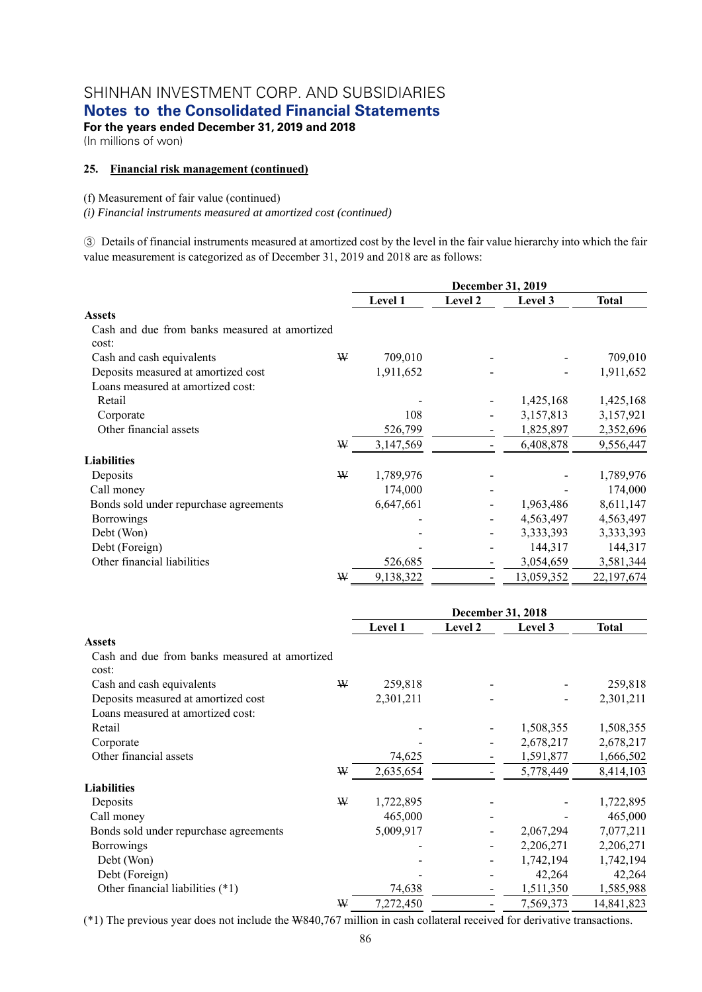**Notes to the Consolidated Financial Statements** 

**For the years ended December 31, 2019 and 2018** 

(In millions of won)

### **25. Financial risk management (continued)**

### (f) Measurement of fair value (continued)

*(i) Financial instruments measured at amortized cost (continued)* 

③ Details of financial instruments measured at amortized cost by the level in the fair value hierarchy into which the fair value measurement is categorized as of December 31, 2019 and 2018 are as follows:

|                                               |   | December 31, 2019 |         |            |              |
|-----------------------------------------------|---|-------------------|---------|------------|--------------|
|                                               |   | Level 1           | Level 2 | Level 3    | <b>Total</b> |
| <b>Assets</b>                                 |   |                   |         |            |              |
| Cash and due from banks measured at amortized |   |                   |         |            |              |
| cost:                                         |   |                   |         |            |              |
| Cash and cash equivalents                     | ₩ | 709,010           |         |            | 709,010      |
| Deposits measured at amortized cost           |   | 1,911,652         |         |            | 1,911,652    |
| Loans measured at amortized cost:             |   |                   |         |            |              |
| Retail                                        |   |                   |         | 1,425,168  | 1,425,168    |
| Corporate                                     |   | 108               |         | 3,157,813  | 3,157,921    |
| Other financial assets                        |   | 526,799           |         | 1,825,897  | 2,352,696    |
|                                               | W | 3,147,569         |         | 6,408,878  | 9,556,447    |
| <b>Liabilities</b>                            |   |                   |         |            |              |
| Deposits                                      | ₩ | 1,789,976         |         |            | 1,789,976    |
| Call money                                    |   | 174,000           |         |            | 174,000      |
| Bonds sold under repurchase agreements        |   | 6,647,661         |         | 1,963,486  | 8,611,147    |
| <b>Borrowings</b>                             |   |                   |         | 4,563,497  | 4,563,497    |
| Debt (Won)                                    |   |                   |         | 3,333,393  | 3,333,393    |
| Debt (Foreign)                                |   |                   |         | 144,317    | 144,317      |
| Other financial liabilities                   |   | 526,685           |         | 3,054,659  | 3,581,344    |
|                                               | ₩ | 9,138,322         |         | 13,059,352 | 22,197,674   |

|                                               |   | December 31, 2018 |         |           |              |  |
|-----------------------------------------------|---|-------------------|---------|-----------|--------------|--|
|                                               |   | Level 1           | Level 2 | Level 3   | <b>Total</b> |  |
| <b>Assets</b>                                 |   |                   |         |           |              |  |
| Cash and due from banks measured at amortized |   |                   |         |           |              |  |
| cost:                                         |   |                   |         |           |              |  |
| Cash and cash equivalents                     | ₩ | 259,818           |         |           | 259,818      |  |
| Deposits measured at amortized cost           |   | 2,301,211         |         |           | 2,301,211    |  |
| Loans measured at amortized cost:             |   |                   |         |           |              |  |
| Retail                                        |   |                   |         | 1,508,355 | 1,508,355    |  |
| Corporate                                     |   |                   |         | 2,678,217 | 2,678,217    |  |
| Other financial assets                        |   | 74,625            |         | 1,591,877 | 1,666,502    |  |
|                                               | ₩ | 2,635,654         |         | 5,778,449 | 8,414,103    |  |
| <b>Liabilities</b>                            |   |                   |         |           |              |  |
| Deposits                                      | ₩ | 1,722,895         |         |           | 1,722,895    |  |
| Call money                                    |   | 465,000           |         |           | 465,000      |  |
| Bonds sold under repurchase agreements        |   | 5,009,917         |         | 2,067,294 | 7,077,211    |  |
| <b>Borrowings</b>                             |   |                   |         | 2,206,271 | 2,206,271    |  |
| Debt (Won)                                    |   |                   |         | 1,742,194 | 1,742,194    |  |
| Debt (Foreign)                                |   |                   |         | 42,264    | 42,264       |  |
| Other financial liabilities (*1)              |   | 74,638            |         | 1,511,350 | 1,585,988    |  |
|                                               | ₩ | 7,272,450         |         | 7,569,373 | 14,841,823   |  |

(\*1) The previous year does not include the W840,767 million in cash collateral received for derivative transactions.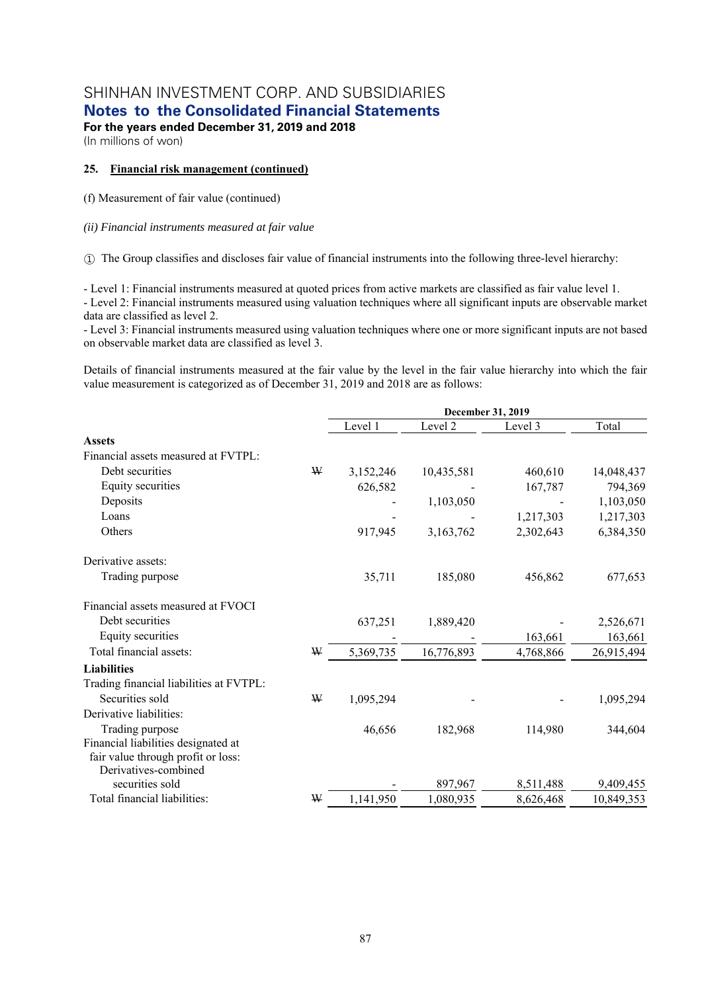**Notes to the Consolidated Financial Statements** 

**For the years ended December 31, 2019 and 2018**  (In millions of won)

#### **25. Financial risk management (continued)**

(f) Measurement of fair value (continued)

#### *(ii) Financial instruments measured at fair value*

① The Group classifies and discloses fair value of financial instruments into the following three-level hierarchy:

- Level 1: Financial instruments measured at quoted prices from active markets are classified as fair value level 1. - Level 2: Financial instruments measured using valuation techniques where all significant inputs are observable market data are classified as level 2.

- Level 3: Financial instruments measured using valuation techniques where one or more significant inputs are not based on observable market data are classified as level 3.

Details of financial instruments measured at the fair value by the level in the fair value hierarchy into which the fair value measurement is categorized as of December 31, 2019 and 2018 are as follows:

|                                         |   | December 31, 2019 |            |           |            |  |  |
|-----------------------------------------|---|-------------------|------------|-----------|------------|--|--|
|                                         |   | Level 1           | Level 2    | Level 3   | Total      |  |  |
| <b>Assets</b>                           |   |                   |            |           |            |  |  |
| Financial assets measured at FVTPL:     |   |                   |            |           |            |  |  |
| Debt securities                         | W | 3,152,246         | 10,435,581 | 460,610   | 14,048,437 |  |  |
| Equity securities                       |   | 626,582           |            | 167,787   | 794,369    |  |  |
| Deposits                                |   |                   | 1,103,050  |           | 1,103,050  |  |  |
| Loans                                   |   |                   |            | 1,217,303 | 1,217,303  |  |  |
| Others                                  |   | 917,945           | 3,163,762  | 2,302,643 | 6,384,350  |  |  |
| Derivative assets:                      |   |                   |            |           |            |  |  |
| Trading purpose                         |   | 35,711            | 185,080    | 456,862   | 677,653    |  |  |
| Financial assets measured at FVOCI      |   |                   |            |           |            |  |  |
| Debt securities                         |   | 637,251           | 1,889,420  |           | 2,526,671  |  |  |
| Equity securities                       |   |                   |            | 163,661   | 163,661    |  |  |
| Total financial assets:                 | ₩ | 5,369,735         | 16,776,893 | 4,768,866 | 26,915,494 |  |  |
| <b>Liabilities</b>                      |   |                   |            |           |            |  |  |
| Trading financial liabilities at FVTPL: |   |                   |            |           |            |  |  |
| Securities sold                         | W | 1,095,294         |            |           | 1,095,294  |  |  |
| Derivative liabilities:                 |   |                   |            |           |            |  |  |
| Trading purpose                         |   | 46,656            | 182,968    | 114,980   | 344,604    |  |  |
| Financial liabilities designated at     |   |                   |            |           |            |  |  |
| fair value through profit or loss:      |   |                   |            |           |            |  |  |
| Derivatives-combined                    |   |                   |            |           |            |  |  |
| securities sold                         |   |                   | 897,967    | 8,511,488 | 9,409,455  |  |  |
| Total financial liabilities:            | ₩ | 1,141,950         | 1,080,935  | 8,626,468 | 10,849,353 |  |  |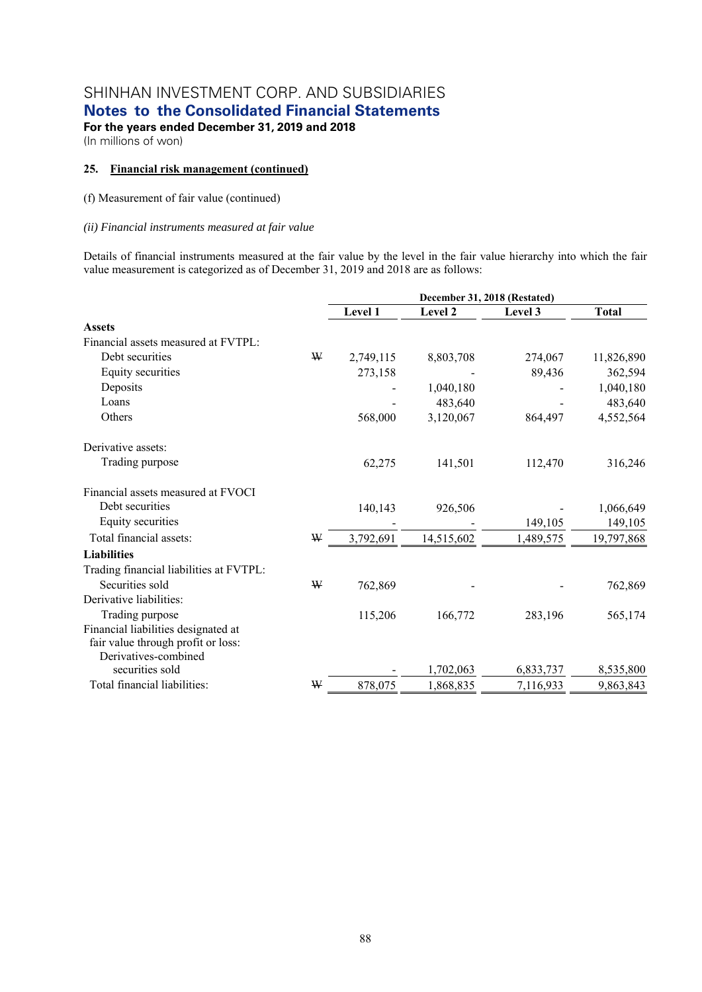**For the years ended December 31, 2019 and 2018** 

(In millions of won)

### **25. Financial risk management (continued)**

(f) Measurement of fair value (continued)

### *(ii) Financial instruments measured at fair value*

Details of financial instruments measured at the fair value by the level in the fair value hierarchy into which the fair value measurement is categorized as of December 31, 2019 and 2018 are as follows:

|                                         |   | December 31, 2018 (Restated) |            |           |              |  |  |
|-----------------------------------------|---|------------------------------|------------|-----------|--------------|--|--|
|                                         |   | Level 1                      | Level 2    | Level 3   | <b>Total</b> |  |  |
| <b>Assets</b>                           |   |                              |            |           |              |  |  |
| Financial assets measured at FVTPL:     |   |                              |            |           |              |  |  |
| Debt securities                         | ₩ | 2,749,115                    | 8,803,708  | 274,067   | 11,826,890   |  |  |
| Equity securities                       |   | 273,158                      |            | 89,436    | 362,594      |  |  |
| Deposits                                |   |                              | 1,040,180  |           | 1,040,180    |  |  |
| Loans                                   |   |                              | 483,640    |           | 483,640      |  |  |
| Others                                  |   | 568,000                      | 3,120,067  | 864,497   | 4,552,564    |  |  |
| Derivative assets:                      |   |                              |            |           |              |  |  |
| Trading purpose                         |   | 62,275                       | 141,501    | 112,470   | 316,246      |  |  |
| Financial assets measured at FVOCI      |   |                              |            |           |              |  |  |
| Debt securities                         |   | 140,143                      | 926,506    |           | 1,066,649    |  |  |
| Equity securities                       |   |                              |            | 149,105   | 149,105      |  |  |
| Total financial assets:                 | ₩ | 3,792,691                    | 14,515,602 | 1,489,575 | 19,797,868   |  |  |
| <b>Liabilities</b>                      |   |                              |            |           |              |  |  |
| Trading financial liabilities at FVTPL: |   |                              |            |           |              |  |  |
| Securities sold                         | ₩ | 762,869                      |            |           | 762,869      |  |  |
| Derivative liabilities:                 |   |                              |            |           |              |  |  |
| Trading purpose                         |   | 115,206                      | 166,772    | 283,196   | 565,174      |  |  |
| Financial liabilities designated at     |   |                              |            |           |              |  |  |
| fair value through profit or loss:      |   |                              |            |           |              |  |  |
| Derivatives-combined                    |   |                              |            |           |              |  |  |
| securities sold                         |   |                              | 1,702,063  | 6,833,737 | 8,535,800    |  |  |
| Total financial liabilities:            | W | 878,075                      | 1,868,835  | 7,116,933 | 9,863,843    |  |  |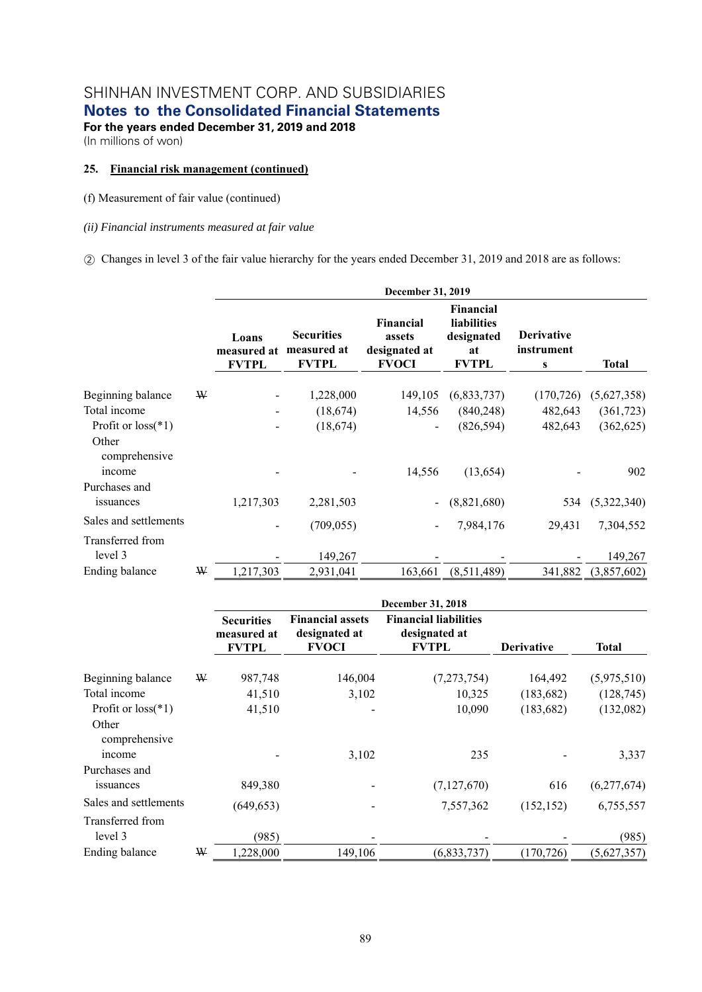**Notes to the Consolidated Financial Statements** 

**For the years ended December 31, 2019 and 2018**  (In millions of won)

### **25. Financial risk management (continued)**

(f) Measurement of fair value (continued)

#### *(ii) Financial instruments measured at fair value*

② Changes in level 3 of the fair value hierarchy for the years ended December 31, 2019 and 2018 are as follows:

|                                                |   |                                      |                                                  | December 31, 2019                                           |                                                                     |                                      |              |
|------------------------------------------------|---|--------------------------------------|--------------------------------------------------|-------------------------------------------------------------|---------------------------------------------------------------------|--------------------------------------|--------------|
|                                                |   | Loans<br>measured at<br><b>FVTPL</b> | <b>Securities</b><br>measured at<br><b>FVTPL</b> | <b>Financial</b><br>assets<br>designated at<br><b>FVOCI</b> | <b>Financial</b><br>liabilities<br>designated<br>at<br><b>FVTPL</b> | <b>Derivative</b><br>instrument<br>S | <b>Total</b> |
| Beginning balance                              | ₩ |                                      | 1,228,000                                        | 149,105                                                     | (6,833,737)                                                         | (170, 726)                           | (5,627,358)  |
| Total income                                   |   |                                      | (18,674)                                         | 14,556                                                      | (840, 248)                                                          | 482,643                              | (361, 723)   |
| Profit or $loss(*1)$<br>Other<br>comprehensive |   |                                      | (18,674)                                         |                                                             | (826, 594)                                                          | 482,643                              | (362, 625)   |
| income<br>Purchases and                        |   |                                      |                                                  | 14,556                                                      | (13, 654)                                                           |                                      | 902          |
| issuances                                      |   | 1,217,303                            | 2,281,503                                        |                                                             | (8,821,680)                                                         | 534                                  | (5,322,340)  |
| Sales and settlements                          |   |                                      | (709, 055)                                       |                                                             | 7,984,176                                                           | 29,431                               | 7,304,552    |
| Transferred from<br>level 3                    |   |                                      | 149,267                                          |                                                             |                                                                     |                                      | 149,267      |
| Ending balance                                 | ₩ | 1,217,303                            | 2,931,041                                        | 163,661                                                     | (8,511,489)                                                         | 341,882                              | (3,857,602)  |

|                                  |   | December 31, 2018                                |                                                          |                                                               |                   |              |  |  |  |
|----------------------------------|---|--------------------------------------------------|----------------------------------------------------------|---------------------------------------------------------------|-------------------|--------------|--|--|--|
|                                  |   | <b>Securities</b><br>measured at<br><b>FVTPL</b> | <b>Financial assets</b><br>designated at<br><b>FVOCI</b> | <b>Financial liabilities</b><br>designated at<br><b>FVTPL</b> | <b>Derivative</b> | <b>Total</b> |  |  |  |
| Beginning balance                | ₩ | 987,748                                          | 146,004                                                  | (7,273,754)                                                   | 164,492           | (5,975,510)  |  |  |  |
| Total income                     |   | 41,510                                           | 3,102                                                    | 10,325                                                        | (183, 682)        | (128, 745)   |  |  |  |
| Profit or $loss(*1)$             |   | 41,510                                           |                                                          | 10,090                                                        | (183, 682)        | (132,082)    |  |  |  |
| Other<br>comprehensive<br>income |   |                                                  | 3,102                                                    | 235                                                           |                   | 3,337        |  |  |  |
| Purchases and                    |   |                                                  |                                                          |                                                               |                   |              |  |  |  |
| issuances                        |   | 849,380                                          |                                                          | (7,127,670)                                                   | 616               | (6,277,674)  |  |  |  |
| Sales and settlements            |   | (649, 653)                                       |                                                          | 7,557,362                                                     | (152, 152)        | 6,755,557    |  |  |  |
| Transferred from                 |   |                                                  |                                                          |                                                               |                   |              |  |  |  |
| level 3                          |   | (985)                                            |                                                          |                                                               |                   | (985)        |  |  |  |
| Ending balance                   | ₩ | 1,228,000                                        | 149,106                                                  | (6,833,737)                                                   | (170, 726)        | (5,627,357)  |  |  |  |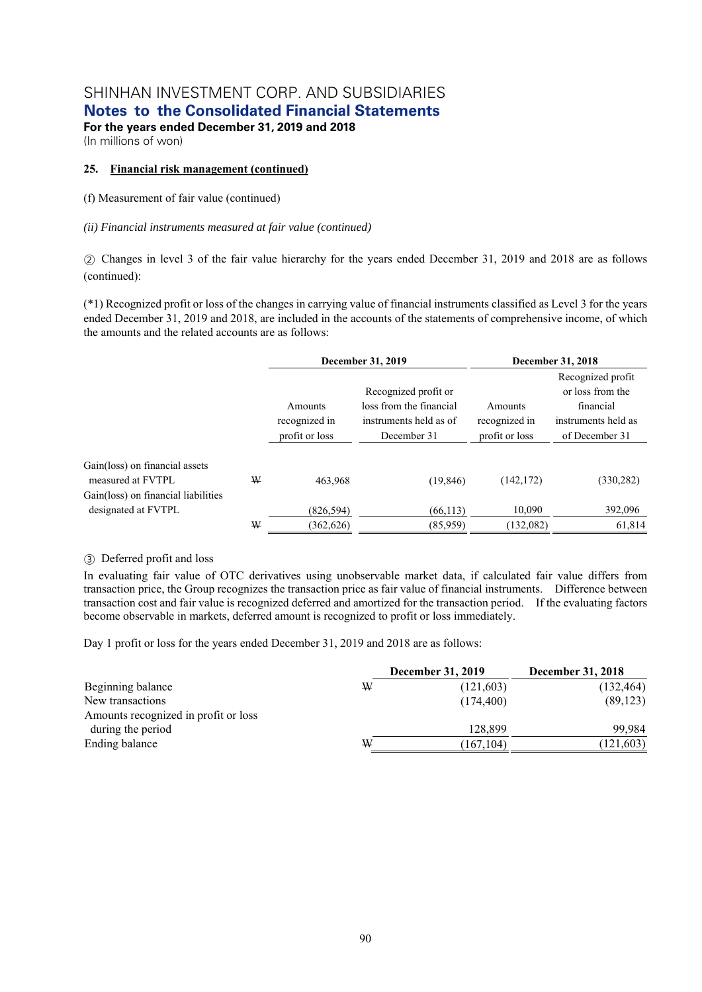**Notes to the Consolidated Financial Statements** 

**For the years ended December 31, 2019 and 2018**  (In millions of won)

### **25. Financial risk management (continued)**

(f) Measurement of fair value (continued)

### *(ii) Financial instruments measured at fair value (continued)*

② Changes in level 3 of the fair value hierarchy for the years ended December 31, 2019 and 2018 are as follows (continued):

(\*1) Recognized profit or loss of the changes in carrying value of financial instruments classified as Level 3 for the years ended December 31, 2019 and 2018, are included in the accounts of the statements of comprehensive income, of which the amounts and the related accounts are as follows:

|                                                     |   |                | December 31, 2019       | December 31, 2018 |                     |  |
|-----------------------------------------------------|---|----------------|-------------------------|-------------------|---------------------|--|
|                                                     |   |                |                         |                   | Recognized profit   |  |
|                                                     |   |                | Recognized profit or    |                   | or loss from the    |  |
|                                                     |   | Amounts        | loss from the financial | Amounts           | financial           |  |
|                                                     |   | recognized in  | instruments held as of  | recognized in     | instruments held as |  |
|                                                     |   | profit or loss | December 31             | profit or loss    | of December 31      |  |
| Gain(loss) on financial assets<br>measured at FVTPL | W | 463.968        | (19, 846)               | (142, 172)        | (330, 282)          |  |
| Gain(loss) on financial liabilities                 |   |                |                         |                   |                     |  |
| designated at FVTPL                                 |   | (826, 594)     | (66, 113)               | 10.090            | 392,096             |  |
|                                                     | W | (362, 626)     | (85,959)                | (132,082)         | 61,814              |  |

### ③ Deferred profit and loss

In evaluating fair value of OTC derivatives using unobservable market data, if calculated fair value differs from transaction price, the Group recognizes the transaction price as fair value of financial instruments. Difference between transaction cost and fair value is recognized deferred and amortized for the transaction period. If the evaluating factors become observable in markets, deferred amount is recognized to profit or loss immediately.

Day 1 profit or loss for the years ended December 31, 2019 and 2018 are as follows:

|                                      | <b>December 31, 2019</b> | <b>December 31, 2018</b> |  |
|--------------------------------------|--------------------------|--------------------------|--|
| W<br>Beginning balance               | (121, 603)               | (132, 464)               |  |
| New transactions                     | (174, 400)               | (89, 123)                |  |
| Amounts recognized in profit or loss |                          |                          |  |
| during the period                    | 128,899                  | 99.984                   |  |
| Ending balance<br>W                  | (167, 104)               | (121, 603)               |  |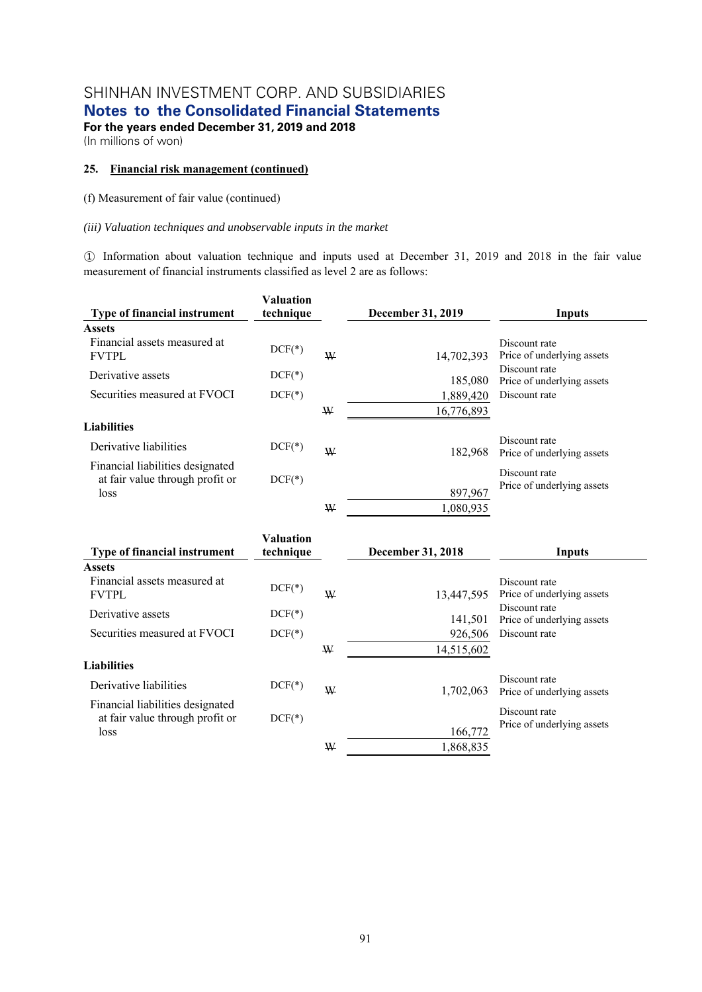**Notes to the Consolidated Financial Statements** 

**For the years ended December 31, 2019 and 2018**  (In millions of won)

### **25. Financial risk management (continued)**

(f) Measurement of fair value (continued)

### *(iii) Valuation techniques and unobservable inputs in the market*

① Information about valuation technique and inputs used at December 31, 2019 and 2018 in the fair value measurement of financial instruments classified as level 2 are as follows:

| <b>Type of financial instrument</b>                                         | <b>Valuation</b><br>technique |   | <b>December 31, 2019</b> | Inputs                                      |
|-----------------------------------------------------------------------------|-------------------------------|---|--------------------------|---------------------------------------------|
| <b>Assets</b>                                                               |                               |   |                          |                                             |
| Financial assets measured at<br><b>FVTPL</b>                                | $DCF(*)$                      | W | 14.702.393               | Discount rate<br>Price of underlying assets |
| Derivative assets                                                           | $DCF(*)$                      |   | 185,080                  | Discount rate<br>Price of underlying assets |
| Securities measured at FVOCI                                                | $DCF(*)$                      |   | 1,889,420                | Discount rate                               |
|                                                                             |                               | W | 16,776,893               |                                             |
| <b>Liabilities</b>                                                          |                               |   |                          |                                             |
| Derivative liabilities                                                      | $DCF(*)$                      | W | 182,968                  | Discount rate<br>Price of underlying assets |
| Financial liabilities designated<br>at fair value through profit or<br>loss | $DCF(*)$                      |   | 897,967                  | Discount rate<br>Price of underlying assets |
|                                                                             |                               | W | 1,080,935                |                                             |

| <b>Type of financial instrument</b>                                 | <b>Valuation</b><br>technique |   | December 31, 2018    | Inputs                                      |
|---------------------------------------------------------------------|-------------------------------|---|----------------------|---------------------------------------------|
| <b>Assets</b>                                                       |                               |   |                      |                                             |
| Financial assets measured at<br><b>FVTPL</b>                        | $DCF(*)$                      | W | 13.447.595           | Discount rate<br>Price of underlying assets |
| Derivative assets                                                   | $DCF(*)$                      |   | 141,501              | Discount rate<br>Price of underlying assets |
| Securities measured at FVOCI                                        | $DCF(*)$                      |   | 926,506              | Discount rate                               |
|                                                                     |                               | W | 14,515,602           |                                             |
| <b>Liabilities</b>                                                  |                               |   |                      |                                             |
| Derivative liabilities                                              | $DCF(*)$                      | W | 1,702,063            | Discount rate<br>Price of underlying assets |
| Financial liabilities designated<br>at fair value through profit or | $DCF(*)$                      |   |                      | Discount rate<br>Price of underlying assets |
| loss                                                                |                               | W | 166,772<br>1,868,835 |                                             |
|                                                                     |                               |   |                      |                                             |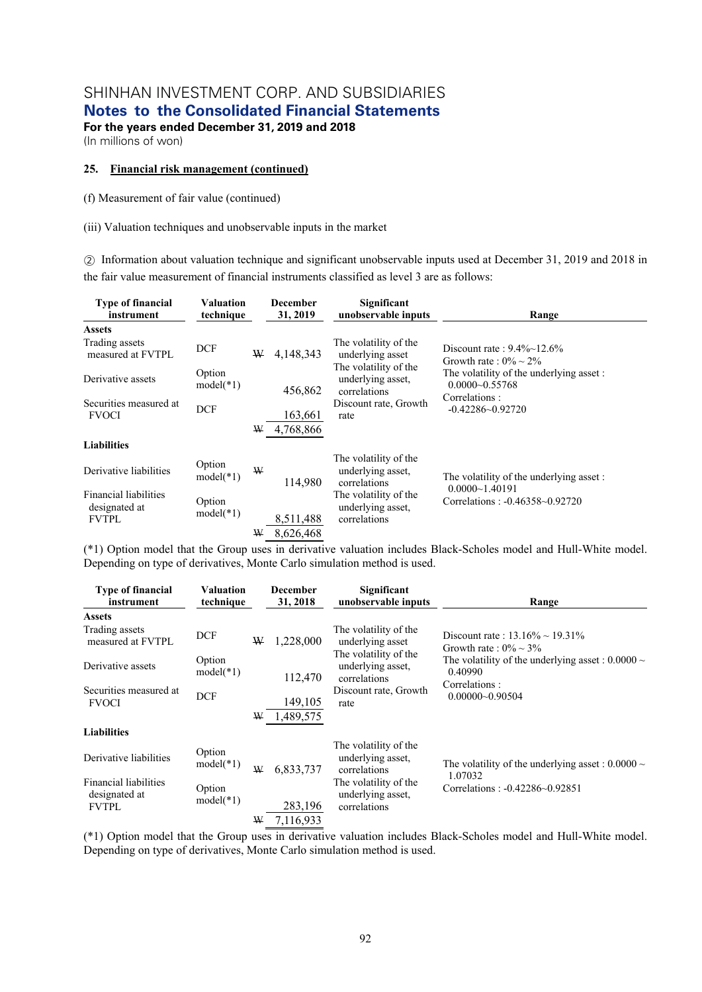**Notes to the Consolidated Financial Statements** 

**For the years ended December 31, 2019 and 2018**  (In millions of won)

#### **25. Financial risk management (continued)**

(f) Measurement of fair value (continued)

(iii) Valuation techniques and unobservable inputs in the market

② Information about valuation technique and significant unobservable inputs used at December 31, 2019 and 2018 in the fair value measurement of financial instruments classified as level 3 are as follows:

| <b>Type of financial</b><br>instrument                 | <b>Valuation</b><br>technique |   | <b>December</b><br>31, 2019 | Significant<br>unobservable inputs                         | Range                                                          |
|--------------------------------------------------------|-------------------------------|---|-----------------------------|------------------------------------------------------------|----------------------------------------------------------------|
| <b>Assets</b>                                          |                               |   |                             |                                                            |                                                                |
| Trading assets<br>measured at FVTPL                    | <b>DCF</b>                    | W | 4,148,343                   | The volatility of the<br>underlying asset                  | Discount rate: $9.4\%$ ~12.6%<br>Growth rate: $0\% \sim 2\%$   |
| Derivative assets                                      | Option<br>$model(*1)$         |   | 456,862                     | The volatility of the<br>underlying asset,<br>correlations | The volatility of the underlying asset :<br>$0.0000 - 0.55768$ |
| Securities measured at<br><b>FVOCI</b>                 | <b>DCF</b>                    |   | 163,661                     | Discount rate, Growth<br>rate                              | Correlations:<br>$-0.42286 - 0.92720$                          |
|                                                        |                               | W | 4,768,866                   |                                                            |                                                                |
| <b>Liabilities</b>                                     |                               |   |                             |                                                            |                                                                |
| Derivative liabilities                                 | Option<br>$model(*1)$         | W | 114.980                     | The volatility of the<br>underlying asset,<br>correlations | The volatility of the underlying asset :                       |
| Financial liabilities<br>designated at<br><b>FVTPL</b> | Option<br>$model(*1)$         |   | 8,511,488                   | The volatility of the<br>underlying asset,<br>correlations | $0.0000 - 1.40191$<br>Correlations: -0.46358~0.92720           |
|                                                        |                               | ₩ | 8,626,468                   |                                                            |                                                                |

(\*1) Option model that the Group uses in derivative valuation includes Black-Scholes model and Hull-White model. Depending on type of derivatives, Monte Carlo simulation method is used.

| <b>Type of financial</b><br>instrument                 | Valuation<br>technique |   | <b>December</b><br>31, 2018 | Significant<br>unobservable inputs                         | Range                                                                |  |  |
|--------------------------------------------------------|------------------------|---|-----------------------------|------------------------------------------------------------|----------------------------------------------------------------------|--|--|
| <b>Assets</b>                                          |                        |   |                             |                                                            |                                                                      |  |  |
| Trading assets<br>measured at FVTPL                    | DCF                    | ₩ | 1,228,000                   | The volatility of the<br>underlying asset                  | Discount rate: $13.16\% \sim 19.31\%$<br>Growth rate: $0\% \sim 3\%$ |  |  |
| Derivative assets                                      | Option<br>$model(*1)$  |   | 112,470                     | The volatility of the<br>underlying asset,<br>correlations | The volatility of the underlying asset : $0.0000 \sim$<br>0.40990    |  |  |
| Securities measured at<br><b>FVOCI</b>                 | <b>DCF</b>             |   | 149,105                     | Discount rate, Growth<br>rate                              | Correlations:<br>$0.00000 - 0.90504$                                 |  |  |
|                                                        |                        | ₩ | 1,489,575                   |                                                            |                                                                      |  |  |
| <b>Liabilities</b>                                     |                        |   |                             |                                                            |                                                                      |  |  |
| Derivative liabilities                                 | Option<br>$model(*1)$  | W | 6,833,737                   | The volatility of the<br>underlying asset,<br>correlations | The volatility of the underlying asset : $0.0000 \sim$               |  |  |
| Financial liabilities<br>designated at<br><b>FVTPL</b> | Option<br>$model(*1)$  |   | 283,196                     | The volatility of the<br>underlying asset,<br>correlations | 1.07032<br>Correlations: -0.42286~0.92851                            |  |  |
|                                                        |                        | W | 7.116.933                   |                                                            |                                                                      |  |  |

(\*1) Option model that the Group uses in derivative valuation includes Black-Scholes model and Hull-White model. Depending on type of derivatives, Monte Carlo simulation method is used.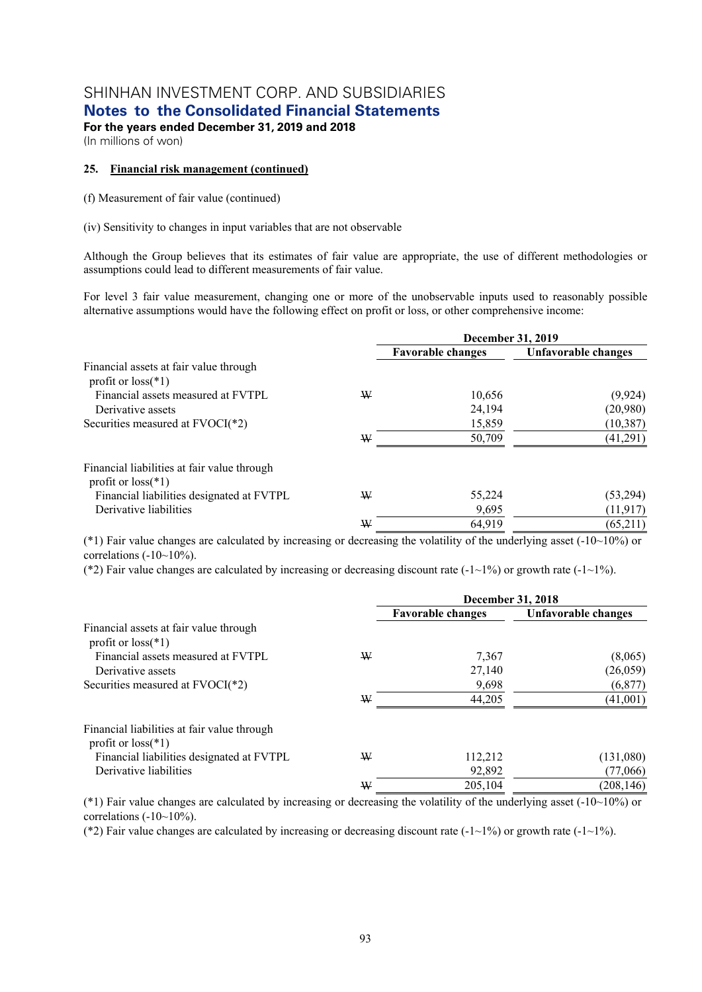**Notes to the Consolidated Financial Statements** 

**For the years ended December 31, 2019 and 2018**  (In millions of won)

### **25. Financial risk management (continued)**

(f) Measurement of fair value (continued)

(iv) Sensitivity to changes in input variables that are not observable

Although the Group believes that its estimates of fair value are appropriate, the use of different methodologies or assumptions could lead to different measurements of fair value.

For level 3 fair value measurement, changing one or more of the unobservable inputs used to reasonably possible alternative assumptions would have the following effect on profit or loss, or other comprehensive income:

|                                                                     |   | December 31, 2019        |                     |  |  |
|---------------------------------------------------------------------|---|--------------------------|---------------------|--|--|
|                                                                     |   | <b>Favorable changes</b> | Unfavorable changes |  |  |
| Financial assets at fair value through<br>profit or $loss(*1)$      |   |                          |                     |  |  |
| Financial assets measured at FVTPL                                  | W | 10,656                   | (9, 924)            |  |  |
| Derivative assets                                                   |   | 24,194                   | (20,980)            |  |  |
| Securities measured at FVOCI(*2)                                    |   | 15,859                   | (10, 387)           |  |  |
|                                                                     | ₩ | 50,709                   | (41,291)            |  |  |
| Financial liabilities at fair value through<br>profit or $loss(*1)$ |   |                          |                     |  |  |
| Financial liabilities designated at FVTPL                           | W | 55,224                   | (53, 294)           |  |  |
| Derivative liabilities                                              |   | 9,695                    | (11, 917)           |  |  |
|                                                                     | W | 64,919                   | (65,211)            |  |  |

(\*1) Fair value changes are calculated by increasing or decreasing the volatility of the underlying asset (-10~10%) or correlations  $(-10~10<sub>°</sub>)$ .

(\*2) Fair value changes are calculated by increasing or decreasing discount rate (-1~1%) or growth rate (-1~1%).

|                                                                     |   | December 31, 2018        |                     |  |  |
|---------------------------------------------------------------------|---|--------------------------|---------------------|--|--|
|                                                                     |   | <b>Favorable changes</b> | Unfavorable changes |  |  |
| Financial assets at fair value through<br>profit or $loss(*1)$      |   |                          |                     |  |  |
| Financial assets measured at FVTPL                                  | W | 7.367                    | (8,065)             |  |  |
| Derivative assets                                                   |   | 27,140                   | (26,059)            |  |  |
| Securities measured at FVOCI(*2)                                    |   | 9,698                    | (6,877)             |  |  |
|                                                                     | W | 44,205                   | (41,001)            |  |  |
| Financial liabilities at fair value through<br>profit or $loss(*1)$ |   |                          |                     |  |  |
| Financial liabilities designated at FVTPL                           | W | 112,212                  | (131,080)           |  |  |
| Derivative liabilities                                              |   | 92,892                   | (77,066)            |  |  |
|                                                                     | W | 205,104                  | (208, 146)          |  |  |

(\*1) Fair value changes are calculated by increasing or decreasing the volatility of the underlying asset (-10~10%) or correlations  $(-10~10<sub>°</sub>)$ .

(\*2) Fair value changes are calculated by increasing or decreasing discount rate (-1~1%) or growth rate (-1~1%).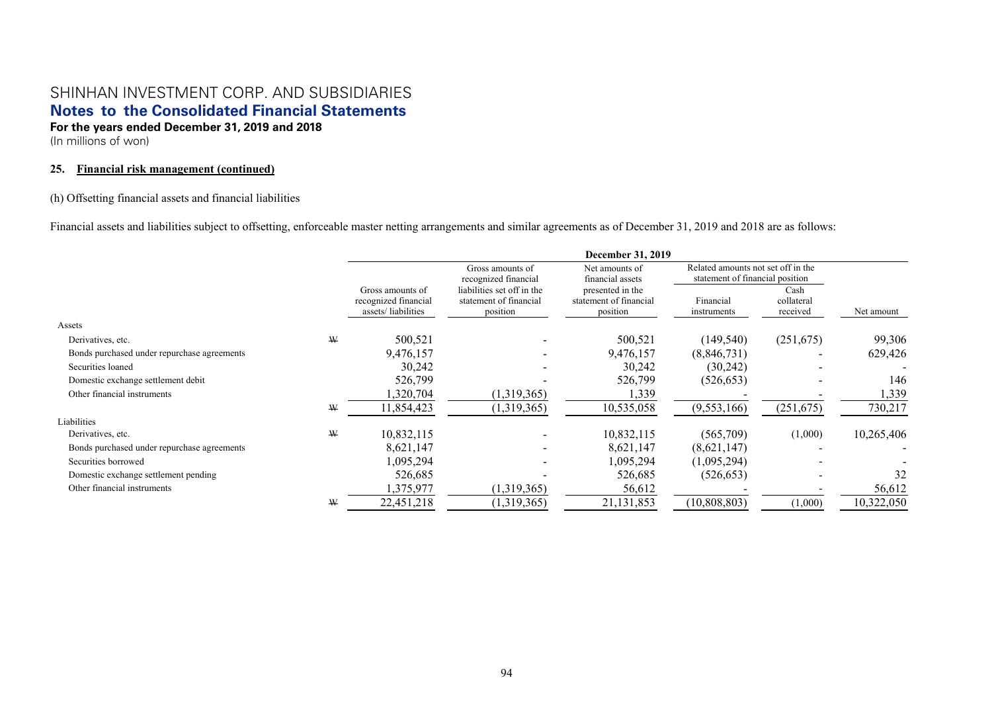(In millions of won)

### **25. Financial risk management (continued)**

### (h) Offsetting financial assets and financial liabilities

Financial assets and liabilities subject to offsetting, enforceable master netting arrangements and similar agreements as of December 31, 2019 and 2018 are as follows:

|                                             |   |                                                                |                                                                  | December 31, 2019                                      |                                                                       |                                |            |
|---------------------------------------------|---|----------------------------------------------------------------|------------------------------------------------------------------|--------------------------------------------------------|-----------------------------------------------------------------------|--------------------------------|------------|
|                                             |   |                                                                | Gross amounts of<br>recognized financial                         | Net amounts of<br>financial assets                     | Related amounts not set off in the<br>statement of financial position |                                |            |
|                                             |   | Gross amounts of<br>recognized financial<br>assets/liabilities | liabilities set off in the<br>statement of financial<br>position | presented in the<br>statement of financial<br>position | Financial<br>instruments                                              | Cash<br>collateral<br>received | Net amount |
| Assets                                      |   |                                                                |                                                                  |                                                        |                                                                       |                                |            |
| Derivatives, etc.                           | W | 500,521                                                        |                                                                  | 500,521                                                | (149, 540)                                                            | (251,675)                      | 99,306     |
| Bonds purchased under repurchase agreements |   | 9,476,157                                                      |                                                                  | 9,476,157                                              | (8,846,731)                                                           |                                | 629,426    |
| Securities loaned                           |   | 30,242                                                         |                                                                  | 30,242                                                 | (30,242)                                                              |                                |            |
| Domestic exchange settlement debit          |   | 526,799                                                        |                                                                  | 526,799                                                | (526, 653)                                                            |                                | 146        |
| Other financial instruments                 |   | 1,320,704                                                      | (1,319,365)                                                      | 1,339                                                  |                                                                       |                                | 1,339      |
|                                             | W | 11,854,423                                                     | (1,319,365)                                                      | 10,535,058                                             | (9,553,166)                                                           | (251, 675)                     | 730,217    |
| Liabilities                                 |   |                                                                |                                                                  |                                                        |                                                                       |                                |            |
| Derivatives, etc.                           | W | 10,832,115                                                     |                                                                  | 10,832,115                                             | (565,709)                                                             | (1,000)                        | 10,265,406 |
| Bonds purchased under repurchase agreements |   | 8,621,147                                                      |                                                                  | 8,621,147                                              | (8,621,147)                                                           |                                |            |
| Securities borrowed                         |   | 1,095,294                                                      |                                                                  | 1,095,294                                              | (1,095,294)                                                           |                                |            |
| Domestic exchange settlement pending        |   | 526,685                                                        |                                                                  | 526,685                                                | (526, 653)                                                            |                                | 32         |
| Other financial instruments                 |   | 1,375,977                                                      | (1,319,365)                                                      | 56,612                                                 |                                                                       |                                | 56,612     |
|                                             | ₩ | 22,451,218                                                     | (1,319,365)                                                      | 21,131,853                                             | (10, 808, 803)                                                        | (1,000)                        | 10,322,050 |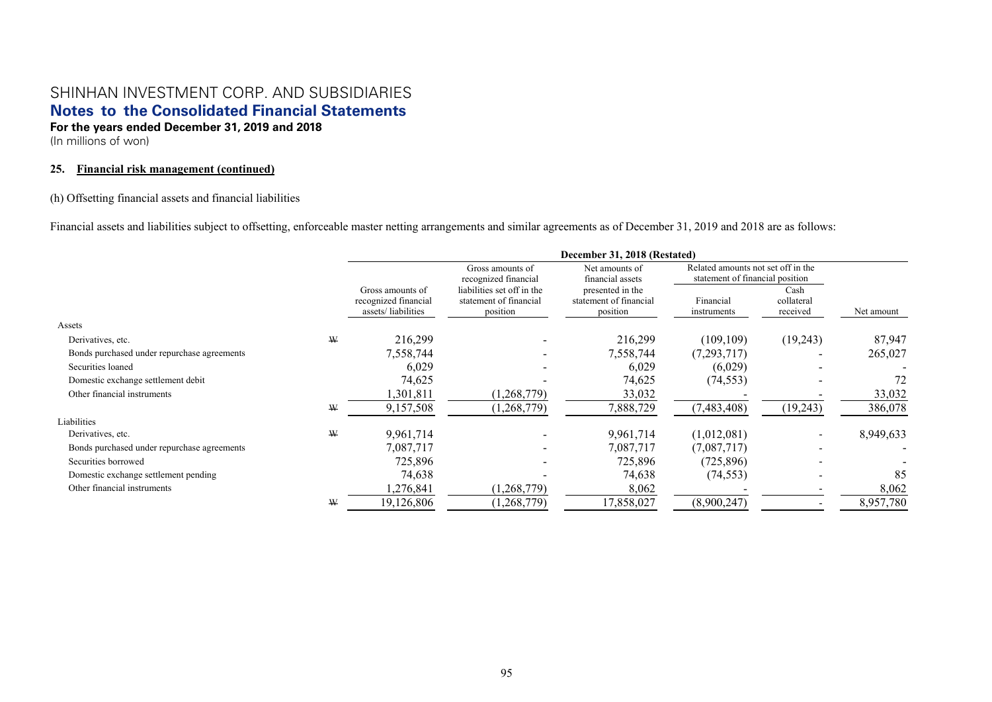(In millions of won)

### **25. Financial risk management (continued)**

### (h) Offsetting financial assets and financial liabilities

Financial assets and liabilities subject to offsetting, enforceable master netting arrangements and similar agreements as of December 31, 2019 and 2018 are as follows:

|                                             |   | December 31, 2018 (Restated)                                   |                                                                  |                                                        |                                                                       |                                |            |
|---------------------------------------------|---|----------------------------------------------------------------|------------------------------------------------------------------|--------------------------------------------------------|-----------------------------------------------------------------------|--------------------------------|------------|
|                                             |   |                                                                | Gross amounts of<br>recognized financial                         | Net amounts of<br>financial assets                     | Related amounts not set off in the<br>statement of financial position |                                |            |
|                                             |   | Gross amounts of<br>recognized financial<br>assets/liabilities | liabilities set off in the<br>statement of financial<br>position | presented in the<br>statement of financial<br>position | Financial<br>instruments                                              | Cash<br>collateral<br>received | Net amount |
| Assets                                      |   |                                                                |                                                                  |                                                        |                                                                       |                                |            |
| Derivatives, etc.                           | W | 216,299                                                        |                                                                  | 216,299                                                | (109, 109)                                                            | (19,243)                       | 87,947     |
| Bonds purchased under repurchase agreements |   | 7,558,744                                                      |                                                                  | 7,558,744                                              | (7,293,717)                                                           |                                | 265,027    |
| Securities loaned                           |   | 6,029                                                          |                                                                  | 6,029                                                  | (6,029)                                                               |                                |            |
| Domestic exchange settlement debit          |   | 74,625                                                         |                                                                  | 74,625                                                 | (74, 553)                                                             |                                | 72         |
| Other financial instruments                 |   | 1,301,811                                                      | (1, 268, 779)                                                    | 33,032                                                 |                                                                       |                                | 33,032     |
|                                             | W | 9,157,508                                                      | (1,268,779)                                                      | 7,888,729                                              | (7,483,408)                                                           | (19,243)                       | 386,078    |
| Liabilities                                 |   |                                                                |                                                                  |                                                        |                                                                       |                                |            |
| Derivatives, etc.                           | W | 9,961,714                                                      |                                                                  | 9,961,714                                              | (1,012,081)                                                           |                                | 8,949,633  |
| Bonds purchased under repurchase agreements |   | 7,087,717                                                      |                                                                  | 7,087,717                                              | (7,087,717)                                                           |                                |            |
| Securities borrowed                         |   | 725,896                                                        |                                                                  | 725,896                                                | (725, 896)                                                            |                                |            |
| Domestic exchange settlement pending        |   | 74,638                                                         |                                                                  | 74,638                                                 | (74, 553)                                                             |                                | 85         |
| Other financial instruments                 |   | 1,276,841                                                      | (1,268,779)                                                      | 8,062                                                  |                                                                       |                                | 8,062      |
|                                             | ₩ | 19,126,806                                                     | (1, 268, 779)                                                    | 17,858,027                                             | (8,900,247)                                                           |                                | 8,957,780  |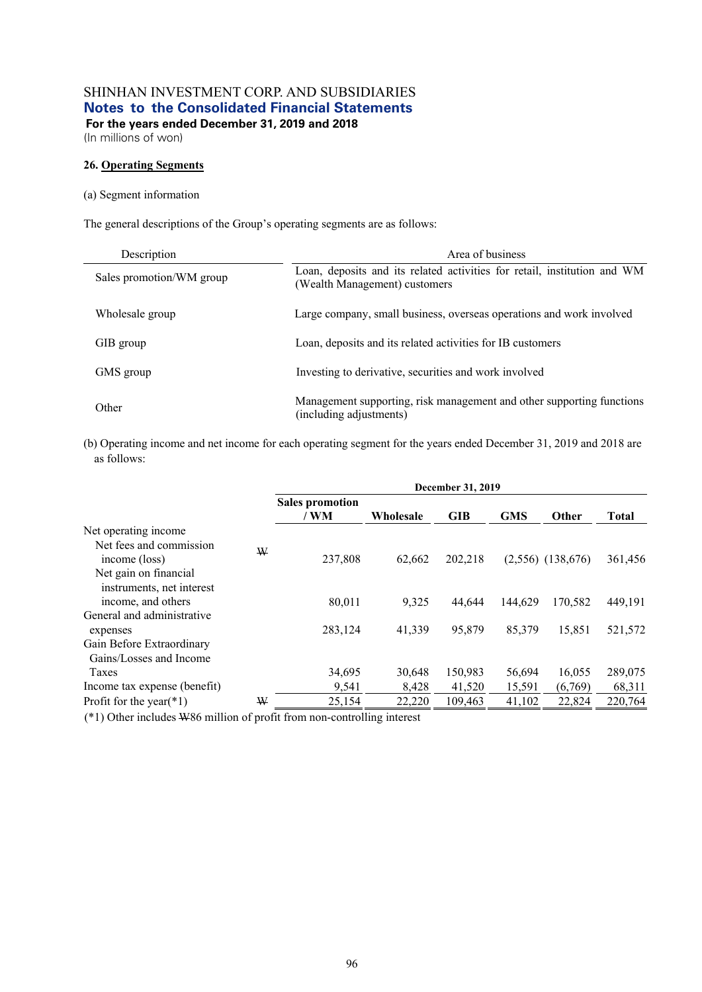(In millions of won)

### **26. Operating Segments**

#### (a) Segment information

The general descriptions of the Group's operating segments are as follows:

| Description              | Area of business                                                                                          |
|--------------------------|-----------------------------------------------------------------------------------------------------------|
| Sales promotion/WM group | Loan, deposits and its related activities for retail, institution and WM<br>(Wealth Management) customers |
| Wholesale group          | Large company, small business, overseas operations and work involved                                      |
| GIB group                | Loan, deposits and its related activities for IB customers                                                |
| GMS group                | Investing to derivative, securities and work involved                                                     |
| Other                    | Management supporting, risk management and other supporting functions<br>(including adjustments)          |

(b) Operating income and net income for each operating segment for the years ended December 31, 2019 and 2018 are as follows:

|                                                       |   | December 31, 2019              |           |            |            |                       |              |  |
|-------------------------------------------------------|---|--------------------------------|-----------|------------|------------|-----------------------|--------------|--|
|                                                       |   | <b>Sales promotion</b><br>/ WM | Wholesale | <b>GIB</b> | <b>GMS</b> | Other                 | <b>Total</b> |  |
| Net operating income                                  |   |                                |           |            |            |                       |              |  |
| Net fees and commission<br>income (loss)              | W | 237,808                        | 62,662    | 202,218    |            | $(2,556)$ $(138,676)$ | 361,456      |  |
| Net gain on financial<br>instruments, net interest    |   |                                |           |            |            |                       |              |  |
| income, and others                                    |   | 80.011                         | 9,325     | 44,644     | 144,629    | 170.582               | 449,191      |  |
| General and administrative                            |   |                                |           |            |            |                       |              |  |
| expenses                                              |   | 283,124                        | 41,339    | 95,879     | 85,379     | 15,851                | 521,572      |  |
| Gain Before Extraordinary                             |   |                                |           |            |            |                       |              |  |
| Gains/Losses and Income                               |   |                                |           |            |            |                       |              |  |
| Taxes                                                 |   | 34,695                         | 30,648    | 150,983    | 56,694     | 16,055                | 289,075      |  |
| Income tax expense (benefit)                          |   | 9,541                          | 8,428     | 41,520     | 15,591     | (6,769)               | 68,311       |  |
| Profit for the year( $*1$ )                           | W | 25,154                         | 22,220    | 109,463    | 41,102     | 22,824                | 220,764      |  |
| $(4.4)$ $(1)$ $(1)$ $(1)$ $(1)$ $(1)$ $(1)$ $(1)$<br> |   | $\sim$ $\sim$                  |           |            |            |                       |              |  |

(\*1) Other includes W86 million of profit from non-controlling interest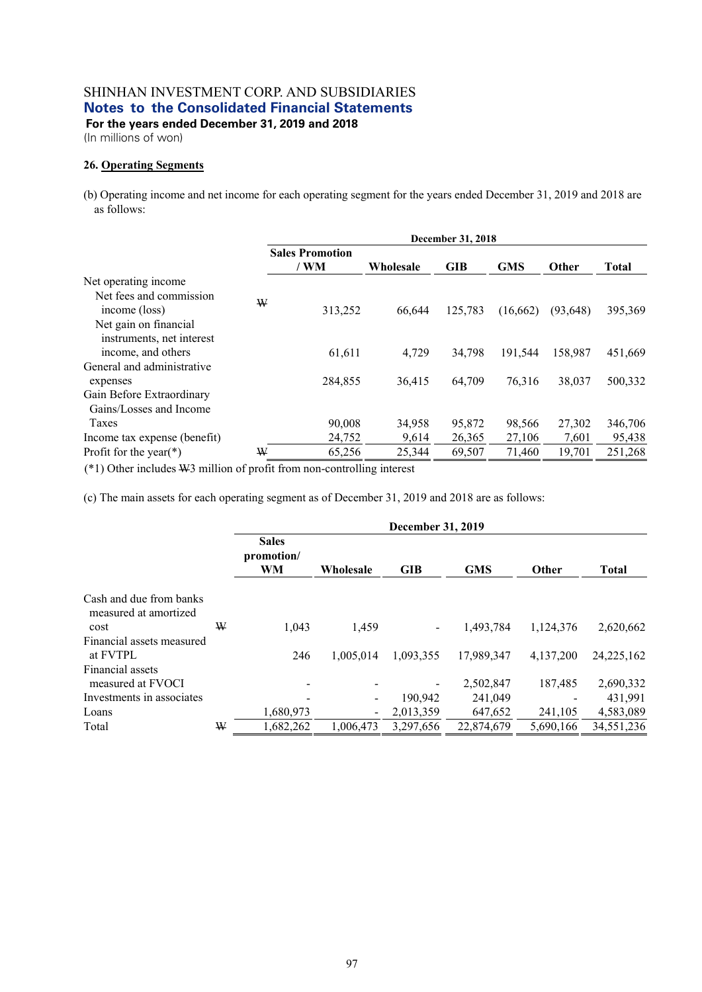**For the years ended December 31, 2019 and 2018** 

(In millions of won)

### **26. Operating Segments**

(b) Operating income and net income for each operating segment for the years ended December 31, 2019 and 2018 are as follows:

| December 31, 2018      |           |         |            |            |              |  |
|------------------------|-----------|---------|------------|------------|--------------|--|
| <b>Sales Promotion</b> |           |         |            |            |              |  |
|                        | Wholesale |         |            |            | <b>Total</b> |  |
|                        |           |         |            |            |              |  |
|                        |           |         |            |            |              |  |
| 313,252                | 66.644    | 125,783 | (16,662)   | (93, 648)  | 395,369      |  |
|                        |           |         |            |            |              |  |
|                        |           |         |            |            |              |  |
| 61,611                 | 4.729     | 34.798  | 191,544    | 158,987    | 451,669      |  |
|                        |           |         |            |            |              |  |
| 284,855                | 36,415    | 64,709  | 76,316     | 38,037     | 500,332      |  |
|                        |           |         |            |            |              |  |
|                        |           |         |            |            |              |  |
| 90,008                 | 34,958    | 95,872  | 98,566     | 27,302     | 346,706      |  |
| 24,752                 | 9,614     | 26,365  | 27,106     | 7,601      | 95,438       |  |
| W<br>65,256            | 25,344    | 69,507  | 71,460     | 19,701     | 251,268      |  |
|                        | / WM<br>W |         | <b>GIB</b> | <b>GMS</b> | <b>Other</b> |  |

(\*1) Other includes W3 million of profit from non-controlling interest

(c) The main assets for each operating segment as of December 31, 2019 and 2018 are as follows:

|                                                  |   | <b>December 31, 2019</b>         |           |            |            |           |              |  |
|--------------------------------------------------|---|----------------------------------|-----------|------------|------------|-----------|--------------|--|
|                                                  |   | <b>Sales</b><br>promotion/<br>WM | Wholesale | <b>GIB</b> | <b>GMS</b> | Other     | <b>Total</b> |  |
| Cash and due from banks<br>measured at amortized |   |                                  |           |            |            |           |              |  |
| cost                                             | ₩ | 1.043                            | 1,459     |            | 1.493.784  | 1,124,376 | 2,620,662    |  |
| Financial assets measured                        |   |                                  |           |            |            |           |              |  |
| at FVTPL                                         |   | 246                              | 1.005.014 | 1,093,355  | 17,989,347 | 4,137,200 | 24, 225, 162 |  |
| Financial assets                                 |   |                                  |           |            |            |           |              |  |
| measured at FVOCI                                |   |                                  |           |            | 2,502,847  | 187,485   | 2,690,332    |  |
| Investments in associates                        |   |                                  |           | 190.942    | 241,049    |           | 431,991      |  |
| Loans                                            |   | 1,680,973                        |           | 2,013,359  | 647,652    | 241,105   | 4,583,089    |  |
| Total                                            | ₩ | 1,682,262                        | 1,006,473 | 3,297,656  | 22,874,679 | 5,690,166 | 34,551,236   |  |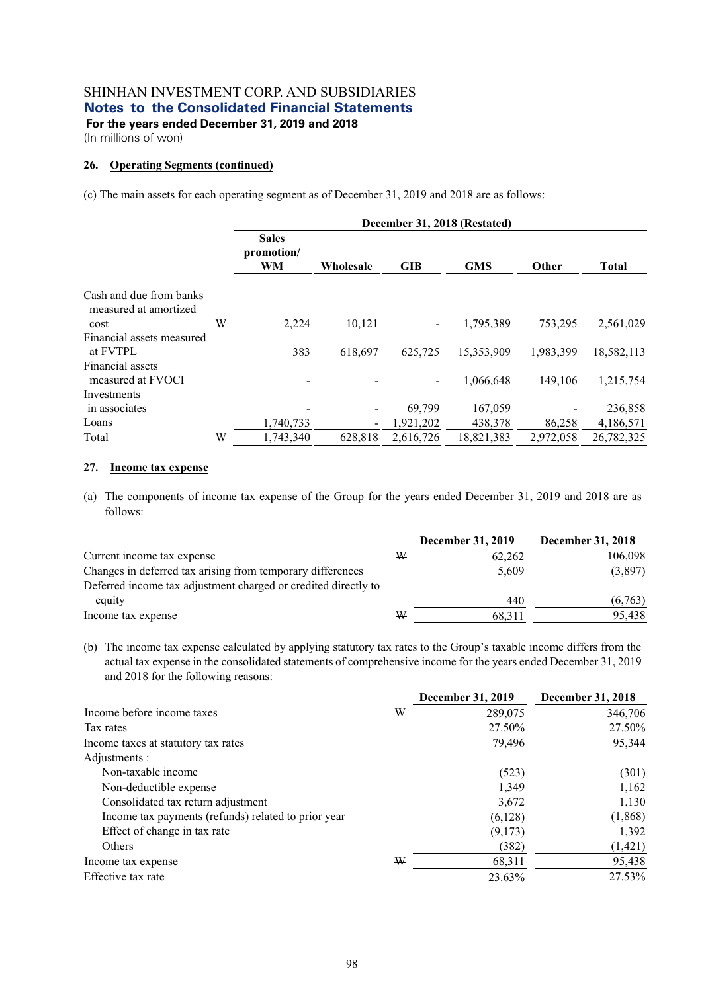(In millions of won)

### **26. Operating Segments (continued)**

(c) The main assets for each operating segment as of December 31, 2019 and 2018 are as follows:

|                                                  |   | December 31, 2018 (Restated)     |           |            |            |           |              |  |
|--------------------------------------------------|---|----------------------------------|-----------|------------|------------|-----------|--------------|--|
|                                                  |   | <b>Sales</b><br>promotion/<br>WM | Wholesale | <b>GIB</b> | <b>GMS</b> | Other     | <b>Total</b> |  |
| Cash and due from banks<br>measured at amortized |   |                                  |           |            |            |           |              |  |
| cost                                             | ₩ | 2,224                            | 10.121    |            | 1,795,389  | 753,295   | 2,561,029    |  |
| Financial assets measured                        |   |                                  |           |            |            |           |              |  |
| at FVTPL                                         |   | 383                              | 618,697   | 625,725    | 15,353,909 | 1,983,399 | 18,582,113   |  |
| Financial assets<br>measured at FVOCI            |   |                                  |           |            | 1,066,648  | 149,106   | 1,215,754    |  |
| Investments                                      |   |                                  |           |            |            |           |              |  |
| in associates                                    |   |                                  |           | 69.799     | 167,059    |           | 236,858      |  |
| Loans                                            |   | 1,740,733                        |           | 1,921,202  | 438,378    | 86,258    | 4,186,571    |  |
| Total                                            | ₩ | 1,743,340                        | 628,818   | 2,616,726  | 18,821,383 | 2,972,058 | 26,782,325   |  |

#### **27. Income tax expense**

(a) The components of income tax expense of the Group for the years ended December 31, 2019 and 2018 are as follows:

|   | <b>December 31, 2019</b> | December 31, 2018 |
|---|--------------------------|-------------------|
| ₩ | 62,262                   | 106,098           |
|   | 5.609                    | (3,897)           |
|   |                          |                   |
|   | 440                      | (6,763)           |
| ₩ | 68.311                   | 95.438            |
|   |                          |                   |

(b) The income tax expense calculated by applying statutory tax rates to the Group's taxable income differs from the actual tax expense in the consolidated statements of comprehensive income for the years ended December 31, 2019 and 2018 for the following reasons:

|                                                     |   | <b>December 31, 2019</b> | December 31, 2018 |
|-----------------------------------------------------|---|--------------------------|-------------------|
| Income before income taxes                          | W | 289,075                  | 346,706           |
| Tax rates                                           |   | 27.50%                   | 27.50%            |
| Income taxes at statutory tax rates                 |   | 79,496                   | 95,344            |
| Adjustments :                                       |   |                          |                   |
| Non-taxable income                                  |   | (523)                    | (301)             |
| Non-deductible expense                              |   | 1,349                    | 1,162             |
| Consolidated tax return adjustment                  |   | 3,672                    | 1,130             |
| Income tax payments (refunds) related to prior year |   | (6,128)                  | (1, 868)          |
| Effect of change in tax rate                        |   | (9,173)                  | 1,392             |
| Others                                              |   | (382)                    | (1,421)           |
| Income tax expense                                  | ₩ | 68,311                   | 95,438            |
| Effective tax rate                                  |   | 23.63%                   | 27.53%            |
|                                                     |   |                          |                   |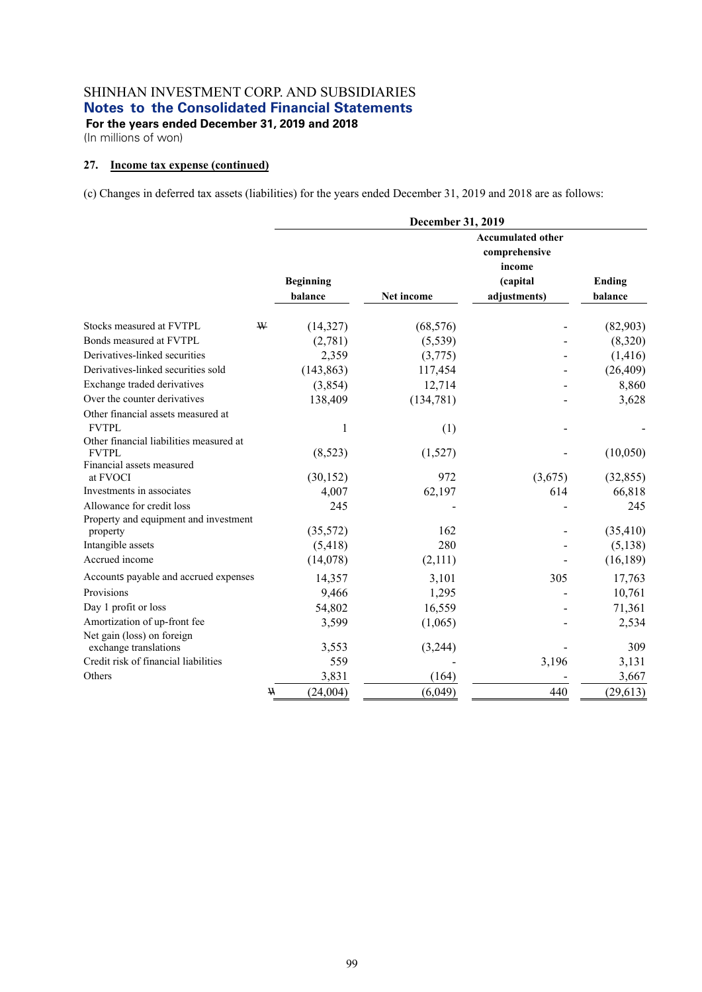**For the years ended December 31, 2019 and 2018**  (In millions of won)

### **27. Income tax expense (continued)**

(c) Changes in deferred tax assets (liabilities) for the years ended December 31, 2019 and 2018 are as follows:

|                                         | <b>December 31, 2019</b> |            |                                                                 |               |  |  |
|-----------------------------------------|--------------------------|------------|-----------------------------------------------------------------|---------------|--|--|
|                                         | <b>Beginning</b>         |            | <b>Accumulated other</b><br>comprehensive<br>income<br>(capital | <b>Ending</b> |  |  |
|                                         | balance                  | Net income | adjustments)                                                    | balance       |  |  |
| Stocks measured at FVTPL<br>W           | (14,327)                 | (68, 576)  |                                                                 | (82,903)      |  |  |
| Bonds measured at FVTPL                 | (2,781)                  | (5,539)    |                                                                 | (8,320)       |  |  |
| Derivatives-linked securities           | 2,359                    | (3,775)    |                                                                 | (1, 416)      |  |  |
| Derivatives-linked securities sold      | (143, 863)               | 117,454    |                                                                 | (26, 409)     |  |  |
| Exchange traded derivatives             | (3,854)                  | 12,714     |                                                                 | 8,860         |  |  |
| Over the counter derivatives            | 138,409                  | (134, 781) |                                                                 | 3,628         |  |  |
| Other financial assets measured at      |                          |            |                                                                 |               |  |  |
| <b>FVTPL</b>                            | 1                        | (1)        |                                                                 |               |  |  |
| Other financial liabilities measured at |                          |            |                                                                 |               |  |  |
| <b>FVTPL</b>                            | (8,523)                  | (1,527)    |                                                                 | (10,050)      |  |  |
| Financial assets measured               |                          |            |                                                                 |               |  |  |
| at FVOCI<br>Investments in associates   | (30, 152)<br>4,007       | 972        | (3,675)<br>614                                                  | (32, 855)     |  |  |
| Allowance for credit loss               |                          | 62,197     |                                                                 | 66,818        |  |  |
| Property and equipment and investment   | 245                      |            |                                                                 | 245           |  |  |
| property                                | (35,572)                 | 162        |                                                                 | (35, 410)     |  |  |
| Intangible assets                       | (5,418)                  | 280        |                                                                 | (5, 138)      |  |  |
| Accrued income                          | (14,078)                 | (2,111)    |                                                                 | (16, 189)     |  |  |
| Accounts payable and accrued expenses   | 14,357                   | 3,101      | 305                                                             | 17,763        |  |  |
| Provisions                              | 9,466                    | 1,295      |                                                                 | 10,761        |  |  |
| Day 1 profit or loss                    | 54,802                   | 16,559     |                                                                 | 71,361        |  |  |
| Amortization of up-front fee            | 3,599                    | (1,065)    |                                                                 | 2,534         |  |  |
| Net gain (loss) on foreign              |                          |            |                                                                 |               |  |  |
| exchange translations                   | 3,553                    | (3,244)    |                                                                 | 309           |  |  |
| Credit risk of financial liabilities    | 559                      |            | 3,196                                                           | 3,131         |  |  |
| Others                                  | 3,831                    | (164)      |                                                                 | 3,667         |  |  |
|                                         | (24,004)<br><b>W</b>     | (6,049)    | 440                                                             | (29, 613)     |  |  |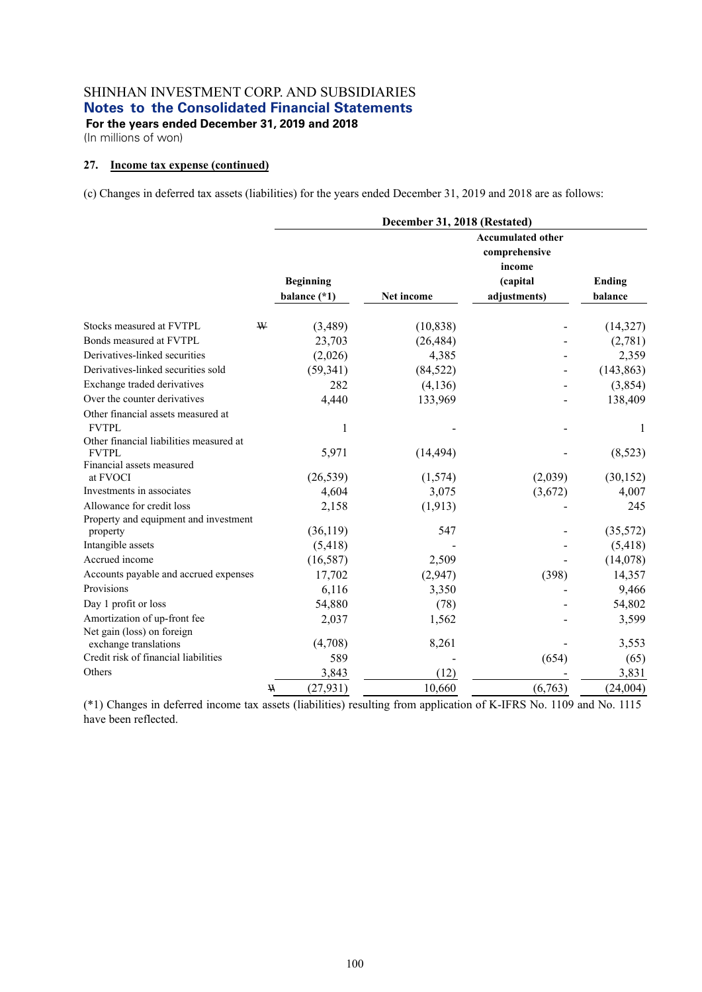**For the years ended December 31, 2019 and 2018**  (In millions of won)

### **27. Income tax expense (continued)**

(c) Changes in deferred tax assets (liabilities) for the years ended December 31, 2019 and 2018 are as follows:

|                                                   | December 31, 2018 (Restated) |            |                                                                 |            |  |  |
|---------------------------------------------------|------------------------------|------------|-----------------------------------------------------------------|------------|--|--|
|                                                   | <b>Beginning</b>             |            | <b>Accumulated other</b><br>comprehensive<br>income<br>(capital | Ending     |  |  |
|                                                   | balance (*1)                 | Net income | adjustments)                                                    | balance    |  |  |
| Stocks measured at FVTPL<br>W                     | (3,489)                      | (10, 838)  |                                                                 | (14,327)   |  |  |
| Bonds measured at FVTPL                           | 23,703                       | (26, 484)  |                                                                 | (2,781)    |  |  |
| Derivatives-linked securities                     | (2,026)                      | 4,385      |                                                                 | 2,359      |  |  |
| Derivatives-linked securities sold                | (59, 341)                    | (84, 522)  |                                                                 | (143, 863) |  |  |
| Exchange traded derivatives                       | 282                          | (4,136)    |                                                                 | (3,854)    |  |  |
| Over the counter derivatives                      | 4,440                        | 133,969    |                                                                 | 138,409    |  |  |
| Other financial assets measured at                |                              |            |                                                                 |            |  |  |
| <b>FVTPL</b>                                      | 1                            |            |                                                                 | 1          |  |  |
| Other financial liabilities measured at           |                              |            |                                                                 |            |  |  |
| <b>FVTPL</b>                                      | 5,971                        | (14, 494)  |                                                                 | (8,523)    |  |  |
| Financial assets measured                         |                              |            |                                                                 |            |  |  |
| at FVOCI                                          | (26, 539)                    | (1,574)    | (2,039)                                                         | (30, 152)  |  |  |
| Investments in associates                         | 4,604                        | 3,075      | (3,672)                                                         | 4,007      |  |  |
| Allowance for credit loss                         | 2,158                        | (1, 913)   |                                                                 | 245        |  |  |
| Property and equipment and investment<br>property | (36, 119)                    | 547        |                                                                 | (35,572)   |  |  |
| Intangible assets                                 | (5, 418)                     |            |                                                                 | (5, 418)   |  |  |
| Accrued income                                    | (16, 587)                    | 2,509      |                                                                 | (14,078)   |  |  |
| Accounts payable and accrued expenses             | 17,702                       | (2,947)    | (398)                                                           | 14,357     |  |  |
| Provisions                                        | 6,116                        | 3,350      |                                                                 | 9,466      |  |  |
| Day 1 profit or loss                              |                              |            |                                                                 | 54,802     |  |  |
| Amortization of up-front fee                      | 54,880                       | (78)       |                                                                 |            |  |  |
| Net gain (loss) on foreign                        | 2,037                        | 1,562      |                                                                 | 3,599      |  |  |
| exchange translations                             | (4,708)                      | 8,261      |                                                                 | 3,553      |  |  |
| Credit risk of financial liabilities              | 589                          |            | (654)                                                           | (65)       |  |  |
| Others                                            | 3,843                        | (12)       |                                                                 | 3,831      |  |  |
|                                                   | (27, 931)<br>$\mathbf W$     | 10,660     | (6,763)                                                         | (24,004)   |  |  |

(\*1) Changes in deferred income tax assets (liabilities) resulting from application of K-IFRS No. 1109 and No. 1115 have been reflected.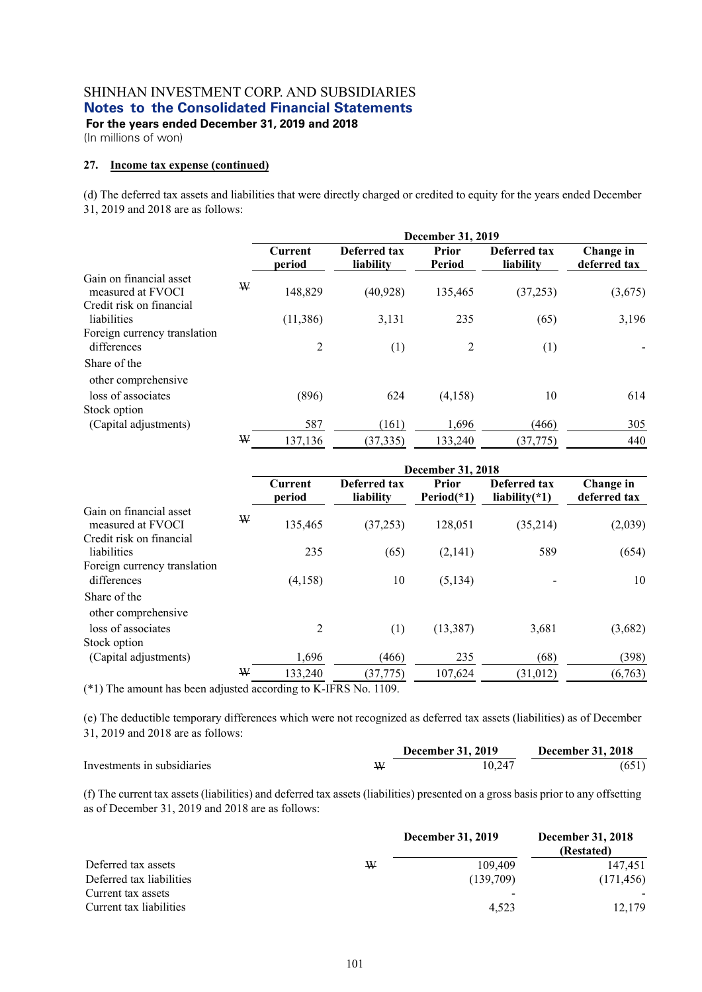**For the years ended December 31, 2019 and 2018** 

(In millions of won)

#### **27. Income tax expense (continued)**

(d) The deferred tax assets and liabilities that were directly charged or credited to equity for the years ended December 31, 2019 and 2018 are as follows:

|                                              |   | <b>December 31, 2019</b> |                           |                 |                           |                           |  |  |  |
|----------------------------------------------|---|--------------------------|---------------------------|-----------------|---------------------------|---------------------------|--|--|--|
|                                              |   | Current<br>period        | Deferred tax<br>liability | Prior<br>Period | Deferred tax<br>liability | Change in<br>deferred tax |  |  |  |
| Gain on financial asset<br>measured at FVOCI | W | 148,829                  | (40, 928)                 | 135,465         | (37, 253)                 | (3,675)                   |  |  |  |
| Credit risk on financial<br>liabilities      |   |                          |                           |                 |                           | 3,196                     |  |  |  |
|                                              |   | (11, 386)                | 3,131                     | 235             | (65)                      |                           |  |  |  |
| Foreign currency translation                 |   |                          |                           |                 |                           |                           |  |  |  |
| differences                                  |   | 2                        | (1)                       | 2               | (1)                       |                           |  |  |  |
| Share of the                                 |   |                          |                           |                 |                           |                           |  |  |  |
| other comprehensive                          |   |                          |                           |                 |                           |                           |  |  |  |
| loss of associates                           |   | (896)                    | 624                       | (4,158)         | 10                        | 614                       |  |  |  |
| Stock option                                 |   |                          |                           |                 |                           |                           |  |  |  |
| (Capital adjustments)                        |   | 587                      | (161)                     | 1,696           | (466)                     | 305                       |  |  |  |
|                                              | W | 137,136                  | (37, 335)                 | 133,240         | (37, 775)                 | 440                       |  |  |  |

|                                              |   | <b>December 31, 2018</b> |                           |                      |                                  |                           |  |  |
|----------------------------------------------|---|--------------------------|---------------------------|----------------------|----------------------------------|---------------------------|--|--|
|                                              |   | Current<br>period        | Deferred tax<br>liability | Prior<br>$Period(*)$ | Deferred tax<br>liability $(*1)$ | Change in<br>deferred tax |  |  |
| Gain on financial asset<br>measured at FVOCI | W | 135,465                  | (37, 253)                 | 128,051              | (35,214)                         | (2,039)                   |  |  |
| Credit risk on financial                     |   |                          |                           |                      |                                  |                           |  |  |
| liabilities                                  |   | 235                      | (65)                      | (2,141)              | 589                              | (654)                     |  |  |
| Foreign currency translation                 |   |                          |                           |                      |                                  |                           |  |  |
| differences                                  |   | (4,158)                  | 10                        | (5, 134)             |                                  | 10                        |  |  |
| Share of the<br>other comprehensive          |   |                          |                           |                      |                                  |                           |  |  |
| loss of associates                           |   | 2                        | (1)                       | (13, 387)            | 3,681                            | (3,682)                   |  |  |
| Stock option                                 |   |                          |                           |                      |                                  |                           |  |  |
| (Capital adjustments)                        |   | 1,696                    | (466)                     | 235                  | (68)                             | (398)                     |  |  |
|                                              | W | 133,240                  | (37, 775)                 | 107,624              | (31, 012)                        | (6,763)                   |  |  |

(\*1) The amount has been adjusted according to K-IFRS No. 1109.

(e) The deductible temporary differences which were not recognized as deferred tax assets (liabilities) as of December 31, 2019 and 2018 are as follows:

|                             | <b>December 31, 2019</b> | <b>December 31, 2018</b> |
|-----------------------------|--------------------------|--------------------------|
| Investments in subsidiaries | 10.247                   | (651)                    |

(f) The current tax assets (liabilities) and deferred tax assets (liabilities) presented on a gross basis prior to any offsetting as of December 31, 2019 and 2018 are as follows:

|                          |   | <b>December 31, 2019</b> | <b>December 31, 2018</b><br>(Restated) |
|--------------------------|---|--------------------------|----------------------------------------|
| Deferred tax assets      | ₩ | 109,409                  | 147.451                                |
| Deferred tax liabilities |   | (139,709)                | (171, 456)                             |
| Current tax assets       |   | $\overline{\phantom{0}}$ |                                        |
| Current tax liabilities  |   | 4.523                    | 12,179                                 |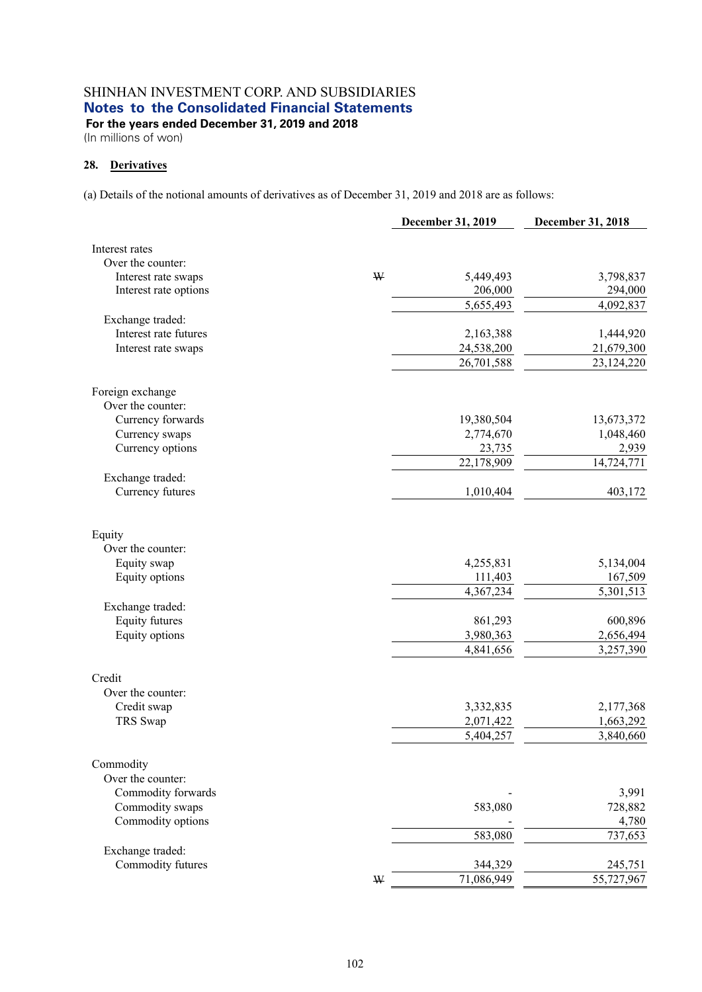**For the years ended December 31, 2019 and 2018** 

(In millions of won)

### **28. Derivatives**

(a) Details of the notional amounts of derivatives as of December 31, 2019 and 2018 are as follows:

|                       |   | December 31, 2019 | December 31, 2018 |
|-----------------------|---|-------------------|-------------------|
| Interest rates        |   |                   |                   |
| Over the counter:     |   |                   |                   |
| Interest rate swaps   | W | 5,449,493         | 3,798,837         |
| Interest rate options |   | 206,000           | 294,000           |
|                       |   | 5,655,493         | 4,092,837         |
| Exchange traded:      |   |                   |                   |
| Interest rate futures |   | 2,163,388         | 1,444,920         |
| Interest rate swaps   |   | 24,538,200        | 21,679,300        |
|                       |   | 26,701,588        | 23,124,220        |
| Foreign exchange      |   |                   |                   |
| Over the counter:     |   |                   |                   |
| Currency forwards     |   | 19,380,504        | 13,673,372        |
| Currency swaps        |   | 2,774,670         | 1,048,460         |
| Currency options      |   | 23,735            | 2,939             |
|                       |   | 22,178,909        | 14,724,771        |
| Exchange traded:      |   |                   |                   |
| Currency futures      |   | 1,010,404         | 403,172           |
| Equity                |   |                   |                   |
| Over the counter:     |   |                   |                   |
| Equity swap           |   | 4,255,831         | 5,134,004         |
| Equity options        |   | 111,403           | 167,509           |
|                       |   | 4,367,234         | 5,301,513         |
| Exchange traded:      |   |                   |                   |
| <b>Equity futures</b> |   | 861,293           | 600,896           |
| Equity options        |   | 3,980,363         | 2,656,494         |
|                       |   | 4,841,656         | 3,257,390         |
| Credit                |   |                   |                   |
| Over the counter:     |   |                   |                   |
| Credit swap           |   | 3,332,835         | 2,177,368         |
| TRS Swap              |   | 2,071,422         | 1,663,292         |
|                       |   | 5,404,257         | 3,840,660         |
| Commodity             |   |                   |                   |
| Over the counter:     |   |                   |                   |
| Commodity forwards    |   |                   | 3,991             |
| Commodity swaps       |   | 583,080           | 728,882           |
| Commodity options     |   |                   | 4,780             |
|                       |   | 583,080           | 737,653           |
| Exchange traded:      |   |                   |                   |
| Commodity futures     |   | 344,329           | 245,751           |
|                       | W | 71,086,949        | 55,727,967        |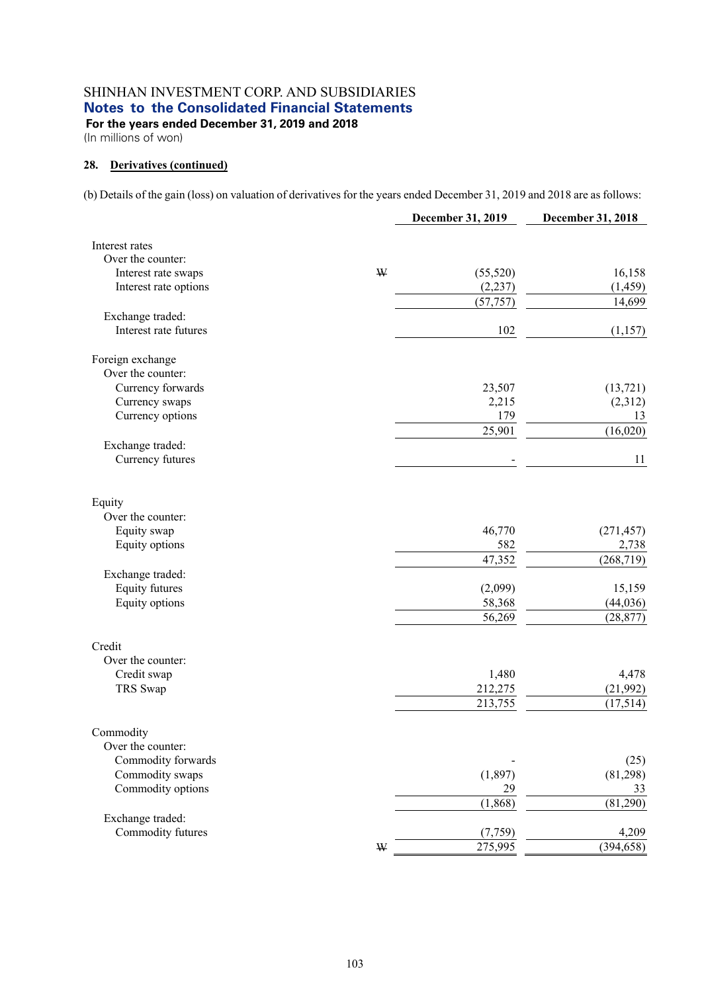**For the years ended December 31, 2019 and 2018**  (In millions of won)

### **28. Derivatives (continued)**

(b) Details of the gain (loss) on valuation of derivatives for the years ended December 31, 2019 and 2018 are as follows:

|                       |             | December 31, 2019 | December 31, 2018 |
|-----------------------|-------------|-------------------|-------------------|
| Interest rates        |             |                   |                   |
| Over the counter:     |             |                   |                   |
| Interest rate swaps   | $\mathbf W$ | (55,520)          | 16,158            |
| Interest rate options |             | (2, 237)          | (1, 459)          |
|                       |             | (57, 757)         | 14,699            |
| Exchange traded:      |             |                   |                   |
| Interest rate futures |             | 102               | (1,157)           |
| Foreign exchange      |             |                   |                   |
| Over the counter:     |             |                   |                   |
| Currency forwards     |             | 23,507            | (13, 721)         |
| Currency swaps        |             | 2,215             | (2,312)           |
| Currency options      |             | 179               | 13                |
|                       |             | 25,901            | (16,020)          |
| Exchange traded:      |             |                   |                   |
| Currency futures      |             |                   | 11                |
| Equity                |             |                   |                   |
| Over the counter:     |             |                   |                   |
| Equity swap           |             | 46,770            | (271, 457)        |
| Equity options        |             | 582               | 2,738             |
|                       |             | 47,352            | (268, 719)        |
| Exchange traded:      |             |                   |                   |
| <b>Equity futures</b> |             | (2,099)           | 15,159            |
| Equity options        |             | 58,368            | (44, 036)         |
|                       |             | 56,269            | (28, 877)         |
| Credit                |             |                   |                   |
| Over the counter:     |             |                   |                   |
| Credit swap           |             | 1,480             | 4,478             |
| TRS Swap              |             | 212,275           | (21,992)          |
|                       |             | 213,755           | (17, 514)         |
| Commodity             |             |                   |                   |
| Over the counter:     |             |                   |                   |
| Commodity forwards    |             |                   | (25)              |
| Commodity swaps       |             | (1, 897)          | (81,298)          |
| Commodity options     |             | 29                | 33                |
|                       |             | (1, 868)          | (81,290)          |
| Exchange traded:      |             |                   |                   |
| Commodity futures     |             | (7,759)           | 4,209             |
|                       | W           | 275,995           | (394, 658)        |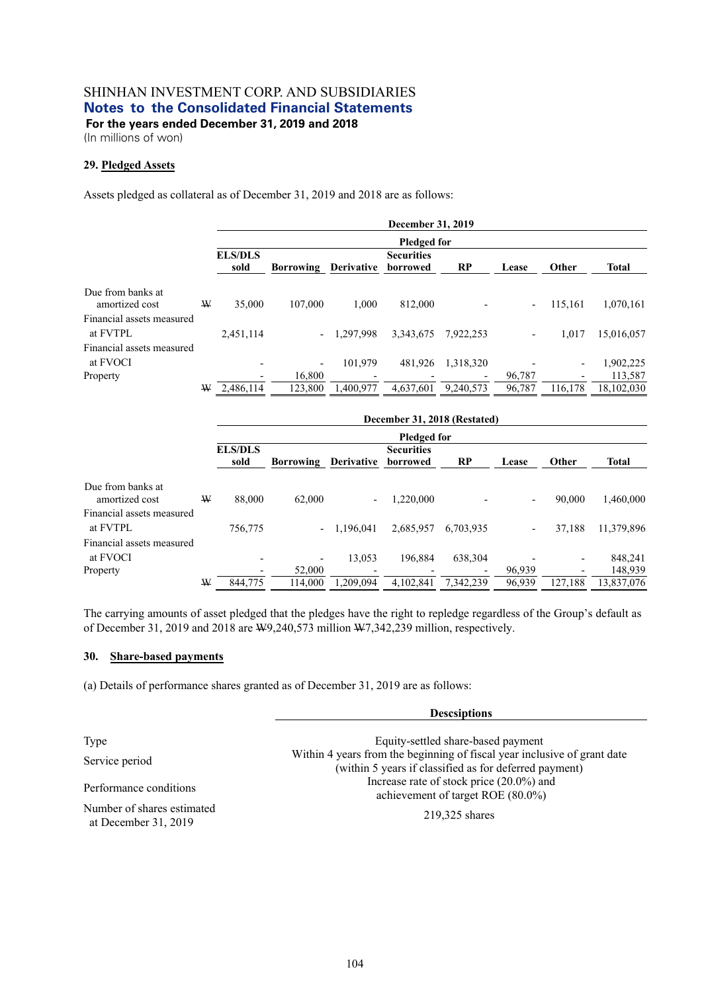(In millions of won)

### **29. Pledged Assets**

Assets pledged as collateral as of December 31, 2019 and 2018 are as follows:

|                                     |   | <b>December 31, 2019</b> |                             |           |                               |           |                          |         |              |  |
|-------------------------------------|---|--------------------------|-----------------------------|-----------|-------------------------------|-----------|--------------------------|---------|--------------|--|
|                                     |   |                          | <b>Pledged for</b>          |           |                               |           |                          |         |              |  |
|                                     |   | <b>ELS/DLS</b><br>sold   | <b>Borrowing Derivative</b> |           | <b>Securities</b><br>borrowed | RP        | Lease                    | Other   | <b>Total</b> |  |
| Due from banks at<br>amortized cost | W | 35,000                   | 107,000                     | 1.000     | 812,000                       |           | $\overline{\phantom{0}}$ | 115,161 | 1,070,161    |  |
| Financial assets measured           |   |                          |                             |           |                               |           |                          |         |              |  |
| at FVTPL                            |   | 2,451,114                | $\overline{\phantom{0}}$    | 1.297.998 | 3,343,675                     | 7.922.253 |                          | 1,017   | 15,016,057   |  |
| Financial assets measured           |   |                          |                             |           |                               |           |                          |         |              |  |
| at FVOCI                            |   |                          | $\overline{\phantom{0}}$    | 101.979   | 481.926                       | 1,318,320 |                          | -       | 1,902,225    |  |
| Property                            |   |                          | 16,800                      |           |                               |           | 96,787                   |         | 113,587      |  |
|                                     | W | 2,486,114                | 123,800                     | 1,400,977 | 4.637.601                     | 9,240,573 | 96,787                   | 116,178 | 18,102,030   |  |

|                                     |   | December 31, 2018 (Restated) |                  |                          |                               |           |                          |         |              |
|-------------------------------------|---|------------------------------|------------------|--------------------------|-------------------------------|-----------|--------------------------|---------|--------------|
|                                     |   | <b>Pledged for</b>           |                  |                          |                               |           |                          |         |              |
|                                     |   | <b>ELS/DLS</b><br>sold       | <b>Borrowing</b> | <b>Derivative</b>        | <b>Securities</b><br>borrowed | <b>RP</b> | Lease                    | Other   | <b>Total</b> |
| Due from banks at<br>amortized cost | W | 88,000                       | 62,000           | $\overline{\phantom{a}}$ | 1,220,000                     |           | $\blacksquare$           | 90,000  | 1,460,000    |
| Financial assets measured           |   |                              |                  |                          |                               |           |                          |         |              |
| at FVTPL                            |   | 756,775                      |                  | $-1.196.041$             | 2,685,957                     | 6.703.935 | $\overline{\phantom{a}}$ | 37,188  | 11,379,896   |
| Financial assets measured           |   |                              |                  |                          |                               |           |                          |         |              |
| at FVOCI                            |   |                              |                  | 13,053                   | 196.884                       | 638,304   |                          | ٠       | 848,241      |
| Property                            |   |                              | 52,000           |                          |                               |           | 96,939                   |         | 148,939      |
|                                     | W | 844,775                      | 114,000          | 1.209.094                | 4.102.841                     | 7.342.239 | 96,939                   | 127.188 | 13,837,076   |

The carrying amounts of asset pledged that the pledges have the right to repledge regardless of the Group's default as of December 31, 2019 and 2018 are W9,240,573 million W7,342,239 million, respectively.

#### **30. Share-based payments**

(a) Details of performance shares granted as of December 31, 2019 are as follows:

|                                                    | <b>Descsiptions</b>                                                              |  |  |  |
|----------------------------------------------------|----------------------------------------------------------------------------------|--|--|--|
| Type                                               | Equity-settled share-based payment                                               |  |  |  |
|                                                    | Within 4 years from the beginning of fiscal year inclusive of grant date         |  |  |  |
| Service period                                     | (within 5 years if classified as for deferred payment)                           |  |  |  |
| Performance conditions                             | Increase rate of stock price $(20.0\%)$ and<br>achievement of target ROE (80.0%) |  |  |  |
| Number of shares estimated<br>at December 31, 2019 | 219,325 shares                                                                   |  |  |  |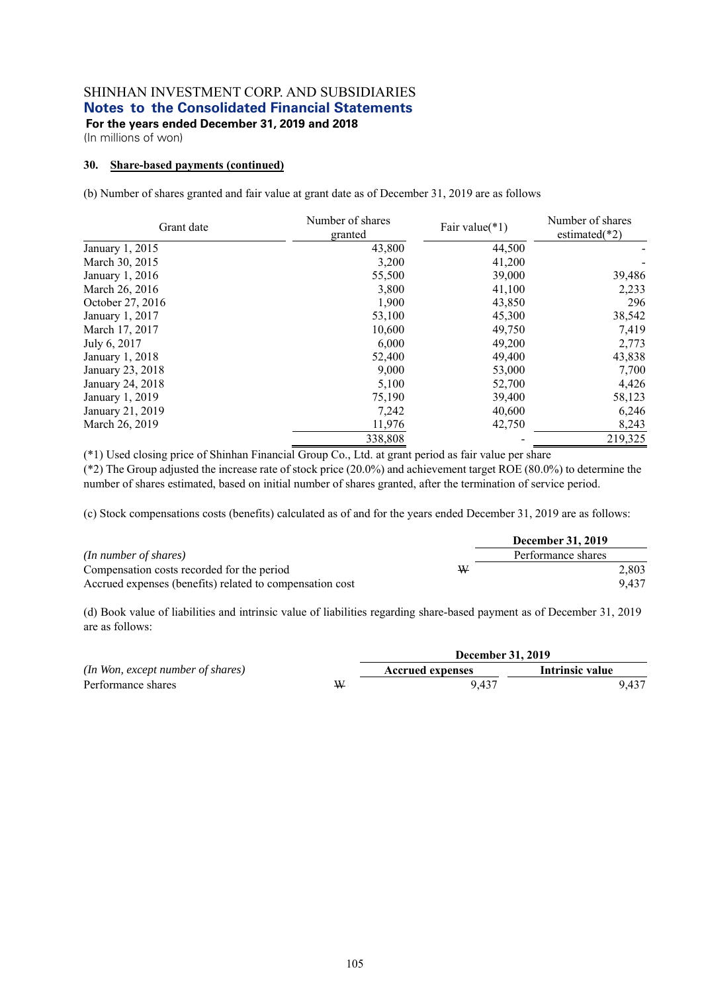(In millions of won)

#### **30. Share-based payments (continued)**

(b) Number of shares granted and fair value at grant date as of December 31, 2019 are as follows

| Grant date       | Number of shares<br>granted | Fair value $(*1)$ | Number of shares<br>estimated $(*2)$ |  |
|------------------|-----------------------------|-------------------|--------------------------------------|--|
| January 1, 2015  | 43,800                      | 44,500            |                                      |  |
| March 30, 2015   | 3,200                       | 41,200            |                                      |  |
| January 1, 2016  | 55,500                      | 39,000            | 39,486                               |  |
| March 26, 2016   | 3,800                       | 41,100            | 2,233                                |  |
| October 27, 2016 | 1,900                       | 43,850            | 296                                  |  |
| January 1, 2017  | 53,100                      | 45,300            | 38,542                               |  |
| March 17, 2017   | 10,600                      | 49,750            | 7,419                                |  |
| July 6, 2017     | 6,000                       | 49,200            | 2,773                                |  |
| January 1, 2018  | 52,400                      | 49,400            | 43,838                               |  |
| January 23, 2018 | 9,000                       | 53,000            | 7,700                                |  |
| January 24, 2018 | 5,100                       | 52,700            | 4,426                                |  |
| January 1, 2019  | 75,190                      | 39,400            | 58,123                               |  |
| January 21, 2019 | 7,242                       | 40,600            | 6,246                                |  |
| March 26, 2019   | 11,976                      | 42,750            | 8,243                                |  |
|                  | 338,808                     |                   | 219,325                              |  |

(\*1) Used closing price of Shinhan Financial Group Co., Ltd. at grant period as fair value per share

(\*2) The Group adjusted the increase rate of stock price (20.0%) and achievement target ROE (80.0%) to determine the number of shares estimated, based on initial number of shares granted, after the termination of service period.

(c) Stock compensations costs (benefits) calculated as of and for the years ended December 31, 2019 are as follows:

|                                                          |   | <b>December 31, 2019</b> |       |
|----------------------------------------------------------|---|--------------------------|-------|
| (In number of shares)                                    |   | Performance shares       |       |
| Compensation costs recorded for the period               | W |                          | 2.803 |
| Accrued expenses (benefits) related to compensation cost |   |                          | 9.437 |

(d) Book value of liabilities and intrinsic value of liabilities regarding share-based payment as of December 31, 2019 are as follows:

*(In Won, except number of shares)* Performance shares W

|   | <b>December 31, 2019</b> |                 |  |  |  |  |
|---|--------------------------|-----------------|--|--|--|--|
|   | <b>Accrued expenses</b>  | Intrinsic value |  |  |  |  |
| V | 9.437                    | 9.437           |  |  |  |  |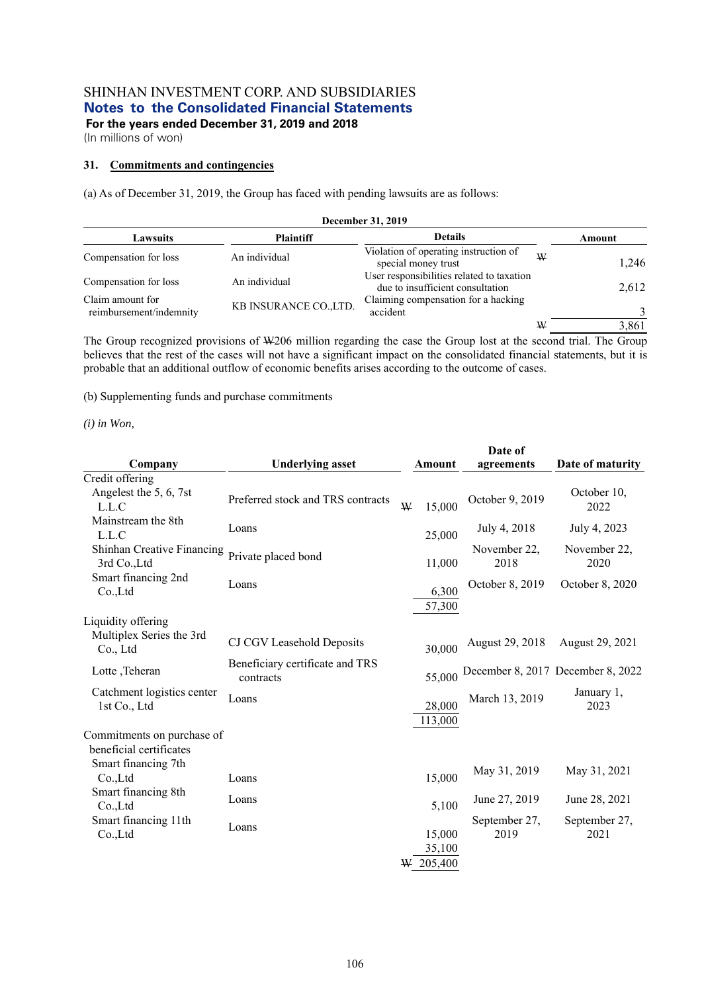(In millions of won)

#### **31. Commitments and contingencies**

(a) As of December 31, 2019, the Group has faced with pending lawsuits are as follows:

| December 31, 2019                           |                        |                                                                               |   |        |  |
|---------------------------------------------|------------------------|-------------------------------------------------------------------------------|---|--------|--|
| Lawsuits                                    | <b>Plaintiff</b>       | <b>Details</b>                                                                |   | Amount |  |
| Compensation for loss                       | An individual          | Violation of operating instruction of<br>special money trust                  | W | 1,246  |  |
| Compensation for loss                       | An individual          | User responsibilities related to taxation<br>due to insufficient consultation |   | 2,612  |  |
| Claim amount for<br>reimbursement/indemnity | KB INSURANCE CO., LTD. | Claiming compensation for a hacking<br>accident                               |   |        |  |
|                                             |                        |                                                                               | W | 3,861  |  |

The Group recognized provisions of W206 million regarding the case the Group lost at the second trial. The Group believes that the rest of the cases will not have a significant impact on the consolidated financial statements, but it is probable that an additional outflow of economic benefits arises according to the outcome of cases.

(b) Supplementing funds and purchase commitments

*(i) in Won,* 

|                                      |                                   |   |             | Date of         |                                   |
|--------------------------------------|-----------------------------------|---|-------------|-----------------|-----------------------------------|
| Company                              | <b>Underlying asset</b>           |   | Amount      | agreements      | Date of maturity                  |
| Credit offering                      |                                   |   |             |                 |                                   |
| Angelest the 5, 6, 7st               | Preferred stock and TRS contracts |   |             | October 9, 2019 | October 10,                       |
| L.L.C                                |                                   | W | 15,000      |                 | 2022                              |
| Mainstream the 8th                   | Loans                             |   |             | July 4, 2018    | July 4, 2023                      |
| L.L.C                                |                                   |   | 25,000      |                 |                                   |
| Shinhan Creative Financing           | Private placed bond               |   |             | November 22,    | November 22,                      |
| 3rd Co., Ltd                         |                                   |   | 11,000      | 2018            | 2020                              |
| Smart financing 2nd                  | Loans                             |   |             | October 8, 2019 | October 8, 2020                   |
| Co.,Ltd                              |                                   |   | 6,300       |                 |                                   |
|                                      |                                   |   | 57,300      |                 |                                   |
| Liquidity offering                   |                                   |   |             |                 |                                   |
| Multiplex Series the 3rd<br>Co., Ltd | CJ CGV Leasehold Deposits         |   | 30,000      | August 29, 2018 | August 29, 2021                   |
|                                      | Beneficiary certificate and TRS   |   |             |                 |                                   |
| Lotte, Teheran                       | contracts                         |   | 55,000      |                 | December 8, 2017 December 8, 2022 |
| Catchment logistics center           |                                   |   |             |                 | January 1,                        |
| 1st Co., Ltd                         | Loans                             |   | 28,000      | March 13, 2019  | 2023                              |
|                                      |                                   |   | 113,000     |                 |                                   |
| Commitments on purchase of           |                                   |   |             |                 |                                   |
| beneficial certificates              |                                   |   |             |                 |                                   |
| Smart financing 7th                  |                                   |   |             |                 |                                   |
| Co.,Ltd                              | Loans                             |   | 15,000      | May 31, 2019    | May 31, 2021                      |
| Smart financing 8th                  | Loans                             |   |             | June 27, 2019   | June 28, 2021                     |
| $Co$ , Ltd                           |                                   |   | 5,100       |                 |                                   |
| Smart financing 11th                 | Loans                             |   |             | September 27,   | September 27,                     |
| Co.,Ltd                              |                                   |   | 15,000      | 2019            | 2021                              |
|                                      |                                   |   | 35,100      |                 |                                   |
|                                      |                                   |   | $W$ 205,400 |                 |                                   |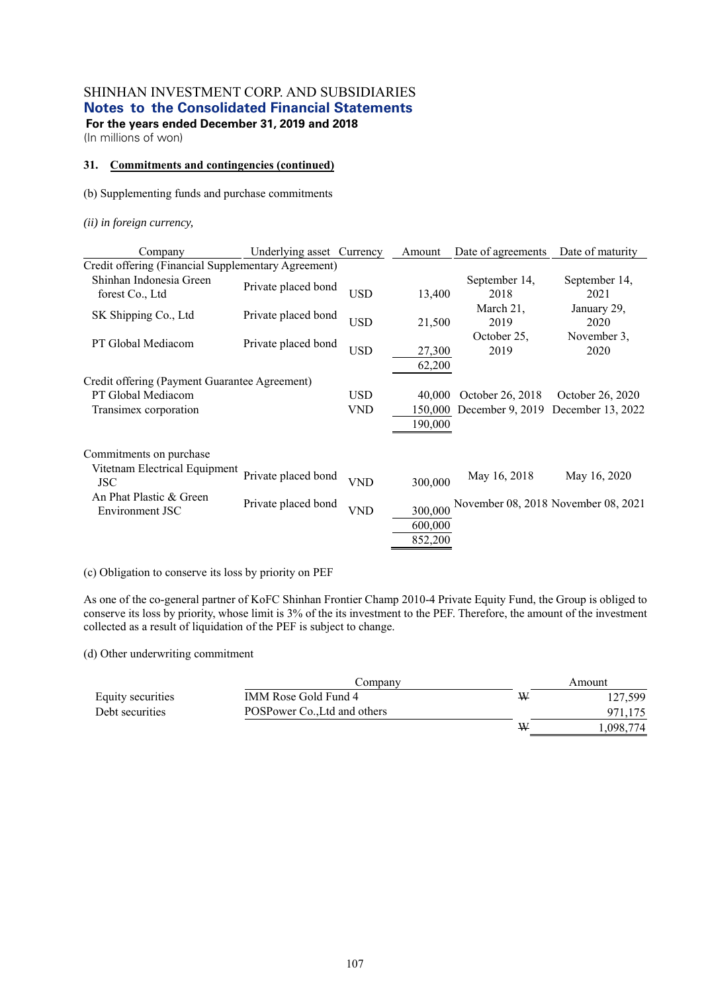(In millions of won)

#### **31. Commitments and contingencies (continued)**

#### (b) Supplementing funds and purchase commitments

*(ii) in foreign currency,* 

| Company                                             | Underlying asset Currency |                          | Amount                       | Date of agreements                   | Date of maturity                      |
|-----------------------------------------------------|---------------------------|--------------------------|------------------------------|--------------------------------------|---------------------------------------|
| Credit offering (Financial Supplementary Agreement) |                           |                          |                              |                                      |                                       |
| Shinhan Indonesia Green<br>forest Co., Ltd          | Private placed bond       | <b>USD</b>               | 13,400                       | September 14,<br>2018                | September 14,<br>2021                 |
| SK Shipping Co., Ltd                                | Private placed bond       | <b>USD</b>               | 21,500                       | March 21,<br>2019                    | January 29,<br>2020                   |
| PT Global Mediacom                                  | Private placed bond       | <b>USD</b>               | 27,300<br>62,200             | October 25,<br>2019                  | November 3.<br>2020                   |
| Credit offering (Payment Guarantee Agreement)       |                           |                          |                              |                                      |                                       |
| PT Global Mediacom<br>Transimex corporation         |                           | <b>USD</b><br><b>VND</b> | 40,000<br>150,000<br>190,000 | October 26, 2018<br>December 9, 2019 | October 26, 2020<br>December 13, 2022 |
| Commitments on purchase                             |                           |                          |                              |                                      |                                       |
| Vitetnam Electrical Equipment<br><b>JSC</b>         | Private placed bond       | <b>VND</b>               | 300,000                      | May 16, 2018                         | May 16, 2020                          |
| An Phat Plastic & Green<br>Environment JSC          | Private placed bond       | <b>VND</b>               | 300,000<br>600,000           |                                      | November 08, 2018 November 08, 2021   |
|                                                     |                           |                          | 852,200                      |                                      |                                       |

(c) Obligation to conserve its loss by priority on PEF

As one of the co-general partner of KoFC Shinhan Frontier Champ 2010-4 Private Equity Fund, the Group is obliged to conserve its loss by priority, whose limit is 3% of the its investment to the PEF. Therefore, the amount of the investment collected as a result of liquidation of the PEF is subject to change.

(d) Other underwriting commitment

|                   | Company                      |   | Amount   |  |  |
|-------------------|------------------------------|---|----------|--|--|
| Equity securities | IMM Rose Gold Fund 4         | ₩ | 127.599  |  |  |
| Debt securities   | POSPower Co., Ltd and others |   | 971.175  |  |  |
|                   |                              | ₩ | .098,774 |  |  |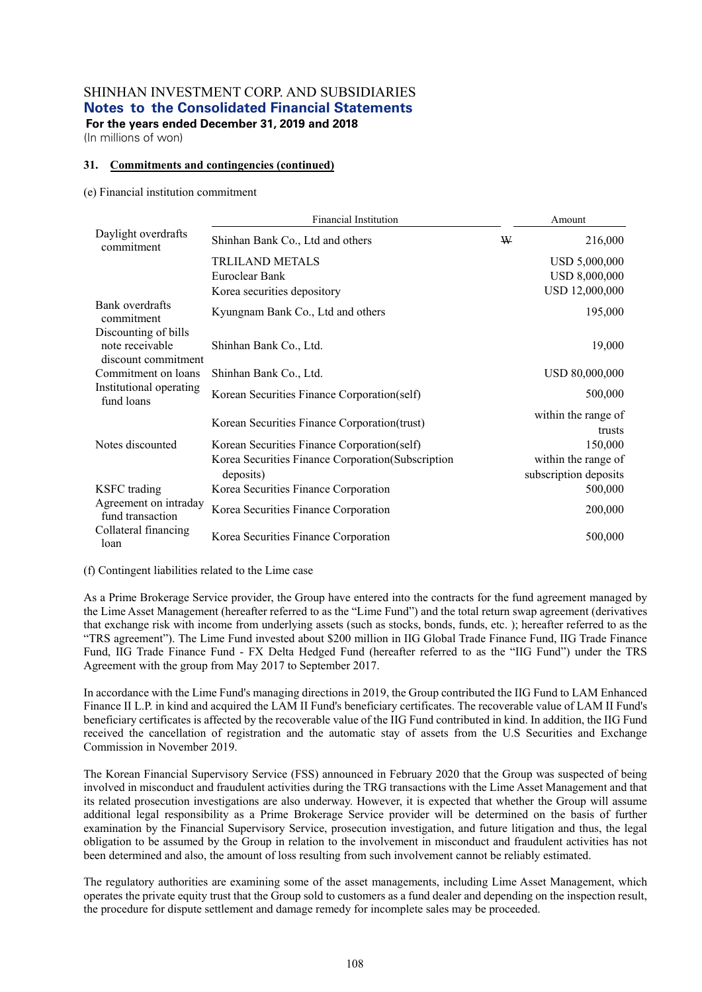(In millions of won)

#### **31. Commitments and contingencies (continued)**

#### (e) Financial institution commitment

|                                                                | <b>Financial Institution</b>                                    |   | Amount                                       |
|----------------------------------------------------------------|-----------------------------------------------------------------|---|----------------------------------------------|
| Daylight overdrafts<br>commitment                              | Shinhan Bank Co., Ltd and others                                | ₩ | 216,000                                      |
|                                                                | <b>TRLILAND METALS</b>                                          |   | USD 5,000,000                                |
|                                                                | Euroclear Bank                                                  |   | <b>USD 8,000,000</b>                         |
|                                                                | Korea securities depository                                     |   | USD 12,000,000                               |
| Bank overdrafts<br>commitment                                  | Kyungnam Bank Co., Ltd and others                               |   | 195,000                                      |
| Discounting of bills<br>note receivable<br>discount commitment | Shinhan Bank Co., Ltd.                                          |   | 19,000                                       |
| Commitment on loans                                            | Shinhan Bank Co., Ltd.                                          |   | USD 80,000,000                               |
| Institutional operating<br>fund loans                          | Korean Securities Finance Corporation(self)                     |   | 500,000                                      |
|                                                                | Korean Securities Finance Corporation(trust)                    |   | within the range of<br>trusts                |
| Notes discounted                                               | Korean Securities Finance Corporation(self)                     |   | 150,000                                      |
|                                                                | Korea Securities Finance Corporation (Subscription<br>deposits) |   | within the range of<br>subscription deposits |
| <b>KSFC</b> trading                                            | Korea Securities Finance Corporation                            |   | 500,000                                      |
| Agreement on intraday<br>fund transaction                      | Korea Securities Finance Corporation                            |   | 200,000                                      |
| Collateral financing<br>loan                                   | Korea Securities Finance Corporation                            |   | 500,000                                      |

(f) Contingent liabilities related to the Lime case

As a Prime Brokerage Service provider, the Group have entered into the contracts for the fund agreement managed by the Lime Asset Management (hereafter referred to as the "Lime Fund") and the total return swap agreement (derivatives that exchange risk with income from underlying assets (such as stocks, bonds, funds, etc. ); hereafter referred to as the "TRS agreement"). The Lime Fund invested about \$200 million in IIG Global Trade Finance Fund, IIG Trade Finance Fund, IIG Trade Finance Fund - FX Delta Hedged Fund (hereafter referred to as the "IIG Fund") under the TRS Agreement with the group from May 2017 to September 2017.

In accordance with the Lime Fund's managing directions in 2019, the Group contributed the IIG Fund to LAM Enhanced Finance II L.P. in kind and acquired the LAM II Fund's beneficiary certificates. The recoverable value of LAM II Fund's beneficiary certificates is affected by the recoverable value of the IIG Fund contributed in kind. In addition, the IIG Fund received the cancellation of registration and the automatic stay of assets from the U.S Securities and Exchange Commission in November 2019.

The Korean Financial Supervisory Service (FSS) announced in February 2020 that the Group was suspected of being involved in misconduct and fraudulent activities during the TRG transactions with the Lime Asset Management and that its related prosecution investigations are also underway. However, it is expected that whether the Group will assume additional legal responsibility as a Prime Brokerage Service provider will be determined on the basis of further examination by the Financial Supervisory Service, prosecution investigation, and future litigation and thus, the legal obligation to be assumed by the Group in relation to the involvement in misconduct and fraudulent activities has not been determined and also, the amount of loss resulting from such involvement cannot be reliably estimated.

The regulatory authorities are examining some of the asset managements, including Lime Asset Management, which operates the private equity trust that the Group sold to customers as a fund dealer and depending on the inspection result, the procedure for dispute settlement and damage remedy for incomplete sales may be proceeded.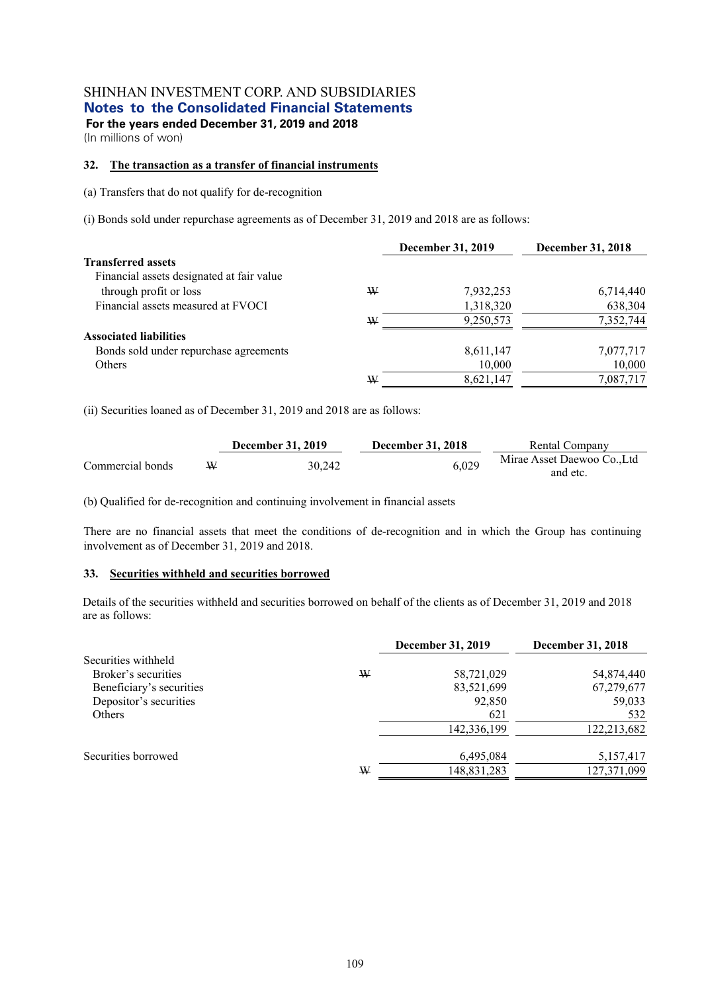(In millions of won)

#### **32. The transaction as a transfer of financial instruments**

(a) Transfers that do not qualify for de-recognition

(i) Bonds sold under repurchase agreements as of December 31, 2019 and 2018 are as follows:

|                                           |   | <b>December 31, 2019</b> | <b>December 31, 2018</b> |
|-------------------------------------------|---|--------------------------|--------------------------|
| <b>Transferred assets</b>                 |   |                          |                          |
| Financial assets designated at fair value |   |                          |                          |
| through profit or loss                    | W | 7,932,253                | 6,714,440                |
| Financial assets measured at FVOCI        |   | 1,318,320                | 638,304                  |
|                                           | W | 9,250,573                | 7,352,744                |
| <b>Associated liabilities</b>             |   |                          |                          |
| Bonds sold under repurchase agreements    |   | 8,611,147                | 7,077,717                |
| <b>Others</b>                             |   | 10,000                   | 10,000                   |
|                                           | W | 8,621,147                | 7,087,717                |

(ii) Securities loaned as of December 31, 2019 and 2018 are as follows:

|                  | <b>December 31, 2019</b> | <b>December 31, 2018</b> | Rental Company           |
|------------------|--------------------------|--------------------------|--------------------------|
| Commercial bonds | 30.242                   | 6.029                    | Mirae Asset Daewoo CoLtd |
|                  |                          |                          | and etc.                 |

(b) Qualified for de-recognition and continuing involvement in financial assets

There are no financial assets that meet the conditions of de-recognition and in which the Group has continuing involvement as of December 31, 2019 and 2018.

#### **33. Securities withheld and securities borrowed**

Details of the securities withheld and securities borrowed on behalf of the clients as of December 31, 2019 and 2018 are as follows:

|                          |   | December 31, 2019 | December 31, 2018 |
|--------------------------|---|-------------------|-------------------|
| Securities withheld      |   |                   |                   |
| Broker's securities      | W | 58,721,029        | 54,874,440        |
| Beneficiary's securities |   | 83,521,699        | 67,279,677        |
| Depositor's securities   |   | 92,850            | 59,033            |
| <b>Others</b>            |   | 621               | 532               |
|                          |   | 142,336,199       | 122,213,682       |
| Securities borrowed      |   | 6,495,084         | 5,157,417         |
|                          | W | 148,831,283       | 127,371,099       |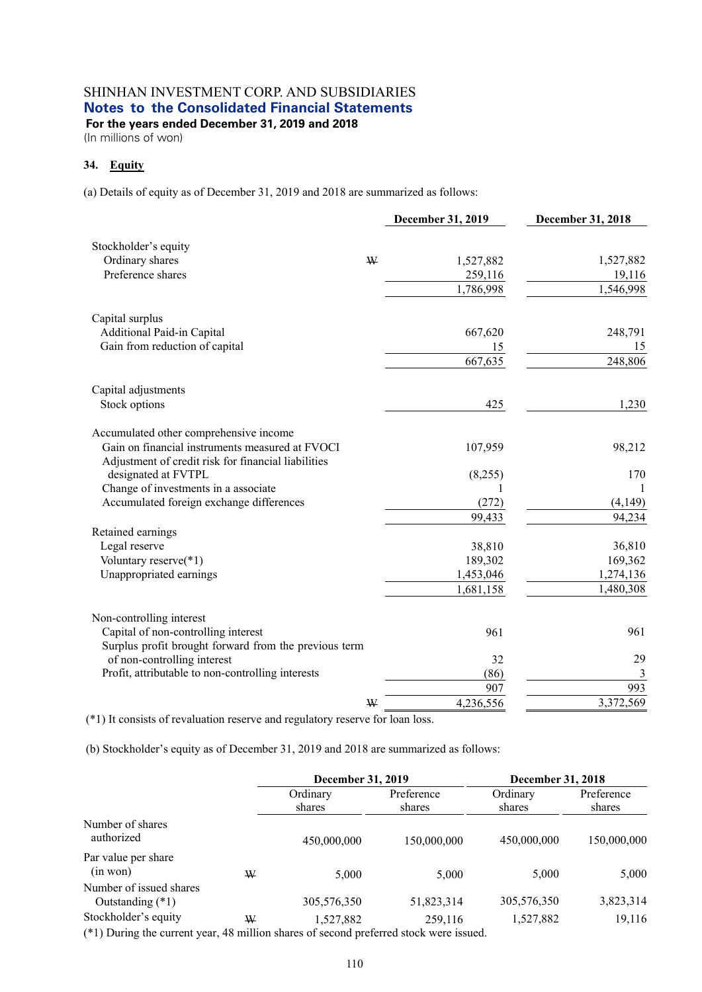(In millions of won)

## **34. Equity**

(a) Details of equity as of December 31, 2019 and 2018 are summarized as follows:

|                                                                                                        | December 31, 2019 | December 31, 2018 |
|--------------------------------------------------------------------------------------------------------|-------------------|-------------------|
| Stockholder's equity                                                                                   |                   |                   |
| Ordinary shares<br>W                                                                                   | 1,527,882         | 1,527,882         |
| Preference shares                                                                                      | 259,116           | 19,116            |
|                                                                                                        | 1,786,998         | 1,546,998         |
| Capital surplus                                                                                        |                   |                   |
| Additional Paid-in Capital                                                                             | 667,620           | 248,791           |
| Gain from reduction of capital                                                                         | 15                | 15                |
|                                                                                                        | 667,635           | 248,806           |
| Capital adjustments                                                                                    |                   |                   |
| Stock options                                                                                          | 425               | 1,230             |
| Accumulated other comprehensive income                                                                 |                   |                   |
| Gain on financial instruments measured at FVOCI<br>Adjustment of credit risk for financial liabilities | 107,959           | 98,212            |
| designated at FVTPL                                                                                    | (8,255)           | 170               |
| Change of investments in a associate                                                                   | 1                 | 1                 |
| Accumulated foreign exchange differences                                                               | (272)             | (4,149)           |
|                                                                                                        | 99,433            | 94,234            |
| Retained earnings                                                                                      |                   |                   |
| Legal reserve                                                                                          | 38,810            | 36,810            |
| Voluntary reserve(*1)                                                                                  | 189,302           | 169,362           |
| Unappropriated earnings                                                                                | 1,453,046         | 1,274,136         |
|                                                                                                        | 1,681,158         | 1,480,308         |
| Non-controlling interest                                                                               |                   |                   |
| Capital of non-controlling interest                                                                    | 961               | 961               |
| Surplus profit brought forward from the previous term                                                  |                   |                   |
| of non-controlling interest                                                                            | 32                | 29                |
| Profit, attributable to non-controlling interests                                                      | (86)              | $\mathfrak{Z}$    |
|                                                                                                        | 907               | 993               |
| W                                                                                                      | 4,236,556         | 3,372,569         |

(\*1) It consists of revaluation reserve and regulatory reserve for loan loss.

(b) Stockholder's equity as of December 31, 2019 and 2018 are summarized as follows:

|                                                                                        |   | <b>December 31, 2019</b> |                      | <b>December 31, 2018</b> |                      |
|----------------------------------------------------------------------------------------|---|--------------------------|----------------------|--------------------------|----------------------|
|                                                                                        |   | Ordinary<br>shares       | Preference<br>shares | Ordinary<br>shares       | Preference<br>shares |
| Number of shares<br>authorized                                                         |   | 450,000,000              | 150,000,000          | 450,000,000              | 150,000,000          |
| Par value per share<br>(in won)                                                        | W | 5,000                    | 5.000                | 5,000                    | 5,000                |
| Number of issued shares<br>Outstanding $(*1)$                                          |   | 305,576,350              | 51,823,314           | 305,576,350              | 3,823,314            |
| Stockholder's equity                                                                   | W | 1,527,882                | 259,116              | 1,527,882                | 19,116               |
| (*1) During the current year, 48 million shares of second preferred stock were issued. |   |                          |                      |                          |                      |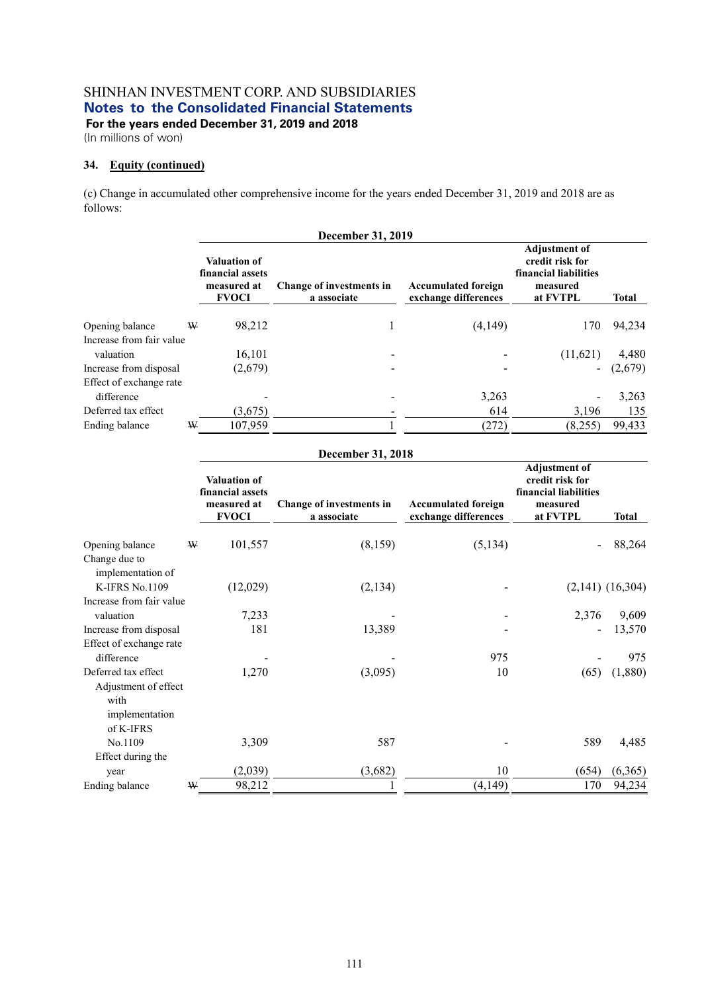(In millions of won)

## **34. Equity (continued)**

(c) Change in accumulated other comprehensive income for the years ended December 31, 2019 and 2018 are as follows:

| December 31, 2019        |   |                                                                        |                                         |                                                    |                                                                                          |              |
|--------------------------|---|------------------------------------------------------------------------|-----------------------------------------|----------------------------------------------------|------------------------------------------------------------------------------------------|--------------|
|                          |   | <b>Valuation of</b><br>financial assets<br>measured at<br><b>FVOCI</b> | Change of investments in<br>a associate | <b>Accumulated foreign</b><br>exchange differences | <b>Adjustment of</b><br>credit risk for<br>financial liabilities<br>measured<br>at FVTPL | <b>Total</b> |
|                          |   |                                                                        |                                         |                                                    |                                                                                          |              |
| Opening balance          | W | 98,212                                                                 |                                         | (4,149)                                            | 170                                                                                      | 94,234       |
| Increase from fair value |   |                                                                        |                                         |                                                    |                                                                                          |              |
| valuation                |   | 16,101                                                                 |                                         |                                                    | (11,621)                                                                                 | 4,480        |
| Increase from disposal   |   | (2,679)                                                                |                                         |                                                    |                                                                                          | (2,679)      |
| Effect of exchange rate  |   |                                                                        |                                         |                                                    |                                                                                          |              |
| difference               |   |                                                                        |                                         | 3,263                                              |                                                                                          | 3,263        |
| Deferred tax effect      |   | (3,675)                                                                |                                         | 614                                                | 3,196                                                                                    | 135          |
| Ending balance           | W | 107,959                                                                |                                         | (272)                                              | (8,255)                                                                                  | 99,433       |

| December 31, 2018                  |   |                                                                        |                                         |                                                    |                                                                                          |                      |
|------------------------------------|---|------------------------------------------------------------------------|-----------------------------------------|----------------------------------------------------|------------------------------------------------------------------------------------------|----------------------|
|                                    |   | <b>Valuation of</b><br>financial assets<br>measured at<br><b>FVOCI</b> | Change of investments in<br>a associate | <b>Accumulated foreign</b><br>exchange differences | <b>Adjustment of</b><br>credit risk for<br>financial liabilities<br>measured<br>at FVTPL | <b>Total</b>         |
| Opening balance                    | W | 101,557                                                                | (8,159)                                 | (5, 134)                                           |                                                                                          | 88,264               |
| Change due to<br>implementation of |   |                                                                        |                                         |                                                    |                                                                                          |                      |
| K-IFRS No.1109                     |   | (12,029)                                                               | (2,134)                                 |                                                    |                                                                                          | $(2,141)$ $(16,304)$ |
| Increase from fair value           |   |                                                                        |                                         |                                                    |                                                                                          |                      |
| valuation                          |   | 7,233                                                                  |                                         |                                                    | 2,376                                                                                    | 9,609                |
| Increase from disposal             |   | 181                                                                    | 13,389                                  |                                                    |                                                                                          | 13,570               |
| Effect of exchange rate            |   |                                                                        |                                         |                                                    |                                                                                          |                      |
| difference                         |   |                                                                        |                                         | 975                                                |                                                                                          | 975                  |
| Deferred tax effect                |   | 1,270                                                                  | (3,095)                                 | 10                                                 | (65)                                                                                     | (1,880)              |
| Adjustment of effect               |   |                                                                        |                                         |                                                    |                                                                                          |                      |
| with                               |   |                                                                        |                                         |                                                    |                                                                                          |                      |
| implementation                     |   |                                                                        |                                         |                                                    |                                                                                          |                      |
| of K-IFRS                          |   |                                                                        |                                         |                                                    |                                                                                          |                      |
| No.1109                            |   | 3,309                                                                  | 587                                     |                                                    | 589                                                                                      | 4,485                |
| Effect during the                  |   |                                                                        |                                         |                                                    |                                                                                          |                      |
| year                               |   | (2,039)                                                                | (3,682)                                 | 10                                                 | (654)                                                                                    | (6,365)              |
| Ending balance                     | ₩ | 98,212                                                                 |                                         | (4,149)                                            | 170                                                                                      | 94,234               |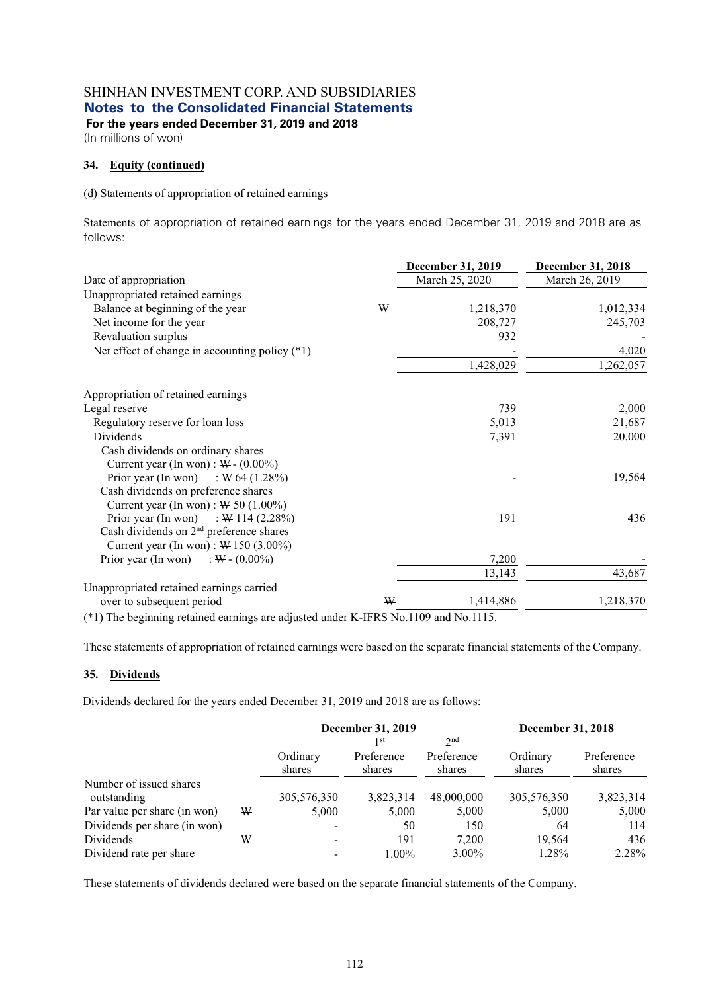**For the years ended December 31, 2019 and 2018** 

(In millions of won)

### **34. Equity (continued)**

(d) Statements of appropriation of retained earnings

Statements of appropriation of retained earnings for the years ended December 31, 2019 and 2018 are as follows:

|                                                     |   | December 31, 2019 | December 31, 2018 |
|-----------------------------------------------------|---|-------------------|-------------------|
| Date of appropriation                               |   | March 25, 2020    | March 26, 2019    |
| Unappropriated retained earnings                    |   |                   |                   |
| Balance at beginning of the year                    | W | 1,218,370         | 1,012,334         |
| Net income for the year                             |   | 208,727           | 245,703           |
| Revaluation surplus                                 |   | 932               |                   |
| Net effect of change in accounting policy $(*1)$    |   |                   | 4,020             |
|                                                     |   | 1,428,029         | 1,262,057         |
| Appropriation of retained earnings                  |   |                   |                   |
| Legal reserve                                       |   | 739               | 2,000             |
| Regulatory reserve for loan loss                    |   | 5,013             | 21,687            |
| Dividends                                           |   | 7,391             | 20,000            |
| Cash dividends on ordinary shares                   |   |                   |                   |
| Current year (In won) : $W - (0.00\%)$              |   |                   |                   |
| Prior year (In won) : $W$ 64 (1.28%)                |   |                   | 19,564            |
| Cash dividends on preference shares                 |   |                   |                   |
| Current year (In won) : $W$ 50 (1.00%)              |   |                   |                   |
| Prior year (In won) : $W$ 114 (2.28%)               |   | 191               | 436               |
| Cash dividends on 2 <sup>nd</sup> preference shares |   |                   |                   |
| Current year (In won): $W$ 150 (3.00%)              |   |                   |                   |
| Prior year (In won) : $W - (0.00\%)$                |   | 7,200             |                   |
|                                                     |   | 13,143            | 43,687            |
| Unappropriated retained earnings carried            |   |                   |                   |
| over to subsequent period                           | ₩ | 1,414,886         | 1,218,370         |

(\*1) The beginning retained earnings are adjusted under K-IFRS No.1109 and No.1115.

These statements of appropriation of retained earnings were based on the separate financial statements of the Company.

#### **35. Dividends**

Dividends declared for the years ended December 31, 2019 and 2018 are as follows:

|                              |   | December 31, 2019        |            |                 | December 31, 2018 |            |
|------------------------------|---|--------------------------|------------|-----------------|-------------------|------------|
|                              |   |                          | 1 st       | 2 <sub>nd</sub> |                   |            |
|                              |   | Ordinary                 | Preference | Preference      | Ordinary          | Preference |
|                              |   | shares                   | shares     | shares          | shares            | shares     |
| Number of issued shares      |   |                          |            |                 |                   |            |
| outstanding                  |   | 305,576,350              | 3,823,314  | 48,000,000      | 305,576,350       | 3,823,314  |
| Par value per share (in won) | W | 5,000                    | 5,000      | 5,000           | 5,000             | 5,000      |
| Dividends per share (in won) |   |                          | 50         | 150             | 64                | 114        |
| Dividends                    | W | $\overline{\phantom{0}}$ | 191        | 7.200           | 19,564            | 436        |
| Dividend rate per share      |   |                          | $1.00\%$   | $3.00\%$        | 1.28%             | 2.28%      |

These statements of dividends declared were based on the separate financial statements of the Company.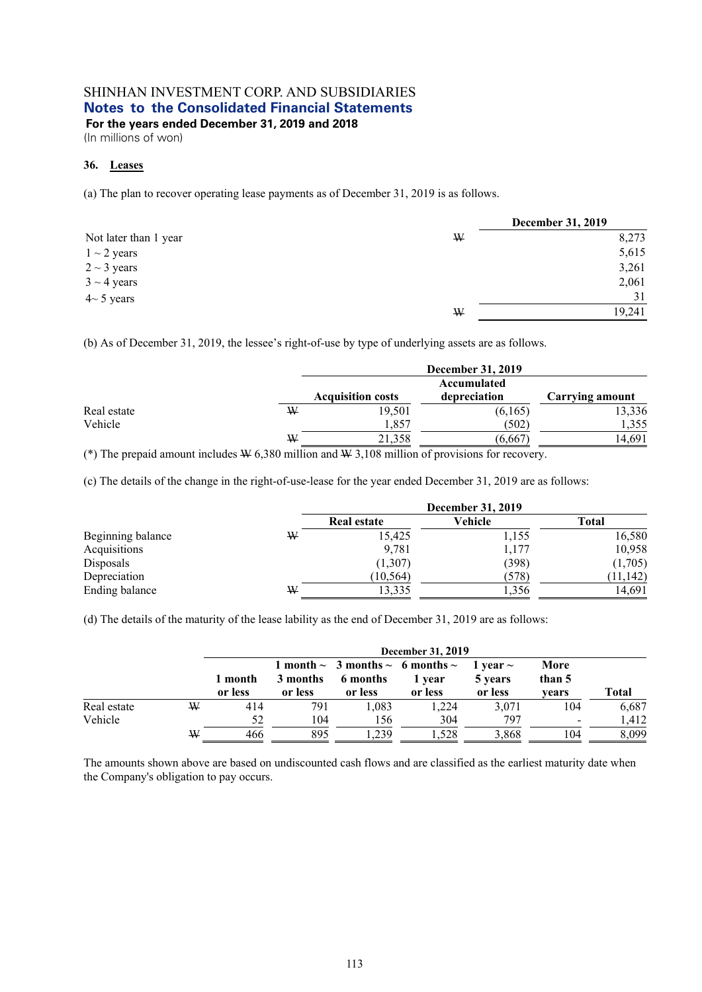(In millions of won)

# **36. Leases**

(a) The plan to recover operating lease payments as of December 31, 2019 is as follows.

|                       |   | <b>December 31, 2019</b> |
|-----------------------|---|--------------------------|
| Not later than 1 year | W | 8,273                    |
| $1 \sim 2$ years      |   | 5,615                    |
| $2 \sim 3$ years      |   | 3,261                    |
| $3 \sim 4$ years      |   | 2,061                    |
| $4 \sim 5$ years      |   | 31                       |
|                       | W | 19,241                   |

(b) As of December 31, 2019, the lessee's right-of-use by type of underlying assets are as follows.

|             |   |                          | <b>December 31, 2019</b>    |                 |
|-------------|---|--------------------------|-----------------------------|-----------------|
|             |   | <b>Acquisition costs</b> | Accumulated<br>depreciation | Carrying amount |
| Real estate | ₩ | 19,501                   | (6,165)                     | 13,336          |
| Vehicle     |   | 1,857                    | (502)                       | 1,355           |
|             | ₩ | 21.358                   | (6,667)                     | 4.691           |

(\*) The prepaid amount includes  $\Psi$  6,380 million and  $\Psi$  3,108 million of provisions for recovery.

(c) The details of the change in the right-of-use-lease for the year ended December 31, 2019 are as follows:

|                   |   | <b>December 31, 2019</b> |         |              |  |
|-------------------|---|--------------------------|---------|--------------|--|
|                   |   | <b>Real estate</b>       | Vehicle | <b>Total</b> |  |
| Beginning balance | ₩ | 15,425                   | 1,155   | 16,580       |  |
| Acquisitions      |   | 9,781                    | 1,177   | 10,958       |  |
| Disposals         |   | (1,307)                  | (398)   | (1,705)      |  |
| Depreciation      |   | (10, 564)                | (578)   | (11, 142)    |  |
| Ending balance    | W | 13,335                   | 1,356   | 14,691       |  |

(d) The details of the maturity of the lease lability as the end of December 31, 2019 are as follows:

|             |   | December 31, 2019  |                     |                                                                       |                   |                                     |                         |       |
|-------------|---|--------------------|---------------------|-----------------------------------------------------------------------|-------------------|-------------------------------------|-------------------------|-------|
|             |   | 1 month<br>or less | 3 months<br>or less | 1 month $\sim$ 3 months $\sim$ 6 months $\sim$<br>6 months<br>or less | 1 year<br>or less | 1 vear $\sim$<br>5 years<br>or less | More<br>than 5<br>vears | Total |
| Real estate | ₩ | 414                | 791                 | 1.083                                                                 | 1,224             | 3,071                               | 104                     | 6,687 |
| Vehicle     |   | 52                 | 104                 | 156                                                                   | 304               | 797                                 | $\,$                    | 1,412 |
|             | ₩ | 466                | 895                 | .239                                                                  | .528              | 3,868                               | 104                     | 8,099 |

The amounts shown above are based on undiscounted cash flows and are classified as the earliest maturity date when the Company's obligation to pay occurs.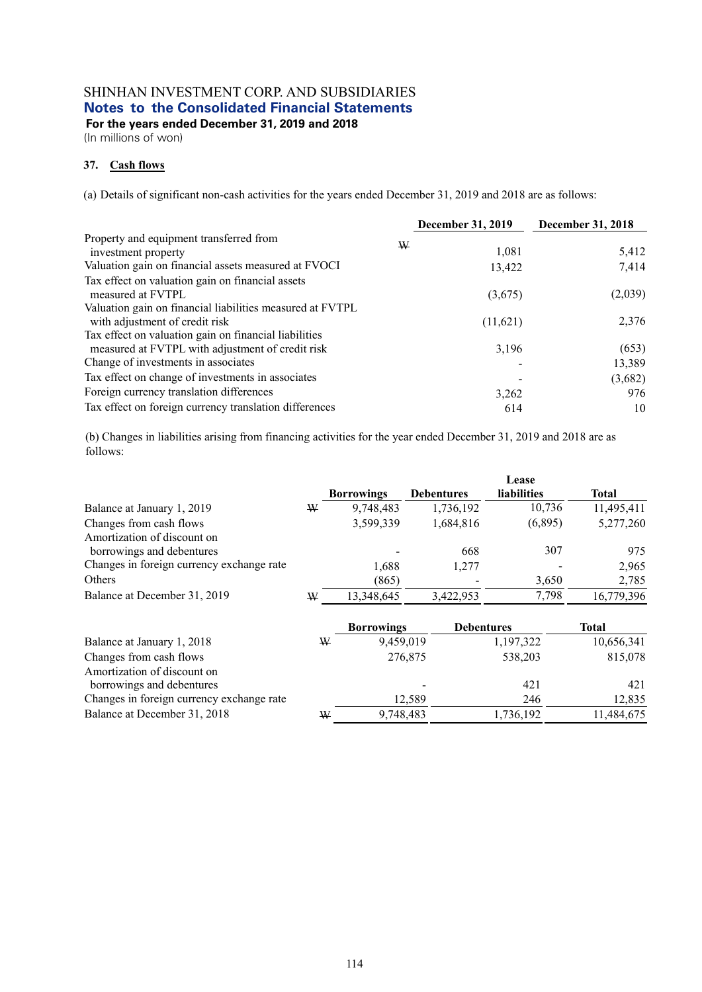**For the years ended December 31, 2019 and 2018** 

(In millions of won)

## **37. Cash flows**

(a) Details of significant non-cash activities for the years ended December 31, 2019 and 2018 are as follows:

|                                                           | <b>December 31, 2019</b> | December 31, 2018 |
|-----------------------------------------------------------|--------------------------|-------------------|
| Property and equipment transferred from<br>W              |                          |                   |
| investment property                                       | 1,081                    | 5,412             |
| Valuation gain on financial assets measured at FVOCI      | 13,422                   | 7,414             |
| Tax effect on valuation gain on financial assets          |                          |                   |
| measured at FVTPL                                         | (3,675)                  | (2,039)           |
| Valuation gain on financial liabilities measured at FVTPL |                          |                   |
| with adjustment of credit risk                            | (11,621)                 | 2,376             |
| Tax effect on valuation gain on financial liabilities     |                          |                   |
| measured at FVTPL with adjustment of credit risk          | 3,196                    | (653)             |
| Change of investments in associates                       |                          | 13,389            |
| Tax effect on change of investments in associates         |                          | (3,682)           |
| Foreign currency translation differences                  | 3,262                    | 976               |
| Tax effect on foreign currency translation differences    | 614                      | 10                |

(b) Changes in liabilities arising from financing activities for the year ended December 31, 2019 and 2018 are as follows:

|                                           |   |                   |                   | Lease              |              |
|-------------------------------------------|---|-------------------|-------------------|--------------------|--------------|
|                                           |   | <b>Borrowings</b> | <b>Debentures</b> | <b>liabilities</b> | <b>Total</b> |
| Balance at January 1, 2019                | ₩ | 9,748,483         | 1,736,192         | 10,736             | 11,495,411   |
| Changes from cash flows                   |   | 3,599,339         | 1,684,816         | (6,895)            | 5,277,260    |
| Amortization of discount on               |   |                   |                   |                    |              |
| borrowings and debentures                 |   |                   | 668               | 307                | 975          |
| Changes in foreign currency exchange rate |   | 1,688             | 1,277             |                    | 2,965        |
| Others                                    |   | (865)             |                   | 3,650              | 2,785        |
| Balance at December 31, 2019              | W | 13,348,645        | 3,422,953         | 7,798              | 16,779,396   |
|                                           |   |                   |                   |                    |              |

|                                           |   | <b>Borrowings</b> | <b>Debentures</b> | Total      |
|-------------------------------------------|---|-------------------|-------------------|------------|
| Balance at January 1, 2018                | W | 9,459,019         | 1,197,322         | 10,656,341 |
| Changes from cash flows                   |   | 276,875           | 538,203           | 815,078    |
| Amortization of discount on               |   |                   |                   |            |
| borrowings and debentures                 |   |                   | 421               | 421        |
| Changes in foreign currency exchange rate |   | 12.589            | 246               | 12.835     |
| Balance at December 31, 2018              | W | 9,748,483         | 1,736,192         | 11,484,675 |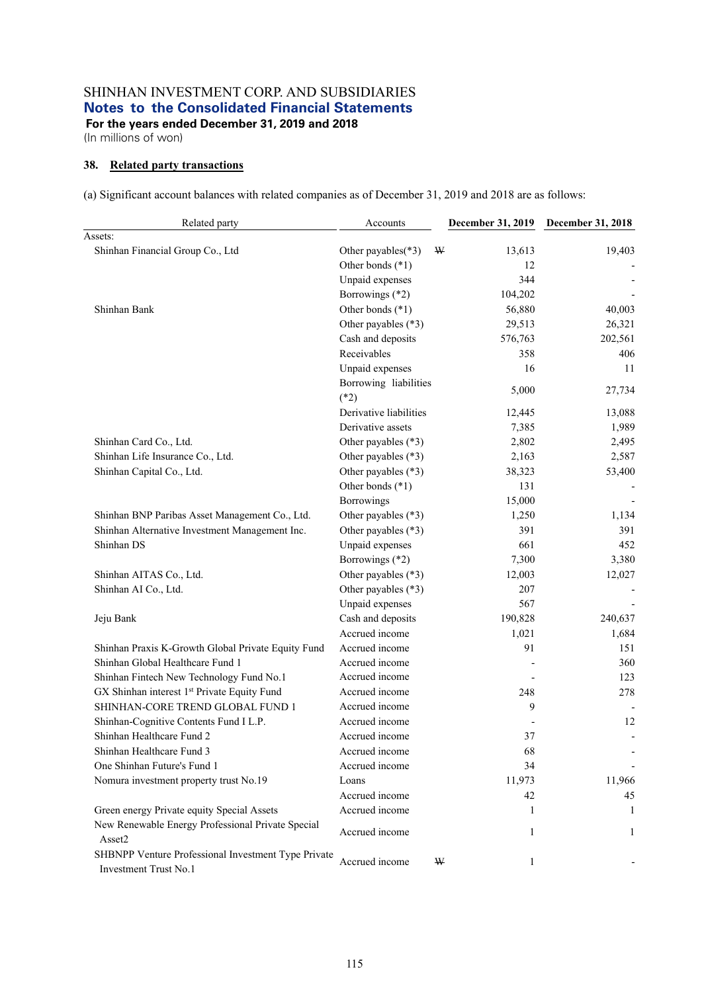(In millions of won)

## **38. Related party transactions**

(a) Significant account balances with related companies as of December 31, 2019 and 2018 are as follows:

| Related party                                                                | Accounts               | December 31, 2019 | December 31, 2018 |
|------------------------------------------------------------------------------|------------------------|-------------------|-------------------|
| Assets:<br>Shinhan Financial Group Co., Ltd                                  | Other payables(*3)     | W<br>13,613       | 19,403            |
|                                                                              | Other bonds (*1)       | 12                |                   |
|                                                                              | Unpaid expenses        | 344               |                   |
|                                                                              | Borrowings (*2)        | 104,202           |                   |
| Shinhan Bank                                                                 | Other bonds (*1)       | 56,880            | 40,003            |
|                                                                              | Other payables (*3)    | 29,513            | 26,321            |
|                                                                              | Cash and deposits      | 576,763           | 202,561           |
|                                                                              | Receivables            | 358               | 406               |
|                                                                              | Unpaid expenses        | 16                | 11                |
|                                                                              | Borrowing liabilities  |                   |                   |
|                                                                              | $(*2)$                 | 5,000             | 27,734            |
|                                                                              | Derivative liabilities | 12,445            | 13,088            |
|                                                                              | Derivative assets      | 7,385             | 1,989             |
| Shinhan Card Co., Ltd.                                                       | Other payables (*3)    | 2,802             | 2,495             |
| Shinhan Life Insurance Co., Ltd.                                             | Other payables (*3)    | 2,163             | 2,587             |
| Shinhan Capital Co., Ltd.                                                    | Other payables (*3)    | 38,323            | 53,400            |
|                                                                              | Other bonds (*1)       | 131               |                   |
|                                                                              | Borrowings             | 15,000            |                   |
| Shinhan BNP Paribas Asset Management Co., Ltd.                               | Other payables (*3)    | 1,250             | 1,134             |
| Shinhan Alternative Investment Management Inc.                               | Other payables (*3)    | 391               | 391               |
| Shinhan DS                                                                   | Unpaid expenses        | 661               | 452               |
|                                                                              | Borrowings (*2)        | 7,300             | 3,380             |
| Shinhan AITAS Co., Ltd.                                                      | Other payables (*3)    | 12,003            | 12,027            |
| Shinhan AI Co., Ltd.                                                         | Other payables (*3)    | 207               |                   |
|                                                                              | Unpaid expenses        | 567               |                   |
| Jeju Bank                                                                    | Cash and deposits      | 190,828           | 240,637           |
|                                                                              | Accrued income         | 1,021             | 1,684             |
| Shinhan Praxis K-Growth Global Private Equity Fund                           | Accrued income         | 91                | 151               |
| Shinhan Global Healthcare Fund 1                                             | Accrued income         |                   | 360               |
| Shinhan Fintech New Technology Fund No.1                                     | Accrued income         |                   | 123               |
| GX Shinhan interest 1st Private Equity Fund                                  | Accrued income         | 248               | 278               |
| SHINHAN-CORE TREND GLOBAL FUND 1                                             | Accrued income         | 9                 |                   |
| Shinhan-Cognitive Contents Fund I L.P.                                       | Accrued income         |                   | 12                |
| Shinhan Healthcare Fund 2                                                    | Accrued income         | 37                |                   |
| Shinhan Healthcare Fund 3                                                    | Accrued income         | 68                |                   |
| One Shinhan Future's Fund 1                                                  | Accrued income         | 34                |                   |
| Nomura investment property trust No.19                                       | Loans                  | 11,973            | 11,966            |
|                                                                              | Accrued income         | 42                | 45                |
| Green energy Private equity Special Assets                                   | Accrued income         | 1                 | 1                 |
| New Renewable Energy Professional Private Special<br>Asset2                  | Accrued income         | 1                 | 1                 |
| SHBNPP Venture Professional Investment Type Private<br>Investment Trust No.1 | Accrued income         | W<br>$\mathbf{1}$ |                   |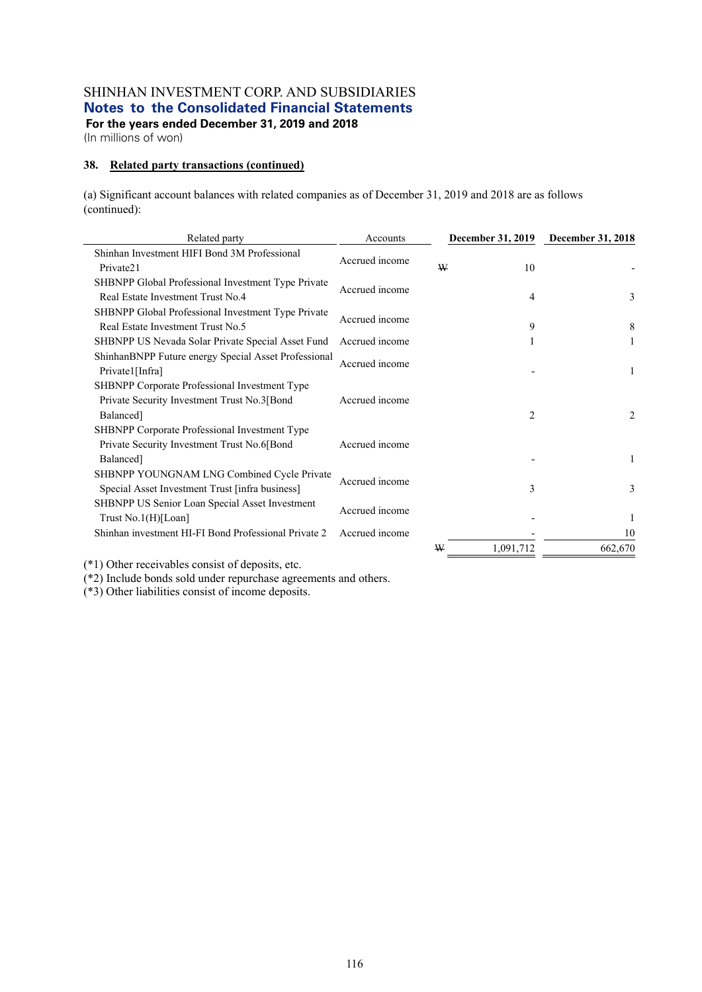**For the years ended December 31, 2019 and 2018**  (In millions of won)

## **38. Related party transactions (continued)**

(a) Significant account balances with related companies as of December 31, 2019 and 2018 are as follows (continued):

| Related party                                                                                 | Accounts       |   | December 31, 2019 | December 31, 2018 |
|-----------------------------------------------------------------------------------------------|----------------|---|-------------------|-------------------|
| Shinhan Investment HIFI Bond 3M Professional<br>Private21                                     | Accrued income | W | 10                |                   |
| SHBNPP Global Professional Investment Type Private<br>Real Estate Investment Trust No.4       | Accrued income |   | 4                 | 3                 |
| SHBNPP Global Professional Investment Type Private<br>Real Estate Investment Trust No.5       | Accrued income |   | 9                 | 8                 |
| SHBNPP US Nevada Solar Private Special Asset Fund                                             | Accrued income |   |                   |                   |
| ShinhanBNPP Future energy Special Asset Professional<br>Private1[Infra]                       | Accrued income |   |                   | 1                 |
| SHBNPP Corporate Professional Investment Type                                                 |                |   |                   |                   |
| Private Security Investment Trust No.3[Bond                                                   | Accrued income |   |                   |                   |
| Balanced]                                                                                     |                |   | 2                 | 2                 |
| SHBNPP Corporate Professional Investment Type                                                 |                |   |                   |                   |
| Private Security Investment Trust No.6[Bond                                                   | Accrued income |   |                   |                   |
| Balanced]                                                                                     |                |   |                   | 1                 |
| SHBNPP YOUNGNAM LNG Combined Cycle Private<br>Special Asset Investment Trust [infra business] | Accrued income |   | 3                 | 3                 |
| SHBNPP US Senior Loan Special Asset Investment<br>Trust No.1(H)[Loan]                         | Accrued income |   |                   |                   |
| Shinhan investment HI-FI Bond Professional Private 2                                          | Accrued income |   |                   | 10                |
|                                                                                               |                | W | 1,091,712         | 662,670           |

(\*1) Other receivables consist of deposits, etc.

(\*2) Include bonds sold under repurchase agreements and others.

(\*3) Other liabilities consist of income deposits.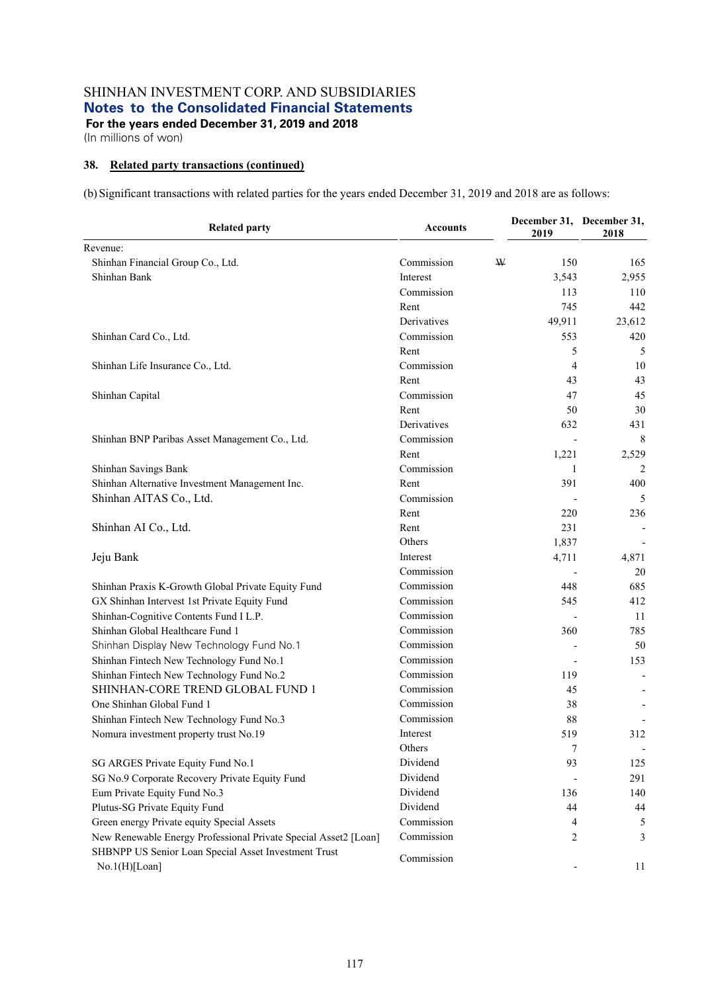## **38. Related party transactions (continued)**

(b) Significant transactions with related parties for the years ended December 31, 2019 and 2018 are as follows:

| <b>Related party</b>                                                  | <b>Accounts</b> | 2019                     | December 31, December 31,<br>2018 |
|-----------------------------------------------------------------------|-----------------|--------------------------|-----------------------------------|
| Revenue:                                                              |                 |                          |                                   |
| Shinhan Financial Group Co., Ltd.                                     | Commission      | W<br>150                 | 165                               |
| Shinhan Bank                                                          | Interest        | 3,543                    | 2,955                             |
|                                                                       | Commission      | 113                      | 110                               |
|                                                                       | Rent            | 745                      | 442                               |
|                                                                       | Derivatives     | 49,911                   | 23,612                            |
| Shinhan Card Co., Ltd.                                                | Commission      | 553                      | 420                               |
|                                                                       | Rent            | 5                        | 5                                 |
| Shinhan Life Insurance Co., Ltd.                                      | Commission      | $\overline{4}$           | 10                                |
|                                                                       | Rent            | 43                       | 43                                |
| Shinhan Capital                                                       | Commission      | 47                       | 45                                |
|                                                                       | Rent            | 50                       | 30                                |
|                                                                       | Derivatives     | 632                      | 431                               |
| Shinhan BNP Paribas Asset Management Co., Ltd.                        | Commission      |                          | 8                                 |
|                                                                       | Rent            | 1,221                    | 2,529                             |
| Shinhan Savings Bank                                                  | Commission      | 1                        | $\overline{2}$                    |
| Shinhan Alternative Investment Management Inc.                        | Rent            | 391                      | 400                               |
| Shinhan AITAS Co., Ltd.                                               | Commission      |                          | 5                                 |
|                                                                       | Rent            | 220                      | 236                               |
| Shinhan AI Co., Ltd.                                                  | Rent            | 231                      |                                   |
|                                                                       | Others          | 1,837                    |                                   |
| Jeju Bank                                                             | Interest        | 4,711                    | 4,871                             |
|                                                                       | Commission      |                          | 20                                |
| Shinhan Praxis K-Growth Global Private Equity Fund                    | Commission      | 448                      | 685                               |
| GX Shinhan Intervest 1st Private Equity Fund                          | Commission      | 545                      | 412                               |
| Shinhan-Cognitive Contents Fund I L.P.                                | Commission      |                          | 11                                |
| Shinhan Global Healthcare Fund 1                                      | Commission      | 360                      | 785                               |
| Shinhan Display New Technology Fund No.1                              | Commission      |                          | 50                                |
| Shinhan Fintech New Technology Fund No.1                              | Commission      | $\overline{\phantom{a}}$ | 153                               |
| Shinhan Fintech New Technology Fund No.2                              | Commission      | 119                      |                                   |
| SHINHAN-CORE TREND GLOBAL FUND 1                                      | Commission      | 45                       |                                   |
| One Shinhan Global Fund 1                                             | Commission      | 38                       |                                   |
| Shinhan Fintech New Technology Fund No.3                              | Commission      | 88                       |                                   |
| Nomura investment property trust No.19                                | Interest        | 519                      | 312                               |
|                                                                       | Others          | 7                        |                                   |
| SG ARGES Private Equity Fund No.1                                     | Dividend        | 93                       | 125                               |
| SG No.9 Corporate Recovery Private Equity Fund                        | Dividend        |                          | 291                               |
| Eum Private Equity Fund No.3                                          | Dividend        | 136                      | 140                               |
| Plutus-SG Private Equity Fund                                         | Dividend        | 44                       | 44                                |
| Green energy Private equity Special Assets                            | Commission      | 4                        | 5                                 |
| New Renewable Energy Professional Private Special Asset2 [Loan]       | Commission      | 2                        | 3                                 |
| SHBNPP US Senior Loan Special Asset Investment Trust<br>No.1(H)[Loan] | Commission      |                          | 11                                |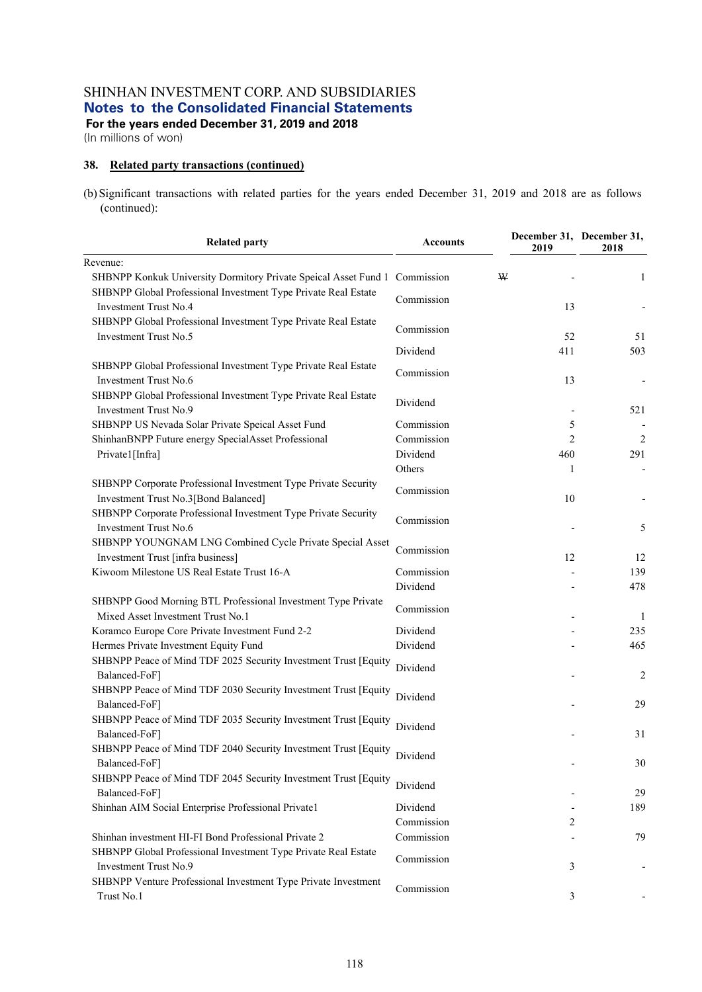**For the years ended December 31, 2019 and 2018** 

(In millions of won)

## **38. Related party transactions (continued)**

(b) Significant transactions with related parties for the years ended December 31, 2019 and 2018 are as follows (continued):

| <b>Related party</b>                                                                                   | <b>Accounts</b> | 2019           | December 31, December 31,<br>2018 |
|--------------------------------------------------------------------------------------------------------|-----------------|----------------|-----------------------------------|
| Revenue:                                                                                               |                 |                |                                   |
| SHBNPP Konkuk University Dormitory Private Speical Asset Fund 1 Commission                             |                 | W              | 1                                 |
| SHBNPP Global Professional Investment Type Private Real Estate<br>Investment Trust No.4                | Commission      | 13             |                                   |
| SHBNPP Global Professional Investment Type Private Real Estate<br>Investment Trust No.5                | Commission      | 52             | 51                                |
|                                                                                                        | Dividend        | 411            | 503                               |
| SHBNPP Global Professional Investment Type Private Real Estate<br><b>Investment Trust No.6</b>         | Commission      | 13             |                                   |
| SHBNPP Global Professional Investment Type Private Real Estate<br>Investment Trust No.9                | Dividend        |                | 521                               |
| SHBNPP US Nevada Solar Private Speical Asset Fund                                                      | Commission      | 5              |                                   |
| ShinhanBNPP Future energy SpecialAsset Professional                                                    | Commission      | $\overline{2}$ | $\sqrt{2}$                        |
| Private1[Infra]                                                                                        | Dividend        | 460            | 291                               |
|                                                                                                        | Others          | 1              | $\overline{\phantom{a}}$          |
| SHBNPP Corporate Professional Investment Type Private Security<br>Investment Trust No.3[Bond Balanced] | Commission      | 10             |                                   |
| SHBNPP Corporate Professional Investment Type Private Security<br><b>Investment Trust No.6</b>         | Commission      |                | 5                                 |
| SHBNPP YOUNGNAM LNG Combined Cycle Private Special Asset<br>Investment Trust [infra business]          | Commission      | 12             | 12                                |
| Kiwoom Milestone US Real Estate Trust 16-A                                                             | Commission      |                | 139                               |
|                                                                                                        | Dividend        |                | 478                               |
| SHBNPP Good Morning BTL Professional Investment Type Private<br>Mixed Asset Investment Trust No.1      | Commission      |                | -1                                |
| Koramco Europe Core Private Investment Fund 2-2                                                        | Dividend        |                | 235                               |
| Hermes Private Investment Equity Fund                                                                  | Dividend        |                | 465                               |
| SHBNPP Peace of Mind TDF 2025 Security Investment Trust [Equity<br>Balanced-FoF]                       | Dividend        |                | $\overline{c}$                    |
| SHBNPP Peace of Mind TDF 2030 Security Investment Trust [Equity<br>Balanced-FoF]                       | Dividend        |                | 29                                |
| SHBNPP Peace of Mind TDF 2035 Security Investment Trust [Equity<br>Balanced-FoF]                       | Dividend        |                | 31                                |
| SHBNPP Peace of Mind TDF 2040 Security Investment Trust [Equity<br>Balanced-FoF]                       | Dividend        |                | 30                                |
| SHBNPP Peace of Mind TDF 2045 Security Investment Trust [Equity<br>Balanced-FoF]                       | Dividend        |                | 29                                |
| Shinhan AIM Social Enterprise Professional Private1                                                    | Dividend        |                | 189                               |
|                                                                                                        | Commission      | 2              |                                   |
| Shinhan investment HI-FI Bond Professional Private 2                                                   | Commission      |                | 79                                |
| SHBNPP Global Professional Investment Type Private Real Estate<br>Investment Trust No.9                | Commission      | 3              |                                   |
| SHBNPP Venture Professional Investment Type Private Investment<br>Trust No.1                           | Commission      | 3              |                                   |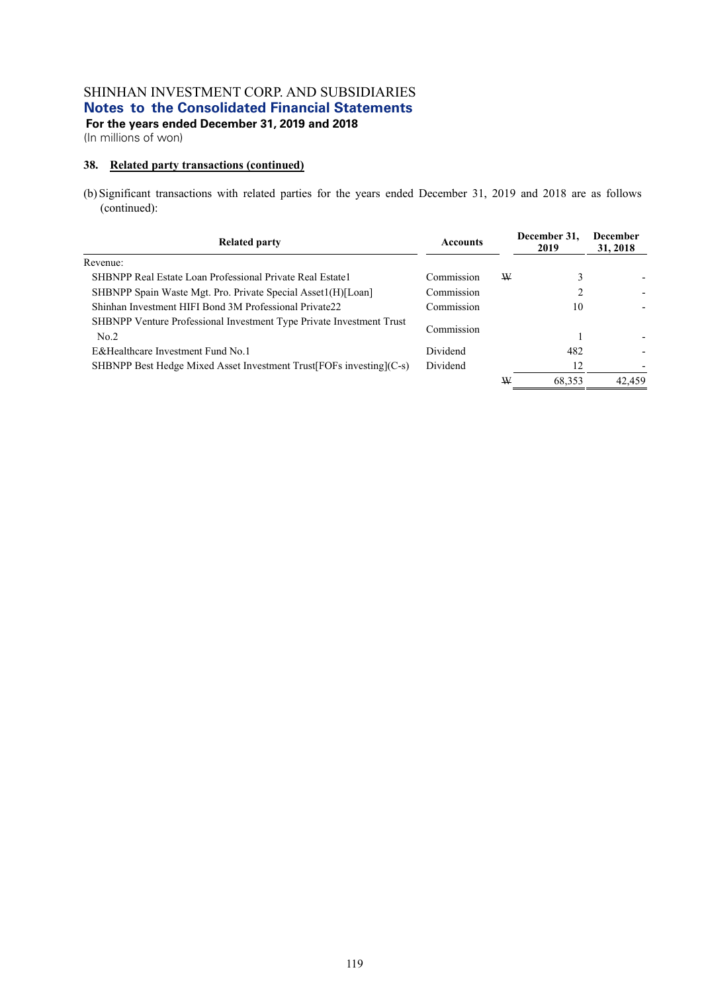(In millions of won)

## **38. Related party transactions (continued)**

(b) Significant transactions with related parties for the years ended December 31, 2019 and 2018 are as follows (continued):

| <b>Related party</b>                                                         | <b>Accounts</b> |   | December 31,<br>2019 | <b>December</b><br>31, 2018 |  |
|------------------------------------------------------------------------------|-----------------|---|----------------------|-----------------------------|--|
| Revenue:                                                                     |                 |   |                      |                             |  |
| SHBNPP Real Estate Loan Professional Private Real Estate 1                   | Commission      | W | 3                    |                             |  |
| SHBNPP Spain Waste Mgt. Pro. Private Special Asset1(H)[Loan]                 | Commission      |   |                      |                             |  |
| Shinhan Investment HIFI Bond 3M Professional Private22                       | Commission      |   | 10                   |                             |  |
| SHBNPP Venture Professional Investment Type Private Investment Trust<br>No.2 | Commission      |   |                      |                             |  |
| E&Healthcare Investment Fund No.1                                            | Dividend        |   | 482                  |                             |  |
| SHBNPP Best Hedge Mixed Asset Investment Trust [FOFs investing] (C-s)        | Dividend        |   | 12                   |                             |  |
|                                                                              |                 | W | 68.353               | 42.459                      |  |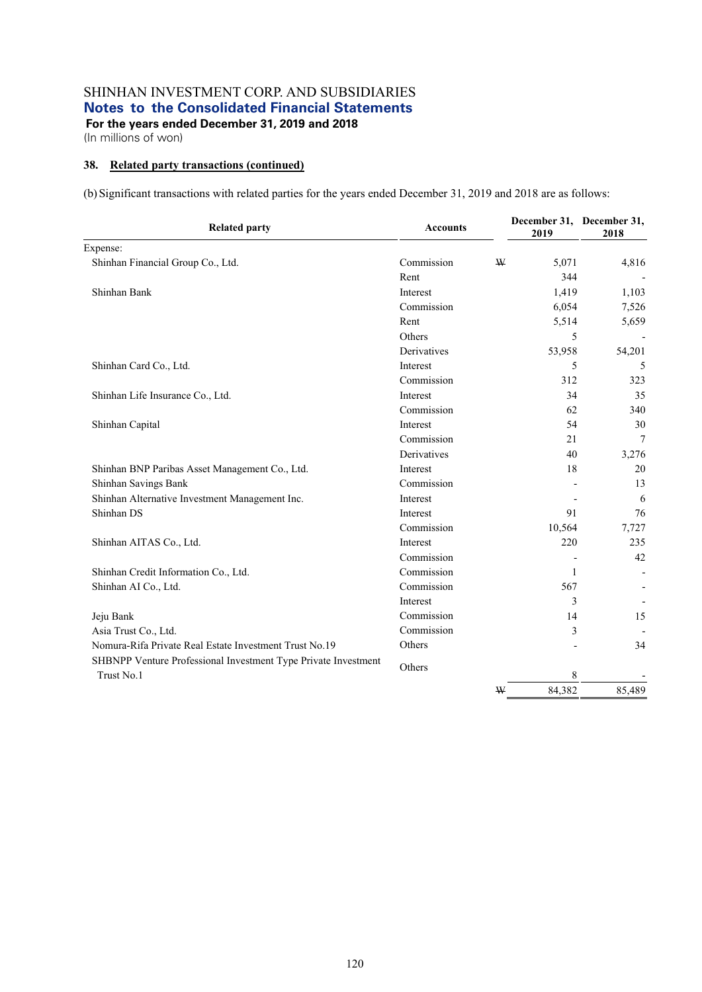## **38. Related party transactions (continued)**

(b) Significant transactions with related parties for the years ended December 31, 2019 and 2018 are as follows:

| <b>Related party</b>                                           | <b>Accounts</b> |   | December 31, December 31,<br>2019 | 2018           |
|----------------------------------------------------------------|-----------------|---|-----------------------------------|----------------|
| Expense:                                                       |                 |   |                                   |                |
| Shinhan Financial Group Co., Ltd.                              | Commission      | W | 5,071                             | 4,816          |
|                                                                | Rent            |   | 344                               |                |
| Shinhan Bank                                                   | Interest        |   | 1,419                             | 1,103          |
|                                                                | Commission      |   | 6,054                             | 7,526          |
|                                                                | Rent            |   | 5,514                             | 5,659          |
|                                                                | Others          |   | 5                                 |                |
|                                                                | Derivatives     |   | 53,958                            | 54,201         |
| Shinhan Card Co., Ltd.                                         | Interest        |   | 5                                 | 5              |
|                                                                | Commission      |   | 312                               | 323            |
| Shinhan Life Insurance Co., Ltd.                               | Interest        |   | 34                                | 35             |
|                                                                | Commission      |   | 62                                | 340            |
| Shinhan Capital                                                | Interest        |   | 54                                | 30             |
|                                                                | Commission      |   | 21                                | $\overline{7}$ |
|                                                                | Derivatives     |   | 40                                | 3,276          |
| Shinhan BNP Paribas Asset Management Co., Ltd.                 | Interest        |   | 18                                | 20             |
| Shinhan Savings Bank                                           | Commission      |   |                                   | 13             |
| Shinhan Alternative Investment Management Inc.                 | Interest        |   |                                   | 6              |
| Shinhan DS                                                     | Interest        |   | 91                                | 76             |
|                                                                | Commission      |   | 10,564                            | 7,727          |
| Shinhan AITAS Co., Ltd.                                        | Interest        |   | 220                               | 235            |
|                                                                | Commission      |   |                                   | 42             |
| Shinhan Credit Information Co., Ltd.                           | Commission      |   | 1                                 |                |
| Shinhan AI Co., Ltd.                                           | Commission      |   | 567                               |                |
|                                                                | Interest        |   | 3                                 |                |
| Jeju Bank                                                      | Commission      |   | 14                                | 15             |
| Asia Trust Co., Ltd.                                           | Commission      |   | 3                                 |                |
| Nomura-Rifa Private Real Estate Investment Trust No.19         | Others          |   |                                   | 34             |
| SHBNPP Venture Professional Investment Type Private Investment | Others          |   |                                   |                |
| Trust No.1                                                     |                 |   | 8                                 |                |
|                                                                |                 | W | 84,382                            | 85,489         |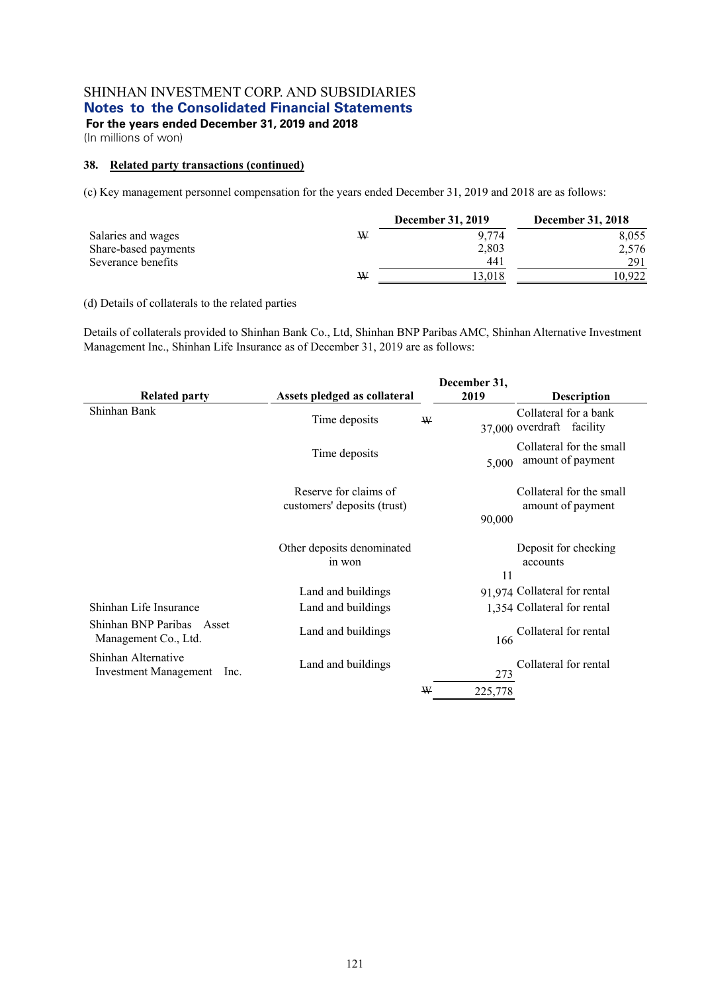**For the years ended December 31, 2019 and 2018** 

(In millions of won)

## **38. Related party transactions (continued)**

(c) Key management personnel compensation for the years ended December 31, 2019 and 2018 are as follows:

|                      |   | <b>December 31, 2019</b> | <b>December 31, 2018</b> |
|----------------------|---|--------------------------|--------------------------|
| Salaries and wages   | W | 9.774                    | 8,055                    |
| Share-based payments |   | 2,803                    | 2,576                    |
| Severance benefits   |   | 44 i                     | 291                      |
|                      | W | 13.018                   | 0.922                    |

## (d) Details of collaterals to the related parties

Details of collaterals provided to Shinhan Bank Co., Ltd, Shinhan BNP Paribas AMC, Shinhan Alternative Investment Management Inc., Shinhan Life Insurance as of December 31, 2019 are as follows:

|                                                             |                                                      | December 31, |                                                       |
|-------------------------------------------------------------|------------------------------------------------------|--------------|-------------------------------------------------------|
| <b>Related party</b>                                        | Assets pledged as collateral                         | 2019         | <b>Description</b>                                    |
| Shinhan Bank                                                | Time deposits                                        | W            | Collateral for a bank<br>37,000 overdraft<br>facility |
|                                                             | Time deposits                                        | 5,000        | Collateral for the small<br>amount of payment         |
|                                                             | Reserve for claims of<br>customers' deposits (trust) |              | Collateral for the small<br>amount of payment         |
|                                                             |                                                      | 90,000       |                                                       |
|                                                             | Other deposits denominated<br>in won                 | 11           | Deposit for checking<br>accounts                      |
|                                                             | Land and buildings                                   |              | 91,974 Collateral for rental                          |
| Shinhan Life Insurance                                      | Land and buildings                                   |              | 1,354 Collateral for rental                           |
| Shinhan BNP Paribas Asset<br>Management Co., Ltd.           | Land and buildings                                   | 166          | Collateral for rental                                 |
| Shinhan Alternative<br><b>Investment Management</b><br>lnc. | Land and buildings                                   | 273          | Collateral for rental                                 |
|                                                             |                                                      | W<br>225,778 |                                                       |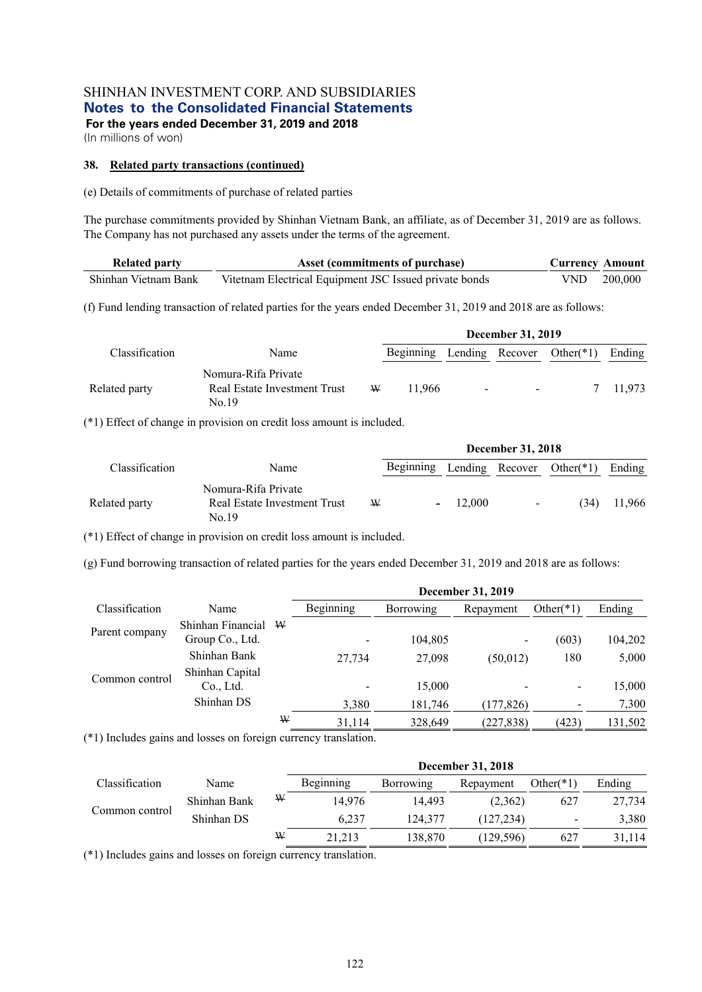(In millions of won)

#### **38. Related party transactions (continued)**

(e) Details of commitments of purchase of related parties

The purchase commitments provided by Shinhan Vietnam Bank, an affiliate, as of December 31, 2019 are as follows. The Company has not purchased any assets under the terms of the agreement.

| <b>Related party</b> | Asset (commitments of purchase)                        | <b>Currency Amount</b> |             |
|----------------------|--------------------------------------------------------|------------------------|-------------|
| Shinhan Vietnam Bank | Vitetnam Electrical Equipment JSC Issued private bonds |                        | VND 200,000 |

(f) Fund lending transaction of related parties for the years ended December 31, 2019 and 2018 are as follows:

|                |                                                              |   |                                     | <b>December 31, 2019</b>       |   |        |
|----------------|--------------------------------------------------------------|---|-------------------------------------|--------------------------------|---|--------|
| Classification | Name                                                         |   | Beginning Lending Recover Other(*1) |                                |   | Ending |
| Related party  | Nomura-Rifa Private<br>Real Estate Investment Trust<br>No.19 | W | 11.966                              | <b>All Contracts</b><br>$\sim$ | 7 | 11.973 |

(\*1) Effect of change in provision on credit loss amount is included.

|                |                                                              |   |                                       |           | <b>December 31, 2018</b> |      |        |
|----------------|--------------------------------------------------------------|---|---------------------------------------|-----------|--------------------------|------|--------|
| Classification | Name                                                         |   | Beginning Lending Recover Other $(*)$ |           |                          |      | Ending |
| Related party  | Nomura-Rifa Private<br>Real Estate Investment Trust<br>No.19 | W |                                       | $-12,000$ | $\sim$                   | (34) | 11.966 |

(\*1) Effect of change in provision on credit loss amount is included.

(g) Fund borrowing transaction of related parties for the years ended December 31, 2019 and 2018 are as follows:

|                |                   |   |           |                  | <b>December 31, 2019</b> |                          |         |
|----------------|-------------------|---|-----------|------------------|--------------------------|--------------------------|---------|
| Classification | Name              |   | Beginning | <b>Borrowing</b> | Repayment                | Other $(*1)$             | Ending  |
|                | Shinhan Financial | W |           |                  |                          |                          |         |
| Parent company | Group Co., Ltd.   |   |           | 104,805          | -                        | (603)                    | 104,202 |
|                | Shinhan Bank      |   | 27,734    | 27,098           | (50, 012)                | 180                      | 5,000   |
| Common control | Shinhan Capital   |   |           |                  |                          |                          |         |
|                | Co., Ltd.         |   |           | 15,000           |                          | $\overline{\phantom{a}}$ | 15,000  |
|                | Shinhan DS        |   | 3,380     | 181,746          | (177, 826)               |                          | 7,300   |
|                |                   | W | 31,114    | 328,649          | (227, 838)               | (423)                    | 131,502 |

(\*1) Includes gains and losses on foreign currency translation.

|                |              |   |           |           | December 31, 2018 |                          |        |
|----------------|--------------|---|-----------|-----------|-------------------|--------------------------|--------|
| Classification | Name         |   | Beginning | Borrowing | Repayment         | Other $(*1)$             | Ending |
| Common control | Shinhan Bank | W | 14.976    | 14.493    | (2,362)           | 627                      | 27,734 |
|                | Shinhan DS   |   | 6.237     | 124,377   | (127, 234)        | $\overline{\phantom{a}}$ | 3,380  |
|                |              | ₩ | 21,213    | 138,870   | (129, 596)        | 627                      | 31.114 |

(\*1) Includes gains and losses on foreign currency translation.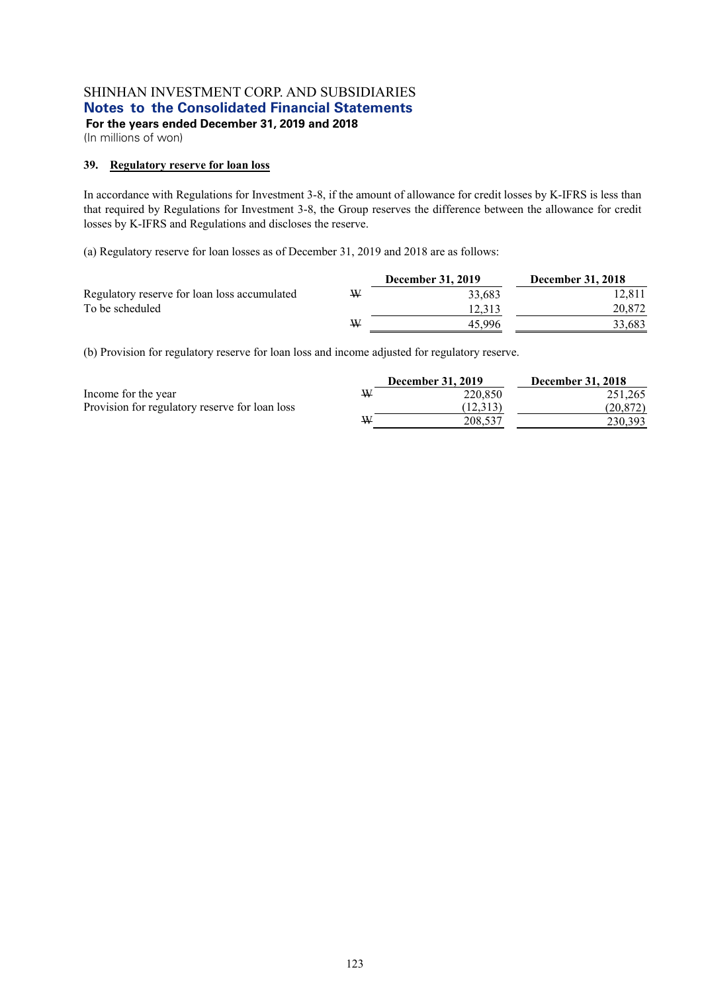**For the years ended December 31, 2019 and 2018** 

(In millions of won)

## **39. Regulatory reserve for loan loss**

In accordance with Regulations for Investment 3-8, if the amount of allowance for credit losses by K-IFRS is less than that required by Regulations for Investment 3-8, the Group reserves the difference between the allowance for credit losses by K-IFRS and Regulations and discloses the reserve.

(a) Regulatory reserve for loan losses as of December 31, 2019 and 2018 are as follows:

|                                              |   | <b>December 31, 2019</b> | <b>December 31, 2018</b> |
|----------------------------------------------|---|--------------------------|--------------------------|
| Regulatory reserve for loan loss accumulated | ₩ | 33.683                   | 12.811                   |
| To be scheduled                              |   | 12.313                   | 20,872                   |
|                                              | ₩ | 45.996                   | 33,683                   |

(b) Provision for regulatory reserve for loan loss and income adjusted for regulatory reserve.

|                                                |   | <b>December 31, 2019</b> | <b>December 31, 2018</b> |
|------------------------------------------------|---|--------------------------|--------------------------|
| Income for the year                            | W | 220,850                  | 251,265                  |
| Provision for regulatory reserve for loan loss |   | (12.313)                 | (20.872)                 |
|                                                | ₩ | 208,537                  | 230,393                  |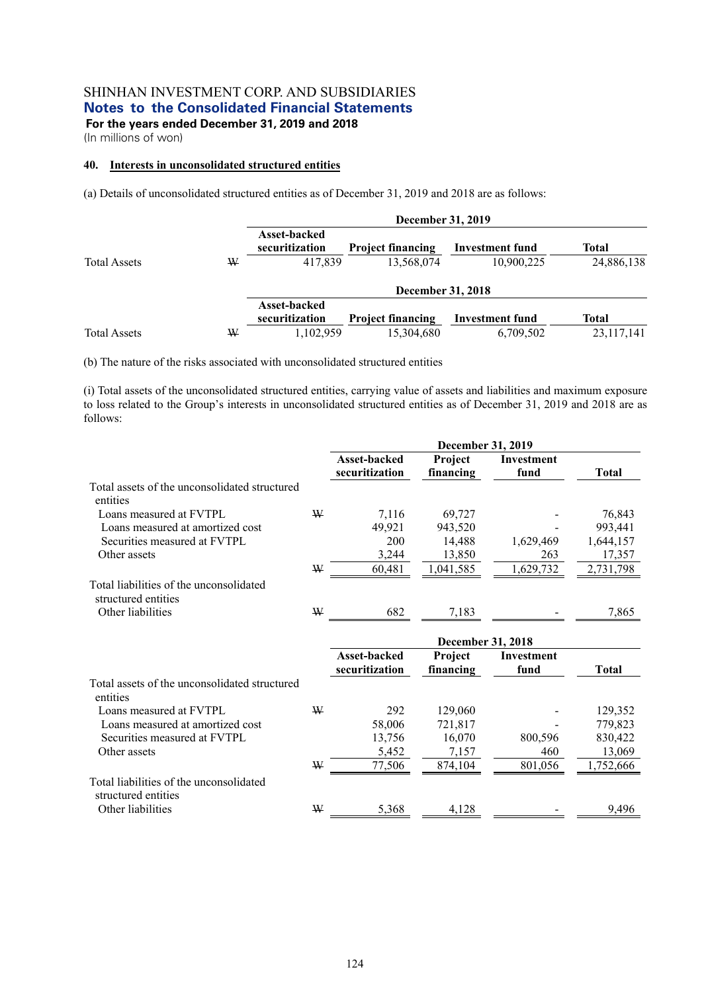(In millions of won)

# **40. Interests in unconsolidated structured entities**

(a) Details of unconsolidated structured entities as of December 31, 2019 and 2018 are as follows:

|                     |   |                                       | December 31, 2019        |                        |              |
|---------------------|---|---------------------------------------|--------------------------|------------------------|--------------|
|                     |   | Asset-backed<br>securitization        | <b>Project financing</b> | <b>Investment fund</b> | Total        |
| <b>Total Assets</b> | ₩ | 417,839                               | 13,568,074               | 10,900,225             | 24,886,138   |
|                     |   |                                       | December 31, 2018        |                        |              |
|                     |   | <b>Asset-backed</b><br>securitization | <b>Project financing</b> | <b>Investment fund</b> | <b>Total</b> |
| <b>Total Assets</b> | W | 1,102,959                             | 15,304,680               | 6,709,502              | 23,117,141   |

(b) The nature of the risks associated with unconsolidated structured entities

(i) Total assets of the unconsolidated structured entities, carrying value of assets and liabilities and maximum exposure to loss related to the Group's interests in unconsolidated structured entities as of December 31, 2019 and 2018 are as follows:

|                                                                |   |                                | <b>December 31, 2019</b> |                    |              |
|----------------------------------------------------------------|---|--------------------------------|--------------------------|--------------------|--------------|
|                                                                |   | Asset-backed<br>securitization | Project<br>financing     | Investment<br>fund | <b>Total</b> |
| Total assets of the unconsolidated structured<br>entities      |   |                                |                          |                    |              |
| Loans measured at FVTPL                                        | W | 7,116                          | 69,727                   |                    | 76,843       |
| Loans measured at amortized cost                               |   | 49,921                         | 943,520                  |                    | 993,441      |
| Securities measured at FVTPL                                   |   | 200                            | 14,488                   | 1,629,469          | 1,644,157    |
| Other assets                                                   |   | 3,244                          | 13,850                   | 263                | 17,357       |
|                                                                | W | 60,481                         | 1,041,585                | 1,629,732          | 2,731,798    |
| Total liabilities of the unconsolidated<br>structured entities |   |                                |                          |                    |              |
| Other liabilities                                              | W | 682                            | 7,183                    |                    | 7,865        |
|                                                                |   |                                |                          |                    |              |
|                                                                |   |                                | <b>December 31, 2018</b> |                    |              |
|                                                                |   | Asset-backed                   | Project                  | <b>Investment</b>  |              |
|                                                                |   | securitization                 | financing                | fund               | <b>Total</b> |
| Total assets of the unconsolidated structured<br>entities      |   |                                |                          |                    |              |
| Loans measured at FVTPL                                        | W | 292                            | 129,060                  |                    | 129,352      |
| Loans measured at amortized cost                               |   | 58,006                         | 721,817                  |                    | 779,823      |
| Securities measured at FVTPL                                   |   | 13,756                         | 16,070                   | 800,596            | 830,422      |
| Other assets                                                   |   | 5,452                          | 7,157                    | 460                | 13,069       |
|                                                                | W | 77,506                         | 874,104                  | 801,056            | 1,752,666    |
| Total liabilities of the unconsolidated<br>structured entities |   |                                |                          |                    |              |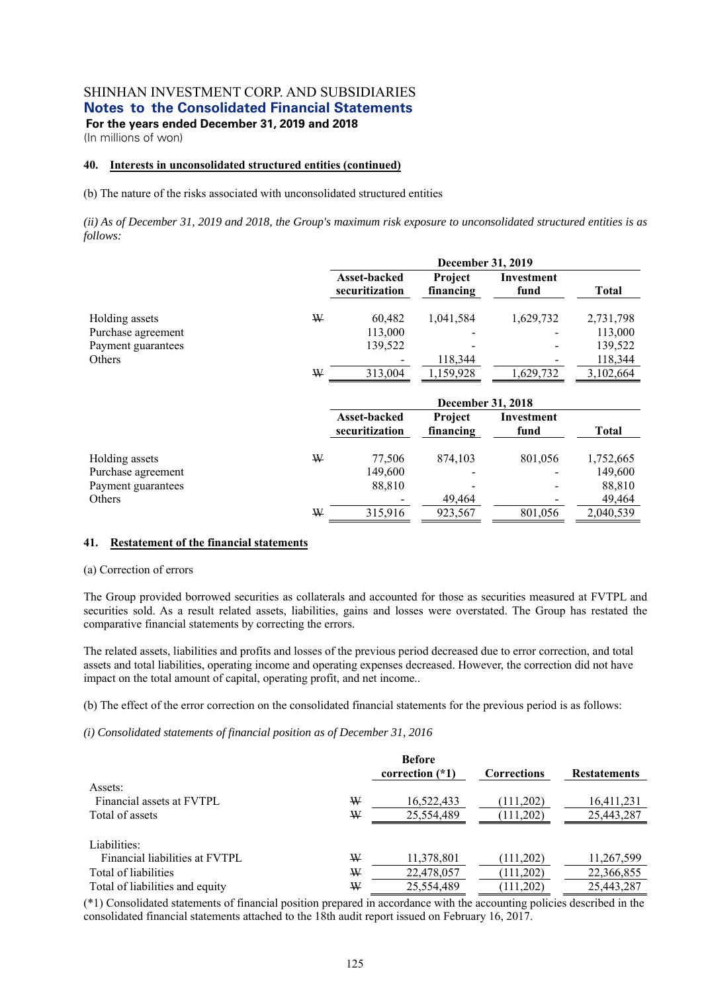(In millions of won)

#### **40. Interests in unconsolidated structured entities (continued)**

(b) The nature of the risks associated with unconsolidated structured entities

*(ii) As of December 31, 2019 and 2018, the Group's maximum risk exposure to unconsolidated structured entities is as follows:* 

|                    |   | <b>December 31, 2019</b>              |                             |                    |              |  |  |  |
|--------------------|---|---------------------------------------|-----------------------------|--------------------|--------------|--|--|--|
|                    |   | <b>Asset-backed</b><br>securitization | Project<br>financing        | Investment<br>fund | <b>Total</b> |  |  |  |
| Holding assets     | W | 60,482                                | 1,041,584                   | 1,629,732          | 2,731,798    |  |  |  |
| Purchase agreement |   | 113,000                               |                             |                    | 113,000      |  |  |  |
| Payment guarantees |   | 139,522                               |                             |                    | 139,522      |  |  |  |
| Others             |   |                                       | 118,344                     |                    | 118,344      |  |  |  |
|                    | ₩ | 313,004                               | 1,159,928                   | 1,629,732          | 3,102,664    |  |  |  |
|                    |   |                                       | <b>December 31, 2018</b>    |                    |              |  |  |  |
|                    |   | Asset-backed<br>securitization        | <b>Project</b><br>financing | Investment<br>fund | <b>Total</b> |  |  |  |
| Holding assets     | ₩ | 77,506                                | 874,103                     | 801,056            | 1,752,665    |  |  |  |
| Purchase agreement |   | 149,600                               |                             |                    | 149,600      |  |  |  |
| Payment guarantees |   | 88,810                                |                             |                    | 88,810       |  |  |  |

#### **41. Restatement of the financial statements**

#### (a) Correction of errors

The Group provided borrowed securities as collaterals and accounted for those as securities measured at FVTPL and securities sold. As a result related assets, liabilities, gains and losses were overstated. The Group has restated the comparative financial statements by correcting the errors.

Others **49,464** - 49,464 - 49,464 - 49,464 - 49,464 - 49,464 - 49,464 - 49,464 - 49,464 - 49,464 - 49,464 - 49,464 - 49,464 - 49,464 - 49,464 - 49,464 - 49,464 - 49,464 - 49,464 - 49,464 - 49,464 - 49,464 - 49,464 - 49,464

 $W = 315,916$  923,567 801,056 2,040,539

The related assets, liabilities and profits and losses of the previous period decreased due to error correction, and total assets and total liabilities, operating income and operating expenses decreased. However, the correction did not have impact on the total amount of capital, operating profit, and net income..

(b) The effect of the error correction on the consolidated financial statements for the previous period is as follows:

#### *(i) Consolidated statements of financial position as of December 31, 2016*

| Assets:                         |   | <b>Before</b><br>correction $(*1)$ | <b>Corrections</b> | <b>Restatements</b> |
|---------------------------------|---|------------------------------------|--------------------|---------------------|
| Financial assets at FVTPL       | W | 16,522,433                         | (111,202)          | 16,411,231          |
| Total of assets                 | W | 25,554,489                         | (111,202)          | 25,443,287          |
| Liabilities:                    |   |                                    |                    |                     |
| Financial liabilities at FVTPL  | W | 11,378,801                         | (111,202)          | 11,267,599          |
| Total of liabilities            | W | 22,478,057                         | (111,202)          | 22,366,855          |
| Total of liabilities and equity | ₩ | 25,554,489                         | (111,202)          | 25,443,287          |

(\*1) Consolidated statements of financial position prepared in accordance with the accounting policies described in the consolidated financial statements attached to the 18th audit report issued on February 16, 2017.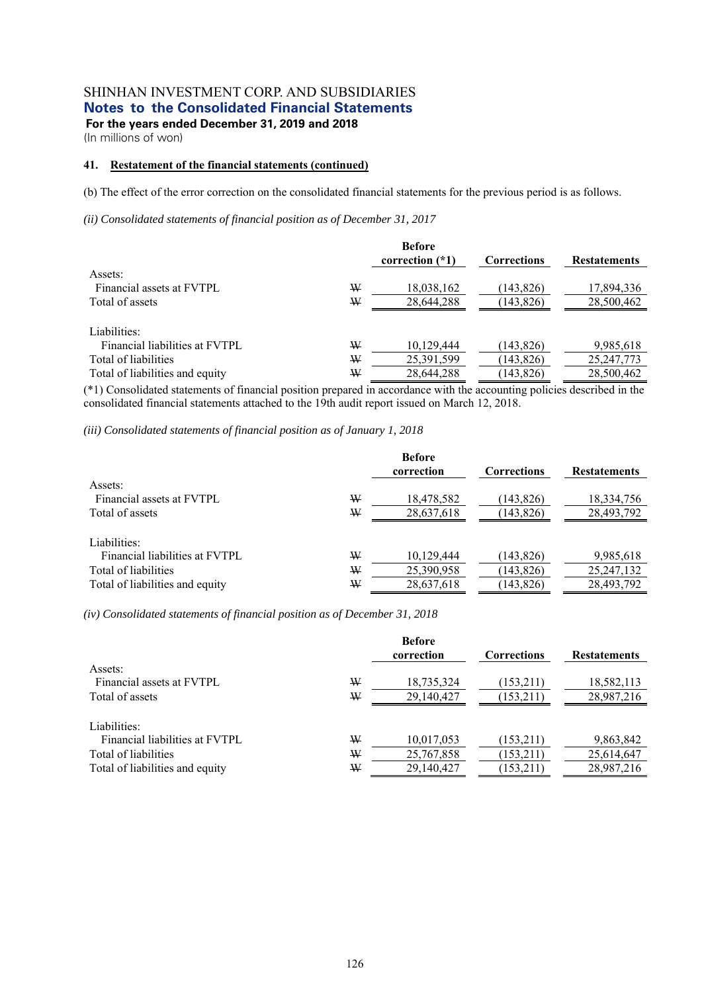(In millions of won)

## **41. Restatement of the financial statements (continued)**

(b) The effect of the error correction on the consolidated financial statements for the previous period is as follows.

*(ii) Consolidated statements of financial position as of December 31, 2017* 

|                                 |   | <b>Before</b><br>correction $(*1)$ | <b>Corrections</b> | <b>Restatements</b> |
|---------------------------------|---|------------------------------------|--------------------|---------------------|
| Assets:                         |   |                                    |                    |                     |
| Financial assets at FVTPL       | W | 18,038,162                         | (143.826)          | 17,894,336          |
| Total of assets                 | W | 28,644,288                         | (143, 826)         | 28,500,462          |
| Liabilities:                    |   |                                    |                    |                     |
| Financial liabilities at FVTPL  | W | 10,129,444                         | (143, 826)         | 9,985,618           |
| Total of liabilities            | W | 25,391,599                         | (143, 826)         | 25, 247, 773        |
| Total of liabilities and equity | W | 28,644,288                         | (143, 826)         | 28,500,462          |

(\*1) Consolidated statements of financial position prepared in accordance with the accounting policies described in the consolidated financial statements attached to the 19th audit report issued on March 12, 2018.

*(iii) Consolidated statements of financial position as of January 1, 2018* 

| Assets:                         |   | <b>Before</b><br>correction | <b>Corrections</b> | <b>Restatements</b> |
|---------------------------------|---|-----------------------------|--------------------|---------------------|
| Financial assets at FVTPL       | W | 18,478,582                  | (143, 826)         | 18,334,756          |
| Total of assets                 | ₩ | 28,637,618                  | (143, 826)         | 28,493,792          |
|                                 |   |                             |                    |                     |
| Liabilities:                    |   |                             |                    |                     |
| Financial liabilities at FVTPL  | W | 10,129,444                  | (143, 826)         | 9,985,618           |
| Total of liabilities            | ₩ | 25,390,958                  | (143, 826)         | 25, 247, 132        |
| Total of liabilities and equity | W | 28,637,618                  | (143, 826)         | 28,493,792          |

*(iv) Consolidated statements of financial position as of December 31, 2018* 

| Assets:                                                                |        | <b>Before</b><br>correction | <b>Corrections</b>     | <b>Restatements</b>      |
|------------------------------------------------------------------------|--------|-----------------------------|------------------------|--------------------------|
| Financial assets at FVTPL<br>Total of assets                           | W<br>W | 18,735,324<br>29,140,427    | (153,211)<br>(153,211) | 18,582,113<br>28,987,216 |
| Liabilities:<br>Financial liabilities at FVTPL<br>Total of liabilities | W<br>₩ | 10,017,053<br>25,767,858    | (153,211)<br>(153,211) | 9,863,842<br>25,614,647  |
| Total of liabilities and equity                                        | W      | 29,140,427                  | (153,211)              | 28,987,216               |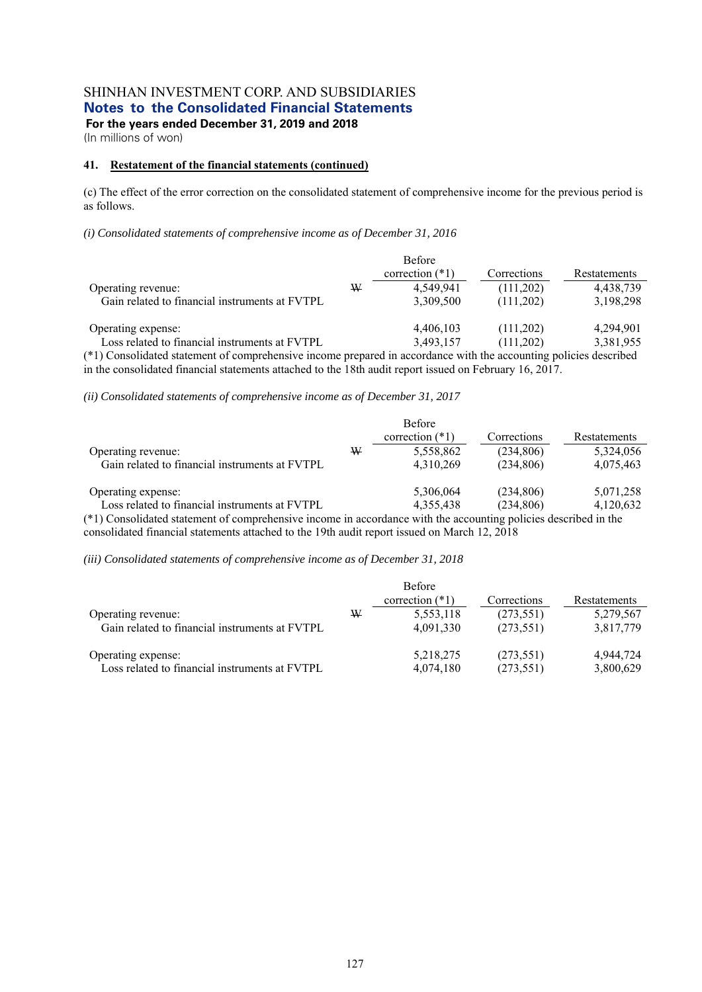**For the years ended December 31, 2019 and 2018** 

(In millions of won)

#### **41. Restatement of the financial statements (continued)**

(c) The effect of the error correction on the consolidated statement of comprehensive income for the previous period is as follows.

*(i) Consolidated statements of comprehensive income as of December 31, 2016* 

|                                                                                                                                                                                        |   | <b>Before</b><br>correction $(*1)$ | Corrections            | Restatements           |
|----------------------------------------------------------------------------------------------------------------------------------------------------------------------------------------|---|------------------------------------|------------------------|------------------------|
| Operating revenue:<br>Gain related to financial instruments at FVTPL                                                                                                                   | W | 4,549,941<br>3,309,500             | (111,202)<br>(111,202) | 4,438,739<br>3,198,298 |
| Operating expense:<br>Loss related to financial instruments at FVTPL<br>(*1) Concellibert errorent of communicative income managed in coordinate with the coordinate authority deceded |   | 4,406,103<br>3,493,157             | (111,202)<br>(111,202) | 4.294.901<br>3,381,955 |

(\*1) Consolidated statement of comprehensive income prepared in accordance with the accounting policies described in the consolidated financial statements attached to the 18th audit report issued on February 16, 2017.

*(ii) Consolidated statements of comprehensive income as of December 31, 2017* 

| Operating revenue:<br>Gain related to financial instruments at FVTPL                                               | ₩ | <b>Before</b><br>correction $(*1)$<br>5,558,862<br>4,310,269 | Corrections<br>(234,806)<br>(234,806) | Restatements<br>5,324,056<br>4,075,463 |
|--------------------------------------------------------------------------------------------------------------------|---|--------------------------------------------------------------|---------------------------------------|----------------------------------------|
| Operating expense:                                                                                                 |   | 5.306.064                                                    | (234,806)                             | 5,071,258                              |
| Loss related to financial instruments at FVTPL                                                                     |   | 4.355.438                                                    | (234,806)                             | 4,120,632                              |
| $(*)$ ) Consolidated statement of comprehensive income in accordance with the accounting policies described in the |   |                                                              |                                       |                                        |

dated statement of comprehensive income in accordance with the accounting policies described in the consolidated financial statements attached to the 19th audit report issued on March 12, 2018

*(iii) Consolidated statements of comprehensive income as of December 31, 2018* 

|                                                |   | <b>Before</b><br>correction $(*1)$ | Corrections | Restatements |
|------------------------------------------------|---|------------------------------------|-------------|--------------|
| Operating revenue:                             | W | 5,553,118                          | (273, 551)  | 5,279,567    |
| Gain related to financial instruments at FVTPL |   | 4,091,330                          | (273, 551)  | 3,817,779    |
| Operating expense:                             |   | 5,218,275                          | (273, 551)  | 4,944,724    |
| Loss related to financial instruments at FVTPL |   | 4,074,180                          | (273, 551)  | 3,800,629    |